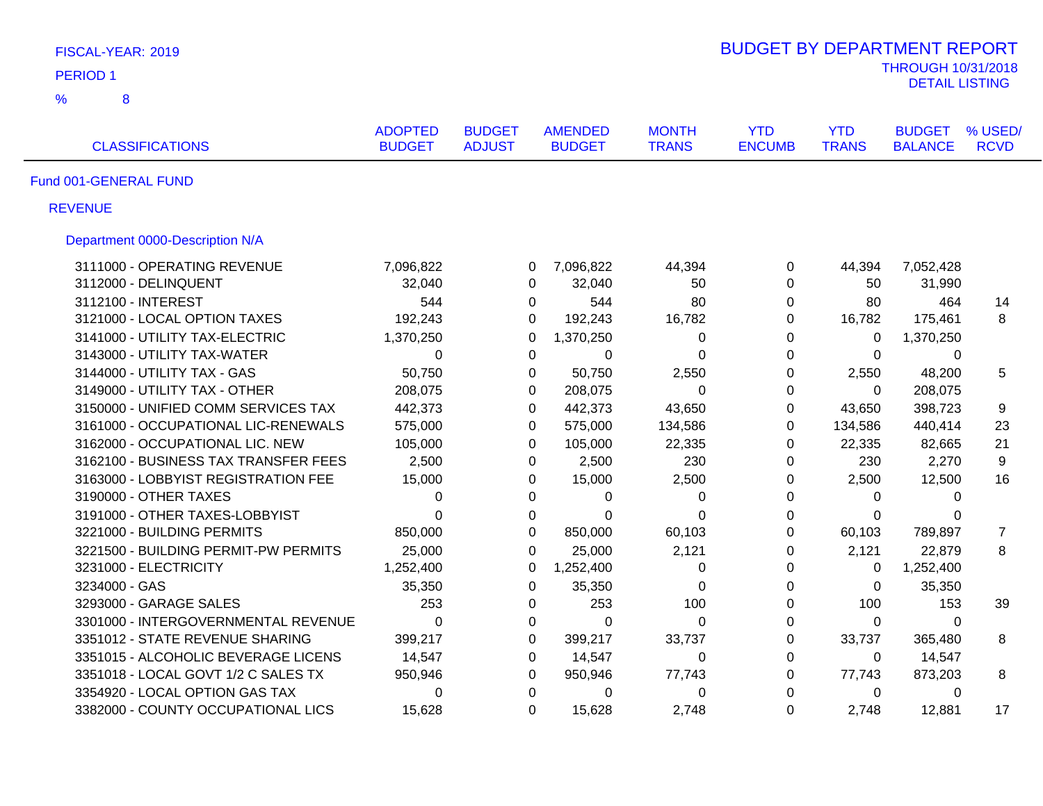| FISCAL-YEAR: 2019               | <b>BUDGET BY DEPARTMENT REPORT</b>   |                                 |                                |                                 |                              |                             |                            |                                                    |                        |
|---------------------------------|--------------------------------------|---------------------------------|--------------------------------|---------------------------------|------------------------------|-----------------------------|----------------------------|----------------------------------------------------|------------------------|
| <b>PERIOD1</b>                  |                                      |                                 |                                |                                 |                              |                             |                            | <b>THROUGH 10/31/2018</b><br><b>DETAIL LISTING</b> |                        |
| %<br>8                          |                                      |                                 |                                |                                 |                              |                             |                            |                                                    |                        |
| <b>CLASSIFICATIONS</b>          |                                      | <b>ADOPTED</b><br><b>BUDGET</b> | <b>BUDGET</b><br><b>ADJUST</b> | <b>AMENDED</b><br><b>BUDGET</b> | <b>MONTH</b><br><b>TRANS</b> | <b>YTD</b><br><b>ENCUMB</b> | <b>YTD</b><br><b>TRANS</b> | <b>BUDGET</b><br><b>BALANCE</b>                    | % USED/<br><b>RCVD</b> |
| Fund 001-GENERAL FUND           |                                      |                                 |                                |                                 |                              |                             |                            |                                                    |                        |
| <b>REVENUE</b>                  |                                      |                                 |                                |                                 |                              |                             |                            |                                                    |                        |
| Department 0000-Description N/A |                                      |                                 |                                |                                 |                              |                             |                            |                                                    |                        |
|                                 | 3111000 - OPERATING REVENUE          | 7,096,822                       | 0                              | 7,096,822                       | 44,394                       | 0                           | 44,394                     | 7,052,428                                          |                        |
| 3112000 - DELINQUENT            |                                      | 32,040                          | 0                              | 32,040                          | 50                           | $\mathbf 0$                 | 50                         | 31,990                                             |                        |
| 3112100 - INTEREST              |                                      | 544                             | 0                              | 544                             | 80                           | $\mathbf 0$                 | 80                         | 464                                                | 14                     |
|                                 | 3121000 - LOCAL OPTION TAXES         | 192,243                         | 0                              | 192,243                         | 16,782                       | $\Omega$                    | 16,782                     | 175,461                                            | 8                      |
|                                 | 3141000 - UTILITY TAX-ELECTRIC       | 1,370,250                       | 0                              | 1,370,250                       | 0                            | $\overline{0}$              | 0                          | 1,370,250                                          |                        |
|                                 | 3143000 - UTILITY TAX-WATER          | 0                               | $\Omega$                       | $\Omega$                        | $\Omega$                     | $\overline{0}$              | $\Omega$                   | $\Omega$                                           |                        |
| 3144000 - UTILITY TAX - GAS     |                                      | 50,750                          | 0                              | 50,750                          | 2,550                        | $\Omega$                    | 2,550                      | 48,200                                             | 5                      |
|                                 | 3149000 - UTILITY TAX - OTHER        | 208,075                         | 0                              | 208,075                         | 0                            | $\mathbf 0$                 | 0                          | 208,075                                            |                        |
|                                 | 3150000 - UNIFIED COMM SERVICES TAX  | 442,373                         | $\Omega$                       | 442,373                         | 43,650                       | $\boldsymbol{0}$            | 43,650                     | 398,723                                            | 9                      |
|                                 | 3161000 - OCCUPATIONAL LIC-RENEWALS  | 575,000                         | 0                              | 575,000                         | 134,586                      | $\mathbf 0$                 | 134,586                    | 440,414                                            | 23                     |
|                                 | 3162000 - OCCUPATIONAL LIC. NEW      | 105,000                         | 0                              | 105,000                         | 22,335                       | $\mathbf 0$                 | 22,335                     | 82,665                                             | 21                     |
|                                 | 3162100 - BUSINESS TAX TRANSFER FEES | 2,500                           | $\Omega$                       | 2,500                           | 230                          | $\Omega$                    | 230                        | 2,270                                              | 9                      |
|                                 | 3163000 - LOBBYIST REGISTRATION FEE  | 15,000                          | 0                              | 15,000                          | 2,500                        | 0                           | 2,500                      | 12,500                                             | 16                     |
| 3190000 - OTHER TAXES           |                                      | 0                               | $\Omega$                       | 0                               | $\pmb{0}$                    | $\Omega$                    | $\Omega$                   | 0                                                  |                        |
|                                 | 3191000 - OTHER TAXES-LOBBYIST       | $\Omega$                        | 0                              | $\Omega$                        | $\Omega$                     | 0                           | $\Omega$                   | $\Omega$                                           |                        |
| 3221000 - BUILDING PERMITS      |                                      | 850,000                         | 0                              | 850,000                         | 60,103                       | $\pmb{0}$                   | 60,103                     | 789,897                                            | 7                      |
|                                 | 3221500 - BUILDING PERMIT-PW PERMITS | 25,000                          | $\pmb{0}$                      | 25,000                          | 2,121                        | 0                           | 2,121                      | 22,879                                             | 8                      |
| 3231000 - ELECTRICITY           |                                      | 1,252,400                       | 0                              | 1,252,400                       | $\pmb{0}$                    | $\mathbf 0$                 | 0                          | 1,252,400                                          |                        |
| 3234000 - GAS                   |                                      | 35,350                          | $\pmb{0}$                      | 35,350                          | 0                            | $\pmb{0}$                   | 0                          | 35,350                                             |                        |
| 3293000 - GARAGE SALES          |                                      | 253                             | 0                              | 253                             | 100                          | 0                           | 100                        | 153                                                | 39                     |
|                                 | 3301000 - INTERGOVERNMENTAL REVENUE  | 0                               | $\pmb{0}$                      | $\mathbf 0$                     | $\mathbf 0$                  | $\pmb{0}$                   | 0                          | 0                                                  |                        |
|                                 | 3351012 - STATE REVENUE SHARING      | 399,217                         | $\boldsymbol{0}$               | 399,217                         | 33,737                       | $\pmb{0}$                   | 33,737                     | 365,480                                            | 8                      |
|                                 | 3351015 - ALCOHOLIC BEVERAGE LICENS  | 14,547                          | $\pmb{0}$                      | 14,547                          | 0                            | $\mathbf 0$                 | 0                          | 14,547                                             |                        |
|                                 | 3351018 - LOCAL GOVT 1/2 C SALES TX  | 950,946                         | $\pmb{0}$                      | 950,946                         | 77,743                       | $\pmb{0}$                   | 77,743                     | 873,203                                            | 8                      |
|                                 | 3354920 - LOCAL OPTION GAS TAX       | 0                               | $\pmb{0}$                      | $\mathbf 0$                     | $\pmb{0}$                    | $\Omega$                    | 0                          | $\Omega$                                           |                        |
|                                 | 3382000 - COUNTY OCCUPATIONAL LICS   | 15,628                          | $\overline{0}$                 | 15,628                          | 2,748                        | $\overline{0}$              | 2,748                      | 12,881                                             | 17                     |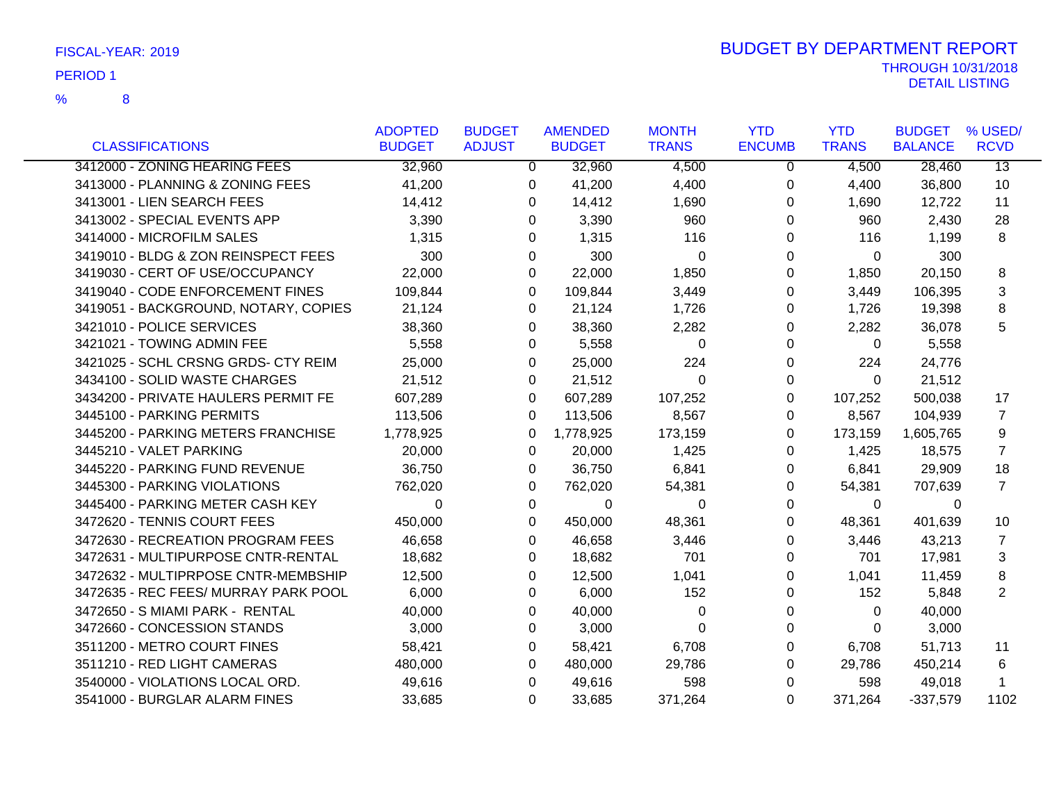|                                      | <b>ADOPTED</b> | <b>BUDGET</b> | <b>AMENDED</b> | <b>MONTH</b> | <b>YTD</b>    | <b>YTD</b>   | <b>BUDGET</b>  | % USED/         |
|--------------------------------------|----------------|---------------|----------------|--------------|---------------|--------------|----------------|-----------------|
| <b>CLASSIFICATIONS</b>               | <b>BUDGET</b>  | <b>ADJUST</b> | <b>BUDGET</b>  | <b>TRANS</b> | <b>ENCUMB</b> | <b>TRANS</b> | <b>BALANCE</b> | <b>RCVD</b>     |
| 3412000 - ZONING HEARING FEES        | 32,960         | $\mathbf{0}$  | 32,960         | 4,500        | 0             | 4,500        | 28,460         | $\overline{13}$ |
| 3413000 - PLANNING & ZONING FEES     | 41,200         | 0             | 41,200         | 4,400        | 0             | 4,400        | 36,800         | 10              |
| 3413001 - LIEN SEARCH FEES           | 14,412         | 0             | 14,412         | 1,690        | 0             | 1,690        | 12,722         | 11              |
| 3413002 - SPECIAL EVENTS APP         | 3,390          | 0             | 3,390          | 960          | $\Omega$      | 960          | 2,430          | 28              |
| 3414000 - MICROFILM SALES            | 1,315          | $\Omega$      | 1,315          | 116          | 0             | 116          | 1,199          | 8               |
| 3419010 - BLDG & ZON REINSPECT FEES  | 300            | $\Omega$      | 300            | $\Omega$     | 0             | $\mathbf{0}$ | 300            |                 |
| 3419030 - CERT OF USE/OCCUPANCY      | 22,000         | $\Omega$      | 22,000         | 1,850        | $\Omega$      | 1,850        | 20,150         | 8               |
| 3419040 - CODE ENFORCEMENT FINES     | 109,844        | $\Omega$      | 109,844        | 3,449        | 0             | 3,449        | 106,395        | 3               |
| 3419051 - BACKGROUND, NOTARY, COPIES | 21,124         | 0             | 21,124         | 1,726        | 0             | 1,726        | 19,398         | 8               |
| 3421010 - POLICE SERVICES            | 38,360         | 0             | 38,360         | 2,282        | $\Omega$      | 2,282        | 36,078         | 5               |
| 3421021 - TOWING ADMIN FEE           | 5,558          | 0             | 5,558          | $\Omega$     | $\Omega$      | $\Omega$     | 5,558          |                 |
| 3421025 - SCHL CRSNG GRDS- CTY REIM  | 25,000         | $\Omega$      | 25,000         | 224          | 0             | 224          | 24,776         |                 |
| 3434100 - SOLID WASTE CHARGES        | 21,512         | 0             | 21,512         | $\Omega$     | 0             | $\Omega$     | 21,512         |                 |
| 3434200 - PRIVATE HAULERS PERMIT FE  | 607,289        | $\Omega$      | 607,289        | 107,252      | $\Omega$      | 107,252      | 500,038        | 17              |
| 3445100 - PARKING PERMITS            | 113,506        | 0             | 113,506        | 8,567        | 0             | 8,567        | 104,939        | 7               |
| 3445200 - PARKING METERS FRANCHISE   | 1,778,925      | 0             | 1,778,925      | 173,159      | 0             | 173,159      | 1,605,765      | 9               |
| 3445210 - VALET PARKING              | 20,000         | 0             | 20,000         | 1,425        | 0             | 1,425        | 18,575         | $\overline{7}$  |
| 3445220 - PARKING FUND REVENUE       | 36,750         | 0             | 36,750         | 6,841        | 0             | 6,841        | 29,909         | 18              |
| 3445300 - PARKING VIOLATIONS         | 762,020        | $\Omega$      | 762,020        | 54,381       | 0             | 54,381       | 707,639        | $\overline{7}$  |
| 3445400 - PARKING METER CASH KEY     | $\Omega$       | 0             | 0              | 0            | 0             | 0            | 0              |                 |
| 3472620 - TENNIS COURT FEES          | 450,000        | $\Omega$      | 450,000        | 48,361       | 0             | 48,361       | 401,639        | 10              |
| 3472630 - RECREATION PROGRAM FEES    | 46,658         | 0             | 46,658         | 3,446        | 0             | 3,446        | 43,213         | 7               |
| 3472631 - MULTIPURPOSE CNTR-RENTAL   | 18,682         | 0             | 18,682         | 701          | 0             | 701          | 17,981         | 3               |
| 3472632 - MULTIPRPOSE CNTR-MEMBSHIP  | 12,500         | 0             | 12,500         | 1,041        | 0             | 1,041        | 11,459         | 8               |
| 3472635 - REC FEES/ MURRAY PARK POOL | 6,000          | 0             | 6,000          | 152          | 0             | 152          | 5,848          | $\overline{2}$  |
| 3472650 - S MIAMI PARK - RENTAL      | 40,000         | 0             | 40,000         | $\Omega$     | 0             | $\Omega$     | 40,000         |                 |
| 3472660 - CONCESSION STANDS          | 3,000          | 0             | 3,000          | 0            | 0             | $\Omega$     | 3,000          |                 |
| 3511200 - METRO COURT FINES          | 58,421         | 0             | 58,421         | 6,708        | 0             | 6,708        | 51,713         | 11              |
| 3511210 - RED LIGHT CAMERAS          | 480,000        | 0             | 480,000        | 29,786       | $\Omega$      | 29,786       | 450,214        | 6               |
| 3540000 - VIOLATIONS LOCAL ORD.      | 49,616         | 0             | 49,616         | 598          | 0             | 598          | 49,018         | 1               |
| 3541000 - BURGLAR ALARM FINES        | 33,685         | 0             | 33,685         | 371,264      | $\Omega$      | 371,264      | $-337,579$     | 1102            |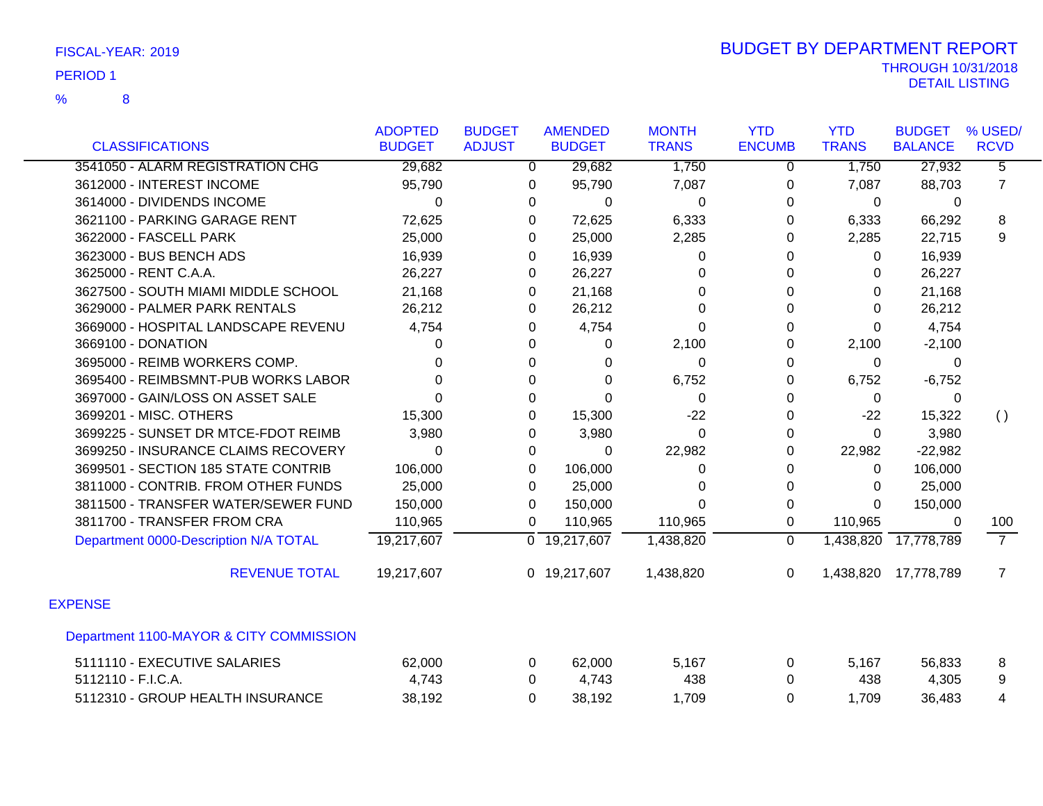|                                         | <b>ADOPTED</b> | <b>BUDGET</b>  | <b>AMENDED</b>            | <b>MONTH</b> | <b>YTD</b>    | <b>YTD</b>   | <b>BUDGET</b>  | % USED/            |
|-----------------------------------------|----------------|----------------|---------------------------|--------------|---------------|--------------|----------------|--------------------|
| <b>CLASSIFICATIONS</b>                  | <b>BUDGET</b>  | <b>ADJUST</b>  | <b>BUDGET</b>             | <b>TRANS</b> | <b>ENCUMB</b> | <b>TRANS</b> | <b>BALANCE</b> | <b>RCVD</b>        |
| 3541050 - ALARM REGISTRATION CHG        | 29,682         | $\overline{0}$ | 29,682                    | 1,750        | $\mathbf 0$   | 1,750        | 27,932         | $\overline{5}$     |
| 3612000 - INTEREST INCOME               | 95,790         | 0              | 95,790                    | 7,087        | 0             | 7,087        | 88,703         | $\overline{7}$     |
| 3614000 - DIVIDENDS INCOME              | $\Omega$       | 0              | $\Omega$                  | $\Omega$     | $\Omega$      | 0            | $\mathbf{0}$   |                    |
| 3621100 - PARKING GARAGE RENT           | 72,625         | 0              | 72,625                    | 6,333        | 0             | 6,333        | 66,292         | 8                  |
| 3622000 - FASCELL PARK                  | 25,000         | 0              | 25,000                    | 2,285        | 0             | 2,285        | 22,715         | 9                  |
| 3623000 - BUS BENCH ADS                 | 16,939         | 0              | 16,939                    | $\Omega$     | 0             | $\mathbf 0$  | 16,939         |                    |
| 3625000 - RENT C.A.A.                   | 26,227         | 0              | 26,227                    | $\Omega$     | 0             | $\mathbf{0}$ | 26,227         |                    |
| 3627500 - SOUTH MIAMI MIDDLE SCHOOL     | 21,168         | 0              | 21,168                    | 0            | 0             | 0            | 21,168         |                    |
| 3629000 - PALMER PARK RENTALS           | 26,212         | 0              | 26,212                    | $\Omega$     | 0             | $\Omega$     | 26,212         |                    |
| 3669000 - HOSPITAL LANDSCAPE REVENU     | 4,754          | 0              | 4,754                     | $\Omega$     | 0             | $\Omega$     | 4,754          |                    |
| 3669100 - DONATION                      | U              | 0              | $\Omega$                  | 2,100        | $\Omega$      | 2,100        | $-2,100$       |                    |
| 3695000 - REIMB WORKERS COMP.           |                | 0              | 0                         | $\Omega$     | 0             | 0            | 0              |                    |
| 3695400 - REIMBSMNT-PUB WORKS LABOR     | 0              | 0              | $\Omega$                  | 6,752        | 0             | 6,752        | $-6,752$       |                    |
| 3697000 - GAIN/LOSS ON ASSET SALE       | 0              | 0              | $\Omega$                  | $\Omega$     | 0             | 0            | 0              |                    |
| 3699201 - MISC. OTHERS                  | 15,300         | 0              | 15,300                    | $-22$        | 0             | $-22$        | 15,322         | $\left( \ \right)$ |
| 3699225 - SUNSET DR MTCE-FDOT REIMB     | 3,980          | 0              | 3,980                     | 0            | 0             | $\mathbf 0$  | 3,980          |                    |
| 3699250 - INSURANCE CLAIMS RECOVERY     | $\Omega$       | 0              | 0                         | 22,982       | 0             | 22,982       | $-22,982$      |                    |
| 3699501 - SECTION 185 STATE CONTRIB     | 106,000        | 0              | 106,000                   | 0            | 0             | $\mathbf 0$  | 106,000        |                    |
| 3811000 - CONTRIB. FROM OTHER FUNDS     | 25,000         | 0              | 25,000                    | 0            | 0             | 0            | 25,000         |                    |
| 3811500 - TRANSFER WATER/SEWER FUND     | 150,000        | 0              | 150,000                   | $\Omega$     | $\Omega$      | $\Omega$     | 150,000        |                    |
| 3811700 - TRANSFER FROM CRA             | 110,965        | 0              | 110,965                   | 110,965      | 0             | 110,965      | 0              | 100                |
| Department 0000-Description N/A TOTAL   | 19,217,607     |                | $\overline{0}$ 19,217,607 | 1,438,820    | $\Omega$      | 1,438,820    | 17,778,789     | $\overline{7}$     |
| <b>REVENUE TOTAL</b>                    | 19,217,607     |                | 0 19,217,607              | 1,438,820    | 0             | 1,438,820    | 17,778,789     | $\overline{7}$     |
| <b>EXPENSE</b>                          |                |                |                           |              |               |              |                |                    |
| Department 1100-MAYOR & CITY COMMISSION |                |                |                           |              |               |              |                |                    |
| 5111110 - EXECUTIVE SALARIES            | 62,000         | 0              | 62,000                    | 5,167        | 0             | 5,167        | 56,833         | 8                  |
| 5112110 - F.I.C.A.                      | 4,743          | 0              | 4,743                     | 438          | 0             | 438          | 4,305          | 9                  |
| 5112310 - GROUP HEALTH INSURANCE        | 38,192         | 0              | 38,192                    | 1,709        | 0             | 1,709        | 36,483         | 4                  |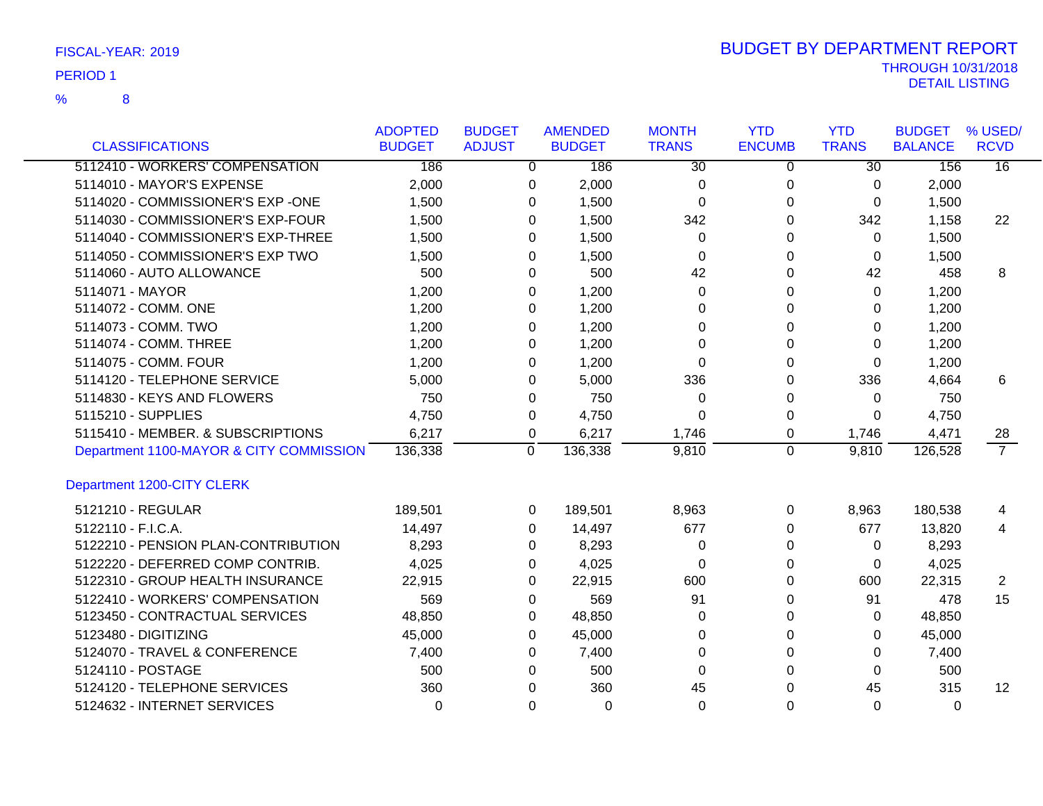| FISCAL-YEAR: 2019 |  |
|-------------------|--|
|-------------------|--|

|                                         | <b>ADOPTED</b> | <b>BUDGET</b> |          | <b>AMENDED</b> | <b>MONTH</b>    | <b>YTD</b>    | <b>YTD</b>      | <b>BUDGET</b>  | % USED/         |
|-----------------------------------------|----------------|---------------|----------|----------------|-----------------|---------------|-----------------|----------------|-----------------|
| <b>CLASSIFICATIONS</b>                  | <b>BUDGET</b>  | <b>ADJUST</b> |          | <b>BUDGET</b>  | <b>TRANS</b>    | <b>ENCUMB</b> | <b>TRANS</b>    | <b>BALANCE</b> | <b>RCVD</b>     |
| 5112410 - WORKERS' COMPENSATION         | 186            |               | 0        | 186            | $\overline{30}$ | $\mathbf 0$   | $\overline{30}$ | 156            | $\overline{16}$ |
| 5114010 - MAYOR'S EXPENSE               | 2,000          |               | 0        | 2,000          | 0               | 0             | 0               | 2,000          |                 |
| 5114020 - COMMISSIONER'S EXP -ONE       | 1,500          |               | 0        | 1,500          | 0               | 0             | 0               | 1,500          |                 |
| 5114030 - COMMISSIONER'S EXP-FOUR       | 1,500          |               | 0        | 1,500          | 342             | 0             | 342             | 1,158          | 22              |
| 5114040 - COMMISSIONER'S EXP-THREE      | 1,500          |               | 0        | 1,500          | 0               | 0             | 0               | 1,500          |                 |
| 5114050 - COMMISSIONER'S EXP TWO        | 1,500          |               | 0        | 1,500          | 0               | 0             | 0               | 1,500          |                 |
| 5114060 - AUTO ALLOWANCE                | 500            |               | $\Omega$ | 500            | 42              | 0             | 42              | 458            | 8               |
| 5114071 - MAYOR                         | 1,200          |               | 0        | 1,200          | $\Omega$        | 0             | $\Omega$        | 1,200          |                 |
| 5114072 - COMM. ONE                     | 1,200          |               | 0        | 1,200          | 0               | 0             | 0               | 1,200          |                 |
| 5114073 - COMM. TWO                     | 1,200          |               | 0        | 1,200          | 0               | 0             | 0               | 1,200          |                 |
| 5114074 - COMM. THREE                   | 1,200          |               | 0        | 1,200          | $\Omega$        | 0             | 0               | 1,200          |                 |
| 5114075 - COMM. FOUR                    | 1,200          |               | 0        | 1,200          | $\Omega$        | $\Omega$      | 0               | 1,200          |                 |
| 5114120 - TELEPHONE SERVICE             | 5,000          |               | 0        | 5,000          | 336             | 0             | 336             | 4,664          | 6               |
| 5114830 - KEYS AND FLOWERS              | 750            |               | 0        | 750            | 0               | 0             | 0               | 750            |                 |
| 5115210 - SUPPLIES                      | 4,750          |               | 0        | 4,750          | $\Omega$        | 0             | 0               | 4,750          |                 |
| 5115410 - MEMBER. & SUBSCRIPTIONS       | 6,217          |               | 0        | 6,217          | 1,746           | 0             | 1,746           | 4,471          | 28              |
| Department 1100-MAYOR & CITY COMMISSION | 136,338        |               | 0        | 136,338        | 9,810           | $\mathbf 0$   | 9,810           | 126,528        | $\overline{7}$  |
| Department 1200-CITY CLERK              |                |               |          |                |                 |               |                 |                |                 |
| 5121210 - REGULAR                       | 189,501        |               | 0        | 189,501        | 8,963           | 0             | 8,963           | 180,538        | 4               |
| 5122110 - F.I.C.A.                      | 14,497         |               | $\Omega$ | 14,497         | 677             | 0             | 677             | 13,820         | 4               |
| 5122210 - PENSION PLAN-CONTRIBUTION     | 8,293          |               | 0        | 8,293          | 0               | 0             | 0               | 8,293          |                 |
| 5122220 - DEFERRED COMP CONTRIB.        | 4,025          |               | 0        | 4,025          | 0               | 0             | 0               | 4,025          |                 |
| 5122310 - GROUP HEALTH INSURANCE        | 22,915         |               | $\Omega$ | 22,915         | 600             | 0             | 600             | 22,315         | $\overline{2}$  |
| 5122410 - WORKERS' COMPENSATION         | 569            |               | 0        | 569            | 91              | $\Omega$      | 91              | 478            | 15              |
| 5123450 - CONTRACTUAL SERVICES          | 48,850         |               | 0        | 48,850         | $\Omega$        | $\Omega$      | $\Omega$        | 48,850         |                 |
| 5123480 - DIGITIZING                    | 45,000         |               | 0        | 45,000         | 0               | 0             | 0               | 45,000         |                 |
| 5124070 - TRAVEL & CONFERENCE           | 7,400          |               | $\Omega$ | 7,400          | $\Omega$        | $\Omega$      | 0               | 7,400          |                 |
| 5124110 - POSTAGE                       | 500            |               | $\Omega$ | 500            | $\Omega$        | $\Omega$      | $\Omega$        | 500            |                 |
| 5124120 - TELEPHONE SERVICES            | 360            |               | $\Omega$ | 360            | 45              | $\Omega$      | 45              | 315            | 12              |
| 5124632 - INTERNET SERVICES             | $\Omega$       |               | $\Omega$ | $\Omega$       | $\Omega$        | $\Omega$      | 0               | $\Omega$       |                 |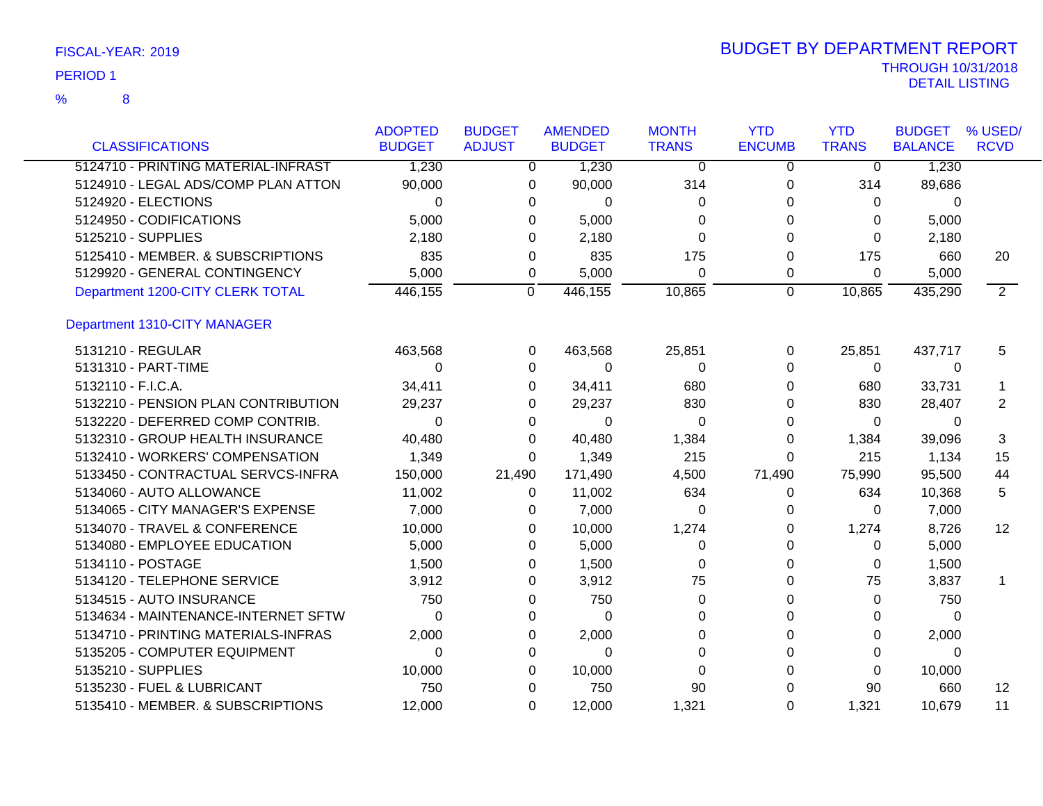| <b>CLASSIFICATIONS</b>                        | <b>ADOPTED</b><br><b>BUDGET</b> | <b>BUDGET</b><br><b>ADJUST</b> | <b>AMENDED</b><br><b>BUDGET</b> | <b>MONTH</b><br><b>TRANS</b> | <b>YTD</b><br><b>ENCUMB</b> | <b>YTD</b><br><b>TRANS</b> | <b>BUDGET</b><br><b>BALANCE</b> | % USED/<br><b>RCVD</b> |
|-----------------------------------------------|---------------------------------|--------------------------------|---------------------------------|------------------------------|-----------------------------|----------------------------|---------------------------------|------------------------|
| 5124710 - PRINTING MATERIAL-INFRAST           | 1,230                           | $\mathbf{0}$                   | 1,230                           | $\overline{0}$               | 0                           | $\overline{0}$             | 1,230                           |                        |
| 5124910 - LEGAL ADS/COMP PLAN ATTON           | 90,000                          |                                |                                 | 314                          |                             | 314                        | 89,686                          |                        |
| 5124920 - ELECTIONS                           | $\Omega$                        | 0<br>$\Omega$                  | 90,000<br>0                     | 0                            | 0<br>0                      | 0                          | 0                               |                        |
|                                               |                                 |                                |                                 |                              |                             |                            |                                 |                        |
| 5124950 - CODIFICATIONS<br>5125210 - SUPPLIES | 5,000                           | $\Omega$                       | 5,000                           | 0                            | 0                           | 0                          | 5,000                           |                        |
|                                               | 2,180                           | 0                              | 2,180                           | $\Omega$                     | 0                           | $\Omega$                   | 2,180                           |                        |
| 5125410 - MEMBER. & SUBSCRIPTIONS             | 835                             | 0                              | 835                             | 175                          | 0                           | 175                        | 660                             | 20                     |
| 5129920 - GENERAL CONTINGENCY                 | 5,000                           | 0                              | 5,000                           | 0                            | 0                           | 0                          | 5,000                           |                        |
| Department 1200-CITY CLERK TOTAL              | 446, 155                        | $\overline{0}$                 | 446,155                         | 10,865                       | $\overline{0}$              | 10,865                     | 435,290                         | $\overline{2}$         |
| Department 1310-CITY MANAGER                  |                                 |                                |                                 |                              |                             |                            |                                 |                        |
| 5131210 - REGULAR                             | 463,568                         | 0                              | 463,568                         | 25,851                       | 0                           | 25,851                     | 437,717                         | 5                      |
| 5131310 - PART-TIME                           | $\Omega$                        | $\Omega$                       | $\Omega$                        | 0                            | 0                           | $\Omega$                   | 0                               |                        |
| 5132110 - F.I.C.A.                            | 34,411                          | $\Omega$                       | 34,411                          | 680                          | 0                           | 680                        | 33,731                          | -1                     |
| 5132210 - PENSION PLAN CONTRIBUTION           | 29,237                          | 0                              | 29,237                          | 830                          | 0                           | 830                        | 28,407                          | 2                      |
| 5132220 - DEFERRED COMP CONTRIB.              | 0                               | 0                              | 0                               | 0                            | 0                           | 0                          | 0                               |                        |
| 5132310 - GROUP HEALTH INSURANCE              | 40,480                          | 0                              | 40,480                          | 1,384                        | 0                           | 1,384                      | 39,096                          | 3                      |
| 5132410 - WORKERS' COMPENSATION               | 1,349                           | 0                              | 1,349                           | 215                          | 0                           | 215                        | 1,134                           | 15                     |
| 5133450 - CONTRACTUAL SERVCS-INFRA            | 150,000                         | 21,490                         | 171,490                         | 4,500                        | 71,490                      | 75,990                     | 95,500                          | 44                     |
| 5134060 - AUTO ALLOWANCE                      | 11,002                          | 0                              | 11,002                          | 634                          | 0                           | 634                        | 10,368                          | 5                      |
| 5134065 - CITY MANAGER'S EXPENSE              | 7,000                           | 0                              | 7,000                           | 0                            | 0                           | 0                          | 7,000                           |                        |
| 5134070 - TRAVEL & CONFERENCE                 | 10,000                          | 0                              | 10,000                          | 1,274                        | 0                           | 1,274                      | 8,726                           | 12                     |
| 5134080 - EMPLOYEE EDUCATION                  | 5,000                           | $\Omega$                       | 5,000                           | 0                            | 0                           | 0                          | 5,000                           |                        |
| 5134110 - POSTAGE                             | 1,500                           | 0                              | 1,500                           | 0                            | 0                           | 0                          | 1,500                           |                        |
| 5134120 - TELEPHONE SERVICE                   | 3,912                           | 0                              | 3,912                           | 75                           | 0                           | 75                         | 3,837                           | -1                     |
| 5134515 - AUTO INSURANCE                      | 750                             | 0                              | 750                             | $\Omega$                     | 0                           | $\Omega$                   | 750                             |                        |
| 5134634 - MAINTENANCE-INTERNET SFTW           | $\Omega$                        | 0                              | $\Omega$                        | $\Omega$                     | 0                           | $\Omega$                   | $\Omega$                        |                        |
| 5134710 - PRINTING MATERIALS-INFRAS           | 2,000                           | 0                              | 2,000                           | 0                            | 0                           | 0                          | 2,000                           |                        |
| 5135205 - COMPUTER EQUIPMENT                  | $\Omega$                        | $\Omega$                       | $\Omega$                        | $\Omega$                     | $\Omega$                    | $\Omega$                   | $\Omega$                        |                        |
| 5135210 - SUPPLIES                            | 10,000                          | 0                              | 10,000                          | $\Omega$                     | $\Omega$                    | $\Omega$                   | 10,000                          |                        |
| 5135230 - FUEL & LUBRICANT                    | 750                             | $\Omega$                       | 750                             | 90                           | $\Omega$                    | 90                         | 660                             | 12                     |
| 5135410 - MEMBER. & SUBSCRIPTIONS             | 12.000                          | 0                              | 12,000                          | 1,321                        | $\Omega$                    | 1,321                      | 10,679                          | 11                     |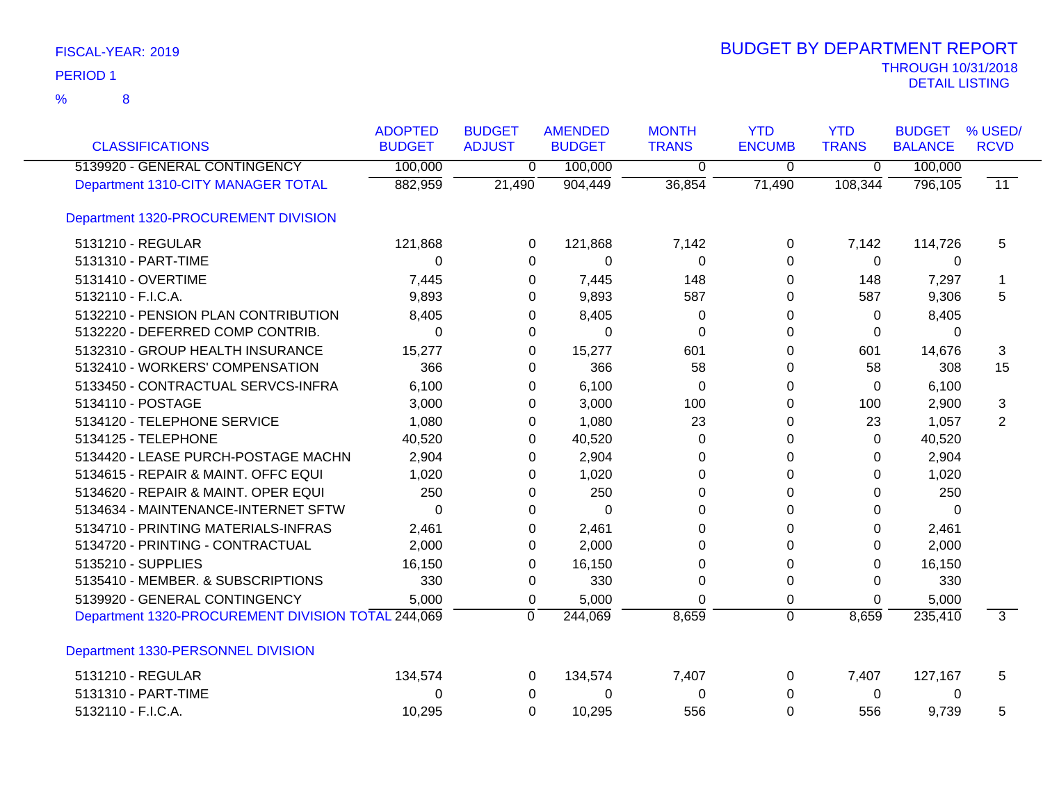| <b>CLASSIFICATIONS</b>                             | <b>ADOPTED</b><br><b>BUDGET</b> | <b>BUDGET</b><br><b>ADJUST</b> | <b>AMENDED</b><br><b>BUDGET</b> | <b>MONTH</b><br><b>TRANS</b> | <b>YTD</b><br><b>ENCUMB</b> | <b>YTD</b><br><b>TRANS</b> | <b>BUDGET</b><br><b>BALANCE</b> | % USED/<br><b>RCVD</b> |
|----------------------------------------------------|---------------------------------|--------------------------------|---------------------------------|------------------------------|-----------------------------|----------------------------|---------------------------------|------------------------|
| 5139920 - GENERAL CONTINGENCY                      | 100,000                         | 0                              | 100,000                         | 0                            | 0                           | $\overline{0}$             | 100,000                         |                        |
| Department 1310-CITY MANAGER TOTAL                 | 882,959                         | 21,490                         | 904,449                         | 36,854                       | 71,490                      | 108,344                    | 796,105                         | $\overline{11}$        |
| Department 1320-PROCUREMENT DIVISION               |                                 |                                |                                 |                              |                             |                            |                                 |                        |
| 5131210 - REGULAR                                  | 121,868                         | 0                              | 121,868                         | 7,142                        | 0                           | 7,142                      | 114,726                         | 5                      |
| 5131310 - PART-TIME                                | 0                               | 0                              | 0                               | 0                            | $\Omega$                    | $\mathbf 0$                | 0                               |                        |
| 5131410 - OVERTIME                                 | 7,445                           | 0                              | 7,445                           | 148                          | 0                           | 148                        | 7,297                           |                        |
| 5132110 - F.I.C.A.                                 | 9,893                           | 0                              | 9,893                           | 587                          | 0                           | 587                        | 9,306                           | 5                      |
| 5132210 - PENSION PLAN CONTRIBUTION                | 8,405                           | 0                              | 8,405                           | 0                            | 0                           | $\Omega$                   | 8,405                           |                        |
| 5132220 - DEFERRED COMP CONTRIB.                   | $\Omega$                        | 0                              | $\Omega$                        | $\mathbf 0$                  | $\Omega$                    | 0                          | $\Omega$                        |                        |
| 5132310 - GROUP HEALTH INSURANCE                   | 15,277                          | 0                              | 15,277                          | 601                          | $\Omega$                    | 601                        | 14,676                          | 3                      |
| 5132410 - WORKERS' COMPENSATION                    | 366                             | 0                              | 366                             | 58                           | 0                           | 58                         | 308                             | 15                     |
| 5133450 - CONTRACTUAL SERVCS-INFRA                 | 6,100                           | 0                              | 6,100                           | 0                            | 0                           | $\Omega$                   | 6,100                           |                        |
| 5134110 - POSTAGE                                  | 3,000                           | 0                              | 3,000                           | 100                          | 0                           | 100                        | 2,900                           | 3                      |
| 5134120 - TELEPHONE SERVICE                        | 1,080                           | 0                              | 1,080                           | 23                           | 0                           | 23                         | 1,057                           | 2                      |
| 5134125 - TELEPHONE                                | 40,520                          | 0                              | 40,520                          | 0                            | 0                           | 0                          | 40,520                          |                        |
| 5134420 - LEASE PURCH-POSTAGE MACHN                | 2,904                           | 0                              | 2,904                           | $\Omega$                     | $\Omega$                    | $\Omega$                   | 2,904                           |                        |
| 5134615 - REPAIR & MAINT. OFFC EQUI                | 1,020                           | 0                              | 1,020                           | $\Omega$                     | $\Omega$                    | 0                          | 1,020                           |                        |
| 5134620 - REPAIR & MAINT. OPER EQUI                | 250                             | $\Omega$                       | 250                             | $\Omega$                     | $\Omega$                    | $\Omega$                   | 250                             |                        |
| 5134634 - MAINTENANCE-INTERNET SFTW                | 0                               | 0                              | $\Omega$                        | 0                            | $\Omega$                    | 0                          | 0                               |                        |
| 5134710 - PRINTING MATERIALS-INFRAS                | 2,461                           | 0                              | 2,461                           | 0                            | 0                           | 0                          | 2,461                           |                        |
| 5134720 - PRINTING - CONTRACTUAL                   | 2,000                           | 0                              | 2,000                           | $\Omega$                     | 0                           | $\Omega$                   | 2,000                           |                        |
| 5135210 - SUPPLIES                                 | 16,150                          | 0                              | 16,150                          | 0                            | 0                           | $\Omega$                   | 16,150                          |                        |
| 5135410 - MEMBER. & SUBSCRIPTIONS                  | 330                             | 0                              | 330                             | $\mathbf 0$                  | 0                           | $\Omega$                   | 330                             |                        |
| 5139920 - GENERAL CONTINGENCY                      | 5,000                           | 0                              | 5,000                           | $\Omega$                     | 0                           | 0                          | 5,000                           |                        |
| Department 1320-PROCUREMENT DIVISION TOTAL 244,069 |                                 | $\mathbf 0$                    | 244,069                         | 8,659                        | $\overline{0}$              | 8,659                      | 235,410                         | $\overline{3}$         |
| Department 1330-PERSONNEL DIVISION                 |                                 |                                |                                 |                              |                             |                            |                                 |                        |
| 5131210 - REGULAR                                  | 134,574                         | 0                              | 134,574                         | 7,407                        | 0                           | 7,407                      | 127,167                         | 5                      |
| 5131310 - PART-TIME                                | 0                               | 0                              | 0                               | 0                            | 0                           | 0                          | 0                               |                        |
| 5132110 - F.I.C.A.                                 | 10,295                          | $\mathbf 0$                    | 10,295                          | 556                          | 0                           | 556                        | 9,739                           | 5                      |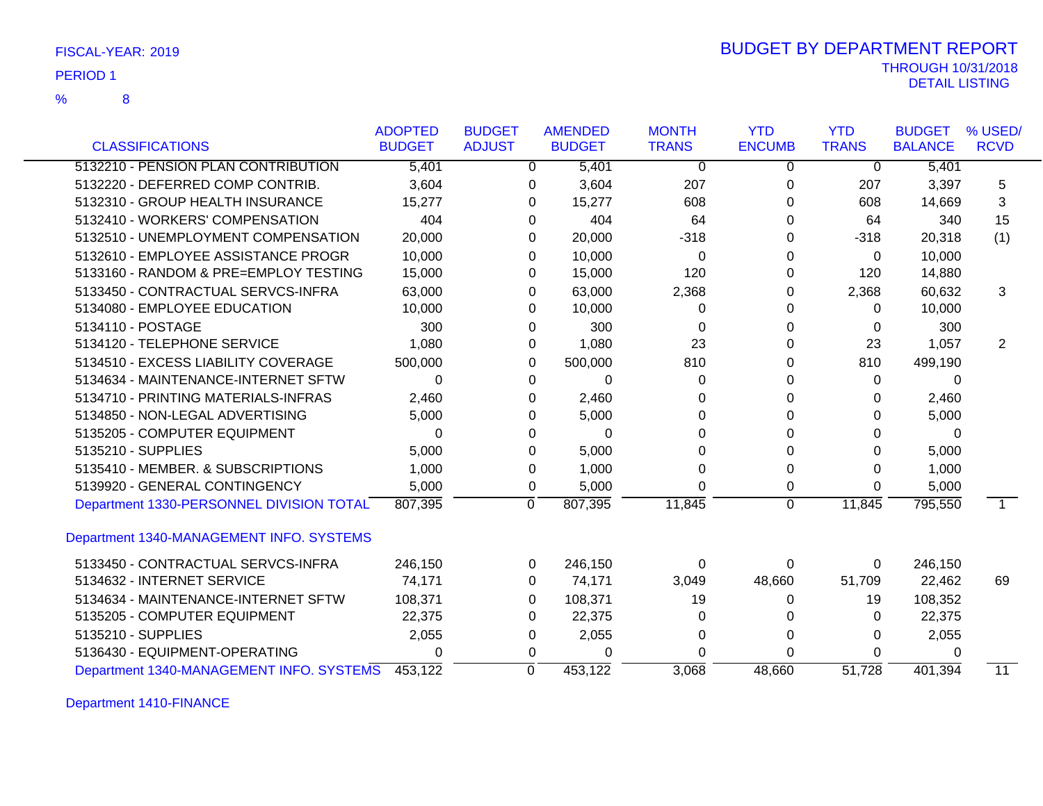| FISCAL-YEAR: 2019 |  |
|-------------------|--|
|                   |  |

### THROUGH 10/31/2018 DETAIL LISTING PERIOD <sup>1</sup> BUDGET BY DEPARTMENT REPORT

|                                          | <b>ADOPTED</b> | <b>BUDGET</b> | <b>AMENDED</b> | <b>MONTH</b> | <b>YTD</b>     | <b>YTD</b>   | <b>BUDGET</b>  | % USED/         |
|------------------------------------------|----------------|---------------|----------------|--------------|----------------|--------------|----------------|-----------------|
| <b>CLASSIFICATIONS</b>                   | <b>BUDGET</b>  | <b>ADJUST</b> | <b>BUDGET</b>  | <b>TRANS</b> | <b>ENCUMB</b>  | <b>TRANS</b> | <b>BALANCE</b> | <b>RCVD</b>     |
| 5132210 - PENSION PLAN CONTRIBUTION      | 5,401          | 0             | 5,401          | $\mathbf 0$  | 0              | 0            | 5,401          |                 |
| 5132220 - DEFERRED COMP CONTRIB.         | 3,604          | 0             | 3,604          | 207          | 0              | 207          | 3,397          | 5               |
| 5132310 - GROUP HEALTH INSURANCE         | 15,277         | 0             | 15,277         | 608          | 0              | 608          | 14,669         | 3               |
| 5132410 - WORKERS' COMPENSATION          | 404            | $\Omega$      | 404            | 64           | $\Omega$       | 64           | 340            | 15              |
| 5132510 - UNEMPLOYMENT COMPENSATION      | 20,000         | 0             | 20,000         | $-318$       | 0              | $-318$       | 20,318         | (1)             |
| 5132610 - EMPLOYEE ASSISTANCE PROGR      | 10,000         | 0             | 10,000         | 0            | 0              | $\Omega$     | 10,000         |                 |
| 5133160 - RANDOM & PRE=EMPLOY TESTING    | 15,000         | 0             | 15,000         | 120          | 0              | 120          | 14,880         |                 |
| 5133450 - CONTRACTUAL SERVCS-INFRA       | 63,000         | 0             | 63,000         | 2,368        | 0              | 2,368        | 60,632         | 3               |
| 5134080 - EMPLOYEE EDUCATION             | 10,000         | 0             | 10,000         | 0            | 0              | 0            | 10,000         |                 |
| 5134110 - POSTAGE                        | 300            | 0             | 300            | $\Omega$     | 0              | 0            | 300            |                 |
| 5134120 - TELEPHONE SERVICE              | 1,080          | 0             | 1,080          | 23           | 0              | 23           | 1,057          | 2               |
| 5134510 - EXCESS LIABILITY COVERAGE      | 500,000        | 0             | 500,000        | 810          | 0              | 810          | 499,190        |                 |
| 5134634 - MAINTENANCE-INTERNET SFTW      | $\Omega$       | $\Omega$      | $\Omega$       | $\Omega$     | $\Omega$       | $\Omega$     | $\Omega$       |                 |
| 5134710 - PRINTING MATERIALS-INFRAS      | 2,460          | 0             | 2,460          | 0            | 0              | 0            | 2,460          |                 |
| 5134850 - NON-LEGAL ADVERTISING          | 5,000          | 0             | 5,000          | 0            | 0              | 0            | 5,000          |                 |
| 5135205 - COMPUTER EQUIPMENT             | 0              | 0             | 0              | 0            | 0              | 0            | 0              |                 |
| 5135210 - SUPPLIES                       | 5,000          | 0             | 5,000          | $\Omega$     | $\Omega$       | 0            | 5,000          |                 |
| 5135410 - MEMBER. & SUBSCRIPTIONS        | 1,000          | 0             | 1,000          | $\Omega$     | 0              | 0            | 1,000          |                 |
| 5139920 - GENERAL CONTINGENCY            | 5,000          | 0             | 5,000          | $\Omega$     | 0              | 0            | 5,000          |                 |
| Department 1330-PERSONNEL DIVISION TOTAL | 807,395        | 0             | 807,395        | 11,845       | $\overline{0}$ | 11,845       | 795,550        | $\overline{1}$  |
| Department 1340-MANAGEMENT INFO. SYSTEMS |                |               |                |              |                |              |                |                 |
| 5133450 - CONTRACTUAL SERVCS-INFRA       | 246,150        | 0             | 246,150        | 0            | 0              | 0            | 246,150        |                 |
| 5134632 - INTERNET SERVICE               | 74,171         | 0             | 74,171         | 3,049        | 48,660         | 51,709       | 22,462         | 69              |
| 5134634 - MAINTENANCE-INTERNET SFTW      | 108,371        | 0             | 108,371        | 19           | 0              | 19           | 108,352        |                 |
| 5135205 - COMPUTER EQUIPMENT             | 22,375         | 0             | 22,375         | 0            | 0              | 0            | 22,375         |                 |
| 5135210 - SUPPLIES                       | 2,055          | 0             | 2,055          | $\Omega$     | 0              | $\Omega$     | 2,055          |                 |
| 5136430 - EQUIPMENT-OPERATING            | 0              | 0             | 0              | 0            | 0              | 0            | 0              |                 |
| Department 1340-MANAGEMENT INFO. SYSTEMS | 453,122        | $\Omega$      | 453,122        | 3,068        | 48,660         | 51,728       | 401,394        | $\overline{11}$ |

Department 1410-FINANCE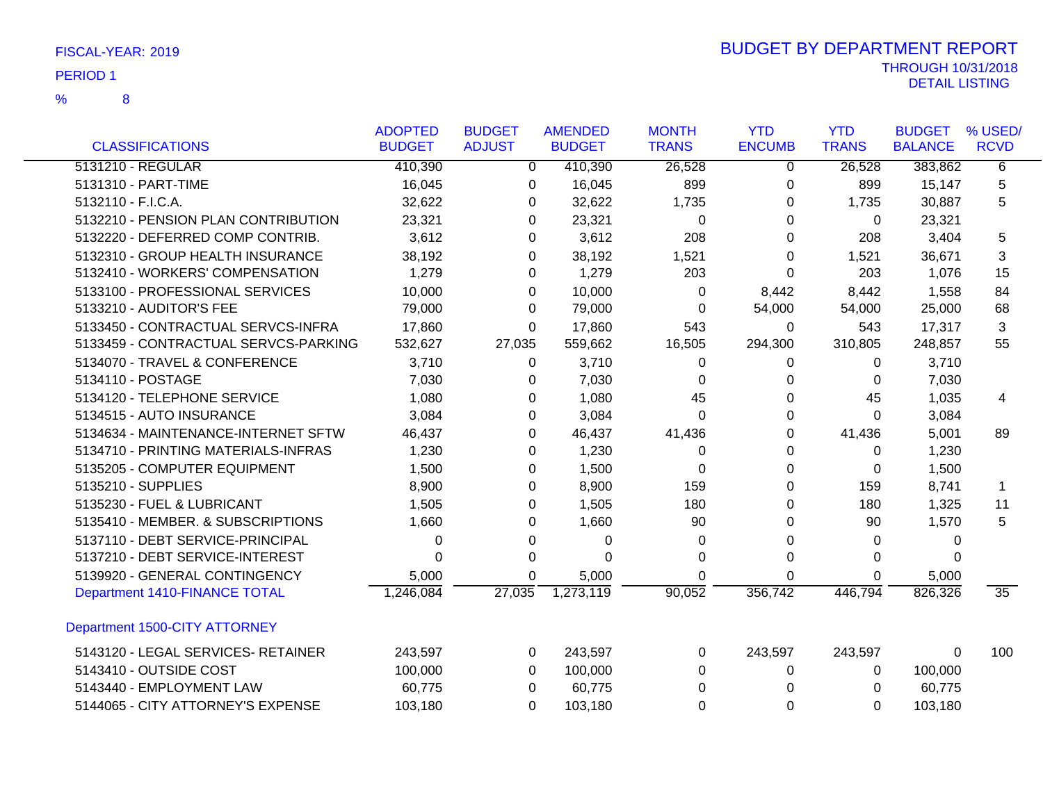|                                      | <b>ADOPTED</b> | <b>BUDGET</b> | <b>AMENDED</b> | <b>MONTH</b> | <b>YTD</b>    | <b>YTD</b>   | <b>BUDGET</b>  | % USED/         |
|--------------------------------------|----------------|---------------|----------------|--------------|---------------|--------------|----------------|-----------------|
| <b>CLASSIFICATIONS</b>               | <b>BUDGET</b>  | <b>ADJUST</b> | <b>BUDGET</b>  | <b>TRANS</b> | <b>ENCUMB</b> | <b>TRANS</b> | <b>BALANCE</b> | <b>RCVD</b>     |
| 5131210 - REGULAR                    | 410,390        | $\mathbf{0}$  | 410,390        | 26,528       | 0             | 26,528       | 383,862        | 6               |
| 5131310 - PART-TIME                  | 16,045         | 0             | 16,045         | 899          | 0             | 899          | 15,147         | 5               |
| 5132110 - F.I.C.A.                   | 32,622         | 0             | 32,622         | 1,735        | 0             | 1,735        | 30,887         | 5               |
| 5132210 - PENSION PLAN CONTRIBUTION  | 23,321         | 0             | 23,321         | 0            | 0             | 0            | 23,321         |                 |
| 5132220 - DEFERRED COMP CONTRIB.     | 3,612          | 0             | 3,612          | 208          | 0             | 208          | 3,404          | 5               |
| 5132310 - GROUP HEALTH INSURANCE     | 38,192         | 0             | 38,192         | 1,521        | 0             | 1,521        | 36,671         | 3               |
| 5132410 - WORKERS' COMPENSATION      | 1,279          | 0             | 1,279          | 203          | 0             | 203          | 1,076          | 15              |
| 5133100 - PROFESSIONAL SERVICES      | 10,000         | $\Omega$      | 10,000         | $\Omega$     | 8,442         | 8,442        | 1,558          | 84              |
| 5133210 - AUDITOR'S FEE              | 79,000         | 0             | 79,000         | $\Omega$     | 54,000        | 54,000       | 25,000         | 68              |
| 5133450 - CONTRACTUAL SERVCS-INFRA   | 17,860         | 0             | 17,860         | 543          | 0             | 543          | 17,317         | 3               |
| 5133459 - CONTRACTUAL SERVCS-PARKING | 532,627        | 27,035        | 559,662        | 16,505       | 294,300       | 310,805      | 248,857        | 55              |
| 5134070 - TRAVEL & CONFERENCE        | 3,710          | 0             | 3,710          | $\Omega$     | $\Omega$      | 0            | 3,710          |                 |
| 5134110 - POSTAGE                    | 7,030          | 0             | 7,030          | $\Omega$     | $\Omega$      | $\Omega$     | 7,030          |                 |
| 5134120 - TELEPHONE SERVICE          | 1,080          | $\Omega$      | 1,080          | 45           | 0             | 45           | 1,035          | 4               |
| 5134515 - AUTO INSURANCE             | 3,084          | 0             | 3,084          | $\Omega$     | 0             | $\Omega$     | 3,084          |                 |
| 5134634 - MAINTENANCE-INTERNET SFTW  | 46,437         | 0             | 46,437         | 41,436       | 0             | 41,436       | 5,001          | 89              |
| 5134710 - PRINTING MATERIALS-INFRAS  | 1,230          | 0             | 1,230          | 0            | 0             | 0            | 1,230          |                 |
| 5135205 - COMPUTER EQUIPMENT         | 1,500          | 0             | 1,500          | 0            | 0             | 0            | 1,500          |                 |
| 5135210 - SUPPLIES                   | 8,900          | 0             | 8,900          | 159          | 0             | 159          | 8,741          | $\mathbf 1$     |
| 5135230 - FUEL & LUBRICANT           | 1,505          | 0             | 1,505          | 180          | 0             | 180          | 1,325          | 11              |
| 5135410 - MEMBER. & SUBSCRIPTIONS    | 1,660          | 0             | 1,660          | 90           | 0             | 90           | 1,570          | 5               |
| 5137110 - DEBT SERVICE-PRINCIPAL     | 0              | 0             | 0              | 0            | 0             | 0            | 0              |                 |
| 5137210 - DEBT SERVICE-INTEREST      | 0              | 0             | $\Omega$       | $\Omega$     | 0             | 0            | $\Omega$       |                 |
| 5139920 - GENERAL CONTINGENCY        | 5,000          | 0             | 5,000          | 0            | 0             | 0            | 5,000          |                 |
| Department 1410-FINANCE TOTAL        | 1,246,084      | 27,035        | 1,273,119      | 90,052       | 356,742       | 446,794      | 826,326        | $\overline{35}$ |
| Department 1500-CITY ATTORNEY        |                |               |                |              |               |              |                |                 |
| 5143120 - LEGAL SERVICES- RETAINER   | 243,597        | $\Omega$      | 243,597        | $\Omega$     | 243,597       | 243,597      | $\Omega$       | 100             |
| 5143410 - OUTSIDE COST               | 100,000        | $\Omega$      | 100,000        | $\Omega$     | 0             | 0            | 100,000        |                 |
| 5143440 - EMPLOYMENT LAW             | 60,775         | $\Omega$      | 60,775         | $\Omega$     | $\Omega$      | $\Omega$     | 60,775         |                 |
| 5144065 - CITY ATTORNEY'S EXPENSE    | 103,180        | 0             | 103,180        | $\Omega$     | $\Omega$      | $\Omega$     | 103,180        |                 |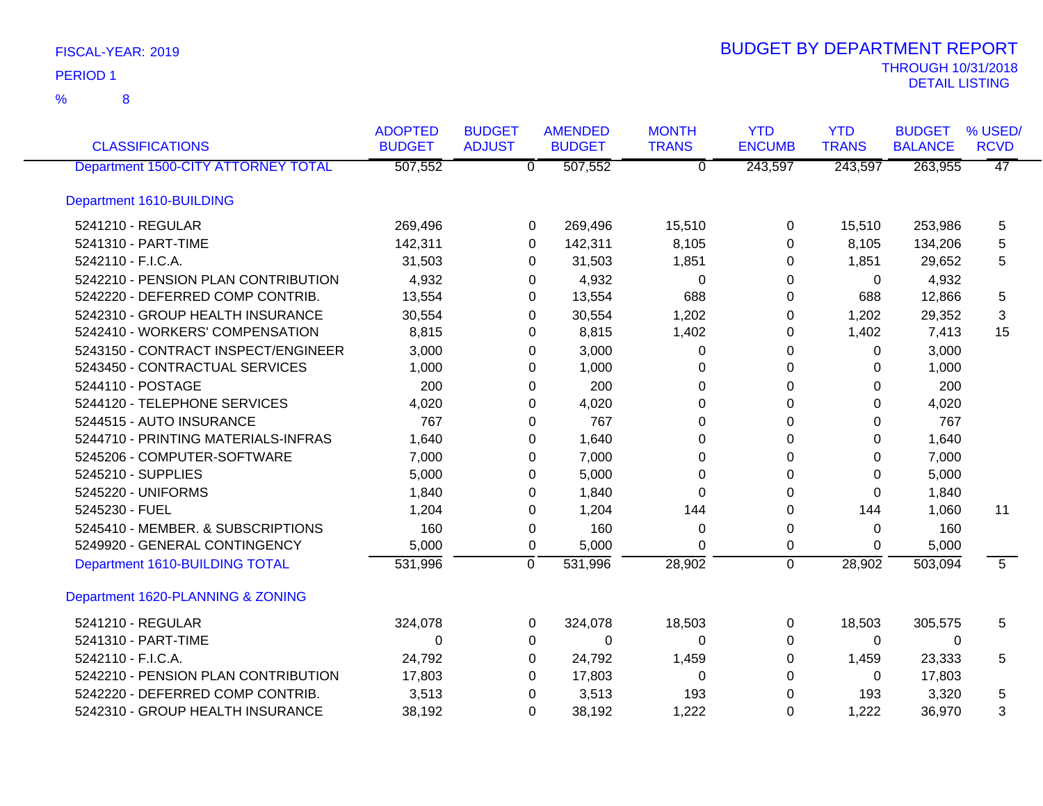| <b>CLASSIFICATIONS</b>              | <b>ADOPTED</b><br><b>BUDGET</b> | <b>BUDGET</b><br><b>ADJUST</b> | <b>AMENDED</b><br><b>BUDGET</b> | <b>MONTH</b><br><b>TRANS</b> | <b>YTD</b><br><b>ENCUMB</b> | <b>YTD</b><br><b>TRANS</b> | <b>BUDGET</b><br><b>BALANCE</b> | % USED/<br><b>RCVD</b> |
|-------------------------------------|---------------------------------|--------------------------------|---------------------------------|------------------------------|-----------------------------|----------------------------|---------------------------------|------------------------|
| Department 1500-CITY ATTORNEY TOTAL | 507,552                         |                                | 507,552<br>$\overline{0}$       | $\overline{0}$               | 243,597                     | 243,597                    | 263,955                         | $\overline{47}$        |
| Department 1610-BUILDING            |                                 |                                |                                 |                              |                             |                            |                                 |                        |
| 5241210 - REGULAR                   | 269,496                         |                                | 269,496<br>0                    | 15,510                       | 0                           | 15,510                     | 253,986                         | 5                      |
| 5241310 - PART-TIME                 | 142,311                         |                                | 142,311<br>0                    | 8,105                        | 0                           | 8,105                      | 134,206                         | 5                      |
| 5242110 - F.I.C.A.                  | 31,503                          |                                | 31,503<br>0                     | 1,851                        | 0                           | 1,851                      | 29,652                          | 5                      |
| 5242210 - PENSION PLAN CONTRIBUTION | 4,932                           |                                | 4,932<br>0                      | 0                            | 0                           | 0                          | 4,932                           |                        |
| 5242220 - DEFERRED COMP CONTRIB.    | 13,554                          |                                | 13,554<br>0                     | 688                          | 0                           | 688                        | 12,866                          | 5                      |
| 5242310 - GROUP HEALTH INSURANCE    | 30,554                          |                                | 30,554<br>0                     | 1,202                        | 0                           | 1,202                      | 29,352                          | 3                      |
| 5242410 - WORKERS' COMPENSATION     | 8,815                           |                                | 8,815<br>0                      | 1,402                        | 0                           | 1,402                      | 7,413                           | 15                     |
| 5243150 - CONTRACT INSPECT/ENGINEER | 3,000                           |                                | 3,000<br>0                      | 0                            | 0                           | 0                          | 3,000                           |                        |
| 5243450 - CONTRACTUAL SERVICES      | 1,000                           |                                | 1,000<br>0                      | 0                            | 0                           | 0                          | 1,000                           |                        |
| 5244110 - POSTAGE                   | 200                             |                                | 200<br>0                        | 0                            | 0                           | 0                          | 200                             |                        |
| 5244120 - TELEPHONE SERVICES        | 4,020                           |                                | 4,020<br>0                      | $\Omega$                     | $\Omega$                    | $\Omega$                   | 4,020                           |                        |
| 5244515 - AUTO INSURANCE            | 767                             |                                | 767<br>0                        | 0                            | 0                           | $\Omega$                   | 767                             |                        |
| 5244710 - PRINTING MATERIALS-INFRAS | 1,640                           |                                | 1,640<br>0                      | 0                            | 0                           | 0                          | 1,640                           |                        |
| 5245206 - COMPUTER-SOFTWARE         | 7,000                           |                                | 7,000<br>0                      | 0                            | $\Omega$                    | 0                          | 7,000                           |                        |
| 5245210 - SUPPLIES                  | 5,000                           |                                | 5,000<br>0                      | 0                            | 0                           | 0                          | 5,000                           |                        |
| 5245220 - UNIFORMS                  | 1,840                           |                                | 1,840<br>0                      | $\Omega$                     | 0                           | $\Omega$                   | 1,840                           |                        |
| 5245230 - FUEL                      | 1,204                           |                                | 1,204<br>0                      | 144                          | $\Omega$                    | 144                        | 1,060                           | 11                     |
| 5245410 - MEMBER. & SUBSCRIPTIONS   | 160                             |                                | 160<br>0                        | 0                            | 0                           | 0                          | 160                             |                        |
| 5249920 - GENERAL CONTINGENCY       | 5,000                           |                                | 5,000<br>0                      | 0                            | 0                           | 0                          | 5,000                           |                        |
| Department 1610-BUILDING TOTAL      | 531,996                         | $\overline{0}$                 | 531,996                         | 28,902                       | $\overline{0}$              | 28,902                     | 503,094                         | $\overline{5}$         |
| Department 1620-PLANNING & ZONING   |                                 |                                |                                 |                              |                             |                            |                                 |                        |
| 5241210 - REGULAR                   | 324,078                         |                                | 324,078<br>$\mathbf 0$          | 18,503                       | 0                           | 18,503                     | 305,575                         | 5                      |
| 5241310 - PART-TIME                 | 0                               |                                | 0<br>0                          | 0                            | 0                           | $\Omega$                   | 0                               |                        |
| 5242110 - F.I.C.A.                  | 24,792                          |                                | 24,792<br>0                     | 1,459                        | 0                           | 1,459                      | 23,333                          | 5                      |
| 5242210 - PENSION PLAN CONTRIBUTION | 17,803                          |                                | 17,803<br>0                     | 0                            | 0                           | 0                          | 17,803                          |                        |
| 5242220 - DEFERRED COMP CONTRIB.    | 3,513                           |                                | 3,513<br>0                      | 193                          | 0                           | 193                        | 3,320                           | 5                      |
| 5242310 - GROUP HEALTH INSURANCE    | 38,192                          |                                | 38,192<br>$\Omega$              | 1,222                        | $\Omega$                    | 1,222                      | 36,970                          | 3                      |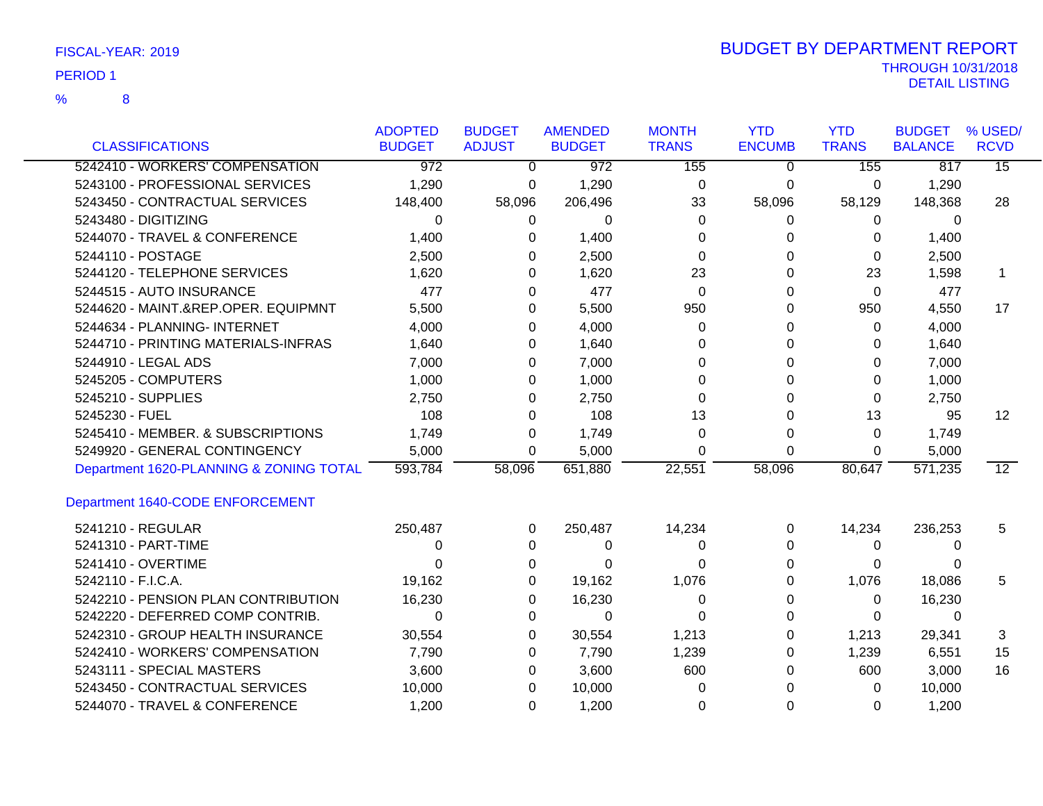| FISCAL-YEAR: 2019 |  |
|-------------------|--|
|                   |  |

| <b>CLASSIFICATIONS</b>                  | <b>ADOPTED</b><br><b>BUDGET</b> | <b>BUDGET</b><br><b>ADJUST</b> | <b>AMENDED</b><br><b>BUDGET</b> | <b>MONTH</b><br><b>TRANS</b> | <b>YTD</b><br><b>ENCUMB</b> | <b>YTD</b><br><b>TRANS</b> | <b>BUDGET</b><br><b>BALANCE</b> | % USED/<br><b>RCVD</b> |
|-----------------------------------------|---------------------------------|--------------------------------|---------------------------------|------------------------------|-----------------------------|----------------------------|---------------------------------|------------------------|
| 5242410 - WORKERS' COMPENSATION         | $\overline{972}$                | $\overline{0}$                 | $\overline{972}$                | 155                          | $\Omega$                    | 155                        | 817                             | $\overline{15}$        |
| 5243100 - PROFESSIONAL SERVICES         | 1,290                           | 0                              | 1,290                           | 0                            | 0                           | 0                          | 1,290                           |                        |
| 5243450 - CONTRACTUAL SERVICES          | 148,400                         | 58,096                         | 206,496                         | 33                           | 58,096                      | 58,129                     | 148,368                         | 28                     |
| 5243480 - DIGITIZING                    | $\Omega$                        | 0                              | $\Omega$                        | 0                            | 0                           | 0                          | 0                               |                        |
| 5244070 - TRAVEL & CONFERENCE           | 1,400                           | 0                              | 1,400                           | 0                            | 0                           | 0                          | 1,400                           |                        |
| 5244110 - POSTAGE                       | 2,500                           | 0                              | 2,500                           | $\Omega$                     | 0                           | 0                          | 2,500                           |                        |
| 5244120 - TELEPHONE SERVICES            | 1,620                           | 0                              | 1,620                           | 23                           | 0                           | 23                         | 1,598                           | 1                      |
| 5244515 - AUTO INSURANCE                | 477                             | 0                              | 477                             | 0                            | 0                           | $\Omega$                   | 477                             |                        |
| 5244620 - MAINT.&REP.OPER. EQUIPMNT     | 5,500                           | 0                              | 5,500                           | 950                          | 0                           | 950                        | 4,550                           | 17                     |
| 5244634 - PLANNING- INTERNET            | 4,000                           | 0                              | 4,000                           | 0                            | 0                           | 0                          | 4,000                           |                        |
| 5244710 - PRINTING MATERIALS-INFRAS     | 1,640                           | 0                              | 1,640                           | 0                            | 0                           | 0                          | 1,640                           |                        |
| 5244910 - LEGAL ADS                     | 7,000                           | 0                              | 7,000                           | 0                            | 0                           | 0                          | 7,000                           |                        |
| 5245205 - COMPUTERS                     | 1,000                           | 0                              | 1,000                           | 0                            | 0                           | 0                          | 1,000                           |                        |
| 5245210 - SUPPLIES                      | 2,750                           | 0                              | 2,750                           | 0                            | 0                           | 0                          | 2,750                           |                        |
| 5245230 - FUEL                          | 108                             | 0                              | 108                             | 13                           | 0                           | 13                         | 95                              | $12 \overline{ }$      |
| 5245410 - MEMBER. & SUBSCRIPTIONS       | 1,749                           | 0                              | 1,749                           | $\Omega$                     | $\Omega$                    | $\Omega$                   | 1,749                           |                        |
| 5249920 - GENERAL CONTINGENCY           | 5,000                           | 0                              | 5,000                           | $\Omega$                     | $\Omega$                    | $\Omega$                   | 5,000                           |                        |
| Department 1620-PLANNING & ZONING TOTAL | 593,784                         | 58,096                         | 651,880                         | 22,551                       | 58,096                      | 80,647                     | 571,235                         | $\overline{12}$        |
| Department 1640-CODE ENFORCEMENT        |                                 |                                |                                 |                              |                             |                            |                                 |                        |
| 5241210 - REGULAR                       | 250,487                         | 0                              | 250,487                         | 14,234                       | 0                           | 14,234                     | 236,253                         | 5                      |
| 5241310 - PART-TIME                     | 0                               | 0                              | 0                               | 0                            | 0                           | 0                          | 0                               |                        |
| 5241410 - OVERTIME                      | $\Omega$                        | 0                              | $\Omega$                        | 0                            | 0                           | 0                          | 0                               |                        |
| 5242110 - F.I.C.A.                      | 19,162                          | 0                              | 19,162                          | 1,076                        | 0                           | 1,076                      | 18,086                          | 5                      |
| 5242210 - PENSION PLAN CONTRIBUTION     | 16,230                          | 0                              | 16,230                          | 0                            | 0                           | 0                          | 16,230                          |                        |
| 5242220 - DEFERRED COMP CONTRIB.        | $\Omega$                        | 0                              | $\Omega$                        | $\Omega$                     | 0                           | 0                          | 0                               |                        |
| 5242310 - GROUP HEALTH INSURANCE        | 30,554                          | 0                              | 30,554                          | 1,213                        | 0                           | 1,213                      | 29,341                          | 3                      |
| 5242410 - WORKERS' COMPENSATION         | 7,790                           | 0                              | 7,790                           | 1,239                        | 0                           | 1,239                      | 6,551                           | 15                     |
| 5243111 - SPECIAL MASTERS               | 3,600                           | 0                              | 3,600                           | 600                          | 0                           | 600                        | 3,000                           | 16                     |
| 5243450 - CONTRACTUAL SERVICES          | 10,000                          | 0                              | 10,000                          | 0                            | 0                           | 0                          | 10,000                          |                        |
| 5244070 - TRAVEL & CONFERENCE           | 1,200                           | 0                              | 1,200                           | 0                            | 0                           | 0                          | 1,200                           |                        |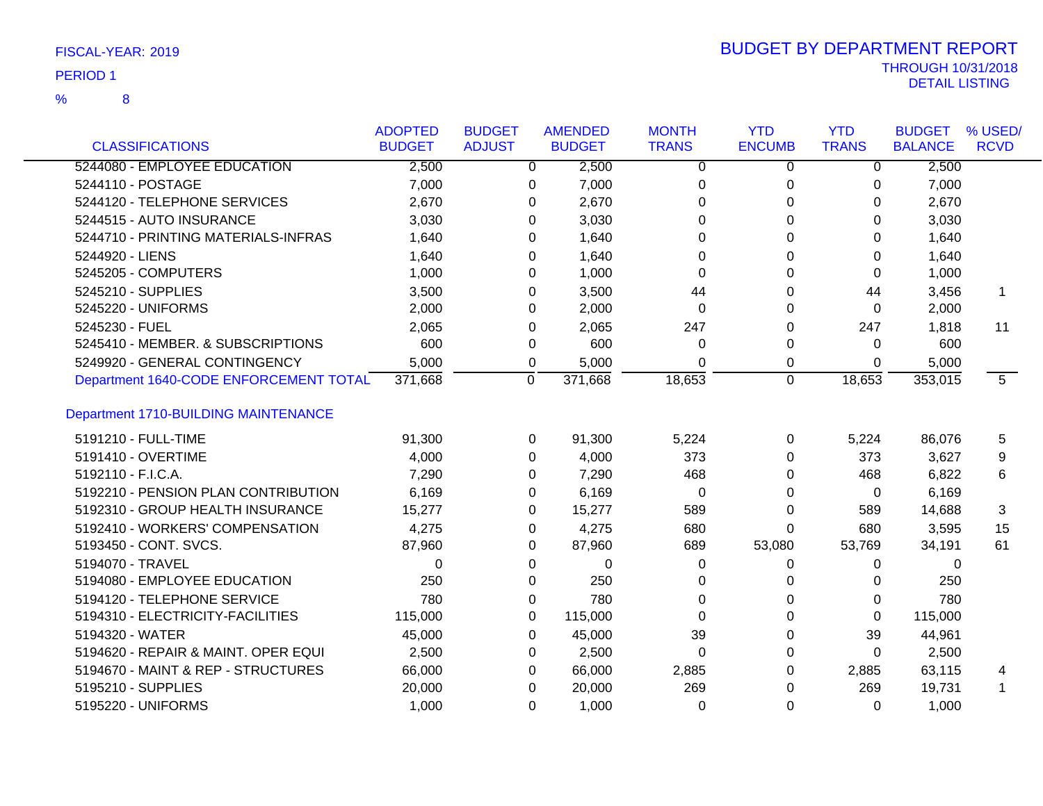8 %

| <b>CLASSIFICATIONS</b>                 | <b>ADOPTED</b><br><b>BUDGET</b> | <b>BUDGET</b><br><b>ADJUST</b> | <b>AMENDED</b><br><b>BUDGET</b> | <b>MONTH</b><br><b>TRANS</b> | <b>YTD</b><br><b>ENCUMB</b> | <b>YTD</b><br><b>TRANS</b> | <b>BUDGET</b><br><b>BALANCE</b> | % USED/<br><b>RCVD</b> |
|----------------------------------------|---------------------------------|--------------------------------|---------------------------------|------------------------------|-----------------------------|----------------------------|---------------------------------|------------------------|
| 5244080 - EMPLOYEE EDUCATION           | 2,500                           | 0                              | 2,500                           | 0                            | 0                           | 0                          | 2,500                           |                        |
| 5244110 - POSTAGE                      | 7,000                           | 0                              | 7,000                           | 0                            | 0                           | 0                          | 7,000                           |                        |
| 5244120 - TELEPHONE SERVICES           | 2,670                           | 0                              | 2,670                           | 0                            | 0                           | 0                          | 2,670                           |                        |
| 5244515 - AUTO INSURANCE               | 3,030                           | 0                              | 3,030                           | 0                            | 0                           | 0                          | 3,030                           |                        |
| 5244710 - PRINTING MATERIALS-INFRAS    | 1,640                           | $\Omega$                       | 1,640                           | $\Omega$                     | 0                           | $\Omega$                   | 1,640                           |                        |
| 5244920 - LIENS                        | 1,640                           | 0                              | 1,640                           | 0                            | 0                           | 0                          | 1,640                           |                        |
| 5245205 - COMPUTERS                    | 1,000                           | 0                              | 1,000                           | $\Omega$                     | 0                           | 0                          | 1,000                           |                        |
| 5245210 - SUPPLIES                     | 3,500                           | 0                              | 3,500                           | 44                           | 0                           | 44                         | 3,456                           | -1                     |
| 5245220 - UNIFORMS                     | 2,000                           | 0                              | 2,000                           | 0                            | 0                           | 0                          | 2,000                           |                        |
| 5245230 - FUEL                         | 2,065                           | 0                              | 2,065                           | 247                          | 0                           | 247                        | 1,818                           | 11                     |
| 5245410 - MEMBER. & SUBSCRIPTIONS      | 600                             | 0                              | 600                             | 0                            | 0                           | 0                          | 600                             |                        |
| 5249920 - GENERAL CONTINGENCY          | 5,000                           |                                | 5,000                           | 0                            |                             | 0                          | 5,000                           |                        |
| Department 1640-CODE ENFORCEMENT TOTAL | 371,668                         | 0<br>$\mathbf 0$               | 371,668                         | 18,653                       | 0<br>0                      | 18,653                     | 353,015                         | 5                      |
|                                        |                                 |                                |                                 |                              |                             |                            |                                 |                        |
| Department 1710-BUILDING MAINTENANCE   |                                 |                                |                                 |                              |                             |                            |                                 |                        |
| 5191210 - FULL-TIME                    | 91,300                          | 0                              | 91,300                          | 5,224                        | 0                           | 5,224                      | 86,076                          | 5                      |
| 5191410 - OVERTIME                     | 4,000                           | $\mathbf{0}$                   | 4,000                           | 373                          | $\Omega$                    | 373                        | 3,627                           | 9                      |
| 5192110 - F.I.C.A.                     | 7,290                           | $\Omega$                       | 7,290                           | 468                          | 0                           | 468                        | 6,822                           | 6                      |
| 5192210 - PENSION PLAN CONTRIBUTION    | 6,169                           | 0                              | 6,169                           | $\mathbf 0$                  | 0                           | $\mathbf 0$                | 6,169                           |                        |
| 5192310 - GROUP HEALTH INSURANCE       | 15,277                          | $\mathbf{0}$                   | 15,277                          | 589                          | $\Omega$                    | 589                        | 14,688                          | 3                      |
| 5192410 - WORKERS' COMPENSATION        | 4,275                           | $\Omega$                       | 4,275                           | 680                          | 0                           | 680                        | 3,595                           | 15                     |
| 5193450 - CONT. SVCS.                  | 87,960                          | 0                              | 87,960                          | 689                          | 53,080                      | 53,769                     | 34,191                          | 61                     |
| 5194070 - TRAVEL                       | 0                               | 0                              | $\mathbf 0$                     | 0                            | 0                           | 0                          | 0                               |                        |
| 5194080 - EMPLOYEE EDUCATION           | 250                             | $\Omega$                       | 250                             | 0                            | 0                           | 0                          | 250                             |                        |
| 5194120 - TELEPHONE SERVICE            | 780                             | 0                              | 780                             | $\Omega$                     | $\Omega$                    | $\Omega$                   | 780                             |                        |
| 5194310 - ELECTRICITY-FACILITIES       | 115,000                         | 0                              | 115,000                         | $\Omega$                     | $\Omega$                    | 0                          | 115,000                         |                        |
| 5194320 - WATER                        | 45,000                          | 0                              | 45,000                          | 39                           | $\Omega$                    | 39                         | 44,961                          |                        |
| 5194620 - REPAIR & MAINT. OPER EQUI    | 2,500                           | $\Omega$                       | 2,500                           | $\Omega$                     | 0                           | $\Omega$                   | 2,500                           |                        |
| 5194670 - MAINT & REP - STRUCTURES     | 66,000                          | $\Omega$                       | 66,000                          | 2,885                        | 0                           | 2,885                      | 63,115                          | 4                      |
| 5195210 - SUPPLIES                     | 20,000                          | $\Omega$                       | 20,000                          | 269                          | 0                           | 269                        | 19,731                          | 1                      |
| 5195220 - UNIFORMS                     | 1.000                           | $\Omega$                       | 1,000                           | $\Omega$                     | $\Omega$                    | $\Omega$                   | 1.000                           |                        |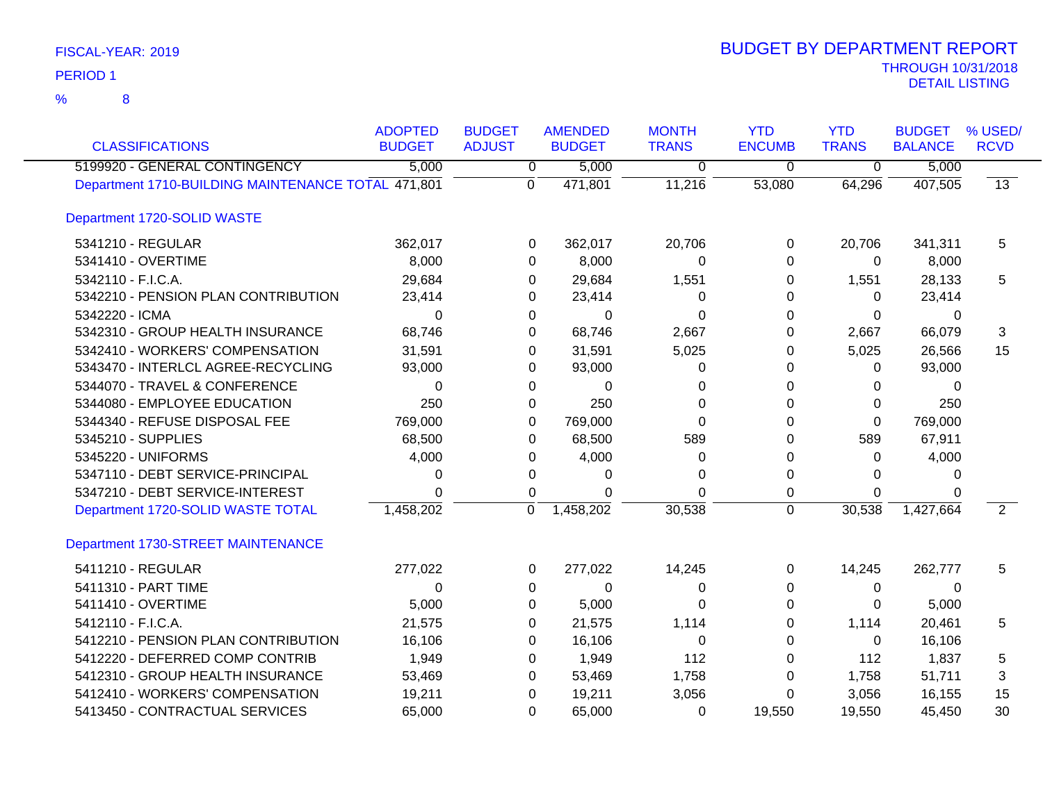| <b>CLASSIFICATIONS</b>                             | <b>ADOPTED</b><br><b>BUDGET</b> | <b>BUDGET</b><br><b>ADJUST</b> | <b>AMENDED</b><br><b>BUDGET</b> | <b>MONTH</b><br><b>TRANS</b> | <b>YTD</b><br><b>ENCUMB</b> | <b>YTD</b><br><b>TRANS</b> | <b>BUDGET</b><br><b>BALANCE</b> | % USED/<br><b>RCVD</b> |
|----------------------------------------------------|---------------------------------|--------------------------------|---------------------------------|------------------------------|-----------------------------|----------------------------|---------------------------------|------------------------|
| 5199920 - GENERAL CONTINGENCY                      | 5,000                           | 0                              | 5,000                           | 0                            | $\mathbf 0$                 | $\overline{0}$             | 5,000                           |                        |
| Department 1710-BUILDING MAINTENANCE TOTAL 471,801 |                                 | 0                              | 471,801                         | 11,216                       | 53,080                      | 64,296                     | 407,505                         | $\overline{13}$        |
| Department 1720-SOLID WASTE                        |                                 |                                |                                 |                              |                             |                            |                                 |                        |
| 5341210 - REGULAR                                  | 362,017                         | 0                              | 362,017                         | 20,706                       | 0                           | 20,706                     | 341,311                         | 5                      |
| 5341410 - OVERTIME                                 | 8,000                           | 0                              | 8,000                           | 0                            | $\Omega$                    | $\mathbf 0$                | 8,000                           |                        |
| 5342110 - F.I.C.A.                                 | 29,684                          | 0                              | 29,684                          | 1,551                        | 0                           | 1,551                      | 28,133                          | 5                      |
| 5342210 - PENSION PLAN CONTRIBUTION                | 23,414                          | 0                              | 23,414                          | 0                            | 0                           | $\Omega$                   | 23,414                          |                        |
| 5342220 - ICMA                                     | 0                               | 0                              | 0                               | 0                            | $\Omega$                    | 0                          | 0                               |                        |
| 5342310 - GROUP HEALTH INSURANCE                   | 68,746                          | 0                              | 68,746                          | 2,667                        | $\Omega$                    | 2,667                      | 66,079                          | 3                      |
| 5342410 - WORKERS' COMPENSATION                    | 31,591                          | 0                              | 31,591                          | 5,025                        | $\Omega$                    | 5,025                      | 26,566                          | 15                     |
| 5343470 - INTERLCL AGREE-RECYCLING                 | 93,000                          | 0                              | 93,000                          | 0                            | 0                           | $\Omega$                   | 93,000                          |                        |
| 5344070 - TRAVEL & CONFERENCE                      | $\Omega$                        | 0                              | $\Omega$                        | $\Omega$                     | $\Omega$                    | 0                          | $\Omega$                        |                        |
| 5344080 - EMPLOYEE EDUCATION                       | 250                             | 0                              | 250                             | 0                            | 0                           | $\mathbf{0}$               | 250                             |                        |
| 5344340 - REFUSE DISPOSAL FEE                      | 769,000                         | 0                              | 769,000                         | 0                            | $\Omega$                    | 0                          | 769,000                         |                        |
| 5345210 - SUPPLIES                                 | 68,500                          | 0                              | 68,500                          | 589                          | 0                           | 589                        | 67,911                          |                        |
| 5345220 - UNIFORMS                                 | 4,000                           | 0                              | 4,000                           | 0                            | 0                           | $\Omega$                   | 4,000                           |                        |
| 5347110 - DEBT SERVICE-PRINCIPAL                   | 0                               | 0                              | 0                               | 0                            | $\mathbf 0$                 | $\Omega$                   | 0                               |                        |
| 5347210 - DEBT SERVICE-INTEREST                    | 0                               | 0                              | $\Omega$                        | 0                            | $\mathbf 0$                 | $\mathbf{0}$               | $\Omega$                        |                        |
| Department 1720-SOLID WASTE TOTAL                  | 1,458,202                       | 0                              | 1,458,202                       | 30,538                       | $\Omega$                    | 30,538                     | 1,427,664                       | $\overline{2}$         |
| Department 1730-STREET MAINTENANCE                 |                                 |                                |                                 |                              |                             |                            |                                 |                        |
| 5411210 - REGULAR                                  | 277,022                         | 0                              | 277,022                         | 14,245                       | 0                           | 14,245                     | 262,777                         | 5                      |
| 5411310 - PART TIME                                | $\Omega$                        | 0                              | $\Omega$                        | $\Omega$                     | $\Omega$                    | $\Omega$                   | $\Omega$                        |                        |
| 5411410 - OVERTIME                                 | 5,000                           | 0                              | 5,000                           | 0                            | 0                           | $\mathbf{0}$               | 5,000                           |                        |
| 5412110 - F.I.C.A.                                 | 21,575                          | 0                              | 21,575                          | 1,114                        | $\Omega$                    | 1,114                      | 20,461                          | 5                      |
| 5412210 - PENSION PLAN CONTRIBUTION                | 16,106                          | 0                              | 16,106                          | 0                            | $\Omega$                    | $\mathbf 0$                | 16,106                          |                        |
| 5412220 - DEFERRED COMP CONTRIB                    | 1,949                           | 0                              | 1,949                           | 112                          | 0                           | 112                        | 1,837                           | 5                      |
| 5412310 - GROUP HEALTH INSURANCE                   | 53,469                          | 0                              | 53,469                          | 1,758                        | 0                           | 1,758                      | 51,711                          | 3                      |
| 5412410 - WORKERS' COMPENSATION                    | 19,211                          | 0                              | 19,211                          | 3,056                        | 0                           | 3,056                      | 16,155                          | 15                     |
| 5413450 - CONTRACTUAL SERVICES                     | 65,000                          | $\Omega$                       | 65,000                          | $\Omega$                     | 19,550                      | 19,550                     | 45,450                          | 30                     |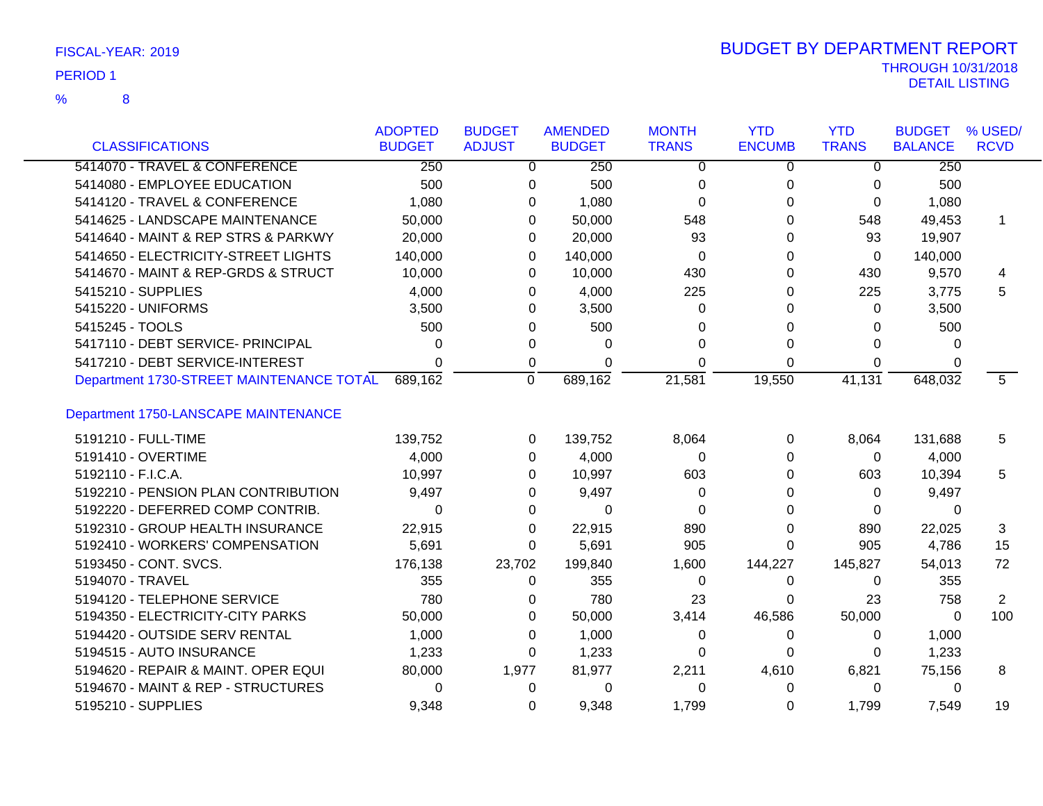| FISCAL-YEAR: 2019 |  |
|-------------------|--|
| <b>PERIOD 1</b>   |  |

|                                          | <b>ADOPTED</b>   | <b>BUDGET</b>  | <b>AMENDED</b> | <b>MONTH</b>   | <b>YTD</b>     | <b>YTD</b>     | <b>BUDGET</b>  | % USED/     |
|------------------------------------------|------------------|----------------|----------------|----------------|----------------|----------------|----------------|-------------|
| <b>CLASSIFICATIONS</b>                   | <b>BUDGET</b>    | <b>ADJUST</b>  | <b>BUDGET</b>  | <b>TRANS</b>   | <b>ENCUMB</b>  | <b>TRANS</b>   | <b>BALANCE</b> | <b>RCVD</b> |
| 5414070 - TRAVEL & CONFERENCE            | $\overline{250}$ | $\overline{0}$ | 250            | $\overline{0}$ | $\overline{0}$ | $\overline{0}$ | 250            |             |
| 5414080 - EMPLOYEE EDUCATION             | 500              | 0              | 500            | 0              | 0              | $\Omega$       | 500            |             |
| 5414120 - TRAVEL & CONFERENCE            | 1,080            | 0              | 1,080          | $\Omega$       | $\Omega$       | $\Omega$       | 1,080          |             |
| 5414625 - LANDSCAPE MAINTENANCE          | 50,000           | 0              | 50,000         | 548            | 0              | 548            | 49,453         | 1           |
| 5414640 - MAINT & REP STRS & PARKWY      | 20,000           | 0              | 20,000         | 93             | $\Omega$       | 93             | 19,907         |             |
| 5414650 - ELECTRICITY-STREET LIGHTS      | 140,000          | 0              | 140,000        | $\Omega$       | $\Omega$       | $\Omega$       | 140,000        |             |
| 5414670 - MAINT & REP-GRDS & STRUCT      | 10,000           | 0              | 10,000         | 430            | 0              | 430            | 9,570          | 4           |
| 5415210 - SUPPLIES                       | 4,000            | 0              | 4,000          | 225            | 0              | 225            | 3,775          | 5           |
| 5415220 - UNIFORMS                       | 3,500            | 0              | 3,500          | 0              | $\Omega$       | $\Omega$       | 3,500          |             |
| 5415245 - TOOLS                          | 500              | 0              | 500            | 0              | 0              | 0              | 500            |             |
| 5417110 - DEBT SERVICE- PRINCIPAL        | 0                | 0              | 0              | 0              | 0              | 0              | 0              |             |
| 5417210 - DEBT SERVICE-INTEREST          | $\Omega$         | 0              | $\Omega$       | $\Omega$       | 0              | 0              | 0              |             |
| Department 1730-STREET MAINTENANCE TOTAL | 689,162          | $\mathbf 0$    | 689,162        | 21,581         | 19,550         | 41,131         | 648,032        | 5           |
| Department 1750-LANSCAPE MAINTENANCE     |                  |                |                |                |                |                |                |             |
| 5191210 - FULL-TIME                      | 139,752          | 0              | 139,752        | 8,064          | 0              | 8,064          | 131,688        | 5           |
| 5191410 - OVERTIME                       | 4,000            | 0              | 4,000          | $\Omega$       | 0              | 0              | 4,000          |             |
| 5192110 - F.I.C.A.                       | 10,997           | 0              | 10,997         | 603            | 0              | 603            | 10,394         | 5           |
| 5192210 - PENSION PLAN CONTRIBUTION      | 9,497            | 0              | 9,497          | 0              | 0              | 0              | 9,497          |             |
| 5192220 - DEFERRED COMP CONTRIB.         | 0                | 0              | 0              | 0              | 0              | 0              | $\Omega$       |             |
| 5192310 - GROUP HEALTH INSURANCE         | 22,915           | 0              | 22,915         | 890            | 0              | 890            | 22,025         | 3           |
| 5192410 - WORKERS' COMPENSATION          | 5,691            | 0              | 5,691          | 905            | 0              | 905            | 4,786          | 15          |
| 5193450 - CONT. SVCS.                    | 176,138          | 23,702         | 199,840        | 1,600          | 144,227        | 145,827        | 54,013         | 72          |
| 5194070 - TRAVEL                         | 355              | 0              | 355            | 0              | 0              | 0              | 355            |             |
| 5194120 - TELEPHONE SERVICE              | 780              | 0              | 780            | 23             | 0              | 23             | 758            | 2           |
| 5194350 - ELECTRICITY-CITY PARKS         | 50,000           | 0              | 50,000         | 3,414          | 46,586         | 50,000         | 0              | 100         |
| 5194420 - OUTSIDE SERV RENTAL            | 1,000            | 0              | 1,000          | 0              | 0              | 0              | 1,000          |             |
| 5194515 - AUTO INSURANCE                 | 1,233            | 0              | 1,233          | 0              | 0              | 0              | 1,233          |             |
| 5194620 - REPAIR & MAINT. OPER EQUI      | 80,000           | 1,977          | 81,977         | 2,211          | 4,610          | 6,821          | 75,156         | 8           |
| 5194670 - MAINT & REP - STRUCTURES       | 0                | 0              | 0              | 0              | 0              | 0              | 0              |             |
| 5195210 - SUPPLIES                       | 9,348            | 0              | 9,348          | 1,799          | 0              | 1,799          | 7,549          | 19          |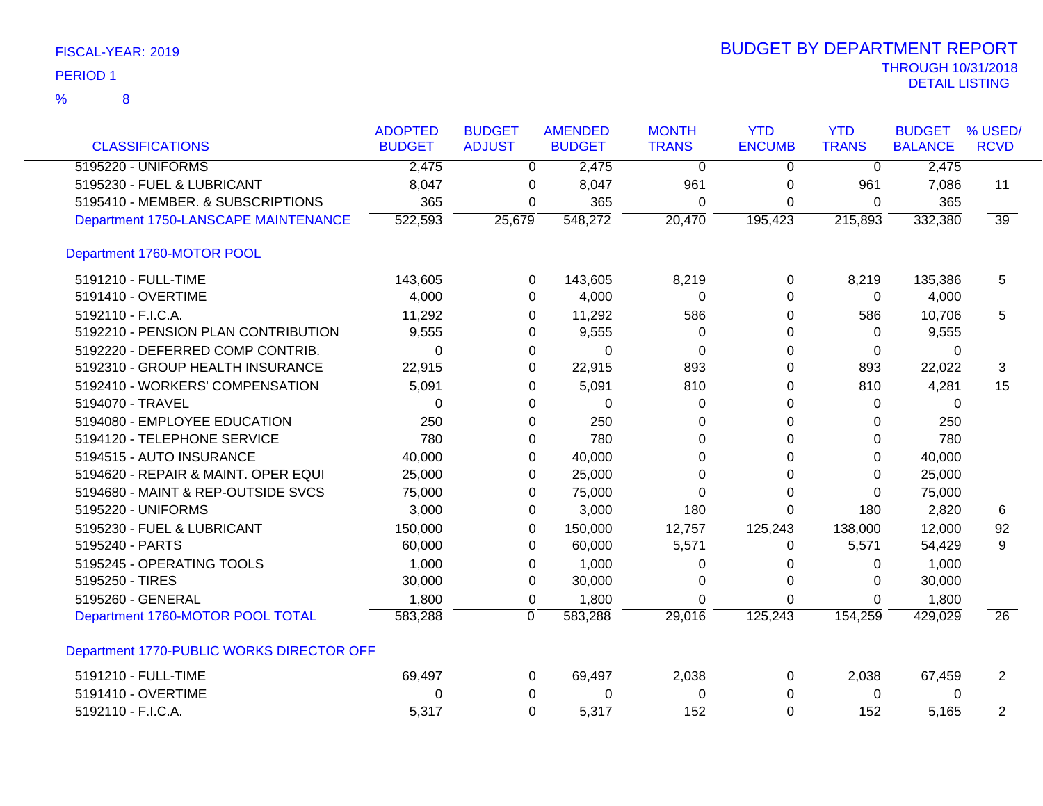| FISCAL-YEAR: 2019 |  |
|-------------------|--|
|                   |  |

| <b>CLASSIFICATIONS</b>                    | <b>ADOPTED</b><br><b>BUDGET</b> | <b>BUDGET</b><br><b>ADJUST</b> | <b>AMENDED</b><br><b>BUDGET</b> | <b>MONTH</b><br><b>TRANS</b> | <b>YTD</b><br><b>ENCUMB</b> | <b>YTD</b><br><b>TRANS</b> | <b>BUDGET</b><br><b>BALANCE</b> | % USED/<br><b>RCVD</b> |
|-------------------------------------------|---------------------------------|--------------------------------|---------------------------------|------------------------------|-----------------------------|----------------------------|---------------------------------|------------------------|
| 5195220 - UNIFORMS                        | 2,475                           | $\overline{0}$                 | 2,475                           | $\overline{0}$               | $\overline{0}$              | $\overline{0}$             | 2,475                           |                        |
| 5195230 - FUEL & LUBRICANT                | 8,047                           | 0                              | 8,047                           | 961                          | 0                           | 961                        | 7,086                           | 11                     |
| 5195410 - MEMBER. & SUBSCRIPTIONS         | 365                             | 0                              | 365                             | $\Omega$                     | $\Omega$                    | 0                          | 365                             |                        |
| Department 1750-LANSCAPE MAINTENANCE      | 522,593                         | 25,679                         | 548,272                         | 20,470                       | 195,423                     | 215,893                    | 332,380                         | 39                     |
| Department 1760-MOTOR POOL                |                                 |                                |                                 |                              |                             |                            |                                 |                        |
| 5191210 - FULL-TIME                       | 143,605                         | 0                              | 143,605                         | 8,219                        | 0                           | 8,219                      | 135,386                         | 5                      |
| 5191410 - OVERTIME                        | 4,000                           | $\Omega$                       | 4,000                           | 0                            | $\Omega$                    | 0                          | 4,000                           |                        |
| 5192110 - F.I.C.A.                        | 11,292                          | 0                              | 11,292                          | 586                          | 0                           | 586                        | 10,706                          | 5                      |
| 5192210 - PENSION PLAN CONTRIBUTION       | 9,555                           | 0                              | 9,555                           | 0                            | 0                           | 0                          | 9,555                           |                        |
| 5192220 - DEFERRED COMP CONTRIB.          | 0                               | 0                              | $\mathbf 0$                     | $\mathbf 0$                  | 0                           | $\pmb{0}$                  | 0                               |                        |
| 5192310 - GROUP HEALTH INSURANCE          | 22,915                          | 0                              | 22,915                          | 893                          | 0                           | 893                        | 22,022                          | 3                      |
| 5192410 - WORKERS' COMPENSATION           | 5,091                           | 0                              | 5,091                           | 810                          | 0                           | 810                        | 4,281                           | 15                     |
| 5194070 - TRAVEL                          | 0                               | 0                              | 0                               | 0                            | 0                           | 0                          | 0                               |                        |
| 5194080 - EMPLOYEE EDUCATION              | 250                             | 0                              | 250                             | 0                            | $\Omega$                    | 0                          | 250                             |                        |
| 5194120 - TELEPHONE SERVICE               | 780                             | 0                              | 780                             | 0                            | 0                           | 0                          | 780                             |                        |
| 5194515 - AUTO INSURANCE                  | 40,000                          | 0                              | 40,000                          | 0                            | 0                           | 0                          | 40,000                          |                        |
| 5194620 - REPAIR & MAINT. OPER EQUI       | 25,000                          | 0                              | 25,000                          | 0                            | $\Omega$                    | 0                          | 25,000                          |                        |
| 5194680 - MAINT & REP-OUTSIDE SVCS        | 75,000                          | 0                              | 75,000                          | 0                            | 0                           | $\Omega$                   | 75,000                          |                        |
| 5195220 - UNIFORMS                        | 3,000                           | 0                              | 3,000                           | 180                          | $\Omega$                    | 180                        | 2,820                           | 6                      |
| 5195230 - FUEL & LUBRICANT                | 150,000                         | 0                              | 150,000                         | 12,757                       | 125,243                     | 138,000                    | 12,000                          | 92                     |
| 5195240 - PARTS                           | 60,000                          | 0                              | 60,000                          | 5,571                        | 0                           | 5,571                      | 54,429                          | 9                      |
| 5195245 - OPERATING TOOLS                 | 1,000                           | 0                              | 1,000                           | 0                            | 0                           | 0                          | 1,000                           |                        |
| 5195250 - TIRES                           | 30,000                          | 0                              | 30,000                          | 0                            | 0                           | $\Omega$                   | 30,000                          |                        |
| 5195260 - GENERAL                         | 1,800                           | 0                              | 1,800                           | 0                            | 0                           | $\Omega$                   | 1,800                           |                        |
| Department 1760-MOTOR POOL TOTAL          | 583,288                         | $\Omega$                       | 583,288                         | 29,016                       | 125,243                     | 154,259                    | 429,029                         | $\overline{26}$        |
| Department 1770-PUBLIC WORKS DIRECTOR OFF |                                 |                                |                                 |                              |                             |                            |                                 |                        |
| 5191210 - FULL-TIME                       | 69,497                          | 0                              | 69,497                          | 2,038                        | 0                           | 2,038                      | 67,459                          | $\overline{c}$         |
| 5191410 - OVERTIME                        | 0                               | 0                              | $\mathbf 0$                     | 0                            | 0                           | 0                          | 0                               |                        |
| 5192110 - F.I.C.A.                        | 5,317                           | $\Omega$                       | 5,317                           | 152                          | $\mathbf 0$                 | 152                        | 5,165                           | 2                      |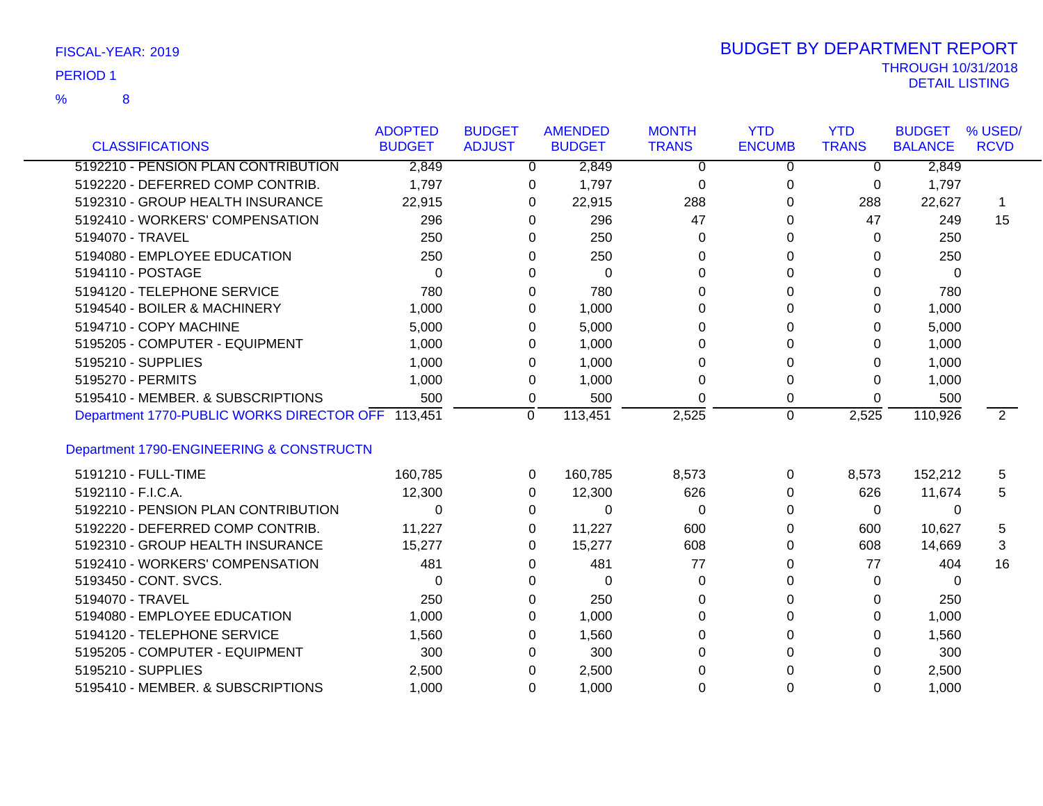| FISCAL-YEAR: 2019 |
|-------------------|
|-------------------|

| <b>CLASSIFICATIONS</b>                            | <b>ADOPTED</b><br><b>BUDGET</b> | <b>BUDGET</b><br><b>ADJUST</b> | <b>AMENDED</b><br><b>BUDGET</b> | <b>MONTH</b><br><b>TRANS</b> | <b>YTD</b><br><b>ENCUMB</b> | <b>YTD</b><br><b>TRANS</b> | <b>BUDGET</b><br><b>BALANCE</b> | % USED/<br><b>RCVD</b> |
|---------------------------------------------------|---------------------------------|--------------------------------|---------------------------------|------------------------------|-----------------------------|----------------------------|---------------------------------|------------------------|
| 5192210 - PENSION PLAN CONTRIBUTION               | 2,849                           | 0                              | 2,849                           | $\Omega$                     | 0                           | $\Omega$                   | 2,849                           |                        |
| 5192220 - DEFERRED COMP CONTRIB.                  | 1,797                           |                                |                                 |                              |                             |                            |                                 |                        |
| 5192310 - GROUP HEALTH INSURANCE                  |                                 | 0                              | 1,797                           | 0                            | 0                           | 0                          | 1,797                           | -1                     |
|                                                   | 22,915                          | 0                              | 22,915                          | 288                          | 0                           | 288                        | 22,627                          |                        |
| 5192410 - WORKERS' COMPENSATION                   | 296                             | 0                              | 296                             | 47                           | $\Omega$                    | 47                         | 249                             | 15                     |
| 5194070 - TRAVEL                                  | 250                             | 0                              | 250                             | 0                            | 0                           | 0                          | 250                             |                        |
| 5194080 - EMPLOYEE EDUCATION                      | 250                             | 0                              | 250                             | 0                            | $\Omega$                    | 0                          | 250                             |                        |
| 5194110 - POSTAGE                                 | $\Omega$                        | 0                              | 0                               | $\Omega$                     | $\Omega$                    | 0                          | $\Omega$                        |                        |
| 5194120 - TELEPHONE SERVICE                       | 780                             | 0                              | 780                             | 0                            | 0                           | 0                          | 780                             |                        |
| 5194540 - BOILER & MACHINERY                      | 1,000                           | 0                              | 1,000                           | 0                            | 0                           | 0                          | 1,000                           |                        |
| 5194710 - COPY MACHINE                            | 5,000                           | $\Omega$                       | 5,000                           | $\Omega$                     | $\Omega$                    | 0                          | 5,000                           |                        |
| 5195205 - COMPUTER - EQUIPMENT                    | 1,000                           | 0                              | 1,000                           | 0                            | 0                           | 0                          | 1,000                           |                        |
| 5195210 - SUPPLIES                                | 1,000                           | 0                              | 1,000                           | 0                            | $\Omega$                    | $\Omega$                   | 1,000                           |                        |
| 5195270 - PERMITS                                 | 1,000                           | 0                              | 1,000                           | 0                            | $\Omega$                    | 0                          | 1,000                           |                        |
| 5195410 - MEMBER. & SUBSCRIPTIONS                 | 500                             | 0                              | 500                             | 0                            | 0                           | 0                          | 500                             |                        |
| Department 1770-PUBLIC WORKS DIRECTOR OFF 113,451 |                                 | $\Omega$                       | 113,451                         | 2,525                        | $\mathbf 0$                 | 2,525                      | 110,926                         | $\overline{2}$         |
|                                                   |                                 |                                |                                 |                              |                             |                            |                                 |                        |
| Department 1790-ENGINEERING & CONSTRUCTN          |                                 |                                |                                 |                              |                             |                            |                                 |                        |
| 5191210 - FULL-TIME                               | 160,785                         | 0                              | 160,785                         | 8,573                        | 0                           | 8,573                      | 152,212                         | 5                      |
| 5192110 - F.I.C.A.                                | 12,300                          | 0                              | 12,300                          | 626                          | $\Omega$                    | 626                        | 11,674                          | 5                      |
| 5192210 - PENSION PLAN CONTRIBUTION               | 0                               | 0                              | $\Omega$                        | $\Omega$                     | $\Omega$                    | $\mathbf{0}$               | $\mathbf{0}$                    |                        |
| 5192220 - DEFERRED COMP CONTRIB.                  | 11,227                          | 0                              | 11,227                          | 600                          | $\Omega$                    | 600                        | 10,627                          | 5                      |
| 5192310 - GROUP HEALTH INSURANCE                  | 15,277                          | 0                              | 15,277                          | 608                          | 0                           | 608                        | 14,669                          | 3                      |
| 5192410 - WORKERS' COMPENSATION                   | 481                             | 0                              | 481                             | 77                           | $\Omega$                    | 77                         | 404                             | 16                     |
| 5193450 - CONT. SVCS.                             | 0                               | 0                              | 0                               | 0                            | 0                           | 0                          | 0                               |                        |
| 5194070 - TRAVEL                                  | 250                             | 0                              | 250                             | 0                            | 0                           | 0                          | 250                             |                        |
| 5194080 - EMPLOYEE EDUCATION                      | 1,000                           | 0                              | 1,000                           | $\Omega$                     | 0                           | 0                          | 1,000                           |                        |
| 5194120 - TELEPHONE SERVICE                       | 1,560                           | 0                              | 1,560                           | $\Omega$                     | $\Omega$                    | 0                          | 1,560                           |                        |
| 5195205 - COMPUTER - EQUIPMENT                    | 300                             | 0                              | 300                             | 0                            | $\Omega$                    | 0                          | 300                             |                        |
| 5195210 - SUPPLIES                                | 2,500                           | 0                              | 2,500                           | 0                            | $\Omega$                    | 0                          | 2,500                           |                        |
| 5195410 - MEMBER. & SUBSCRIPTIONS                 | 1,000                           | 0                              | 1,000                           | 0                            | $\Omega$                    | 0                          | 1,000                           |                        |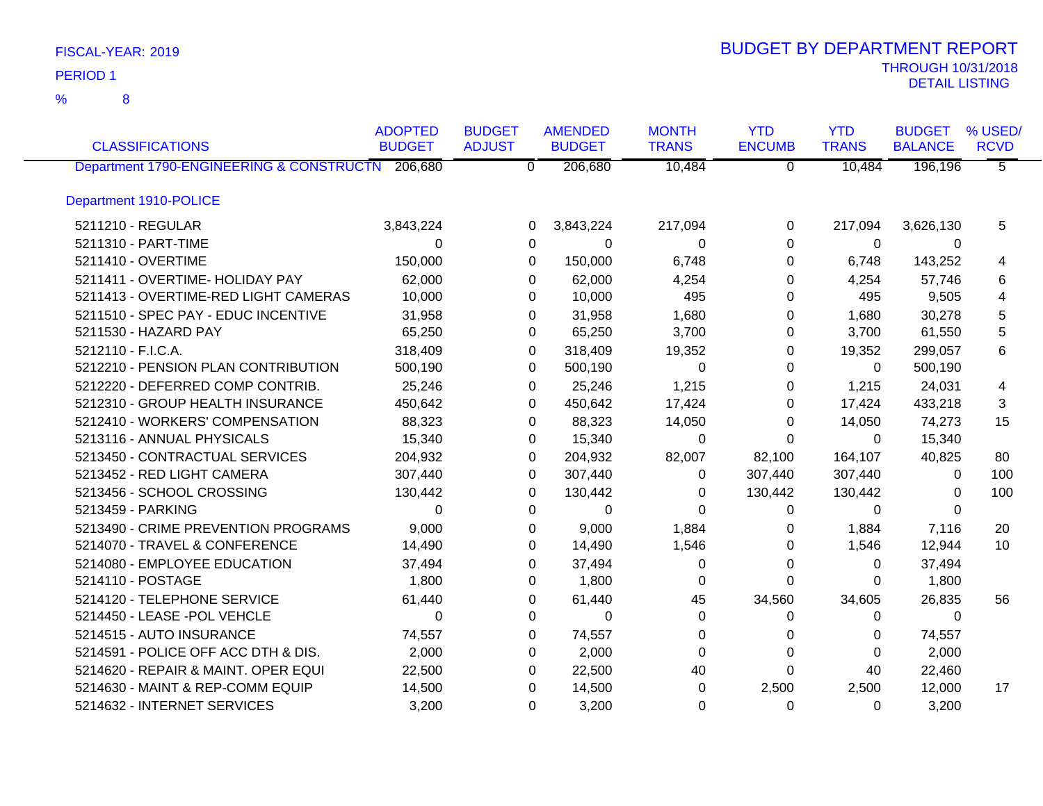8 %

| <b>CLASSIFICATIONS</b>                           | <b>ADOPTED</b><br><b>BUDGET</b> | <b>BUDGET</b><br><b>ADJUST</b> | <b>AMENDED</b><br><b>BUDGET</b> | <b>MONTH</b><br><b>TRANS</b> | <b>YTD</b><br><b>ENCUMB</b> | <b>YTD</b><br><b>TRANS</b> | <b>BUDGET</b><br><b>BALANCE</b> | % USED/<br><b>RCVD</b> |
|--------------------------------------------------|---------------------------------|--------------------------------|---------------------------------|------------------------------|-----------------------------|----------------------------|---------------------------------|------------------------|
| Department 1790-ENGINEERING & CONSTRUCTN 206,680 |                                 | $\overline{0}$                 | 206,680                         | 10,484                       | $\overline{0}$              | 10,484                     | 196,196                         | $\overline{5}$         |
|                                                  |                                 |                                |                                 |                              |                             |                            |                                 |                        |
| Department 1910-POLICE                           |                                 |                                |                                 |                              |                             |                            |                                 |                        |
| 5211210 - REGULAR                                | 3,843,224                       | $\Omega$                       | 3,843,224                       | 217,094                      | 0                           | 217,094                    | 3,626,130                       | 5                      |
| 5211310 - PART-TIME                              | $\Omega$                        | 0                              | 0                               | 0                            | 0                           | $\Omega$                   | $\Omega$                        |                        |
| 5211410 - OVERTIME                               | 150,000                         | $\Omega$                       | 150,000                         | 6,748                        | 0                           | 6,748                      | 143,252                         | 4                      |
| 5211411 - OVERTIME- HOLIDAY PAY                  | 62,000                          | $\Omega$                       | 62,000                          | 4,254                        | 0                           | 4,254                      | 57,746                          | 6                      |
| 5211413 - OVERTIME-RED LIGHT CAMERAS             | 10,000                          | 0                              | 10,000                          | 495                          | 0                           | 495                        | 9,505                           | 4                      |
| 5211510 - SPEC PAY - EDUC INCENTIVE              | 31,958                          | 0                              | 31,958                          | 1,680                        | 0                           | 1,680                      | 30,278                          | 5                      |
| 5211530 - HAZARD PAY                             | 65,250                          | $\Omega$                       | 65,250                          | 3,700                        | 0                           | 3,700                      | 61,550                          | 5                      |
| 5212110 - F.I.C.A.                               | 318,409                         | 0                              | 318,409                         | 19,352                       | 0                           | 19,352                     | 299,057                         | 6                      |
| 5212210 - PENSION PLAN CONTRIBUTION              | 500,190                         | $\Omega$                       | 500,190                         | $\Omega$                     | 0                           | $\Omega$                   | 500,190                         |                        |
| 5212220 - DEFERRED COMP CONTRIB.                 | 25,246                          | $\Omega$                       | 25,246                          | 1,215                        | 0                           | 1,215                      | 24,031                          | 4                      |
| 5212310 - GROUP HEALTH INSURANCE                 | 450,642                         | $\Omega$                       | 450,642                         | 17,424                       | 0                           | 17,424                     | 433,218                         | 3                      |
| 5212410 - WORKERS' COMPENSATION                  | 88,323                          | 0                              | 88,323                          | 14,050                       | 0                           | 14,050                     | 74,273                          | 15                     |
| 5213116 - ANNUAL PHYSICALS                       | 15,340                          | 0                              | 15,340                          | 0                            | 0                           | 0                          | 15,340                          |                        |
| 5213450 - CONTRACTUAL SERVICES                   | 204,932                         | 0                              | 204,932                         | 82,007                       | 82,100                      | 164,107                    | 40,825                          | 80                     |
| 5213452 - RED LIGHT CAMERA                       | 307,440                         | 0                              | 307,440                         | 0                            | 307,440                     | 307,440                    | 0                               | 100                    |
| 5213456 - SCHOOL CROSSING                        | 130,442                         | 0                              | 130,442                         | 0                            | 130,442                     | 130,442                    | 0                               | 100                    |
| 5213459 - PARKING                                | $\Omega$                        | 0                              | 0                               | 0                            | 0                           | 0                          | $\mathbf{0}$                    |                        |
| 5213490 - CRIME PREVENTION PROGRAMS              | 9,000                           | 0                              | 9,000                           | 1,884                        | 0                           | 1,884                      | 7,116                           | 20                     |
| 5214070 - TRAVEL & CONFERENCE                    | 14,490                          | 0                              | 14,490                          | 1,546                        | 0                           | 1,546                      | 12,944                          | 10                     |
| 5214080 - EMPLOYEE EDUCATION                     | 37,494                          | $\Omega$                       | 37,494                          | 0                            | 0                           | 0                          | 37,494                          |                        |
| 5214110 - POSTAGE                                | 1,800                           | 0                              | 1,800                           | 0                            | 0                           | $\Omega$                   | 1,800                           |                        |
| 5214120 - TELEPHONE SERVICE                      | 61,440                          | 0                              | 61,440                          | 45                           | 34,560                      | 34,605                     | 26,835                          | 56                     |
| 5214450 - LEASE -POL VEHCLE                      | $\Omega$                        | $\Omega$                       | $\Omega$                        | $\Omega$                     | 0                           | 0                          | $\Omega$                        |                        |
| 5214515 - AUTO INSURANCE                         | 74,557                          | 0                              | 74,557                          | 0                            | 0                           | 0                          | 74,557                          |                        |
| 5214591 - POLICE OFF ACC DTH & DIS.              | 2,000                           | $\Omega$                       | 2,000                           | $\Omega$                     | $\Omega$                    | $\Omega$                   | 2,000                           |                        |
| 5214620 - REPAIR & MAINT. OPER EQUI              | 22,500                          | 0                              | 22,500                          | 40                           | $\Omega$                    | 40                         | 22,460                          |                        |
| 5214630 - MAINT & REP-COMM EQUIP                 | 14,500                          | $\Omega$                       | 14,500                          | $\Omega$                     | 2,500                       | 2,500                      | 12,000                          | 17                     |
| 5214632 - INTERNET SERVICES                      | 3,200                           | $\mathbf 0$                    | 3,200                           | $\Omega$                     | $\Omega$                    | $\Omega$                   | 3,200                           |                        |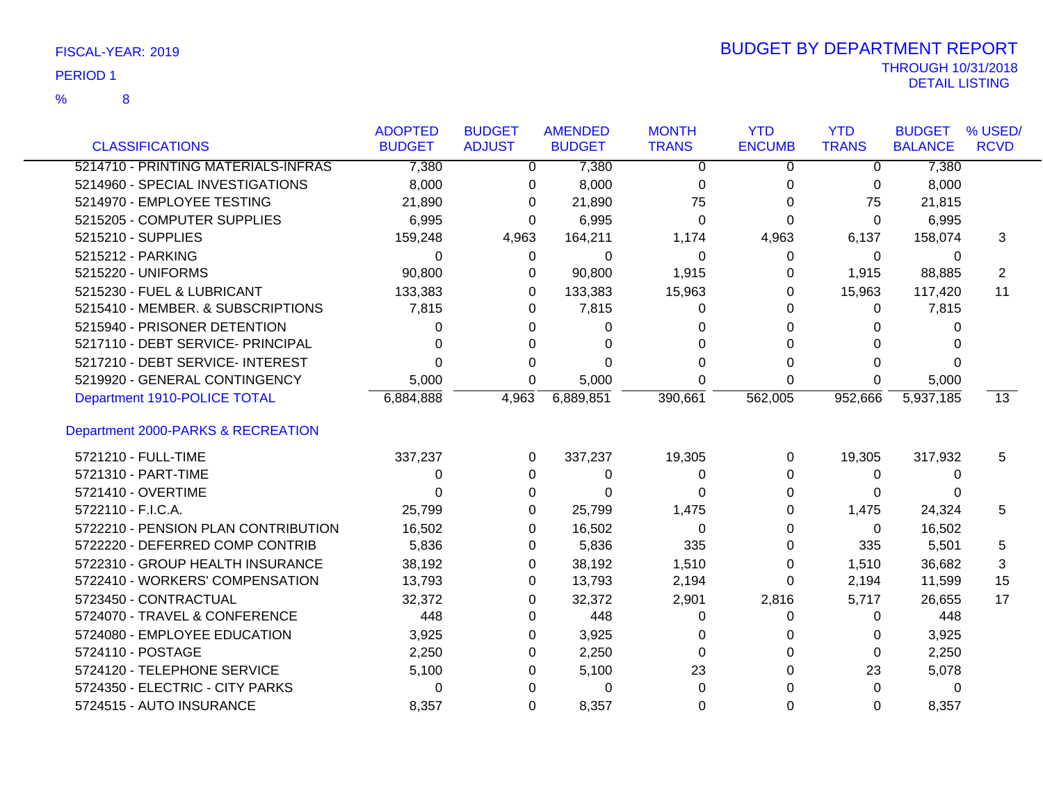|                                     | <b>ADOPTED</b> | <b>BUDGET</b> | <b>AMENDED</b> | <b>MONTH</b> | <b>YTD</b>    | <b>YTD</b>     | <b>BUDGET</b>  | % USED/     |
|-------------------------------------|----------------|---------------|----------------|--------------|---------------|----------------|----------------|-------------|
| <b>CLASSIFICATIONS</b>              | <b>BUDGET</b>  | <b>ADJUST</b> | <b>BUDGET</b>  | <b>TRANS</b> | <b>ENCUMB</b> | <b>TRANS</b>   | <b>BALANCE</b> | <b>RCVD</b> |
| 5214710 - PRINTING MATERIALS-INFRAS | 7,380          | $\mathbf{0}$  | 7,380          | 0            | 0             | $\overline{0}$ | 7,380          |             |
| 5214960 - SPECIAL INVESTIGATIONS    | 8,000          | 0             | 8,000          | 0            | 0             | 0              | 8,000          |             |
| 5214970 - EMPLOYEE TESTING          | 21,890         | 0             | 21,890         | 75           | 0             | 75             | 21,815         |             |
| 5215205 - COMPUTER SUPPLIES         | 6,995          | 0             | 6,995          | $\Omega$     | $\Omega$      | $\Omega$       | 6,995          |             |
| 5215210 - SUPPLIES                  | 159,248        | 4,963         | 164,211        | 1,174        | 4,963         | 6,137          | 158,074        | 3           |
| 5215212 - PARKING                   | 0              | 0             | $\Omega$       | 0            | 0             | $\Omega$       | $\Omega$       |             |
| 5215220 - UNIFORMS                  | 90,800         | 0             | 90,800         | 1,915        | 0             | 1,915          | 88,885         | 2           |
| 5215230 - FUEL & LUBRICANT          | 133,383        | 0             | 133,383        | 15,963       | 0             | 15,963         | 117,420        | 11          |
| 5215410 - MEMBER. & SUBSCRIPTIONS   | 7,815          | 0             | 7,815          | 0            | 0             | 0              | 7,815          |             |
| 5215940 - PRISONER DETENTION        | 0              | 0             | 0              | 0            | 0             | 0              | 0              |             |
| 5217110 - DEBT SERVICE- PRINCIPAL   | 0              | 0             | $\Omega$       | 0            | O             | $\Omega$       | <sup>0</sup>   |             |
| 5217210 - DEBT SERVICE- INTEREST    | 0              | 0             | $\Omega$       | $\Omega$     | 0             | 0              | 0              |             |
| 5219920 - GENERAL CONTINGENCY       | 5,000          | 0             | 5,000          | $\Omega$     | $\Omega$      | 0              | 5,000          |             |
| Department 1910-POLICE TOTAL        | 6,884,888      | 4,963         | 6,889,851      | 390,661      | 562,005       | 952,666        | 5,937,185      | 13          |
| Department 2000-PARKS & RECREATION  |                |               |                |              |               |                |                |             |
| 5721210 - FULL-TIME                 | 337,237        | 0             | 337,237        | 19,305       | 0             | 19,305         | 317,932        | 5           |
| 5721310 - PART-TIME                 | 0              | 0             | 0              | 0            | $\Omega$      | 0              | 0              |             |
| 5721410 - OVERTIME                  | 0              | 0             | $\Omega$       | 0            | 0             | 0              | 0              |             |
| 5722110 - F.I.C.A.                  | 25,799         | 0             | 25,799         | 1,475        | 0             | 1,475          | 24,324         | 5           |
| 5722210 - PENSION PLAN CONTRIBUTION | 16,502         | 0             | 16,502         | $\Omega$     | 0             | $\Omega$       | 16,502         |             |
| 5722220 - DEFERRED COMP CONTRIB     | 5,836          | 0             | 5,836          | 335          | $\Omega$      | 335            | 5,501          | 5           |
| 5722310 - GROUP HEALTH INSURANCE    | 38,192         | 0             | 38,192         | 1,510        | 0             | 1,510          | 36,682         | 3           |
| 5722410 - WORKERS' COMPENSATION     | 13,793         | 0             | 13,793         | 2,194        | 0             | 2,194          | 11,599         | 15          |
| 5723450 - CONTRACTUAL               | 32,372         | 0             | 32,372         | 2,901        | 2,816         | 5,717          | 26,655         | 17          |
| 5724070 - TRAVEL & CONFERENCE       | 448            | 0             | 448            | 0            | 0             | 0              | 448            |             |
| 5724080 - EMPLOYEE EDUCATION        | 3,925          | 0             | 3,925          | $\Omega$     | 0             | 0              | 3,925          |             |
| 5724110 - POSTAGE                   | 2,250          | 0             | 2,250          | $\Omega$     | $\Omega$      | $\Omega$       | 2,250          |             |
| 5724120 - TELEPHONE SERVICE         | 5,100          | 0             | 5,100          | 23           | $\Omega$      | 23             | 5,078          |             |
| 5724350 - ELECTRIC - CITY PARKS     | 0              | $\Omega$      | $\Omega$       | $\Omega$     | U             | $\Omega$       | 0              |             |
| 5724515 - AUTO INSURANCE            | 8,357          | 0             | 8,357          | $\Omega$     | $\Omega$      | $\Omega$       | 8,357          |             |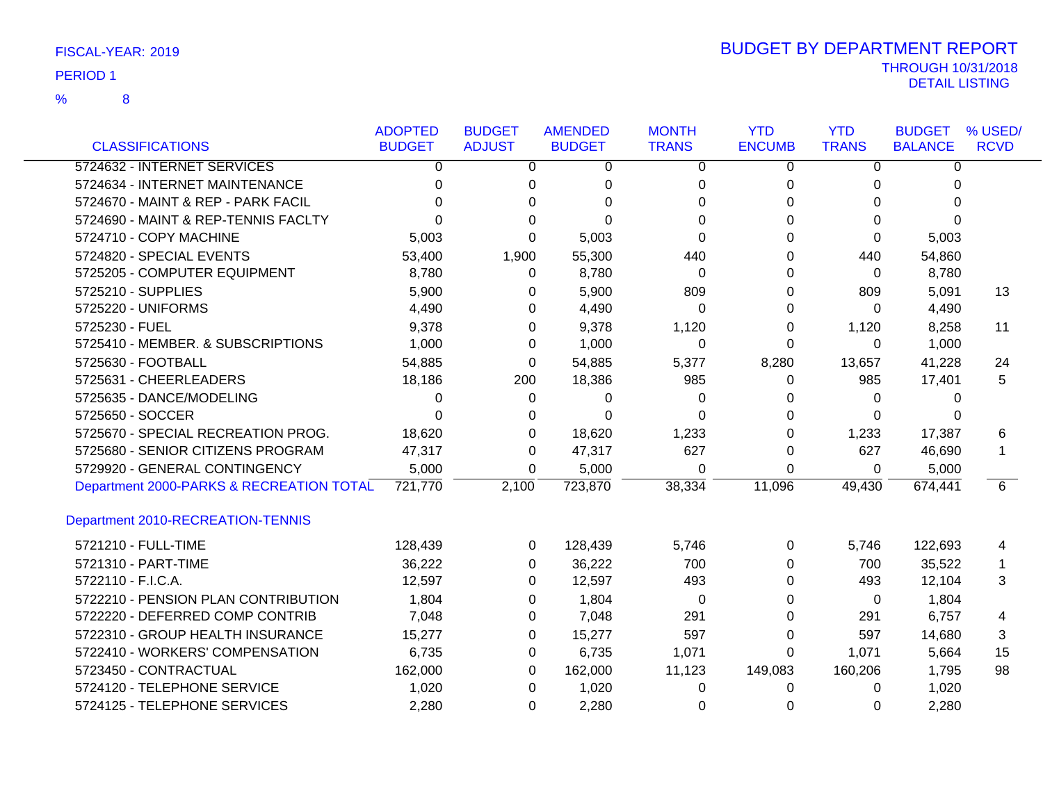|                                          | <b>ADOPTED</b> | <b>BUDGET</b> | <b>AMENDED</b> | <b>MONTH</b> | <b>YTD</b>    | <b>YTD</b>   | <b>BUDGET</b>  | % USED/     |
|------------------------------------------|----------------|---------------|----------------|--------------|---------------|--------------|----------------|-------------|
| <b>CLASSIFICATIONS</b>                   | <b>BUDGET</b>  | <b>ADJUST</b> | <b>BUDGET</b>  | <b>TRANS</b> | <b>ENCUMB</b> | <b>TRANS</b> | <b>BALANCE</b> | <b>RCVD</b> |
| 5724632 - INTERNET SERVICES              | 0              | 0             | 0              | 0            | 0             | 0            | 0              |             |
| 5724634 - INTERNET MAINTENANCE           | 0              | 0             | 0              | 0            | 0             | 0            | 0              |             |
| 5724670 - MAINT & REP - PARK FACIL       | O              | 0             | 0              | 0            | 0             | 0            | 0              |             |
| 5724690 - MAINT & REP-TENNIS FACLTY      |                | 0             | $\Omega$       | 0            | 0             | 0            | 0              |             |
| 5724710 - COPY MACHINE                   | 5,003          | 0             | 5,003          | 0            | $\Omega$      | 0            | 5,003          |             |
| 5724820 - SPECIAL EVENTS                 | 53,400         | 1,900         | 55,300         | 440          | 0             | 440          | 54,860         |             |
| 5725205 - COMPUTER EQUIPMENT             | 8,780          | 0             | 8,780          | 0            | 0             | 0            | 8,780          |             |
| 5725210 - SUPPLIES                       | 5,900          | 0             | 5,900          | 809          | 0             | 809          | 5,091          | 13          |
| 5725220 - UNIFORMS                       | 4,490          | 0             | 4,490          | 0            | 0             | 0            | 4,490          |             |
| 5725230 - FUEL                           | 9,378          | 0             | 9,378          | 1,120        | 0             | 1,120        | 8,258          | 11          |
| 5725410 - MEMBER. & SUBSCRIPTIONS        | 1,000          | 0             | 1,000          | 0            | 0             | 0            | 1,000          |             |
| 5725630 - FOOTBALL                       | 54,885         | 0             | 54,885         | 5,377        | 8,280         | 13,657       | 41,228         | 24          |
| 5725631 - CHEERLEADERS                   | 18,186         | 200           | 18,386         | 985          | 0             | 985          | 17,401         | 5           |
| 5725635 - DANCE/MODELING                 | 0              | 0             | 0              | 0            | $\Omega$      | 0            | $\Omega$       |             |
| 5725650 - SOCCER                         | 0              | 0             | 0              | 0            | 0             | 0            | 0              |             |
| 5725670 - SPECIAL RECREATION PROG.       | 18,620         | 0             | 18,620         | 1,233        | 0             | 1,233        | 17,387         | 6           |
| 5725680 - SENIOR CITIZENS PROGRAM        | 47,317         | 0             | 47,317         | 627          | 0             | 627          | 46,690         |             |
| 5729920 - GENERAL CONTINGENCY            | 5,000          | 0             | 5,000          | 0            | 0             | 0            | 5,000          |             |
| Department 2000-PARKS & RECREATION TOTAL | 721,770        | 2,100         | 723,870        | 38,334       | 11,096        | 49,430       | 674,441        | 6           |
| Department 2010-RECREATION-TENNIS        |                |               |                |              |               |              |                |             |
| 5721210 - FULL-TIME                      | 128,439        | 0             | 128,439        | 5,746        | 0             | 5,746        | 122,693        | 4           |
| 5721310 - PART-TIME                      | 36,222         | 0             | 36,222         | 700          | 0             | 700          | 35,522         |             |
| 5722110 - F.I.C.A.                       | 12,597         | 0             | 12,597         | 493          | 0             | 493          | 12,104         | 3           |
| 5722210 - PENSION PLAN CONTRIBUTION      | 1,804          | 0             | 1,804          | 0            | 0             | 0            | 1,804          |             |
| 5722220 - DEFERRED COMP CONTRIB          | 7,048          | 0             | 7,048          | 291          | 0             | 291          | 6,757          | 4           |
| 5722310 - GROUP HEALTH INSURANCE         | 15,277         | 0             | 15,277         | 597          | 0             | 597          | 14,680         | 3           |
| 5722410 - WORKERS' COMPENSATION          | 6,735          | 0             | 6,735          | 1,071        | 0             | 1,071        | 5,664          | 15          |
| 5723450 - CONTRACTUAL                    | 162,000        | $\Omega$      | 162,000        | 11,123       | 149,083       | 160,206      | 1,795          | 98          |
| 5724120 - TELEPHONE SERVICE              | 1,020          | 0             | 1,020          | 0            | 0             | 0            | 1,020          |             |
| 5724125 - TELEPHONE SERVICES             | 2,280          | $\Omega$      | 2,280          | 0            | 0             | 0            | 2,280          |             |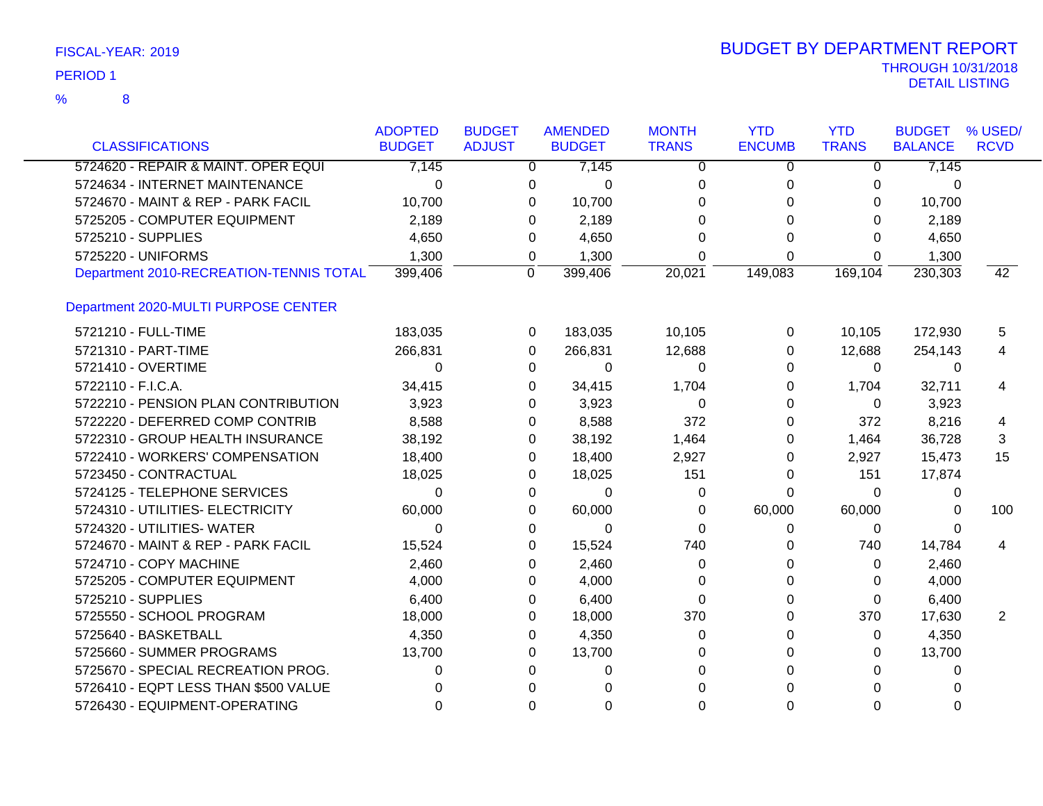| FISCAL-YEAR: 2019 |  |
|-------------------|--|
|                   |  |

| <b>CLASSIFICATIONS</b>                  | <b>ADOPTED</b><br><b>BUDGET</b> | <b>BUDGET</b><br><b>ADJUST</b> | <b>AMENDED</b><br><b>BUDGET</b> |          | <b>MONTH</b><br><b>TRANS</b> | <b>YTD</b><br><b>ENCUMB</b> | <b>YTD</b><br><b>TRANS</b> | <b>BUDGET</b><br><b>BALANCE</b> | % USED/<br><b>RCVD</b> |
|-----------------------------------------|---------------------------------|--------------------------------|---------------------------------|----------|------------------------------|-----------------------------|----------------------------|---------------------------------|------------------------|
| 5724620 - REPAIR & MAINT. OPER EQUI     | 7,145                           |                                | $\overline{0}$                  | 7,145    | $\Omega$                     | $\overline{0}$              | $\overline{0}$             | 7,145                           |                        |
| 5724634 - INTERNET MAINTENANCE          | $\Omega$                        | 0                              |                                 | $\Omega$ | 0                            | 0                           | 0                          | 0                               |                        |
| 5724670 - MAINT & REP - PARK FACIL      | 10,700                          | 0                              |                                 | 10,700   | 0                            | 0                           | $\Omega$                   | 10,700                          |                        |
| 5725205 - COMPUTER EQUIPMENT            | 2,189                           | 0                              |                                 | 2,189    | 0                            | 0                           | $\Omega$                   | 2,189                           |                        |
| 5725210 - SUPPLIES                      | 4,650                           | 0                              |                                 | 4,650    | 0                            | 0                           | $\Omega$                   | 4,650                           |                        |
| 5725220 - UNIFORMS                      | 1,300                           | 0                              |                                 | 1,300    | $\Omega$                     | $\Omega$                    | $\Omega$                   | 1,300                           |                        |
| Department 2010-RECREATION-TENNIS TOTAL | 399,406                         | $\overline{0}$                 | 399,406                         |          | 20,021                       | 149,083                     | 169,104                    | 230,303                         | 42                     |
| Department 2020-MULTI PURPOSE CENTER    |                                 |                                |                                 |          |                              |                             |                            |                                 |                        |
| 5721210 - FULL-TIME                     | 183,035                         |                                | 183,035<br>0                    |          | 10,105                       | 0                           | 10,105                     | 172,930                         | 5                      |
| 5721310 - PART-TIME                     | 266,831                         | 0                              | 266,831                         |          | 12,688                       | 0                           | 12,688                     | 254,143                         | 4                      |
| 5721410 - OVERTIME                      | $\Omega$                        | 0                              |                                 | $\Omega$ | $\Omega$                     | 0                           | $\Omega$                   | 0                               |                        |
| 5722110 - F.I.C.A.                      | 34,415                          | 0                              |                                 | 34,415   | 1,704                        | 0                           | 1,704                      | 32,711                          | 4                      |
| 5722210 - PENSION PLAN CONTRIBUTION     | 3,923                           | 0                              |                                 | 3,923    | 0                            | 0                           | $\Omega$                   | 3,923                           |                        |
| 5722220 - DEFERRED COMP CONTRIB         | 8,588                           | 0                              |                                 | 8,588    | 372                          | 0                           | 372                        | 8,216                           | 4                      |
| 5722310 - GROUP HEALTH INSURANCE        | 38,192                          | 0                              |                                 | 38,192   | 1,464                        | 0                           | 1,464                      | 36,728                          | 3                      |
| 5722410 - WORKERS' COMPENSATION         | 18,400                          | 0                              |                                 | 18,400   | 2,927                        | 0                           | 2,927                      | 15,473                          | 15                     |
| 5723450 - CONTRACTUAL                   | 18,025                          | 0                              |                                 | 18,025   | 151                          | 0                           | 151                        | 17,874                          |                        |
| 5724125 - TELEPHONE SERVICES            | $\Omega$                        | 0                              |                                 | $\Omega$ | 0                            | $\Omega$                    | $\Omega$                   | 0                               |                        |
| 5724310 - UTILITIES- ELECTRICITY        | 60,000                          | 0                              |                                 | 60,000   | 0                            | 60,000                      | 60,000                     | 0                               | 100                    |
| 5724320 - UTILITIES- WATER              | $\Omega$                        | 0                              |                                 | $\Omega$ | $\Omega$                     | 0                           | $\Omega$                   | 0                               |                        |
| 5724670 - MAINT & REP - PARK FACIL      | 15,524                          | 0                              |                                 | 15,524   | 740                          | 0                           | 740                        | 14,784                          | 4                      |
| 5724710 - COPY MACHINE                  | 2,460                           | 0                              |                                 | 2,460    | 0                            | 0                           | 0                          | 2,460                           |                        |
| 5725205 - COMPUTER EQUIPMENT            | 4,000                           | 0                              |                                 | 4,000    | 0                            | 0                           | 0                          | 4,000                           |                        |
| 5725210 - SUPPLIES                      | 6,400                           | 0                              |                                 | 6,400    | 0                            | 0                           | 0                          | 6,400                           |                        |
| 5725550 - SCHOOL PROGRAM                | 18,000                          | 0                              |                                 | 18,000   | 370                          | 0                           | 370                        | 17,630                          | 2                      |
| 5725640 - BASKETBALL                    | 4,350                           | 0                              |                                 | 4,350    | 0                            | 0                           | 0                          | 4,350                           |                        |
| 5725660 - SUMMER PROGRAMS               | 13,700                          | 0                              |                                 | 13,700   | 0                            | 0                           | 0                          | 13,700                          |                        |
| 5725670 - SPECIAL RECREATION PROG.      | 0                               | 0                              |                                 | 0        | 0                            | 0                           | 0                          | 0                               |                        |
| 5726410 - EQPT LESS THAN \$500 VALUE    | 0                               | 0                              |                                 | 0        | 0                            | 0                           | 0                          | 0                               |                        |
| 5726430 - EQUIPMENT-OPERATING           | 0                               | 0                              |                                 | 0        | 0                            | 0                           | 0                          | 0                               |                        |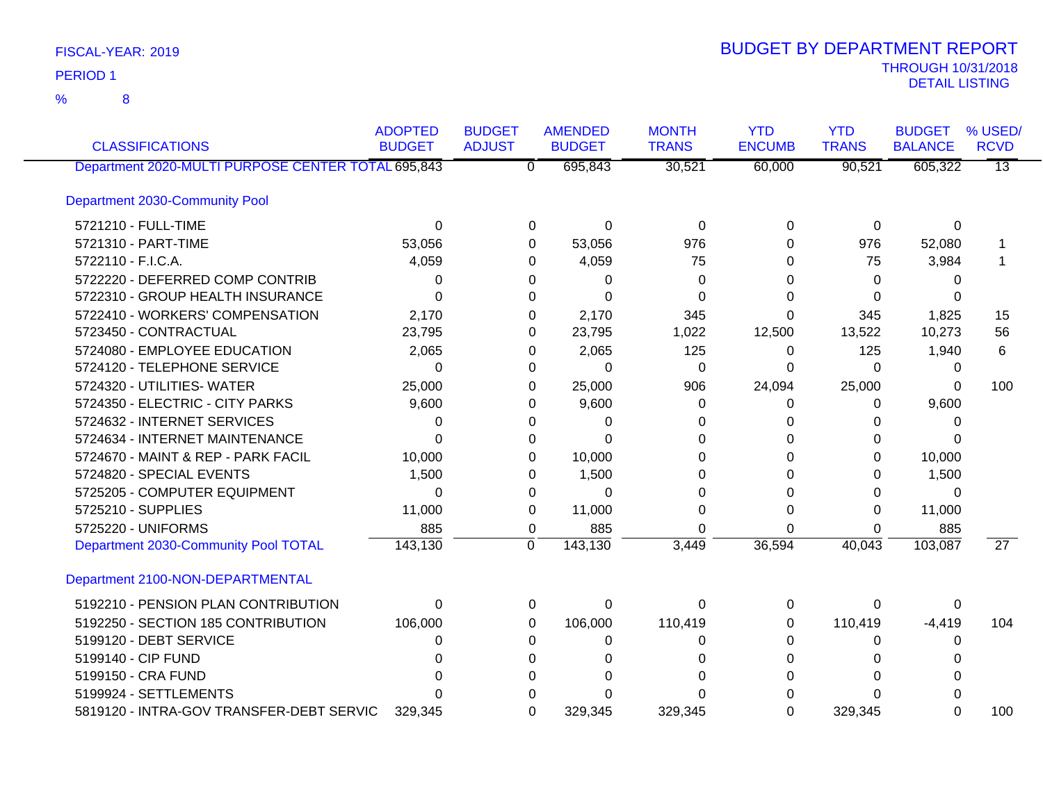8 %

| <b>CLASSIFICATIONS</b>                             | <b>ADOPTED</b><br><b>BUDGET</b> | <b>BUDGET</b><br><b>ADJUST</b> | <b>AMENDED</b><br><b>BUDGET</b> | <b>MONTH</b><br><b>TRANS</b> | <b>YTD</b><br><b>ENCUMB</b> | <b>YTD</b><br><b>TRANS</b> | <b>BUDGET</b><br><b>BALANCE</b> | % USED/<br><b>RCVD</b> |
|----------------------------------------------------|---------------------------------|--------------------------------|---------------------------------|------------------------------|-----------------------------|----------------------------|---------------------------------|------------------------|
| Department 2020-MULTI PURPOSE CENTER TOTAL 695,843 |                                 |                                | 695,843<br>$\overline{0}$       | 30,521                       | 60,000                      | 90,521                     | 605,322                         | $\overline{13}$        |
| Department 2030-Community Pool                     |                                 |                                |                                 |                              |                             |                            |                                 |                        |
| 5721210 - FULL-TIME                                | 0                               |                                | $\Omega$<br>0                   | $\Omega$                     | 0                           | 0                          | 0                               |                        |
| 5721310 - PART-TIME                                | 53,056                          |                                | 53,056<br>0                     | 976                          | 0                           | 976                        | 52,080                          |                        |
| 5722110 - F.I.C.A.                                 | 4,059                           |                                | 4,059<br>0                      | 75                           | 0                           | 75                         | 3,984                           |                        |
| 5722220 - DEFERRED COMP CONTRIB                    | 0                               |                                | 0<br>0                          | 0                            | 0                           | $\Omega$                   | 0                               |                        |
| 5722310 - GROUP HEALTH INSURANCE                   | $\Omega$                        |                                | $\Omega$<br>0                   | $\Omega$                     | $\Omega$                    | $\Omega$                   | 0                               |                        |
| 5722410 - WORKERS' COMPENSATION                    | 2,170                           |                                | 2,170<br>0                      | 345                          | 0                           | 345                        | 1,825                           | 15                     |
| 5723450 - CONTRACTUAL                              | 23,795                          |                                | 23,795<br>0                     | 1,022                        | 12,500                      | 13,522                     | 10,273                          | 56                     |
| 5724080 - EMPLOYEE EDUCATION                       | 2,065                           |                                | 2,065<br>0                      | 125                          | 0                           | 125                        | 1,940                           | 6                      |
| 5724120 - TELEPHONE SERVICE                        | $\Omega$                        |                                | $\Omega$<br>0                   | 0                            | $\Omega$                    | $\Omega$                   | 0                               |                        |
| 5724320 - UTILITIES- WATER                         | 25,000                          |                                | 25,000<br>0                     | 906                          | 24,094                      | 25,000                     | $\Omega$                        | 100                    |
| 5724350 - ELECTRIC - CITY PARKS                    | 9,600                           |                                | 9,600<br>0                      | 0                            | 0                           | 0                          | 9,600                           |                        |
| 5724632 - INTERNET SERVICES                        | 0                               |                                | $\Omega$<br>0                   | 0                            | 0                           | $\Omega$                   | $\Omega$                        |                        |
| 5724634 - INTERNET MAINTENANCE                     | 0                               |                                | 0<br>$\Omega$                   | O                            | $\Omega$                    | 0                          | $\Omega$                        |                        |
| 5724670 - MAINT & REP - PARK FACIL                 | 10,000                          |                                | 10,000                          | 0                            | 0                           | 0                          | 10,000                          |                        |
| 5724820 - SPECIAL EVENTS                           | 1,500                           |                                | 1,500                           | O                            | 0                           | $\Omega$                   | 1,500                           |                        |
| 5725205 - COMPUTER EQUIPMENT                       | $\Omega$                        |                                | 0<br>0                          | 0                            | $\Omega$                    | 0                          | 0                               |                        |
| 5725210 - SUPPLIES                                 | 11,000                          |                                | 11,000<br>0                     | 0                            | $\Omega$                    | $\Omega$                   | 11,000                          |                        |
| 5725220 - UNIFORMS                                 | 885                             |                                | 0<br>885                        | $\Omega$                     | $\Omega$                    | $\Omega$                   | 885                             |                        |
| Department 2030-Community Pool TOTAL               | 143,130                         |                                | 143,130<br>0                    | 3,449                        | 36,594                      | 40,043                     | 103,087                         | $\overline{27}$        |
| Department 2100-NON-DEPARTMENTAL                   |                                 |                                |                                 |                              |                             |                            |                                 |                        |
| 5192210 - PENSION PLAN CONTRIBUTION                | $\Omega$                        |                                | 0<br>0                          | 0                            | 0                           | $\Omega$                   | $\Omega$                        |                        |
| 5192250 - SECTION 185 CONTRIBUTION                 | 106,000                         |                                | 106,000<br>0                    | 110,419                      | 0                           | 110,419                    | $-4,419$                        | 104                    |
| 5199120 - DEBT SERVICE                             | 0                               |                                | 0<br>0                          | 0                            | 0                           | 0                          | 0                               |                        |
| 5199140 - CIP FUND                                 | 0                               |                                |                                 | O                            | 0                           | $\Omega$                   | 0                               |                        |
| 5199150 - CRA FUND                                 |                                 |                                | 0                               |                              | 0                           | $\Omega$                   | 0                               |                        |
| 5199924 - SETTLEMENTS                              |                                 |                                |                                 | ∩                            | U                           | $\Omega$                   | 0                               |                        |
| 5819120 - INTRA-GOV TRANSFER-DEBT SERVIC           | 329.345                         |                                | 329,345<br>$\Omega$             | 329,345                      | $\Omega$                    | 329,345                    | $\Omega$                        | 100                    |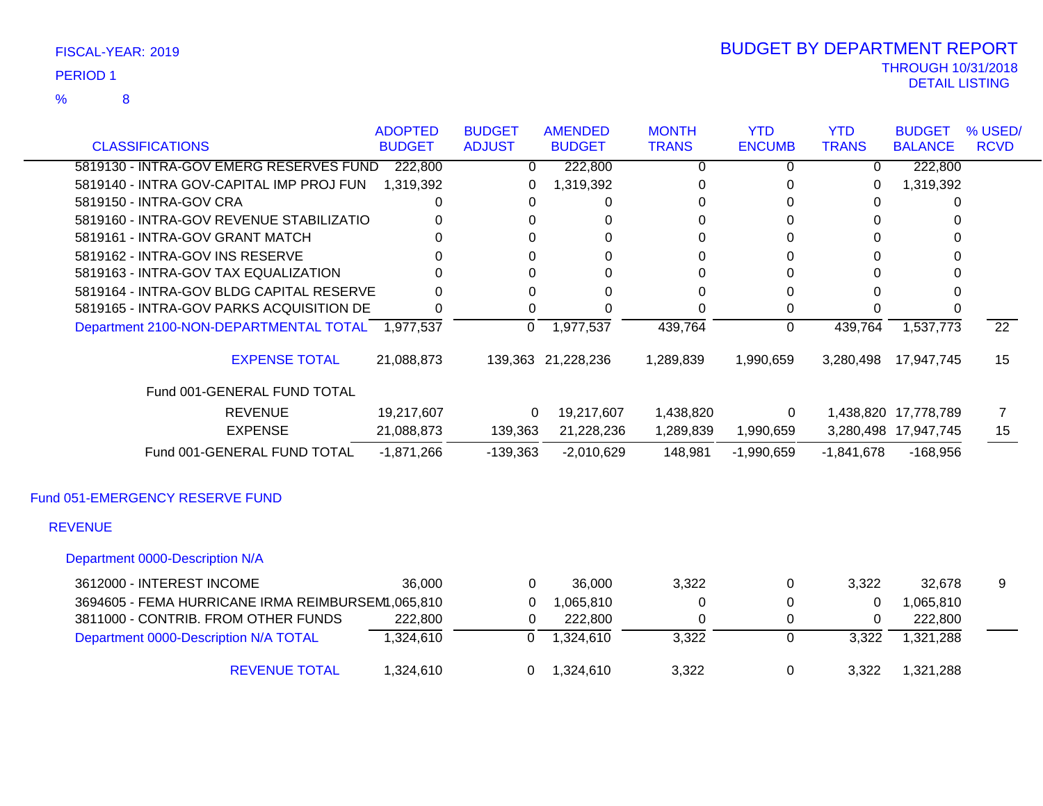8 %

| <b>CLASSIFICATIONS</b>                            | <b>ADOPTED</b><br><b>BUDGET</b> | <b>BUDGET</b><br><b>ADJUST</b> | <b>AMENDED</b><br><b>BUDGET</b> | <b>MONTH</b><br><b>TRANS</b> | <b>YTD</b><br><b>ENCUMB</b> | <b>YTD</b><br><b>TRANS</b> | <b>BUDGET</b><br><b>BALANCE</b> | % USED/<br><b>RCVD</b> |
|---------------------------------------------------|---------------------------------|--------------------------------|---------------------------------|------------------------------|-----------------------------|----------------------------|---------------------------------|------------------------|
| 5819130 - INTRA-GOV EMERG RESERVES FUND           | 222,800                         | $\Omega$                       | 222,800                         | $\Omega$                     | $\Omega$                    | $\Omega$                   | 222,800                         |                        |
| 5819140 - INTRA GOV-CAPITAL IMP PROJ FUN          | 1,319,392                       | 0                              | 1,319,392                       | 0                            | 0                           | 0                          | 1,319,392                       |                        |
| 5819150 - INTRA-GOV CRA                           | 0                               | 0                              | 0                               | 0                            | 0                           | 0                          | 0                               |                        |
| 5819160 - INTRA-GOV REVENUE STABILIZATIO          | 0                               | 0                              | 0                               | 0                            | 0                           | 0                          | 0                               |                        |
| 5819161 - INTRA-GOV GRANT MATCH                   | 0                               | 0                              | $\Omega$                        | 0                            | $\Omega$                    | 0                          |                                 |                        |
| 5819162 - INTRA-GOV INS RESERVE                   | 0                               | 0                              | 0                               | $\Omega$                     | 0                           | 0                          |                                 |                        |
| 5819163 - INTRA-GOV TAX EQUALIZATION              | 0                               | 0                              | $\Omega$                        | $\Omega$                     | $\Omega$                    | 0                          | 0                               |                        |
| 5819164 - INTRA-GOV BLDG CAPITAL RESERVE          | 0                               | 0                              | $\Omega$                        | 0                            | 0                           | $\Omega$                   | 0                               |                        |
| 5819165 - INTRA-GOV PARKS ACQUISITION DE          | 0                               | 0                              | $\Omega$                        | $\Omega$                     | 0                           | 0                          |                                 |                        |
| Department 2100-NON-DEPARTMENTAL TOTAL 1,977,537  |                                 | $\Omega$                       | 1,977,537                       | 439,764                      | 0                           | 439,764                    | 1,537,773                       | $\overline{22}$        |
| <b>EXPENSE TOTAL</b>                              | 21,088,873                      |                                | 139,363 21,228,236              | 1,289,839                    | 1,990,659                   | 3,280,498                  | 17,947,745                      | 15                     |
| Fund 001-GENERAL FUND TOTAL                       |                                 |                                |                                 |                              |                             |                            |                                 |                        |
| <b>REVENUE</b>                                    | 19,217,607                      | 0                              | 19,217,607                      | 1,438,820                    | $\mathbf 0$                 |                            | 1,438,820 17,778,789            | $\overline{7}$         |
| <b>EXPENSE</b>                                    | 21,088,873                      | 139,363                        | 21,228,236                      | 1,289,839                    | 1,990,659                   |                            | 3,280,498 17,947,745            | 15                     |
| Fund 001-GENERAL FUND TOTAL                       | $-1,871,266$                    | $-139,363$                     | $-2,010,629$                    | 148,981                      | $-1,990,659$                | $-1,841,678$               | $-168,956$                      |                        |
| Fund 051-EMERGENCY RESERVE FUND                   |                                 |                                |                                 |                              |                             |                            |                                 |                        |
| <b>REVENUE</b>                                    |                                 |                                |                                 |                              |                             |                            |                                 |                        |
| Department 0000-Description N/A                   |                                 |                                |                                 |                              |                             |                            |                                 |                        |
| 3612000 - INTEREST INCOME                         | 36,000                          | $\mathbf{0}$                   | 36,000                          | 3,322                        | 0                           | 3,322                      | 32,678                          | 9                      |
| 3694605 - FEMA HURRICANE IRMA REIMBURSEM, 065,810 |                                 | $\Omega$                       | 1,065,810                       | 0                            | 0                           | 0                          | 1,065,810                       |                        |
| 3811000 - CONTRIB. FROM OTHER FUNDS               | 222,800                         | 0                              | 222,800                         | 0                            | 0                           | 0                          | 222,800                         |                        |
| Department 0000-Description N/A TOTAL             | 1,324,610                       | 0                              | 1,324,610                       | 3,322                        | 0                           | 3,322                      | 1,321,288                       |                        |

REVENUE TOTAL 1,324,610 0 1,324,610 3,322 0 3,322 1,321,288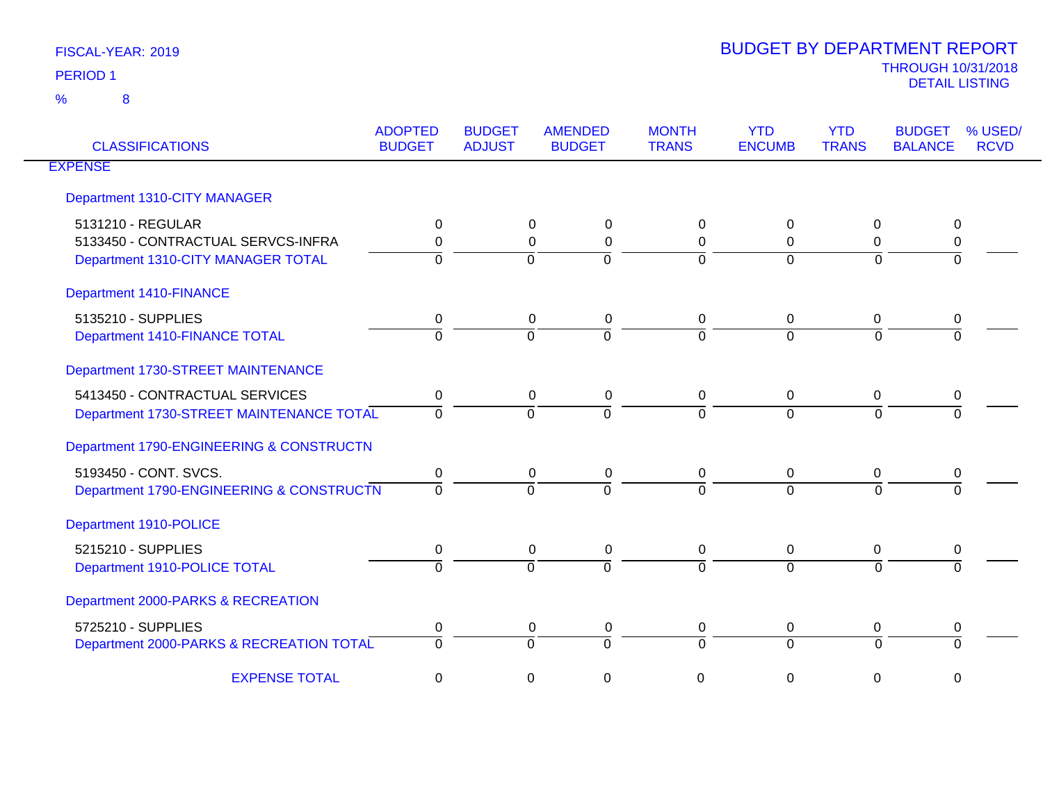| <b>CLASSIFICATIONS</b>                                                                        | <b>ADOPTED</b><br><b>BUDGET</b> | <b>BUDGET</b><br><b>ADJUST</b> | <b>AMENDED</b><br><b>BUDGET</b>                   | <b>MONTH</b><br><b>TRANS</b> | <b>YTD</b><br><b>ENCUMB</b> | <b>YTD</b><br><b>TRANS</b>      | <b>BUDGET</b><br><b>BALANCE</b> | % USED/<br><b>RCVD</b> |
|-----------------------------------------------------------------------------------------------|---------------------------------|--------------------------------|---------------------------------------------------|------------------------------|-----------------------------|---------------------------------|---------------------------------|------------------------|
| <b>EXPENSE</b>                                                                                |                                 |                                |                                                   |                              |                             |                                 |                                 |                        |
| Department 1310-CITY MANAGER                                                                  |                                 |                                |                                                   |                              |                             |                                 |                                 |                        |
| 5131210 - REGULAR<br>5133450 - CONTRACTUAL SERVCS-INFRA<br>Department 1310-CITY MANAGER TOTAL | 0<br>$\Omega$<br>$\Omega$       | $\Omega$                       | $\Omega$<br>$\Omega$<br>$\Omega$<br>0<br>$\Omega$ | 0<br>0<br>$\overline{0}$     | 0<br>0<br>$\Omega$          | 0<br>$\Omega$<br>$\overline{0}$ | 0<br>0<br>$\Omega$              |                        |
| Department 1410-FINANCE                                                                       |                                 |                                |                                                   |                              |                             |                                 |                                 |                        |
| 5135210 - SUPPLIES<br>Department 1410-FINANCE TOTAL                                           | 0<br>$\Omega$                   | $\Omega$                       | 0<br>0<br>$\Omega$                                | 0<br>$\Omega$                | 0<br>$\Omega$               | 0<br>$\Omega$                   | 0<br>$\Omega$                   |                        |
| Department 1730-STREET MAINTENANCE                                                            |                                 |                                |                                                   |                              |                             |                                 |                                 |                        |
| 5413450 - CONTRACTUAL SERVICES<br>Department 1730-STREET MAINTENANCE TOTAL                    | 0<br>$\Omega$                   | $\Omega$                       | 0<br>$\mathbf 0$<br>$\Omega$                      | 0<br>$\Omega$                | $\mathbf 0$<br>$\Omega$     | 0<br>$\Omega$                   | 0                               |                        |
| Department 1790-ENGINEERING & CONSTRUCTN                                                      |                                 |                                |                                                   |                              |                             |                                 |                                 |                        |
| 5193450 - CONT. SVCS.<br>Department 1790-ENGINEERING & CONSTRUCTN                             | $\mathbf 0$<br>$\Omega$         | $\Omega$                       | 0<br>0<br>$\Omega$                                | $\mathbf 0$<br>0             | 0<br>$\Omega$               | 0<br>$\Omega$                   | 0                               |                        |
| Department 1910-POLICE                                                                        |                                 |                                |                                                   |                              |                             |                                 |                                 |                        |
| 5215210 - SUPPLIES<br>Department 1910-POLICE TOTAL                                            | 0<br>$\Omega$                   | $\Omega$                       | 0<br>0<br>$\Omega$                                | 0<br>0                       | 0<br>$\overline{0}$         | 0<br>$\Omega$                   | 0<br>$\Omega$                   |                        |
| Department 2000-PARKS & RECREATION                                                            |                                 |                                |                                                   |                              |                             |                                 |                                 |                        |
| 5725210 - SUPPLIES<br>Department 2000-PARKS & RECREATION TOTAL                                | 0<br>$\Omega$                   |                                | 0<br>0<br>$\Omega$<br>$\Omega$                    | 0<br>$\Omega$                | 0<br>$\overline{0}$         | 0<br>$\Omega$                   | 0<br>$\Omega$                   |                        |
| <b>EXPENSE TOTAL</b>                                                                          | $\mathbf 0$                     | $\mathbf 0$                    | $\overline{0}$                                    | 0                            | $\pmb{0}$                   | $\mathbf 0$                     | $\mathsf 0$                     |                        |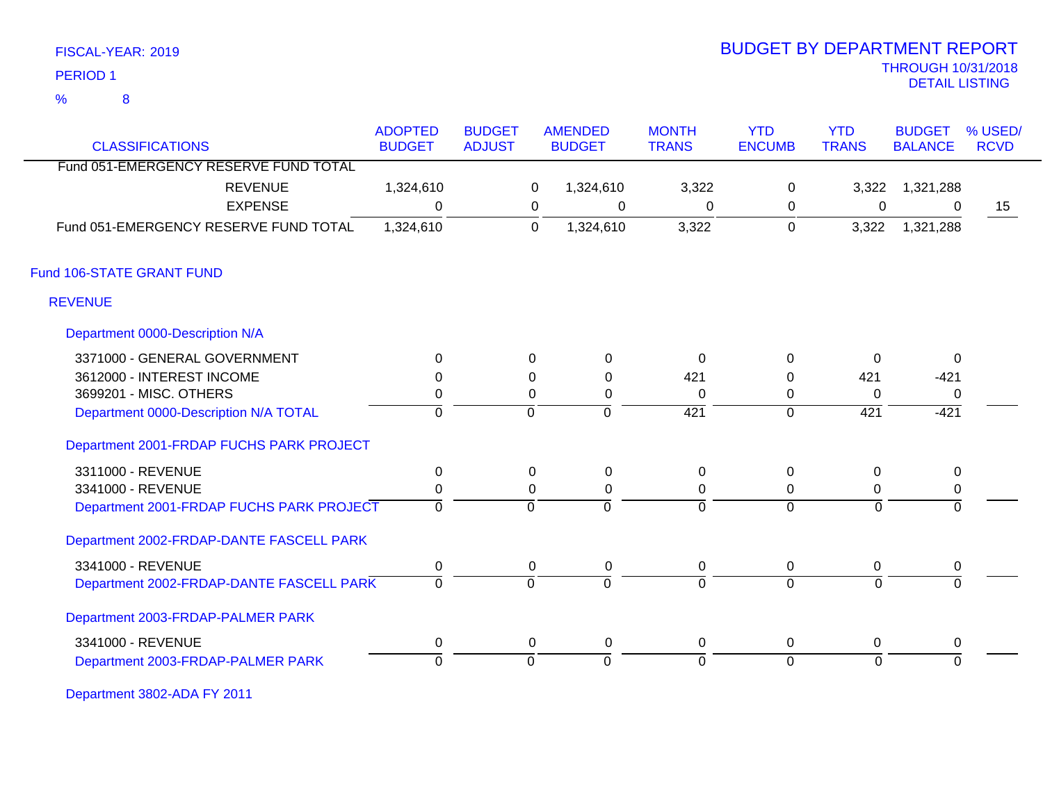| FISCAL-YEAR: 2019   |
|---------------------|
| PERIOD <sub>1</sub> |

8

### THROUGH 10/31/2018 DETAIL LISTING PERIOD <sup>1</sup> BUDGET BY DEPARTMENT REPORT

| <b>CLASSIFICATIONS</b>                   | <b>ADOPTED</b><br><b>BUDGET</b> | <b>BUDGET</b><br><b>ADJUST</b> |             | <b>AMENDED</b><br><b>BUDGET</b> | <b>MONTH</b><br><b>TRANS</b> | <b>YTD</b><br><b>ENCUMB</b> | <b>YTD</b><br><b>TRANS</b> | <b>BUDGET</b><br><b>BALANCE</b> | % USED/<br><b>RCVD</b> |
|------------------------------------------|---------------------------------|--------------------------------|-------------|---------------------------------|------------------------------|-----------------------------|----------------------------|---------------------------------|------------------------|
| Fund 051-EMERGENCY RESERVE FUND TOTAL    |                                 |                                |             |                                 |                              |                             |                            |                                 |                        |
| <b>REVENUE</b>                           | 1,324,610                       |                                | 0           | 1,324,610                       | 3,322                        | 0                           | 3,322                      | 1,321,288                       |                        |
| <b>EXPENSE</b>                           | 0                               |                                | 0           | 0                               | 0                            | 0                           | 0                          | 0                               | 15                     |
| Fund 051-EMERGENCY RESERVE FUND TOTAL    | 1,324,610                       |                                | $\mathbf 0$ | 1,324,610                       | 3,322                        | 0                           | 3,322                      | 1,321,288                       |                        |
| Fund 106-STATE GRANT FUND                |                                 |                                |             |                                 |                              |                             |                            |                                 |                        |
| <b>REVENUE</b>                           |                                 |                                |             |                                 |                              |                             |                            |                                 |                        |
| Department 0000-Description N/A          |                                 |                                |             |                                 |                              |                             |                            |                                 |                        |
| 3371000 - GENERAL GOVERNMENT             | $\Omega$                        |                                | $\Omega$    | $\mathbf 0$                     | $\Omega$                     | $\Omega$                    | $\Omega$                   | $\Omega$                        |                        |
| 3612000 - INTEREST INCOME                | $\Omega$                        |                                | 0           | $\Omega$                        | 421                          | 0                           | 421                        | $-421$                          |                        |
| 3699201 - MISC. OTHERS                   | 0                               |                                | $\Omega$    | 0                               | 0                            | 0                           | $\Omega$                   | 0                               |                        |
| Department 0000-Description N/A TOTAL    | $\overline{0}$                  |                                | $\mathbf 0$ | $\mathbf 0$                     | 421                          | 0                           | 421                        | $-421$                          |                        |
| Department 2001-FRDAP FUCHS PARK PROJECT |                                 |                                |             |                                 |                              |                             |                            |                                 |                        |
| 3311000 - REVENUE                        | $\mathbf 0$                     |                                | 0           | $\mathbf 0$                     | $\mathbf 0$                  | $\mathbf 0$                 | 0                          | $\mathbf 0$                     |                        |
| 3341000 - REVENUE                        | 0                               |                                | 0           | 0                               | 0                            | 0                           | 0                          | 0                               |                        |
| Department 2001-FRDAP FUCHS PARK PROJECT | $\mathbf 0$                     |                                | $\mathbf 0$ | $\Omega$                        | $\Omega$                     | $\mathbf 0$                 | $\Omega$                   | $\Omega$                        |                        |
| Department 2002-FRDAP-DANTE FASCELL PARK |                                 |                                |             |                                 |                              |                             |                            |                                 |                        |
| 3341000 - REVENUE                        | $\mathbf 0$                     |                                | 0           | 0                               | 0                            | 0                           | 0                          | 0                               |                        |
| Department 2002-FRDAP-DANTE FASCELL PARK | $\Omega$                        |                                | $\Omega$    | $\Omega$                        | $\Omega$                     | $\overline{0}$              | $\Omega$                   | $\Omega$                        |                        |
|                                          |                                 |                                |             |                                 |                              |                             |                            |                                 |                        |

Department 2003-FRDAP-PALMER PARK

| 3341000 - REVENUE                 |  |  |  |  |
|-----------------------------------|--|--|--|--|
| PARK<br>7003-PRDAP<br>l Jenartmen |  |  |  |  |

Department 3802-ADA FY 2011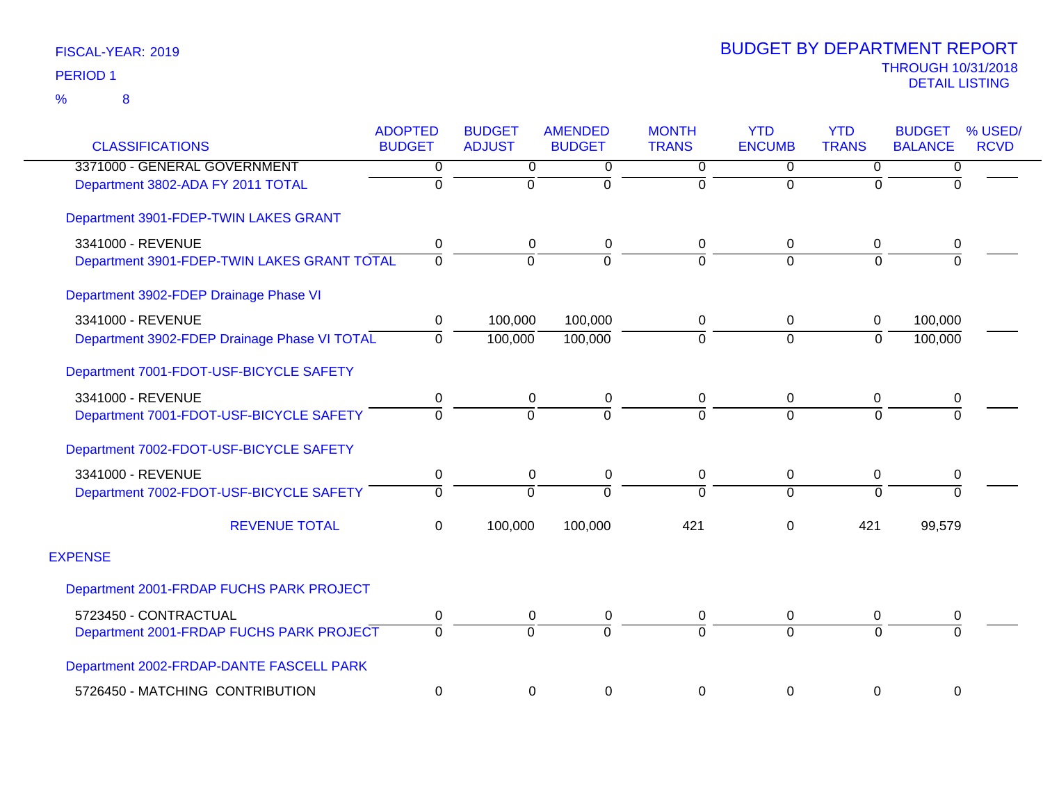| <b>CLASSIFICATIONS</b>                       | <b>ADOPTED</b><br><b>BUDGET</b> | <b>BUDGET</b><br><b>ADJUST</b> | <b>AMENDED</b><br><b>BUDGET</b> | <b>MONTH</b><br><b>TRANS</b> | <b>YTD</b><br><b>ENCUMB</b> | <b>YTD</b><br><b>TRANS</b> | <b>BUDGET</b><br><b>BALANCE</b> | % USED/<br><b>RCVD</b> |
|----------------------------------------------|---------------------------------|--------------------------------|---------------------------------|------------------------------|-----------------------------|----------------------------|---------------------------------|------------------------|
| 3371000 - GENERAL GOVERNMENT                 | 0                               | 0                              | 0                               | 0                            | $\Omega$                    | 0                          | 0                               |                        |
| Department 3802-ADA FY 2011 TOTAL            | $\overline{0}$                  | $\Omega$                       | $\Omega$                        | 0                            | $\Omega$                    | $\Omega$                   | $\Omega$                        |                        |
| Department 3901-FDEP-TWIN LAKES GRANT        |                                 |                                |                                 |                              |                             |                            |                                 |                        |
| 3341000 - REVENUE                            | 0                               | 0                              | 0                               | 0                            | $\mathbf 0$                 | 0                          | 0                               |                        |
| Department 3901-FDEP-TWIN LAKES GRANT TOTAL  | $\Omega$                        | $\Omega$                       | $\Omega$                        | 0                            | $\Omega$                    | $\Omega$                   | $\Omega$                        |                        |
| Department 3902-FDEP Drainage Phase VI       |                                 |                                |                                 |                              |                             |                            |                                 |                        |
| 3341000 - REVENUE                            | 0                               | 100,000                        | 100,000                         | 0                            | $\mathbf 0$                 | 0                          | 100,000                         |                        |
| Department 3902-FDEP Drainage Phase VI TOTAL | $\Omega$                        | 100,000                        | 100,000                         | $\overline{0}$               | $\overline{0}$              | $\mathbf 0$                | 100,000                         |                        |
| Department 7001-FDOT-USF-BICYCLE SAFETY      |                                 |                                |                                 |                              |                             |                            |                                 |                        |
| 3341000 - REVENUE                            | 0                               | 0                              | 0                               | 0                            | 0                           | 0                          | 0                               |                        |
| Department 7001-FDOT-USF-BICYCLE SAFETY      | $\Omega$                        | $\Omega$                       | $\Omega$                        | 0                            | $\Omega$                    | $\Omega$                   | $\Omega$                        |                        |
| Department 7002-FDOT-USF-BICYCLE SAFETY      |                                 |                                |                                 |                              |                             |                            |                                 |                        |
| 3341000 - REVENUE                            | $\pmb{0}$                       | 0                              | 0                               | 0                            | $\mathbf 0$                 | 0                          | $\pmb{0}$                       |                        |
| Department 7002-FDOT-USF-BICYCLE SAFETY      | $\Omega$                        | $\Omega$                       | $\Omega$                        | $\Omega$                     | $\Omega$                    | $\overline{0}$             | $\overline{0}$                  |                        |
| <b>REVENUE TOTAL</b>                         | $\Omega$                        | 100,000                        | 100,000                         | 421                          | $\mathbf 0$                 | 421                        | 99,579                          |                        |
| <b>EXPENSE</b>                               |                                 |                                |                                 |                              |                             |                            |                                 |                        |
| Department 2001-FRDAP FUCHS PARK PROJECT     |                                 |                                |                                 |                              |                             |                            |                                 |                        |
| 5723450 - CONTRACTUAL                        | 0                               | 0                              | 0                               | 0                            | 0                           | 0                          | 0                               |                        |
| Department 2001-FRDAP FUCHS PARK PROJECT     | $\Omega$                        | $\Omega$                       | $\Omega$                        | $\overline{0}$               | $\Omega$                    | $\Omega$                   | $\Omega$                        |                        |
| Department 2002-FRDAP-DANTE FASCELL PARK     |                                 |                                |                                 |                              |                             |                            |                                 |                        |
| 5726450 - MATCHING CONTRIBUTION              | $\mathbf 0$                     | 0                              | 0                               | 0                            | $\mathbf 0$                 | $\pmb{0}$                  | $\boldsymbol{0}$                |                        |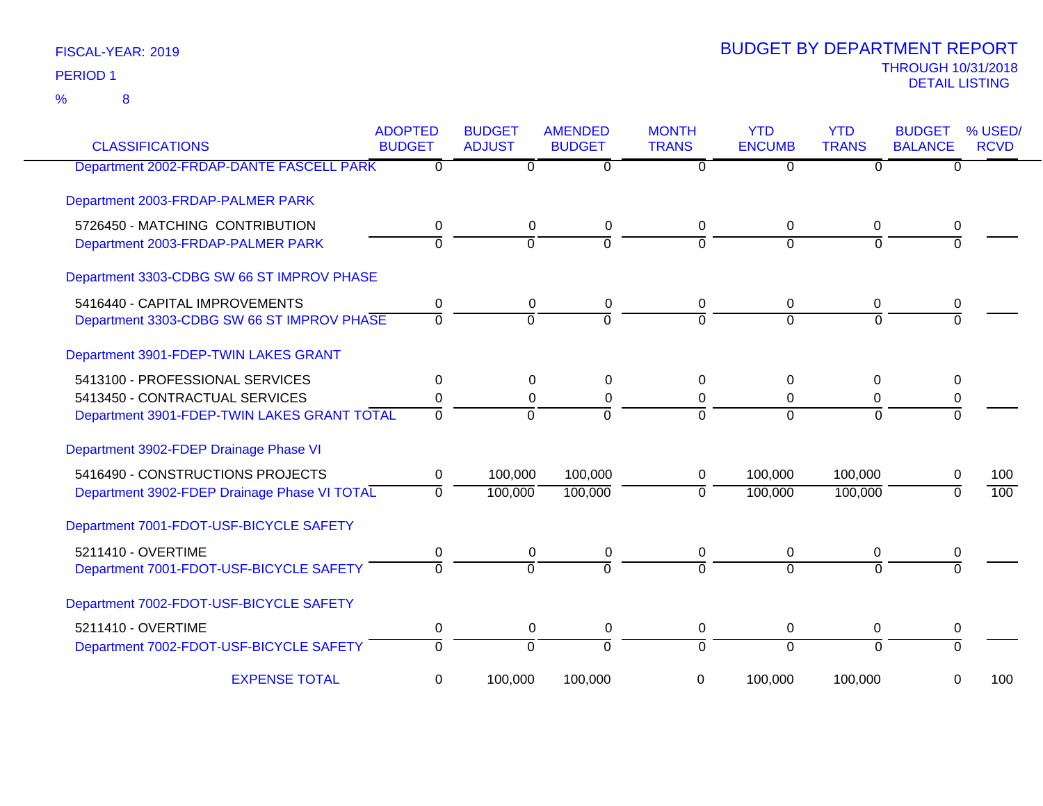8 %

| <b>CLASSIFICATIONS</b>                       | <b>ADOPTED</b><br><b>BUDGET</b> | <b>BUDGET</b><br><b>ADJUST</b> | <b>AMENDED</b><br><b>BUDGET</b> | <b>MONTH</b><br><b>TRANS</b> | <b>YTD</b><br><b>ENCUMB</b> | <b>YTD</b><br><b>TRANS</b> | <b>BUDGET</b><br><b>BALANCE</b> | % USED/<br><b>RCVD</b> |
|----------------------------------------------|---------------------------------|--------------------------------|---------------------------------|------------------------------|-----------------------------|----------------------------|---------------------------------|------------------------|
| Department 2002-FRDAP-DANTE FASCELL PARK     | $\overline{0}$                  | 0                              | $\overline{0}$                  | $\overline{0}$               | $\Omega$                    | $\Omega$                   | 0                               |                        |
| Department 2003-FRDAP-PALMER PARK            |                                 |                                |                                 |                              |                             |                            |                                 |                        |
| 5726450 - MATCHING CONTRIBUTION              | 0                               | $\mathbf 0$                    | $\pmb{0}$                       | 0                            | 0                           | $\mathbf 0$                | 0                               |                        |
| Department 2003-FRDAP-PALMER PARK            | $\overline{0}$                  | $\overline{0}$                 | $\mathbf 0$                     | $\mathbf 0$                  | $\Omega$                    | $\mathbf 0$                | $\Omega$                        |                        |
| Department 3303-CDBG SW 66 ST IMPROV PHASE   |                                 |                                |                                 |                              |                             |                            |                                 |                        |
| 5416440 - CAPITAL IMPROVEMENTS               | 0                               | 0                              | 0                               | 0                            | 0                           | 0                          | 0                               |                        |
| Department 3303-CDBG SW 66 ST IMPROV PHASE   | $\overline{0}$                  | $\overline{0}$                 | $\overline{0}$                  | $\Omega$                     | $\Omega$                    | $\Omega$                   | $\Omega$                        |                        |
| Department 3901-FDEP-TWIN LAKES GRANT        |                                 |                                |                                 |                              |                             |                            |                                 |                        |
| 5413100 - PROFESSIONAL SERVICES              | 0                               | 0                              | 0                               | $\Omega$                     | 0                           | $\Omega$                   | 0                               |                        |
| 5413450 - CONTRACTUAL SERVICES               | 0                               | 0                              | $\pmb{0}$                       | 0                            | $\Omega$                    | $\mathbf 0$                | 0                               |                        |
| Department 3901-FDEP-TWIN LAKES GRANT TOTAL  | $\Omega$                        | $\Omega$                       | $\overline{0}$                  | $\Omega$                     | $\Omega$                    | $\Omega$                   | $\Omega$                        |                        |
| Department 3902-FDEP Drainage Phase VI       |                                 |                                |                                 |                              |                             |                            |                                 |                        |
| 5416490 - CONSTRUCTIONS PROJECTS             | 0                               | 100,000                        | 100,000                         | 0                            | 100,000                     | 100,000                    | 0                               | 100                    |
| Department 3902-FDEP Drainage Phase VI TOTAL | $\Omega$                        | 100,000                        | 100,000                         | $\Omega$                     | 100,000                     | 100,000                    | $\Omega$                        | 100                    |
| Department 7001-FDOT-USF-BICYCLE SAFETY      |                                 |                                |                                 |                              |                             |                            |                                 |                        |
| 5211410 - OVERTIME                           | 0                               | $\mathbf 0$                    | $\pmb{0}$                       | 0                            | 0                           | $\mathbf 0$                | 0                               |                        |
| Department 7001-FDOT-USF-BICYCLE SAFETY      | $\Omega$                        | $\Omega$                       | $\Omega$                        | $\Omega$                     | $\Omega$                    | $\Omega$                   | $\Omega$                        |                        |
| Department 7002-FDOT-USF-BICYCLE SAFETY      |                                 |                                |                                 |                              |                             |                            |                                 |                        |
| 5211410 - OVERTIME                           | 0                               | 0                              | $\pmb{0}$                       | 0                            | 0                           | 0                          | 0                               |                        |
| Department 7002-FDOT-USF-BICYCLE SAFETY      | $\overline{0}$                  | $\overline{0}$                 | $\overline{0}$                  | $\overline{0}$               | $\Omega$                    | $\Omega$                   | $\Omega$                        |                        |
| <b>EXPENSE TOTAL</b>                         | 0                               | 100,000                        | 100,000                         | 0                            | 100,000                     | 100,000                    | 0                               | 100                    |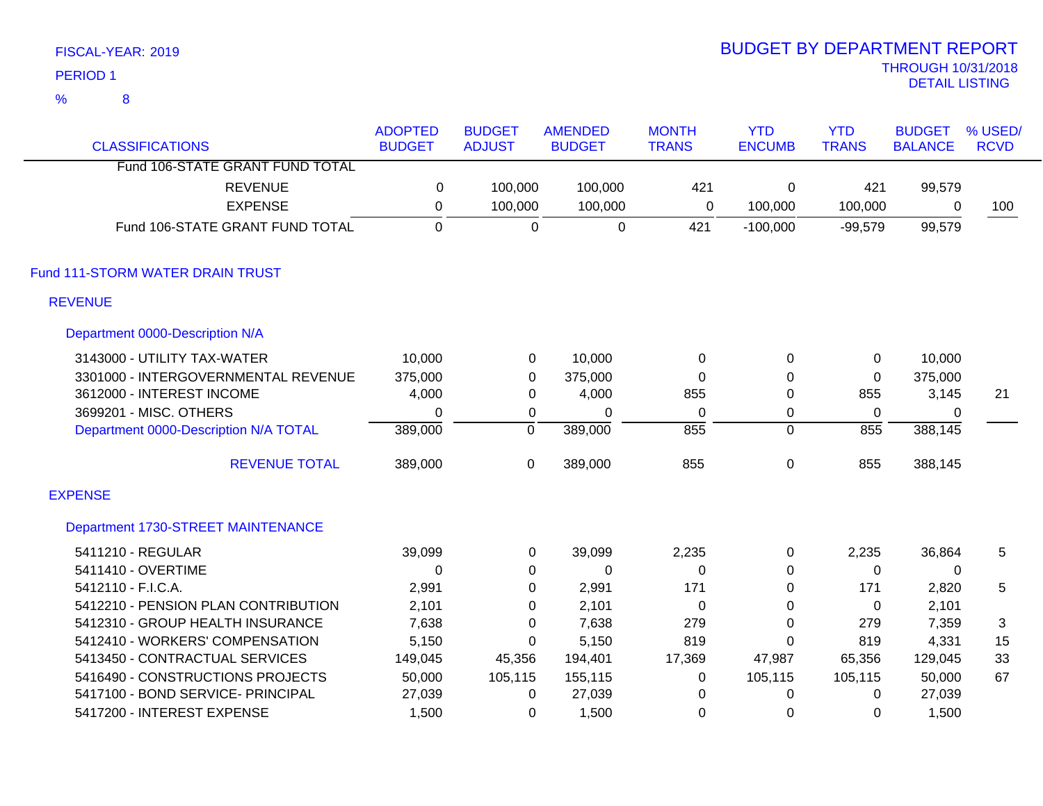|   | <b>PERIOD1</b>                        |                                 |                                |                                 |                              |                             |                            | <b>THROUGH 10/31/2018</b><br><b>DETAIL LISTING</b> |                        |
|---|---------------------------------------|---------------------------------|--------------------------------|---------------------------------|------------------------------|-----------------------------|----------------------------|----------------------------------------------------|------------------------|
| % | 8                                     |                                 |                                |                                 |                              |                             |                            |                                                    |                        |
|   | <b>CLASSIFICATIONS</b>                | <b>ADOPTED</b><br><b>BUDGET</b> | <b>BUDGET</b><br><b>ADJUST</b> | <b>AMENDED</b><br><b>BUDGET</b> | <b>MONTH</b><br><b>TRANS</b> | <b>YTD</b><br><b>ENCUMB</b> | <b>YTD</b><br><b>TRANS</b> | <b>BUDGET</b><br><b>BALANCE</b>                    | % USED/<br><b>RCVD</b> |
|   | Fund 106-STATE GRANT FUND TOTAL       |                                 |                                |                                 |                              |                             |                            |                                                    |                        |
|   | <b>REVENUE</b>                        | $\mathbf 0$                     | 100,000                        | 100,000                         | 421                          | 0                           | 421                        | 99,579                                             |                        |
|   | <b>EXPENSE</b>                        | $\mathbf 0$                     | 100,000                        | 100,000                         | 0                            | 100,000                     | 100,000                    | 0                                                  | 100                    |
|   | Fund 106-STATE GRANT FUND TOTAL       | $\mathbf{0}$                    | $\Omega$                       | $\mathbf 0$                     | 421                          | $-100,000$                  | $-99,579$                  | 99,579                                             |                        |
|   | Fund 111-STORM WATER DRAIN TRUST      |                                 |                                |                                 |                              |                             |                            |                                                    |                        |
|   | <b>REVENUE</b>                        |                                 |                                |                                 |                              |                             |                            |                                                    |                        |
|   | Department 0000-Description N/A       |                                 |                                |                                 |                              |                             |                            |                                                    |                        |
|   | 3143000 - UTILITY TAX-WATER           | 10,000                          | $\mathbf 0$                    | 10,000                          | $\pmb{0}$                    | 0                           | 0                          | 10,000                                             |                        |
|   | 3301000 - INTERGOVERNMENTAL REVENUE   | 375,000                         | $\pmb{0}$                      | 375,000                         | 0                            | 0                           | 0                          | 375,000                                            |                        |
|   | 3612000 - INTEREST INCOME             | 4,000                           | $\pmb{0}$                      | 4,000                           | 855                          | $\Omega$                    | 855                        | 3,145                                              | 21                     |
|   | 3699201 - MISC. OTHERS                | $\mathbf 0$                     | $\mathbf 0$                    | $\mathbf 0$                     | $\mathbf 0$                  | 0                           | $\mathbf 0$                | 0                                                  |                        |
|   | Department 0000-Description N/A TOTAL | 389,000                         | ō                              | 389,000                         | 855                          | 0                           | 855                        | 388,145                                            |                        |
|   | <b>REVENUE TOTAL</b>                  | 389,000                         | 0                              | 389,000                         | 855                          | 0                           | 855                        | 388,145                                            |                        |
|   | <b>EXPENSE</b>                        |                                 |                                |                                 |                              |                             |                            |                                                    |                        |
|   | Department 1730-STREET MAINTENANCE    |                                 |                                |                                 |                              |                             |                            |                                                    |                        |
|   | 5411210 - REGULAR                     | 39,099                          | $\mathbf 0$                    | 39,099                          | 2,235                        | 0                           | 2,235                      | 36,864                                             | 5                      |
|   | 5411410 - OVERTIME                    | $\mathbf 0$                     | 0                              | 0                               | 0                            | 0                           | 0                          | 0                                                  |                        |
|   | 5412110 - F.I.C.A.                    | 2,991                           | 0                              | 2,991                           | 171                          | 0                           | 171                        | 2,820                                              | 5                      |
|   | 5412210 - PENSION PLAN CONTRIBUTION   | 2,101                           | 0                              | 2,101                           | $\pmb{0}$                    | 0                           | 0                          | 2,101                                              |                        |
|   | 5412310 - GROUP HEALTH INSURANCE      | 7,638                           | 0                              | 7,638                           | 279                          | 0                           | 279                        | 7,359                                              | 3                      |
|   | 5412410 - WORKERS' COMPENSATION       | 5,150                           | 0                              | 5,150                           | 819                          | 0                           | 819                        | 4,331                                              | 15                     |
|   | 5413450 - CONTRACTUAL SERVICES        | 149,045                         | 45,356                         | 194,401                         | 17,369                       | 47,987                      | 65,356                     | 129,045                                            | 33                     |
|   | 5416490 - CONSTRUCTIONS PROJECTS      | 50,000                          | 105,115                        | 155,115                         | $\pmb{0}$                    | 105,115                     | 105,115                    | 50,000                                             | 67                     |
|   | 5417100 - BOND SERVICE- PRINCIPAL     | 27,039                          | $\mathbf 0$                    | 27,039                          | $\mathbf 0$                  | 0                           | 0                          | 27,039                                             |                        |
|   | 5417200 - INTEREST EXPENSE            | 1,500                           | 0                              | 1,500                           | 0                            | 0                           | 0                          | 1,500                                              |                        |

BUDGET BY DEPARTMENT REPORT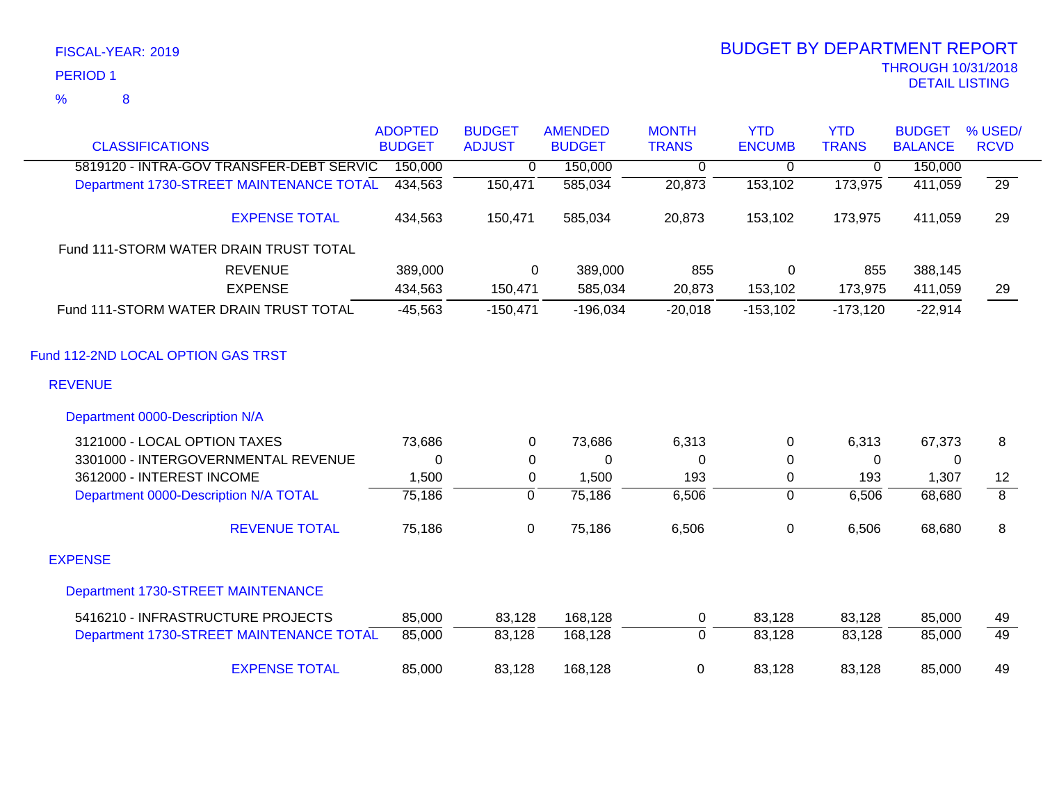|                                          | <b>ADOPTED</b> | <b>BUDGET</b>  | <b>AMENDED</b> | <b>MONTH</b>   | <b>YTD</b>     | <b>YTD</b>     | <b>BUDGET</b>  | % USED/         |
|------------------------------------------|----------------|----------------|----------------|----------------|----------------|----------------|----------------|-----------------|
| <b>CLASSIFICATIONS</b>                   | <b>BUDGET</b>  | <b>ADJUST</b>  | <b>BUDGET</b>  | <b>TRANS</b>   | <b>ENCUMB</b>  | <b>TRANS</b>   | <b>BALANCE</b> | <b>RCVD</b>     |
| 5819120 - INTRA-GOV TRANSFER-DEBT SERVIC | 150,000        | $\overline{0}$ | 150,000        | 0              | $\overline{0}$ | $\overline{0}$ | 150,000        |                 |
| Department 1730-STREET MAINTENANCE TOTAL | 434,563        | 150,471        | 585,034        | 20,873         | 153,102        | 173,975        | 411,059        | $\overline{29}$ |
| <b>EXPENSE TOTAL</b>                     | 434,563        | 150,471        | 585,034        | 20,873         | 153,102        | 173,975        | 411,059        | 29              |
| Fund 111-STORM WATER DRAIN TRUST TOTAL   |                |                |                |                |                |                |                |                 |
| <b>REVENUE</b>                           | 389,000        | 0              | 389,000        | 855            | $\mathsf 0$    | 855            | 388,145        |                 |
| <b>EXPENSE</b>                           | 434,563        | 150,471        | 585,034        | 20,873         | 153,102        | 173,975        | 411,059        | 29              |
| Fund 111-STORM WATER DRAIN TRUST TOTAL   | $-45,563$      | $-150,471$     | $-196,034$     | $-20,018$      | $-153,102$     | $-173,120$     | $-22,914$      |                 |
| Fund 112-2ND LOCAL OPTION GAS TRST       |                |                |                |                |                |                |                |                 |
| <b>REVENUE</b>                           |                |                |                |                |                |                |                |                 |
| Department 0000-Description N/A          |                |                |                |                |                |                |                |                 |
| 3121000 - LOCAL OPTION TAXES             | 73,686         | $\Omega$       | 73,686         | 6,313          | 0              | 6,313          | 67,373         | 8               |
| 3301000 - INTERGOVERNMENTAL REVENUE      | 0              | 0              | 0              | 0              | 0              | $\Omega$       | 0              |                 |
| 3612000 - INTEREST INCOME                | 1,500          | 0              | 1,500          | 193            | $\pmb{0}$      | 193            | 1,307          | 12              |
| Department 0000-Description N/A TOTAL    | 75,186         | $\overline{0}$ | 75,186         | 6,506          | 0              | 6,506          | 68,680         | $\overline{8}$  |
| <b>REVENUE TOTAL</b>                     | 75,186         | $\mathbf 0$    | 75,186         | 6,506          | $\pmb{0}$      | 6,506          | 68,680         | 8               |
| <b>EXPENSE</b>                           |                |                |                |                |                |                |                |                 |
| Department 1730-STREET MAINTENANCE       |                |                |                |                |                |                |                |                 |
| 5416210 - INFRASTRUCTURE PROJECTS        | 85,000         | 83,128         | 168,128        | $\mathbf 0$    | 83,128         | 83,128         | 85,000         | 49              |
| Department 1730-STREET MAINTENANCE TOTAL | 85,000         | 83,128         | 168,128        | $\overline{0}$ | 83,128         | 83,128         | 85,000         | 49              |
| <b>EXPENSE TOTAL</b>                     | 85,000         | 83,128         | 168,128        | $\mathbf 0$    | 83,128         | 83,128         | 85,000         | 49              |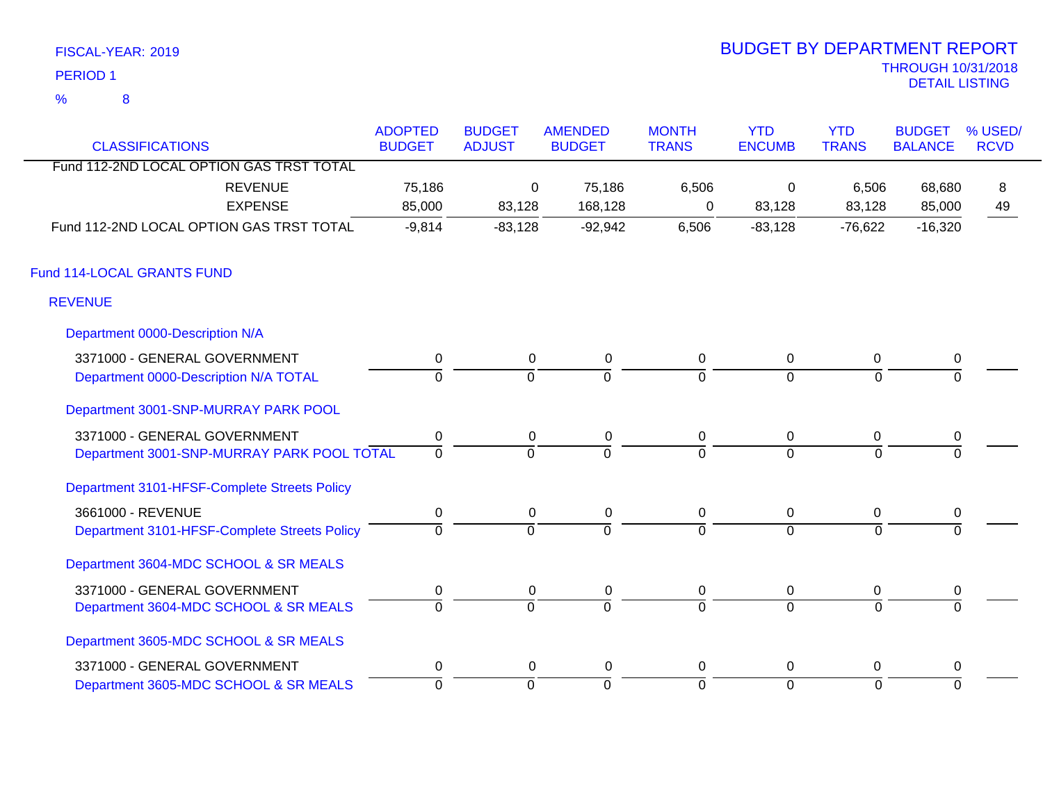|                 | FISCAL-YEAR: 2019 |
|-----------------|-------------------|
| <b>PERIOD 1</b> |                   |
| %               | 8                 |

| <b>CLASSIFICATIONS</b>                       | <b>ADOPTED</b><br><b>BUDGET</b> | <b>BUDGET</b><br><b>ADJUST</b> | <b>AMENDED</b><br><b>BUDGET</b> | <b>MONTH</b><br><b>TRANS</b> | <b>YTD</b><br><b>ENCUMB</b> | <b>YTD</b><br><b>TRANS</b> | <b>BUDGET</b><br><b>BALANCE</b> | % USED/<br><b>RCVD</b> |
|----------------------------------------------|---------------------------------|--------------------------------|---------------------------------|------------------------------|-----------------------------|----------------------------|---------------------------------|------------------------|
| Fund 112-2ND LOCAL OPTION GAS TRST TOTAL     |                                 |                                |                                 |                              |                             |                            |                                 |                        |
| <b>REVENUE</b>                               | 75,186                          | 0                              | 75,186                          | 6,506                        | 0                           | 6,506                      | 68,680                          | 8                      |
| <b>EXPENSE</b>                               | 85,000                          | 83,128                         | 168,128                         | 0                            | 83,128                      | 83,128                     | 85,000                          | 49                     |
| Fund 112-2ND LOCAL OPTION GAS TRST TOTAL     | $-9,814$                        | $-83,128$                      | $-92,942$                       | 6,506                        | $-83,128$                   | $-76,622$                  | $-16,320$                       |                        |
| Fund 114-LOCAL GRANTS FUND                   |                                 |                                |                                 |                              |                             |                            |                                 |                        |
| <b>REVENUE</b>                               |                                 |                                |                                 |                              |                             |                            |                                 |                        |
| Department 0000-Description N/A              |                                 |                                |                                 |                              |                             |                            |                                 |                        |
| 3371000 - GENERAL GOVERNMENT                 | 0                               | 0                              | $\mathbf 0$                     | 0                            | $\mathbf 0$                 | 0                          | 0                               |                        |
| Department 0000-Description N/A TOTAL        | $\overline{0}$                  | $\overline{0}$                 | $\overline{0}$                  | $\overline{0}$               | $\overline{0}$              | $\Omega$                   | $\Omega$                        |                        |
| Department 3001-SNP-MURRAY PARK POOL         |                                 |                                |                                 |                              |                             |                            |                                 |                        |
| 3371000 - GENERAL GOVERNMENT                 | $\mathbf 0$                     | 0                              | 0                               | 0                            | 0                           | 0                          | 0                               |                        |
| Department 3001-SNP-MURRAY PARK POOL TOTAL   | $\overline{0}$                  | $\overline{0}$                 | $\overline{0}$                  | $\overline{0}$               | $\overline{0}$              | $\Omega$                   | $\Omega$                        |                        |
| Department 3101-HFSF-Complete Streets Policy |                                 |                                |                                 |                              |                             |                            |                                 |                        |
| 3661000 - REVENUE                            | $\mathbf 0$                     | $\mathbf 0$                    | $\pmb{0}$                       | 0                            | $\mathbf 0$                 | 0                          | $\pmb{0}$                       |                        |
| Department 3101-HFSF-Complete Streets Policy | $\overline{0}$                  | $\overline{0}$                 | $\overline{0}$                  | 0                            | $\overline{0}$              | $\mathbf 0$                | $\Omega$                        |                        |
| Department 3604-MDC SCHOOL & SR MEALS        |                                 |                                |                                 |                              |                             |                            |                                 |                        |
| 3371000 - GENERAL GOVERNMENT                 | 0                               | 0                              | 0                               | 0                            | $\mathbf 0$                 | 0                          | 0                               |                        |
| Department 3604-MDC SCHOOL & SR MEALS        | $\overline{0}$                  | $\overline{0}$                 | $\overline{0}$                  | $\overline{0}$               | $\Omega$                    | $\Omega$                   | $\Omega$                        |                        |
| Department 3605-MDC SCHOOL & SR MEALS        |                                 |                                |                                 |                              |                             |                            |                                 |                        |
| 3371000 - GENERAL GOVERNMENT                 | $\mathbf 0$                     | 0                              | 0                               | 0                            | 0                           | 0                          | 0                               |                        |
| Department 3605-MDC SCHOOL & SR MEALS        | $\overline{0}$                  | $\mathbf 0$                    | 0                               | 0                            | $\overline{0}$              | $\overline{0}$             | $\mathbf 0$                     |                        |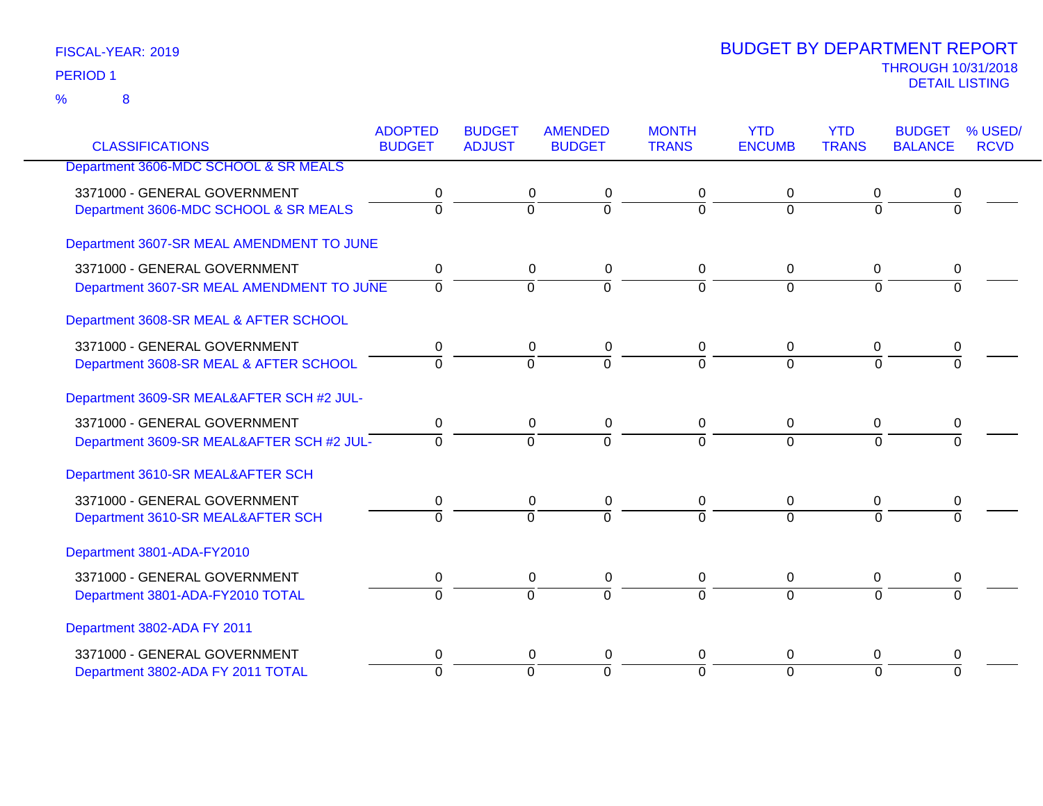|                                           | <b>ADOPTED</b> | <b>BUDGET</b>  | <b>AMENDED</b> | <b>MONTH</b> | <b>YTD</b>     | <b>YTD</b>   | <b>BUDGET</b>  | % USED/     |
|-------------------------------------------|----------------|----------------|----------------|--------------|----------------|--------------|----------------|-------------|
| <b>CLASSIFICATIONS</b>                    | <b>BUDGET</b>  | <b>ADJUST</b>  | <b>BUDGET</b>  | <b>TRANS</b> | <b>ENCUMB</b>  | <b>TRANS</b> | <b>BALANCE</b> | <b>RCVD</b> |
| Department 3606-MDC SCHOOL & SR MEALS     |                |                |                |              |                |              |                |             |
| 3371000 - GENERAL GOVERNMENT              | 0              | 0              | 0              | 0            | 0              | 0            | 0              |             |
| Department 3606-MDC SCHOOL & SR MEALS     | 0              | $\Omega$       | ō              | $\Omega$     | $\Omega$       | $\Omega$     | $\overline{0}$ |             |
| Department 3607-SR MEAL AMENDMENT TO JUNE |                |                |                |              |                |              |                |             |
| 3371000 - GENERAL GOVERNMENT              | 0              | 0              | 0              | 0            | 0              | 0            | 0              |             |
| Department 3607-SR MEAL AMENDMENT TO JUNE | $\Omega$       | $\overline{0}$ | $\overline{0}$ | $\Omega$     | $\overline{0}$ | $\Omega$     | $\Omega$       |             |
| Department 3608-SR MEAL & AFTER SCHOOL    |                |                |                |              |                |              |                |             |
| 3371000 - GENERAL GOVERNMENT              | 0              |                | 0<br>0         | 0            | 0              | 0            | 0              |             |
| Department 3608-SR MEAL & AFTER SCHOOL    | $\mathbf{0}$   | $\Omega$       | $\overline{0}$ | $\Omega$     | $\Omega$       | $\Omega$     | $\overline{0}$ |             |
| Department 3609-SR MEAL&AFTER SCH #2 JUL- |                |                |                |              |                |              |                |             |
| 3371000 - GENERAL GOVERNMENT              | 0              | 0              | 0              | 0            | 0              | 0            | 0              |             |
| Department 3609-SR MEAL&AFTER SCH #2 JUL- | $\Omega$       | $\overline{0}$ | $\overline{0}$ | $\Omega$     | $\Omega$       | $\Omega$     | $\Omega$       |             |
| Department 3610-SR MEAL&AFTER SCH         |                |                |                |              |                |              |                |             |
| 3371000 - GENERAL GOVERNMENT              | 0              | 0              | 0              | 0            | 0              | 0            | 0              |             |
| Department 3610-SR MEAL&AFTER SCH         | $\Omega$       | $\Omega$       | $\Omega$       | $\Omega$     | $\Omega$       | $\Omega$     | $\Omega$       |             |
| Department 3801-ADA-FY2010                |                |                |                |              |                |              |                |             |
| 3371000 - GENERAL GOVERNMENT              | 0              | 0              | $\pmb{0}$      | 0            | 0              | 0            | 0              |             |
| Department 3801-ADA-FY2010 TOTAL          | $\overline{0}$ | $\overline{0}$ | $\overline{0}$ | $\Omega$     | $\overline{0}$ | $\Omega$     | $\overline{0}$ |             |
| Department 3802-ADA FY 2011               |                |                |                |              |                |              |                |             |
| 3371000 - GENERAL GOVERNMENT              | 0              | 0              | 0              | 0            | 0              | 0            | 0              |             |
| Department 3802-ADA FY 2011 TOTAL         | $\Omega$       | $\Omega$       | $\mathbf 0$    | $\Omega$     | $\Omega$       | $\Omega$     | $\Omega$       |             |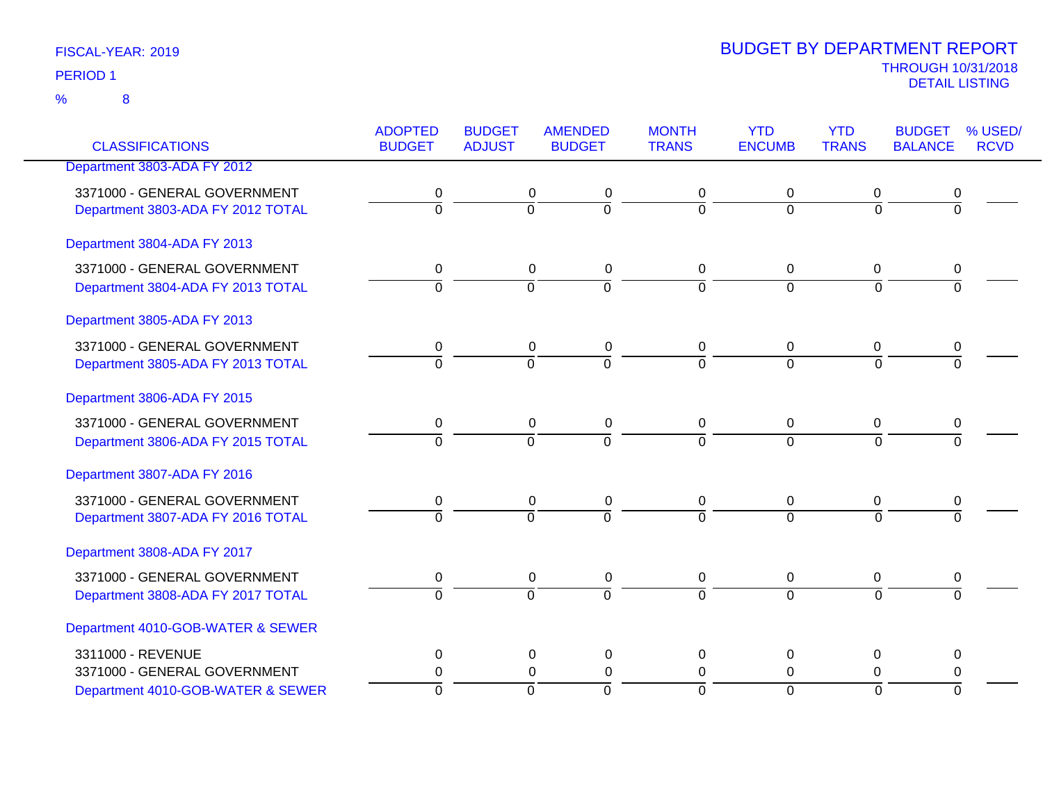### FISCAL-YEAR: 2019 8 %

| <b>CLASSIFICATIONS</b>                                            | <b>ADOPTED</b><br><b>BUDGET</b> | <b>BUDGET</b><br><b>ADJUST</b> | <b>AMENDED</b><br><b>BUDGET</b>    | <b>MONTH</b><br><b>TRANS</b> | <b>YTD</b><br><b>ENCUMB</b> | <b>YTD</b><br><b>TRANS</b> | <b>BUDGET</b><br><b>BALANCE</b> | % USED/<br><b>RCVD</b> |
|-------------------------------------------------------------------|---------------------------------|--------------------------------|------------------------------------|------------------------------|-----------------------------|----------------------------|---------------------------------|------------------------|
| Department 3803-ADA FY 2012                                       |                                 |                                |                                    |                              |                             |                            |                                 |                        |
| 3371000 - GENERAL GOVERNMENT<br>Department 3803-ADA FY 2012 TOTAL | 0<br>ō                          | 0<br>$\overline{0}$            | $\boldsymbol{0}$<br>$\overline{0}$ | 0<br>ō                       | 0<br>$\overline{0}$         | 0<br>$\overline{0}$        | 0<br>$\overline{0}$             |                        |
| Department 3804-ADA FY 2013                                       |                                 |                                |                                    |                              |                             |                            |                                 |                        |
| 3371000 - GENERAL GOVERNMENT<br>Department 3804-ADA FY 2013 TOTAL | 0<br>$\overline{0}$             | 0<br>$\overline{0}$            | $\boldsymbol{0}$<br>$\overline{0}$ | 0<br>$\overline{0}$          | 0<br>$\overline{0}$         | 0<br>$\overline{0}$        | 0<br>ō                          |                        |
| Department 3805-ADA FY 2013                                       |                                 |                                |                                    |                              |                             |                            |                                 |                        |
| 3371000 - GENERAL GOVERNMENT<br>Department 3805-ADA FY 2013 TOTAL | 0<br>$\overline{0}$             | 0<br>$\overline{0}$            | 0<br>$\overline{0}$                | 0<br>$\overline{0}$          | 0<br>$\overline{0}$         | 0<br>$\Omega$              | 0<br>$\overline{0}$             |                        |
| Department 3806-ADA FY 2015                                       |                                 |                                |                                    |                              |                             |                            |                                 |                        |
| 3371000 - GENERAL GOVERNMENT<br>Department 3806-ADA FY 2015 TOTAL | 0<br>$\overline{0}$             | 0<br>$\overline{0}$            | 0<br>$\overline{0}$                | 0<br>$\overline{0}$          | 0<br>$\overline{0}$         | 0<br>$\overline{0}$        | 0<br>$\overline{0}$             |                        |
| Department 3807-ADA FY 2016                                       |                                 |                                |                                    |                              |                             |                            |                                 |                        |
| 3371000 - GENERAL GOVERNMENT<br>Department 3807-ADA FY 2016 TOTAL | 0<br>ō                          | 0<br>$\overline{0}$            | 0<br>$\overline{0}$                | 0<br>$\overline{0}$          | 0<br>$\Omega$               | 0<br>$\overline{0}$        | 0<br>$\overline{0}$             |                        |
| Department 3808-ADA FY 2017                                       |                                 |                                |                                    |                              |                             |                            |                                 |                        |
| 3371000 - GENERAL GOVERNMENT<br>Department 3808-ADA FY 2017 TOTAL | 0<br>$\overline{0}$             | 0<br>$\overline{0}$            | 0<br>$\overline{0}$                | 0<br>$\overline{0}$          | 0<br>$\overline{0}$         | 0<br>$\overline{0}$        | 0<br>$\overline{0}$             |                        |
| Department 4010-GOB-WATER & SEWER                                 |                                 |                                |                                    |                              |                             |                            |                                 |                        |
| 3311000 - REVENUE<br>3371000 - GENERAL GOVERNMENT                 | 0<br>0                          | 0<br>0                         | $\mathbf 0$<br>$\mathbf 0$         | 0<br>0                       | 0<br>0                      | 0<br>0                     | 0                               |                        |
| Department 4010-GOB-WATER & SEWER                                 | $\mathbf 0$                     | $\Omega$                       | $\mathbf 0$                        | $\overline{0}$               | $\mathbf 0$                 | $\Omega$                   | 0<br>$\Omega$                   |                        |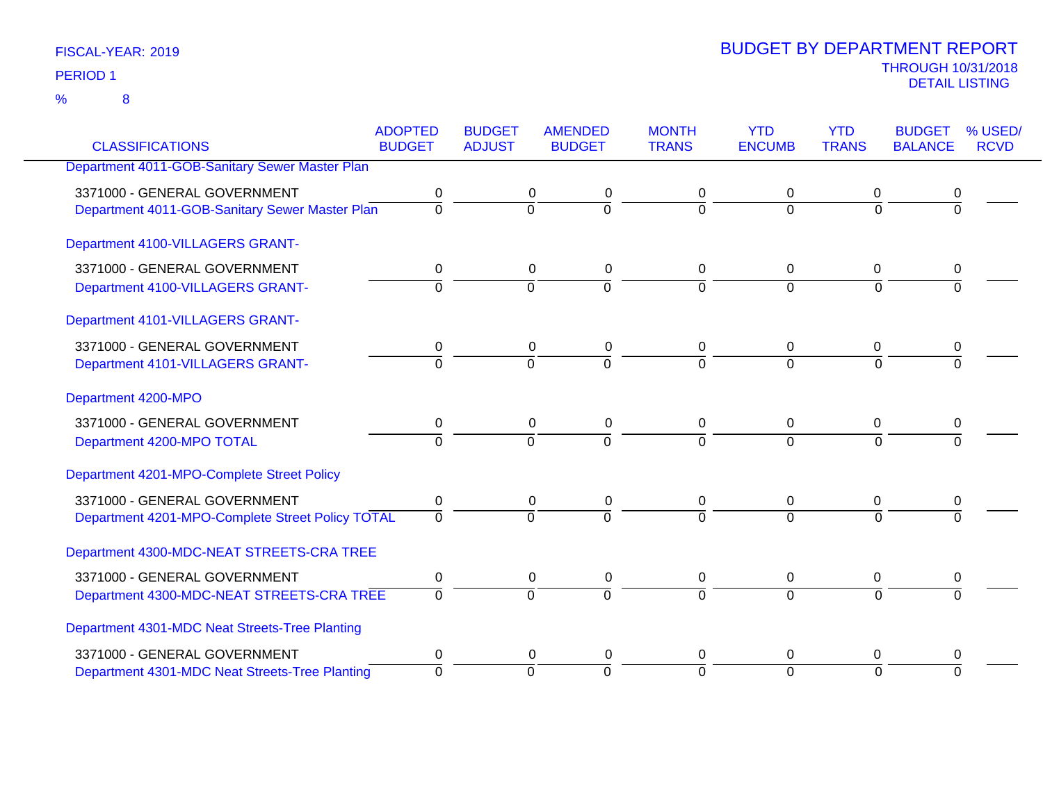|                                                  | <b>ADOPTED</b> | <b>BUDGET</b>  | <b>AMENDED</b>             | <b>MONTH</b>   | <b>YTD</b>     | <b>YTD</b>     | <b>BUDGET</b>  | % USED/     |
|--------------------------------------------------|----------------|----------------|----------------------------|----------------|----------------|----------------|----------------|-------------|
| <b>CLASSIFICATIONS</b>                           | <b>BUDGET</b>  | <b>ADJUST</b>  | <b>BUDGET</b>              | <b>TRANS</b>   | <b>ENCUMB</b>  | <b>TRANS</b>   | <b>BALANCE</b> | <b>RCVD</b> |
| Department 4011-GOB-Sanitary Sewer Master Plan   |                |                |                            |                |                |                |                |             |
| 3371000 - GENERAL GOVERNMENT                     | 0              |                | 0<br>0                     | 0              | 0              | 0              | 0              |             |
| Department 4011-GOB-Sanitary Sewer Master Plan   | $\overline{0}$ | $\overline{0}$ | 0                          | $\overline{0}$ | $\overline{0}$ | $\overline{0}$ | $\overline{0}$ |             |
| Department 4100-VILLAGERS GRANT-                 |                |                |                            |                |                |                |                |             |
| 3371000 - GENERAL GOVERNMENT                     | 0              |                | $\mathbf 0$<br>$\pmb{0}$   | 0              | 0              | 0              | 0              |             |
| Department 4100-VILLAGERS GRANT-                 | $\mathbf 0$    | $\overline{0}$ | $\overline{0}$             | $\overline{0}$ | $\overline{0}$ | $\Omega$       | 0              |             |
| Department 4101-VILLAGERS GRANT-                 |                |                |                            |                |                |                |                |             |
| 3371000 - GENERAL GOVERNMENT                     | 0              |                | 0<br>0                     | 0              | 0              | 0              |                |             |
| Department 4101-VILLAGERS GRANT-                 | $\overline{0}$ | $\overline{0}$ | $\overline{\mathfrak{o}}$  | $\overline{0}$ | $\overline{0}$ | $\Omega$       | $\Omega$       |             |
| Department 4200-MPO                              |                |                |                            |                |                |                |                |             |
| 3371000 - GENERAL GOVERNMENT                     | 0              |                | 0<br>0                     | 0              | 0              | 0              | 0              |             |
| Department 4200-MPO TOTAL                        | $\Omega$       |                | $\overline{0}$<br>$\Omega$ | $\Omega$       | $\Omega$       | $\Omega$       | 0              |             |
| Department 4201-MPO-Complete Street Policy       |                |                |                            |                |                |                |                |             |
| 3371000 - GENERAL GOVERNMENT                     | $\pmb{0}$      |                | $\pmb{0}$<br>$\pmb{0}$     | 0              | $\pmb{0}$      | $\mathbf 0$    | 0              |             |
| Department 4201-MPO-Complete Street Policy TOTAL | $\Omega$       | $\overline{0}$ | $\Omega$                   | $\Omega$       | $\Omega$       | $\Omega$       | 0              |             |
| Department 4300-MDC-NEAT STREETS-CRA TREE        |                |                |                            |                |                |                |                |             |
| 3371000 - GENERAL GOVERNMENT                     | 0              |                | $\pmb{0}$<br>0             | 0              | 0              | 0              | 0              |             |
| Department 4300-MDC-NEAT STREETS-CRA TREE        | $\overline{0}$ | $\overline{0}$ | $\overline{0}$             | $\overline{0}$ | $\overline{0}$ | $\overline{0}$ | 0              |             |
| Department 4301-MDC Neat Streets-Tree Planting   |                |                |                            |                |                |                |                |             |
| 3371000 - GENERAL GOVERNMENT                     | 0              |                | 0<br>0                     | 0              | 0              | 0              | 0              |             |
| Department 4301-MDC Neat Streets-Tree Planting   | $\Omega$       | $\overline{0}$ | $\Omega$                   | $\Omega$       | $\Omega$       | $\Omega$       | $\Omega$       |             |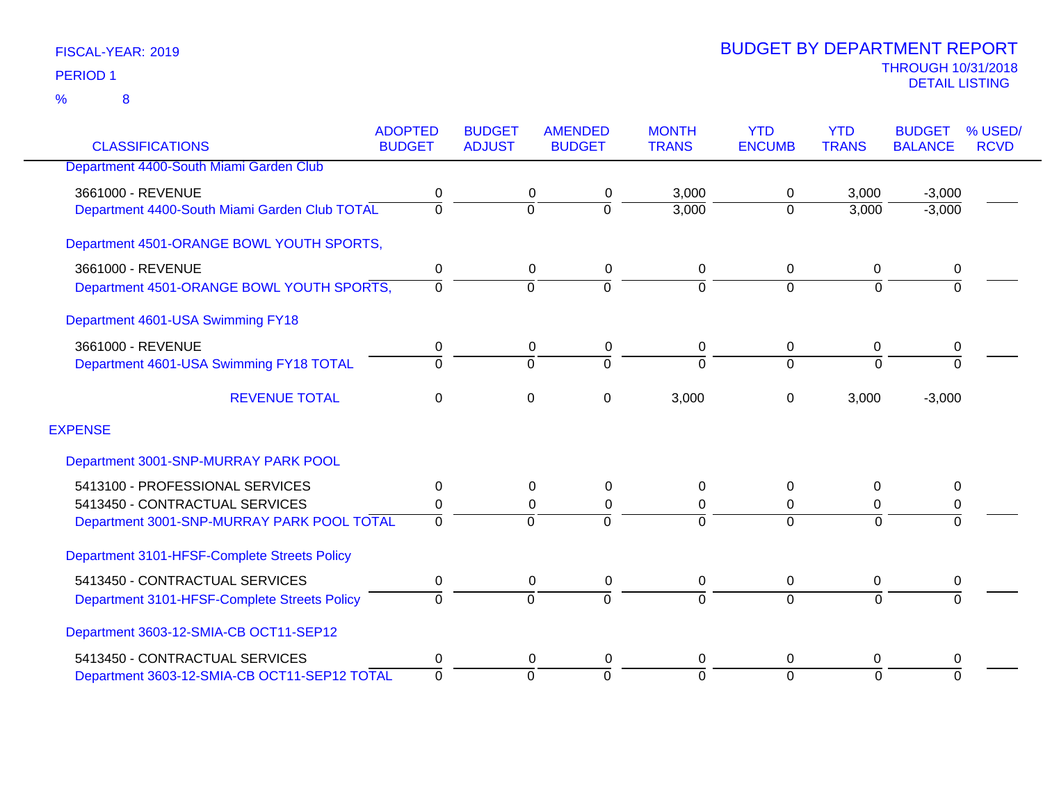| <b>CLASSIFICATIONS</b>                        | <b>ADOPTED</b><br><b>BUDGET</b> | <b>BUDGET</b><br><b>ADJUST</b> | <b>AMENDED</b><br><b>BUDGET</b> | <b>MONTH</b><br><b>TRANS</b> | <b>YTD</b><br><b>ENCUMB</b> | <b>YTD</b><br><b>TRANS</b> | <b>BUDGET</b><br><b>BALANCE</b> | % USED/<br><b>RCVD</b> |
|-----------------------------------------------|---------------------------------|--------------------------------|---------------------------------|------------------------------|-----------------------------|----------------------------|---------------------------------|------------------------|
|                                               |                                 |                                |                                 |                              |                             |                            |                                 |                        |
| Department 4400-South Miami Garden Club       |                                 |                                |                                 |                              |                             |                            |                                 |                        |
| 3661000 - REVENUE                             | 0                               | 0                              | 0                               | 3,000                        | 0                           | 3,000                      | $-3,000$                        |                        |
| Department 4400-South Miami Garden Club TOTAL | $\mathbf 0$                     | $\mathbf 0$                    | $\Omega$                        | 3,000                        | $\overline{0}$              | 3,000                      | $-3,000$                        |                        |
| Department 4501-ORANGE BOWL YOUTH SPORTS,     |                                 |                                |                                 |                              |                             |                            |                                 |                        |
| 3661000 - REVENUE                             | 0                               | 0                              | 0                               | $\pmb{0}$                    | $\mathbf 0$                 | 0                          | 0                               |                        |
| Department 4501-ORANGE BOWL YOUTH SPORTS,     | $\overline{0}$                  | $\overline{0}$                 | $\Omega$                        | $\overline{0}$               | $\Omega$                    | $\Omega$                   | $\overline{0}$                  |                        |
| Department 4601-USA Swimming FY18             |                                 |                                |                                 |                              |                             |                            |                                 |                        |
| 3661000 - REVENUE                             | 0                               | 0                              | 0                               | 0                            | 0                           | 0                          | 0                               |                        |
| Department 4601-USA Swimming FY18 TOTAL       | $\overline{0}$                  | $\Omega$                       | $\Omega$                        | $\overline{0}$               | $\overline{0}$              | $\Omega$                   | $\Omega$                        |                        |
| <b>REVENUE TOTAL</b>                          | $\pmb{0}$                       | 0                              | $\Omega$                        | 3,000                        | $\Omega$                    | 3,000                      | $-3,000$                        |                        |
| <b>EXPENSE</b>                                |                                 |                                |                                 |                              |                             |                            |                                 |                        |
| Department 3001-SNP-MURRAY PARK POOL          |                                 |                                |                                 |                              |                             |                            |                                 |                        |
| 5413100 - PROFESSIONAL SERVICES               | 0                               | 0                              | 0                               | $\mathbf 0$                  | $\mathbf{0}$                | 0                          | 0                               |                        |
| 5413450 - CONTRACTUAL SERVICES                | 0                               | 0                              | 0                               | 0                            | $\mathbf{0}$                | 0                          | 0                               |                        |
| Department 3001-SNP-MURRAY PARK POOL TOTAL    | $\Omega$                        | $\Omega$                       | $\Omega$                        | $\Omega$                     | $\Omega$                    | $\Omega$                   | $\Omega$                        |                        |
| Department 3101-HFSF-Complete Streets Policy  |                                 |                                |                                 |                              |                             |                            |                                 |                        |
| 5413450 - CONTRACTUAL SERVICES                | 0                               | 0                              | 0                               | $\mathbf 0$                  | 0                           | 0                          | 0                               |                        |
| Department 3101-HFSF-Complete Streets Policy  | 0                               | $\overline{0}$                 | $\Omega$                        | $\mathbf 0$                  | $\Omega$                    | $\mathbf 0$                | $\Omega$                        |                        |
| Department 3603-12-SMIA-CB OCT11-SEP12        |                                 |                                |                                 |                              |                             |                            |                                 |                        |
| 5413450 - CONTRACTUAL SERVICES                | 0                               | 0                              | 0                               | $\pmb{0}$                    | $\Omega$                    | 0                          | 0                               |                        |
| Department 3603-12-SMIA-CB OCT11-SEP12 TOTAL  | $\overline{0}$                  | $\Omega$                       | $\Omega$                        | $\overline{0}$               | $\Omega$                    | $\Omega$                   | $\Omega$                        |                        |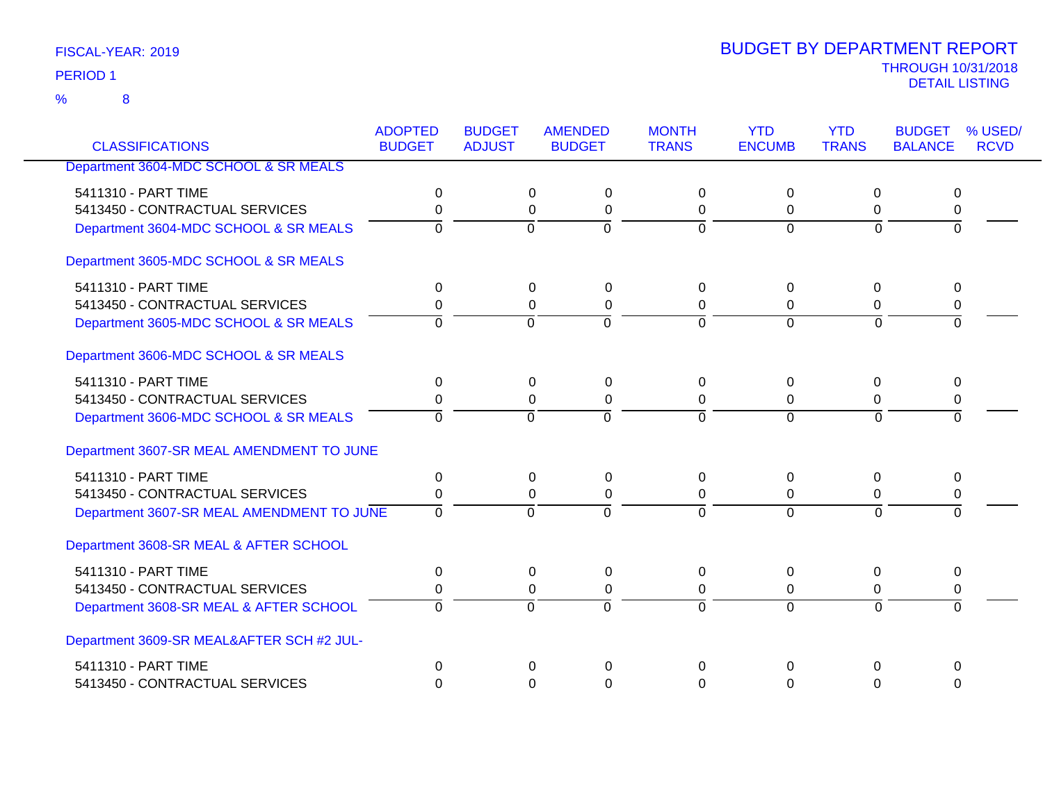8 %

| <b>CLASSIFICATIONS</b>                    | <b>ADOPTED</b><br><b>BUDGET</b> | <b>BUDGET</b><br><b>ADJUST</b> | <b>AMENDED</b><br><b>BUDGET</b> | <b>MONTH</b><br><b>TRANS</b> | <b>YTD</b><br><b>ENCUMB</b> | <b>YTD</b><br><b>TRANS</b> | <b>BUDGET</b><br><b>BALANCE</b> | % USED/<br><b>RCVD</b> |
|-------------------------------------------|---------------------------------|--------------------------------|---------------------------------|------------------------------|-----------------------------|----------------------------|---------------------------------|------------------------|
| Department 3604-MDC SCHOOL & SR MEALS     |                                 |                                |                                 |                              |                             |                            |                                 |                        |
|                                           |                                 |                                |                                 |                              |                             |                            |                                 |                        |
| 5411310 - PART TIME                       | $\Omega$                        |                                | 0<br>$\pmb{0}$                  | $\Omega$                     | $\mathbf 0$                 | 0                          | 0                               |                        |
| 5413450 - CONTRACTUAL SERVICES            | 0                               |                                | $\mathbf 0$<br>0                | 0                            | 0                           | 0                          | 0                               |                        |
| Department 3604-MDC SCHOOL & SR MEALS     | $\Omega$                        | $\mathbf 0$                    | $\mathbf 0$                     | $\Omega$                     | $\Omega$                    | $\Omega$                   | $\Omega$                        |                        |
| Department 3605-MDC SCHOOL & SR MEALS     |                                 |                                |                                 |                              |                             |                            |                                 |                        |
| 5411310 - PART TIME                       | 0                               |                                | 0<br>0                          | $\Omega$                     | $\Omega$                    | 0                          | 0                               |                        |
| 5413450 - CONTRACTUAL SERVICES            | 0                               |                                | $\pmb{0}$<br>0                  | 0                            | 0                           | 0                          | 0                               |                        |
| Department 3605-MDC SCHOOL & SR MEALS     | $\mathbf 0$                     | $\Omega$                       | $\Omega$                        | $\Omega$                     | $\Omega$                    | $\Omega$                   | $\Omega$                        |                        |
| Department 3606-MDC SCHOOL & SR MEALS     |                                 |                                |                                 |                              |                             |                            |                                 |                        |
| 5411310 - PART TIME                       | 0                               |                                | 0<br>$\pmb{0}$                  | $\Omega$                     | 0                           | 0                          | 0                               |                        |
| 5413450 - CONTRACTUAL SERVICES            | 0                               |                                | $\Omega$<br>0                   | $\Omega$                     | $\Omega$                    | $\Omega$                   | 0                               |                        |
| Department 3606-MDC SCHOOL & SR MEALS     | $\Omega$                        | $\Omega$                       | $\Omega$                        | $\Omega$                     | $\Omega$                    | $\Omega$                   | $\Omega$                        |                        |
| Department 3607-SR MEAL AMENDMENT TO JUNE |                                 |                                |                                 |                              |                             |                            |                                 |                        |
| 5411310 - PART TIME                       | 0                               |                                | $\Omega$<br>0                   | $\Omega$                     | $\Omega$                    | 0                          | 0                               |                        |
| 5413450 - CONTRACTUAL SERVICES            | 0                               |                                | 0<br>0                          | 0                            | 0                           | 0                          | 0                               |                        |
| Department 3607-SR MEAL AMENDMENT TO JUNE | $\overline{0}$                  | $\Omega$                       | $\overline{0}$                  | $\Omega$                     | $\overline{0}$              | $\Omega$                   | $\Omega$                        |                        |
| Department 3608-SR MEAL & AFTER SCHOOL    |                                 |                                |                                 |                              |                             |                            |                                 |                        |
| 5411310 - PART TIME                       | 0                               |                                | 0<br>0                          | $\Omega$                     | 0                           | 0                          | 0                               |                        |
| 5413450 - CONTRACTUAL SERVICES            | 0                               |                                | 0<br>$\pmb{0}$                  | 0                            | 0                           | 0                          | 0                               |                        |
| Department 3608-SR MEAL & AFTER SCHOOL    | $\Omega$                        | $\overline{0}$                 | $\overline{0}$                  | $\Omega$                     | $\overline{0}$              | $\Omega$                   | $\overline{0}$                  |                        |
| Department 3609-SR MEAL&AFTER SCH #2 JUL- |                                 |                                |                                 |                              |                             |                            |                                 |                        |
| 5411310 - PART TIME                       | $\mathbf 0$                     |                                | $\Omega$<br>$\Omega$            | 0                            | $\Omega$                    | 0                          | 0                               |                        |
| 5413450 - CONTRACTUAL SERVICES            | $\Omega$                        |                                | $\Omega$<br>$\Omega$            | $\Omega$                     | $\Omega$                    | $\Omega$                   | $\Omega$                        |                        |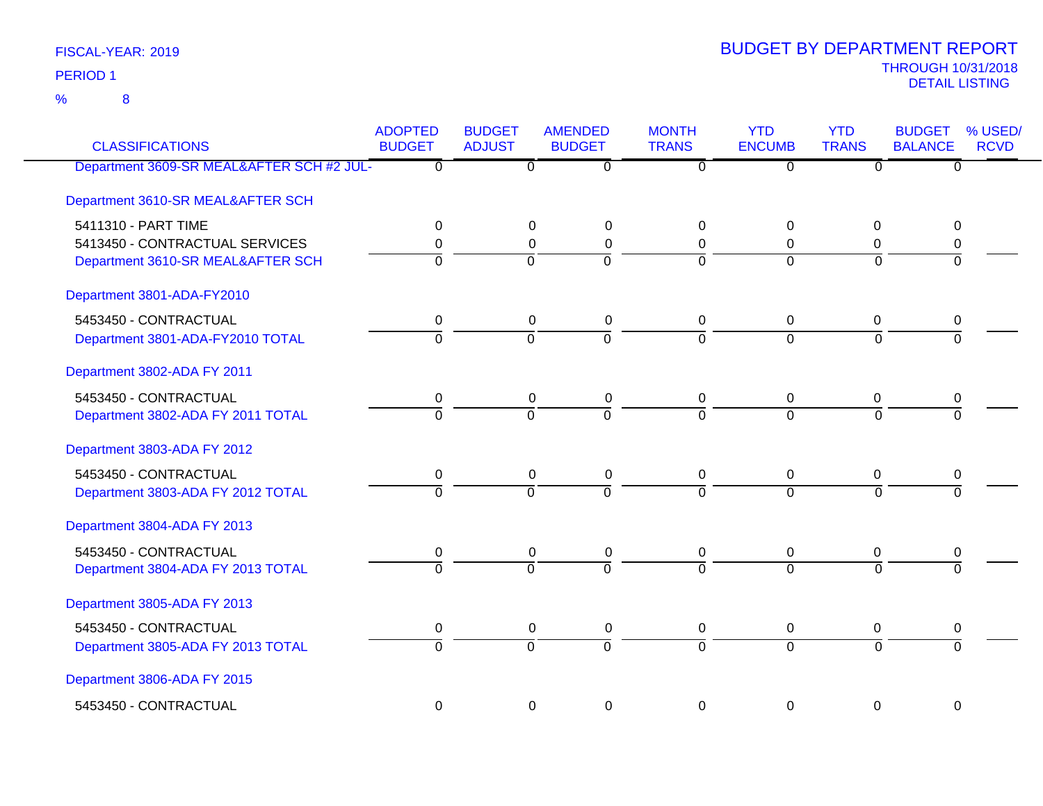8 %

| <b>CLASSIFICATIONS</b>                    | <b>ADOPTED</b><br><b>BUDGET</b> | <b>BUDGET</b><br><b>ADJUST</b> | <b>AMENDED</b><br><b>BUDGET</b> | <b>MONTH</b><br><b>TRANS</b> | <b>YTD</b><br><b>ENCUMB</b> | <b>YTD</b><br><b>TRANS</b> | <b>BUDGET</b><br><b>BALANCE</b> | % USED/<br><b>RCVD</b> |
|-------------------------------------------|---------------------------------|--------------------------------|---------------------------------|------------------------------|-----------------------------|----------------------------|---------------------------------|------------------------|
| Department 3609-SR MEAL&AFTER SCH #2 JUL- | $\overline{0}$                  | $\overline{\mathfrak{o}}$      | $\overline{0}$                  | $\overline{0}$               | $\overline{0}$              | ত                          | $\overline{0}$                  |                        |
| Department 3610-SR MEAL&AFTER SCH         |                                 |                                |                                 |                              |                             |                            |                                 |                        |
| 5411310 - PART TIME                       | 0                               | 0                              | 0                               | $\Omega$                     | 0                           | 0                          | 0                               |                        |
| 5413450 - CONTRACTUAL SERVICES            | 0                               | 0                              | $\mathbf 0$                     | 0                            | $\Omega$                    | $\Omega$                   | 0                               |                        |
| Department 3610-SR MEAL&AFTER SCH         | $\overline{0}$                  | $\overline{0}$                 | 0                               | $\Omega$                     | $\overline{0}$              | $\overline{0}$             | ō                               |                        |
| Department 3801-ADA-FY2010                |                                 |                                |                                 |                              |                             |                            |                                 |                        |
| 5453450 - CONTRACTUAL                     | $\mathbf 0$                     | $\pmb{0}$                      | $\pmb{0}$                       | $\pmb{0}$                    | $\pmb{0}$                   | $\overline{0}$             | $\pmb{0}$                       |                        |
| Department 3801-ADA-FY2010 TOTAL          | $\Omega$                        | $\overline{0}$                 | $\overline{0}$                  | $\Omega$                     | $\overline{0}$              | $\Omega$                   | $\overline{0}$                  |                        |
| Department 3802-ADA FY 2011               |                                 |                                |                                 |                              |                             |                            |                                 |                        |
| 5453450 - CONTRACTUAL                     | $\pmb{0}$                       | $\pmb{0}$                      | $\pmb{0}$                       | $\pmb{0}$                    | $\mathbf 0$                 | $\mathbf 0$                | 0                               |                        |
| Department 3802-ADA FY 2011 TOTAL         | $\overline{0}$                  | $\overline{0}$                 | $\overline{0}$                  | $\overline{0}$               | $\overline{0}$              | $\overline{0}$             | $\overline{0}$                  |                        |
| Department 3803-ADA FY 2012               |                                 |                                |                                 |                              |                             |                            |                                 |                        |
| 5453450 - CONTRACTUAL                     | 0                               | $\mathbf 0$                    | $\pmb{0}$                       | 0                            | $\mathbf 0$                 | $\mathbf 0$                | 0                               |                        |
| Department 3803-ADA FY 2012 TOTAL         | $\overline{0}$                  | $\overline{0}$                 | $\overline{0}$                  | $\overline{0}$               | $\overline{0}$              | $\overline{0}$             | $\overline{0}$                  |                        |
| Department 3804-ADA FY 2013               |                                 |                                |                                 |                              |                             |                            |                                 |                        |
| 5453450 - CONTRACTUAL                     | $\pmb{0}$                       | $\pmb{0}$                      | $\pmb{0}$                       | 0                            | $\mathbf 0$                 | $\mathbf 0$                | 0                               |                        |
| Department 3804-ADA FY 2013 TOTAL         | $\Omega$                        | $\overline{0}$                 | $\overline{0}$                  | $\overline{0}$               | $\overline{0}$              | $\Omega$                   | $\Omega$                        |                        |
| Department 3805-ADA FY 2013               |                                 |                                |                                 |                              |                             |                            |                                 |                        |
| 5453450 - CONTRACTUAL                     | 0                               | $\pmb{0}$                      | $\pmb{0}$                       | $\mathbf 0$                  | $\pmb{0}$                   | 0                          | 0                               |                        |
| Department 3805-ADA FY 2013 TOTAL         | $\overline{0}$                  | $\overline{0}$                 | $\overline{0}$                  | $\overline{0}$               | $\overline{0}$              | $\overline{0}$             | $\overline{0}$                  |                        |
| Department 3806-ADA FY 2015               |                                 |                                |                                 |                              |                             |                            |                                 |                        |
| 5453450 - CONTRACTUAL                     | $\mathbf 0$                     | $\mathbf 0$                    | $\mathbf 0$                     | $\Omega$                     | 0                           | $\mathbf 0$                | 0                               |                        |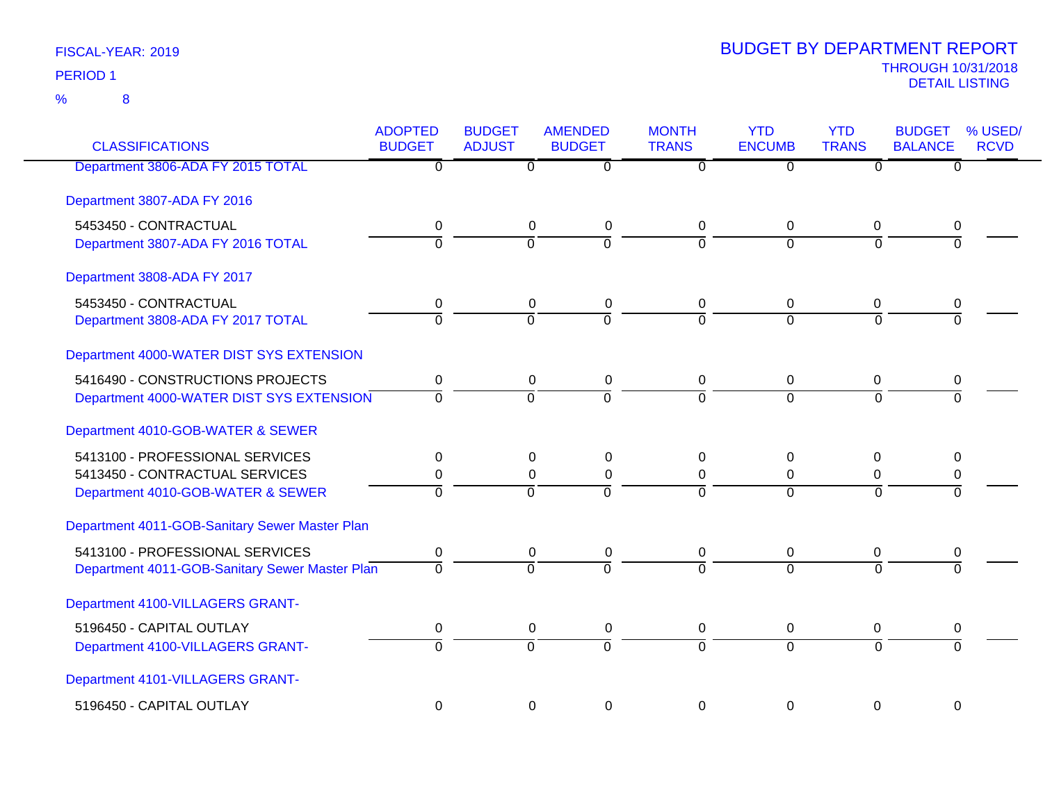| <b>CLASSIFICATIONS</b>                                                                                 | <b>ADOPTED</b><br><b>BUDGET</b> | <b>BUDGET</b><br><b>ADJUST</b> | <b>AMENDED</b><br><b>BUDGET</b>          | <b>MONTH</b><br><b>TRANS</b> | <b>YTD</b><br><b>ENCUMB</b>  | <b>YTD</b><br><b>TRANS</b>          | <b>BUDGET</b><br><b>BALANCE</b> | % USED/<br><b>RCVD</b> |
|--------------------------------------------------------------------------------------------------------|---------------------------------|--------------------------------|------------------------------------------|------------------------------|------------------------------|-------------------------------------|---------------------------------|------------------------|
| Department 3806-ADA FY 2015 TOTAL                                                                      | 0                               | $\overline{0}$                 | $\overline{0}$                           | $\overline{0}$               | $\overline{0}$               | $\overline{0}$                      | $\overline{0}$                  |                        |
| Department 3807-ADA FY 2016                                                                            |                                 |                                |                                          |                              |                              |                                     |                                 |                        |
| 5453450 - CONTRACTUAL<br>Department 3807-ADA FY 2016 TOTAL                                             | 0<br>$\overline{0}$             | $\mathbf 0$<br>$\mathbf 0$     | $\mathbf 0$<br>ō                         | 0<br>$\overline{0}$          | $\Omega$<br>$\Omega$         | $\mathbf 0$<br>$\Omega$             | 0<br>$\Omega$                   |                        |
| Department 3808-ADA FY 2017                                                                            |                                 |                                |                                          |                              |                              |                                     |                                 |                        |
| 5453450 - CONTRACTUAL<br>Department 3808-ADA FY 2017 TOTAL                                             | 0<br>$\overline{0}$             | 0<br>$\Omega$                  | 0<br>$\overline{0}$                      | 0<br>$\Omega$                | 0<br>$\Omega$                | 0<br>$\Omega$                       | 0<br>$\overline{0}$             |                        |
| Department 4000-WATER DIST SYS EXTENSION                                                               |                                 |                                |                                          |                              |                              |                                     |                                 |                        |
| 5416490 - CONSTRUCTIONS PROJECTS<br>Department 4000-WATER DIST SYS EXTENSION                           | 0<br>$\Omega$                   | $\mathbf 0$<br>$\overline{0}$  | $\pmb{0}$<br>$\overline{0}$              | $\overline{0}$<br>$\Omega$   | $\mathbf 0$<br>$\Omega$      | $\mathbf 0$<br>$\Omega$             | 0<br>$\Omega$                   |                        |
| Department 4010-GOB-WATER & SEWER                                                                      |                                 |                                |                                          |                              |                              |                                     |                                 |                        |
| 5413100 - PROFESSIONAL SERVICES<br>5413450 - CONTRACTUAL SERVICES<br>Department 4010-GOB-WATER & SEWER | 0<br>0<br>$\Omega$              | 0<br>$\pmb{0}$<br>$\Omega$     | $\Omega$<br>$\boldsymbol{0}$<br>$\Omega$ | 0<br>$\mathbf 0$<br>$\Omega$ | 0<br>$\mathbf 0$<br>$\Omega$ | $\Omega$<br>$\mathbf 0$<br>$\Omega$ | 0<br>$\pmb{0}$<br>$\Omega$      |                        |
| Department 4011-GOB-Sanitary Sewer Master Plan                                                         |                                 |                                |                                          |                              |                              |                                     |                                 |                        |
| 5413100 - PROFESSIONAL SERVICES<br>Department 4011-GOB-Sanitary Sewer Master Plan                      | 0<br>$\overline{0}$             | 0<br>$\Omega$                  | 0<br>$\overline{0}$                      | 0<br>$\overline{0}$          | 0<br>$\Omega$                | 0<br>$\overline{0}$                 | 0<br>$\overline{0}$             |                        |
| Department 4100-VILLAGERS GRANT-                                                                       |                                 |                                |                                          |                              |                              |                                     |                                 |                        |
| 5196450 - CAPITAL OUTLAY<br>Department 4100-VILLAGERS GRANT-                                           | $\mathbf 0$<br>$\overline{0}$   | $\mathbf 0$<br>$\overline{0}$  | $\mathbf 0$<br>$\overline{0}$            | $\mathbf 0$<br>$\Omega$      | 0<br>$\Omega$                | 0<br>$\Omega$                       | 0<br>$\Omega$                   |                        |
| Department 4101-VILLAGERS GRANT-                                                                       |                                 |                                |                                          |                              |                              |                                     |                                 |                        |
| 5196450 - CAPITAL OUTLAY                                                                               | $\mathbf 0$                     | $\mathbf 0$                    | $\mathbf 0$                              | $\mathbf 0$                  | 0                            | $\mathbf 0$                         | $\mathbf 0$                     |                        |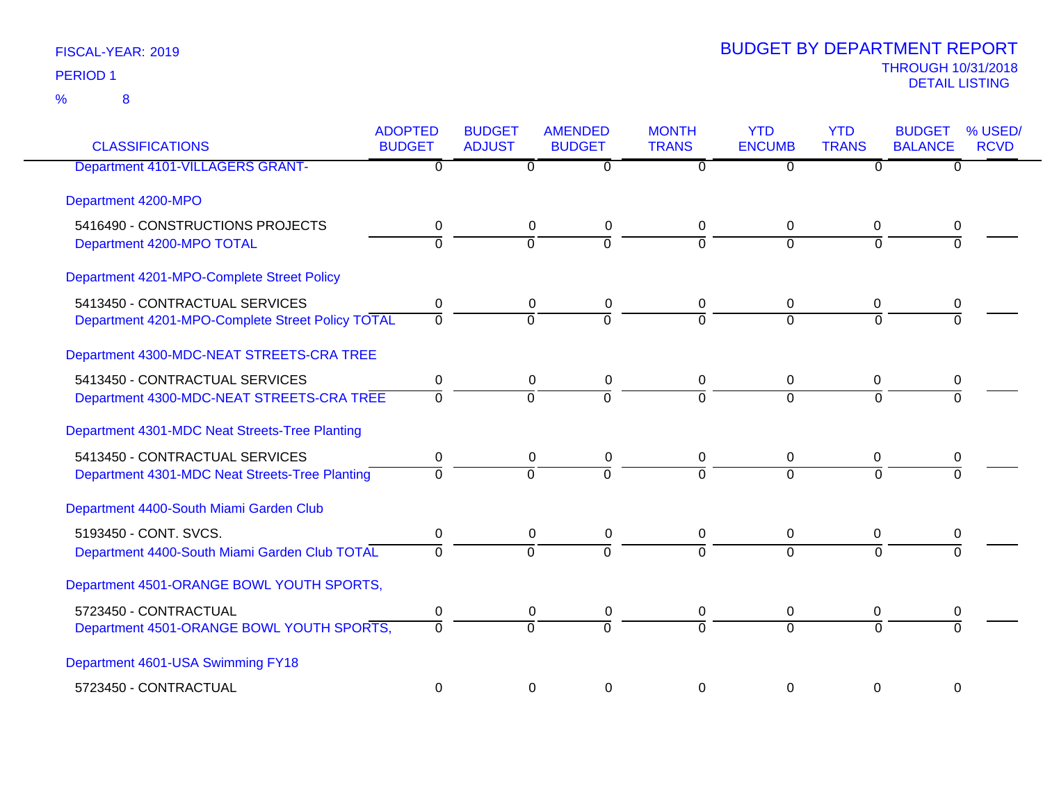| <b>CLASSIFICATIONS</b>                           | <b>ADOPTED</b><br><b>BUDGET</b> | <b>BUDGET</b><br><b>ADJUST</b> | <b>AMENDED</b><br><b>BUDGET</b> | <b>MONTH</b><br><b>TRANS</b> | <b>YTD</b><br><b>ENCUMB</b> | <b>YTD</b><br><b>TRANS</b> | <b>BUDGET</b><br><b>BALANCE</b> | % USED/<br><b>RCVD</b> |
|--------------------------------------------------|---------------------------------|--------------------------------|---------------------------------|------------------------------|-----------------------------|----------------------------|---------------------------------|------------------------|
| <b>Department 4101-VILLAGERS GRANT-</b>          | 0                               | 0                              | 0                               | 0                            | $\overline{0}$              | $\mathbf{0}$               | 0                               |                        |
| Department 4200-MPO                              |                                 |                                |                                 |                              |                             |                            |                                 |                        |
| 5416490 - CONSTRUCTIONS PROJECTS                 | 0                               | $\mathbf 0$                    | 0                               | 0                            | 0                           | 0                          | 0                               |                        |
| Department 4200-MPO TOTAL                        | $\overline{0}$                  | $\Omega$                       | $\overline{0}$                  | $\Omega$                     | $\Omega$                    | $\Omega$                   | $\Omega$                        |                        |
| Department 4201-MPO-Complete Street Policy       |                                 |                                |                                 |                              |                             |                            |                                 |                        |
| 5413450 - CONTRACTUAL SERVICES                   | 0                               | 0                              | 0                               | 0                            | 0                           | 0                          | 0                               |                        |
| Department 4201-MPO-Complete Street Policy TOTAL | $\Omega$                        | $\Omega$                       | $\Omega$                        | $\Omega$                     | $\Omega$                    | $\Omega$                   | $\Omega$                        |                        |
| Department 4300-MDC-NEAT STREETS-CRA TREE        |                                 |                                |                                 |                              |                             |                            |                                 |                        |
| 5413450 - CONTRACTUAL SERVICES                   | 0                               | $\mathbf 0$                    | 0                               | 0                            | 0                           | 0                          | 0                               |                        |
| Department 4300-MDC-NEAT STREETS-CRA TREE        | $\Omega$                        | $\Omega$                       | $\Omega$                        | $\Omega$                     | $\Omega$                    | $\Omega$                   | $\Omega$                        |                        |
| Department 4301-MDC Neat Streets-Tree Planting   |                                 |                                |                                 |                              |                             |                            |                                 |                        |
| 5413450 - CONTRACTUAL SERVICES                   | 0                               | $\mathbf 0$                    | 0                               | 0                            | 0                           | 0                          |                                 |                        |
| Department 4301-MDC Neat Streets-Tree Planting   | $\Omega$                        | $\Omega$                       | $\Omega$                        | $\Omega$                     | $\Omega$                    | $\Omega$                   | $\Omega$                        |                        |
| Department 4400-South Miami Garden Club          |                                 |                                |                                 |                              |                             |                            |                                 |                        |
| 5193450 - CONT. SVCS.                            | $\pmb{0}$                       | $\mathbf 0$                    | 0                               | 0                            | 0                           | 0                          | 0                               |                        |
| Department 4400-South Miami Garden Club TOTAL    | $\Omega$                        | $\overline{0}$                 | $\Omega$                        | $\Omega$                     | $\Omega$                    | $\Omega$                   | $\Omega$                        |                        |
| Department 4501-ORANGE BOWL YOUTH SPORTS,        |                                 |                                |                                 |                              |                             |                            |                                 |                        |
| 5723450 - CONTRACTUAL                            | 0                               |                                | $\boldsymbol{0}$<br>0           | 0                            | 0                           | 0                          | 0                               |                        |
| Department 4501-ORANGE BOWL YOUTH SPORTS,        | $\Omega$                        | $\Omega$                       | $\Omega$                        | $\Omega$                     | $\overline{0}$              | $\Omega$                   | $\Omega$                        |                        |
| Department 4601-USA Swimming FY18                |                                 |                                |                                 |                              |                             |                            |                                 |                        |
| 5723450 - CONTRACTUAL                            | 0                               |                                | 0<br>0                          | 0                            | 0                           | 0                          | 0                               |                        |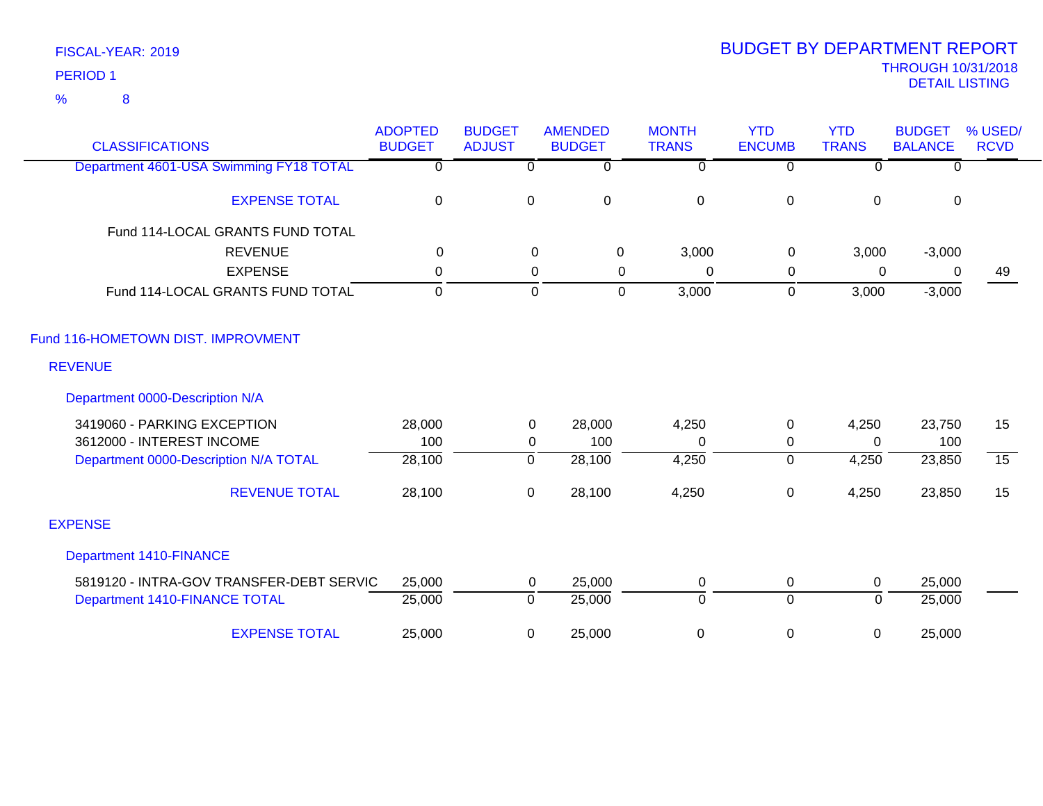| <b>CLASSIFICATIONS</b>                   | <b>ADOPTED</b><br><b>BUDGET</b> | <b>BUDGET</b><br><b>ADJUST</b> | <b>AMENDED</b><br><b>BUDGET</b> | <b>MONTH</b><br><b>TRANS</b> | <b>YTD</b><br><b>ENCUMB</b> | <b>YTD</b><br><b>TRANS</b> | <b>BUDGET</b><br><b>BALANCE</b> | % USED/<br><b>RCVD</b> |
|------------------------------------------|---------------------------------|--------------------------------|---------------------------------|------------------------------|-----------------------------|----------------------------|---------------------------------|------------------------|
| Department 4601-USA Swimming FY18 TOTAL  | $\Omega$                        | $\Omega$                       | $\Omega$                        | $\Omega$                     | $\Omega$                    | $\Omega$                   | $\Omega$                        |                        |
| <b>EXPENSE TOTAL</b>                     | $\mathbf 0$                     | $\mathbf 0$                    | $\pmb{0}$                       | $\mathbf 0$                  | $\pmb{0}$                   | $\mathbf 0$                | $\mathbf 0$                     |                        |
| Fund 114-LOCAL GRANTS FUND TOTAL         |                                 |                                |                                 |                              |                             |                            |                                 |                        |
| <b>REVENUE</b>                           | 0                               |                                | 0<br>0                          | 3,000                        | $\mathbf 0$                 | 3,000                      | $-3,000$                        |                        |
| <b>EXPENSE</b>                           | $\mathbf{0}$                    |                                | 0<br>0                          | $\mathbf{0}$                 | 0                           | 0                          | 0                               | 49                     |
| Fund 114-LOCAL GRANTS FUND TOTAL         | $\mathbf 0$                     |                                | $\mathbf 0$<br>$\Omega$         | 3,000                        | $\mathbf 0$                 | 3,000                      | $-3,000$                        |                        |
| Fund 116-HOMETOWN DIST. IMPROVMENT       |                                 |                                |                                 |                              |                             |                            |                                 |                        |
| <b>REVENUE</b>                           |                                 |                                |                                 |                              |                             |                            |                                 |                        |
| Department 0000-Description N/A          |                                 |                                |                                 |                              |                             |                            |                                 |                        |
| 3419060 - PARKING EXCEPTION              | 28,000                          | $\mathbf 0$                    | 28,000                          | 4,250                        | $\mathbf 0$                 | 4,250                      | 23,750                          | 15                     |
| 3612000 - INTEREST INCOME                | 100                             | 0                              | 100                             | $\Omega$                     | 0                           | $\Omega$                   | 100                             |                        |
| Department 0000-Description N/A TOTAL    | 28,100                          | $\Omega$                       | 28,100                          | 4,250                        | $\overline{0}$              | 4,250                      | 23,850                          | $\overline{15}$        |
| <b>REVENUE TOTAL</b>                     | 28,100                          | 0                              | 28,100                          | 4,250                        | $\pmb{0}$                   | 4,250                      | 23,850                          | 15                     |
| <b>EXPENSE</b>                           |                                 |                                |                                 |                              |                             |                            |                                 |                        |
| <b>Department 1410-FINANCE</b>           |                                 |                                |                                 |                              |                             |                            |                                 |                        |
| 5819120 - INTRA-GOV TRANSFER-DEBT SERVIC | 25,000                          | $\mathbf 0$                    | 25,000                          | 0                            | $\mathbf 0$                 | $\mathbf 0$                | 25,000                          |                        |
| Department 1410-FINANCE TOTAL            | 25,000                          | $\overline{0}$                 | 25,000                          | $\overline{0}$               | $\overline{0}$              | $\mathbf 0$                | 25,000                          |                        |
| <b>EXPENSE TOTAL</b>                     | 25,000                          | 0                              | 25,000                          | 0                            | 0                           | 0                          | 25,000                          |                        |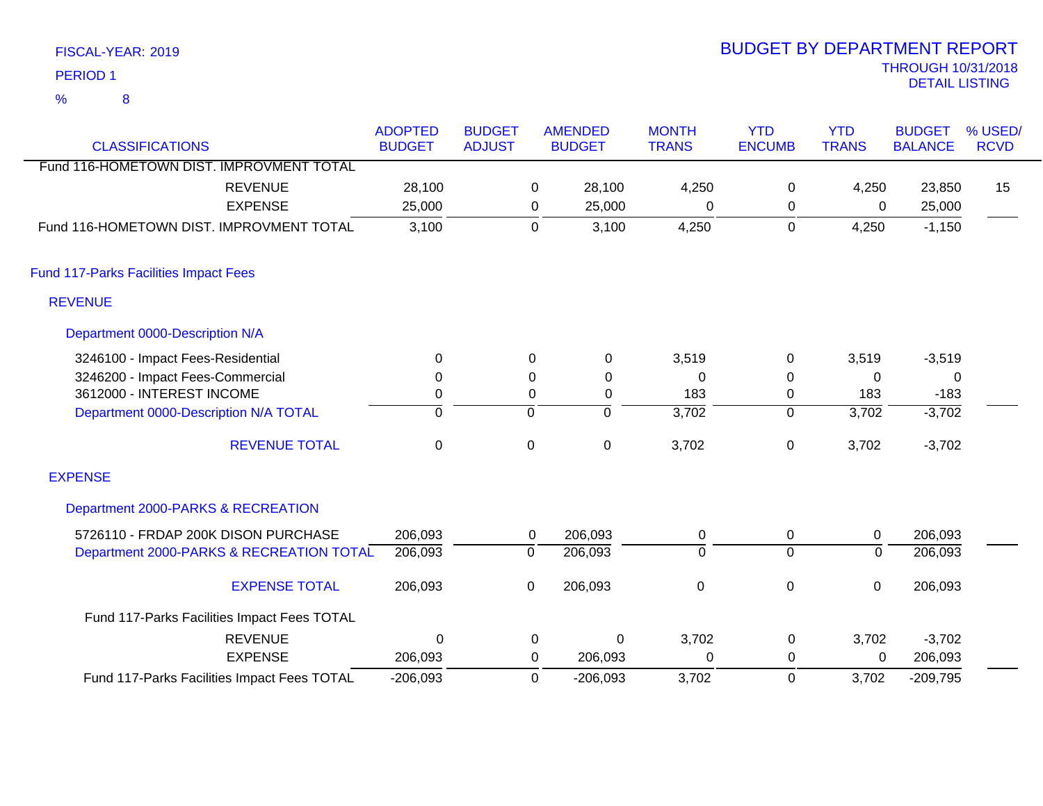| FISCAL-YEAR: 2019 |   |  |  |  |
|-------------------|---|--|--|--|
| <b>PERIOD 1</b>   |   |  |  |  |
| %                 | 8 |  |  |  |

| <b>CLASSIFICATIONS</b>                       | <b>ADOPTED</b><br><b>BUDGET</b> | <b>BUDGET</b><br><b>ADJUST</b> | <b>AMENDED</b><br><b>BUDGET</b> | <b>MONTH</b><br><b>TRANS</b> | <b>YTD</b><br><b>ENCUMB</b> | <b>YTD</b><br><b>TRANS</b> | <b>BUDGET</b><br><b>BALANCE</b> | % USED/<br><b>RCVD</b> |
|----------------------------------------------|---------------------------------|--------------------------------|---------------------------------|------------------------------|-----------------------------|----------------------------|---------------------------------|------------------------|
| Fund 116-HOMETOWN DIST. IMPROVMENT TOTAL     |                                 |                                |                                 |                              |                             |                            |                                 |                        |
| <b>REVENUE</b>                               | 28,100                          |                                | 28,100<br>0                     | 4,250                        | 0                           | 4,250                      | 23,850                          | 15                     |
| <b>EXPENSE</b>                               | 25,000                          |                                | 25,000<br>0                     | 0                            | 0                           | 0                          | 25,000                          |                        |
| Fund 116-HOMETOWN DIST. IMPROVMENT TOTAL     | 3,100                           |                                | 3,100<br>$\mathbf 0$            | 4,250                        | $\boldsymbol{0}$            | 4,250                      | $-1,150$                        |                        |
| <b>Fund 117-Parks Facilities Impact Fees</b> |                                 |                                |                                 |                              |                             |                            |                                 |                        |
| <b>REVENUE</b>                               |                                 |                                |                                 |                              |                             |                            |                                 |                        |
| Department 0000-Description N/A              |                                 |                                |                                 |                              |                             |                            |                                 |                        |
| 3246100 - Impact Fees-Residential            | $\mathbf{0}$                    |                                | 0<br>0                          | 3,519                        | 0                           | 3,519                      | $-3,519$                        |                        |
| 3246200 - Impact Fees-Commercial             | 0                               |                                | $\mathbf 0$<br>0                | $\Omega$                     | $\mathbf 0$                 | $\Omega$                   | 0                               |                        |
| 3612000 - INTEREST INCOME                    | $\mathbf 0$                     |                                | 0<br>0                          | 183                          | $\boldsymbol{0}$            | 183                        | $-183$                          |                        |
| Department 0000-Description N/A TOTAL        | $\mathbf 0$                     | $\mathbf 0$                    | ō                               | 3,702                        | $\overline{0}$              | 3,702                      | $-3,702$                        |                        |
| <b>REVENUE TOTAL</b>                         | $\mathbf 0$                     | $\pmb{0}$                      | $\boldsymbol{0}$                | 3,702                        | $\pmb{0}$                   | 3,702                      | $-3,702$                        |                        |
| <b>EXPENSE</b>                               |                                 |                                |                                 |                              |                             |                            |                                 |                        |
| Department 2000-PARKS & RECREATION           |                                 |                                |                                 |                              |                             |                            |                                 |                        |
| 5726110 - FRDAP 200K DISON PURCHASE          | 206,093                         |                                | 206,093<br>0                    | 0                            | 0                           | $\mathbf 0$                | 206,093                         |                        |
| Department 2000-PARKS & RECREATION TOTAL     | 206,093                         | $\overline{0}$                 | 206,093                         | $\overline{0}$               | $\overline{0}$              | $\overline{0}$             | 206,093                         |                        |
| <b>EXPENSE TOTAL</b>                         | 206,093                         | 0                              | 206,093                         | $\mathbf 0$                  | $\pmb{0}$                   | $\mathbf 0$                | 206,093                         |                        |
| Fund 117-Parks Facilities Impact Fees TOTAL  |                                 |                                |                                 |                              |                             |                            |                                 |                        |
| <b>REVENUE</b>                               | $\Omega$                        |                                | 0                               | 3,702<br>$\Omega$            | 0                           | 3,702                      | $-3,702$                        |                        |
| <b>EXPENSE</b>                               | 206,093                         |                                | 0<br>206,093                    | 0                            | 0                           | $\mathbf 0$                | 206,093                         |                        |
| Fund 117-Parks Facilities Impact Fees TOTAL  | $-206,093$                      |                                | 0<br>$-206,093$                 | 3,702                        | 0                           | 3,702                      | $-209,795$                      |                        |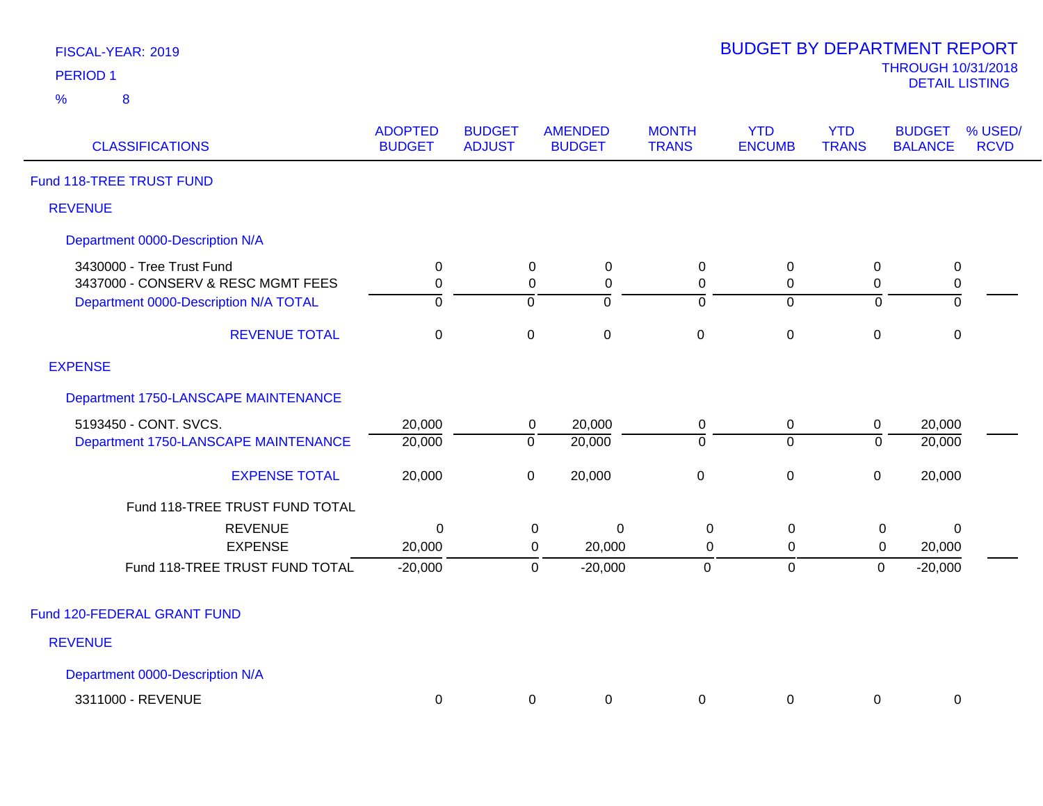| FISCAL-YEAR: 2019 |   |  |  |  |  |  |  |  |  |
|-------------------|---|--|--|--|--|--|--|--|--|
| <b>PERIOD 1</b>   |   |  |  |  |  |  |  |  |  |
| $\%$              | 8 |  |  |  |  |  |  |  |  |

| <b>CLASSIFICATIONS</b>                                             | <b>ADOPTED</b><br><b>BUDGET</b>    | <b>BUDGET</b><br><b>ADJUST</b>        | <b>AMENDED</b><br><b>BUDGET</b>                                                    | <b>MONTH</b><br><b>TRANS</b>     | <b>YTD</b><br><b>ENCUMB</b>   | <b>YTD</b><br><b>TRANS</b>            | <b>BUDGET</b><br><b>BALANCE</b>            | % USED/<br><b>RCVD</b> |
|--------------------------------------------------------------------|------------------------------------|---------------------------------------|------------------------------------------------------------------------------------|----------------------------------|-------------------------------|---------------------------------------|--------------------------------------------|------------------------|
| Fund 118-TREE TRUST FUND                                           |                                    |                                       |                                                                                    |                                  |                               |                                       |                                            |                        |
| <b>REVENUE</b>                                                     |                                    |                                       |                                                                                    |                                  |                               |                                       |                                            |                        |
| Department 0000-Description N/A                                    |                                    |                                       |                                                                                    |                                  |                               |                                       |                                            |                        |
| 3430000 - Tree Trust Fund<br>3437000 - CONSERV & RESC MGMT FEES    | $\mathbf 0$<br>0                   | $\overline{0}$<br>0<br>$\overline{0}$ | $\mathbf 0$<br>$\pmb{0}$<br>$\overline{0}$                                         | 0<br>0<br>$\overline{0}$         | 0<br>0                        | $\mathbf 0$<br>0<br>$\overline{0}$    | $\mathbf 0$<br>$\pmb{0}$<br>$\overline{0}$ |                        |
| Department 0000-Description N/A TOTAL<br><b>REVENUE TOTAL</b>      | $\overline{0}$<br>$\boldsymbol{0}$ | $\pmb{0}$                             | $\pmb{0}$                                                                          | $\mathsf{O}\xspace$              | $\mathbf 0$<br>0              | $\pmb{0}$                             | $\pmb{0}$                                  |                        |
| <b>EXPENSE</b>                                                     |                                    |                                       |                                                                                    |                                  |                               |                                       |                                            |                        |
| Department 1750-LANSCAPE MAINTENANCE                               |                                    |                                       |                                                                                    |                                  |                               |                                       |                                            |                        |
| 5193450 - CONT. SVCS.<br>Department 1750-LANSCAPE MAINTENANCE      | 20,000<br>20,000                   | $\overline{0}$                        | 20,000<br>$\mathbf 0$<br>20,000                                                    | 0<br>$\overline{0}$              | $\mathbf 0$<br>$\overline{0}$ | $\mathsf{O}\xspace$<br>$\overline{0}$ | 20,000<br>20,000                           |                        |
| <b>EXPENSE TOTAL</b>                                               | 20,000                             | $\mathbf 0$                           | 20,000                                                                             | $\pmb{0}$                        | 0                             | $\pmb{0}$                             | 20,000                                     |                        |
| Fund 118-TREE TRUST FUND TOTAL                                     |                                    |                                       |                                                                                    |                                  |                               |                                       |                                            |                        |
| <b>REVENUE</b><br><b>EXPENSE</b><br>Fund 118-TREE TRUST FUND TOTAL | $\mathbf 0$<br>20,000<br>$-20,000$ |                                       | $\mathbf 0$<br>$\mathbf 0$<br>20,000<br>$\mathbf 0$<br>$-20,000$<br>$\overline{0}$ | $\mathbf 0$<br>0<br>$\mathbf{0}$ | 0<br>0<br>$\mathbf 0$         | 0<br>0<br>$\mathbf 0$                 | $\mathbf 0$<br>20,000<br>$-20,000$         |                        |
| Fund 120-FEDERAL GRANT FUND                                        |                                    |                                       |                                                                                    |                                  |                               |                                       |                                            |                        |
| <b>REVENUE</b>                                                     |                                    |                                       |                                                                                    |                                  |                               |                                       |                                            |                        |
| Department 0000-Description N/A                                    |                                    |                                       |                                                                                    |                                  |                               |                                       |                                            |                        |
| 3311000 - REVENUE                                                  | $\mathbf 0$                        |                                       | 0<br>0                                                                             | 0                                | 0                             | 0                                     | 0                                          |                        |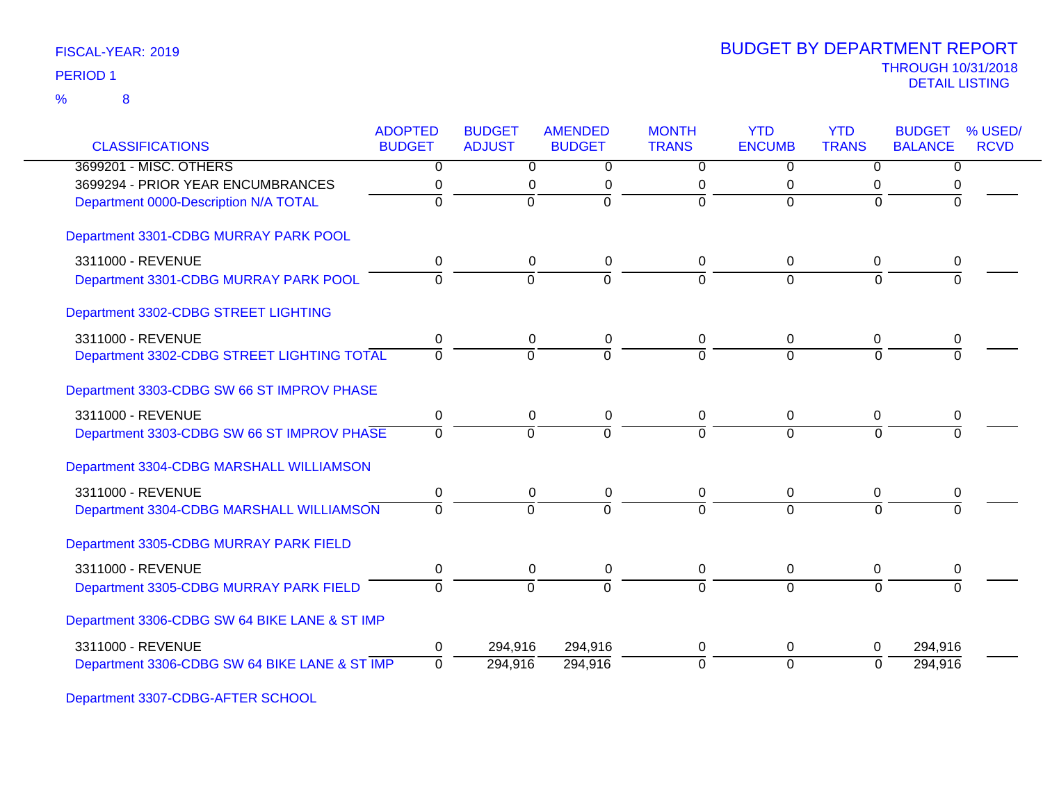|                                               | <b>ADOPTED</b> | <b>BUDGET</b>  | <b>AMENDED</b> | <b>MONTH</b>   | <b>YTD</b>     | <b>YTD</b>   | <b>BUDGET</b>  | % USED/     |
|-----------------------------------------------|----------------|----------------|----------------|----------------|----------------|--------------|----------------|-------------|
| <b>CLASSIFICATIONS</b>                        | <b>BUDGET</b>  | <b>ADJUST</b>  | <b>BUDGET</b>  | <b>TRANS</b>   | <b>ENCUMB</b>  | <b>TRANS</b> | <b>BALANCE</b> | <b>RCVD</b> |
| 3699201 - MISC. OTHERS                        | 0              | 0              | 0              | 0              | 0              | $\Omega$     | 0              |             |
| 3699294 - PRIOR YEAR ENCUMBRANCES             | 0              | 0              | 0              | 0              | 0              | 0            |                |             |
| Department 0000-Description N/A TOTAL         | $\Omega$       | $\mathbf 0$    | 0              | $\Omega$       | $\Omega$       | $\Omega$     |                |             |
| Department 3301-CDBG MURRAY PARK POOL         |                |                |                |                |                |              |                |             |
| 3311000 - REVENUE                             | 0              | 0              | 0              | 0              | $\mathbf 0$    | 0            | 0              |             |
| Department 3301-CDBG MURRAY PARK POOL         | $\Omega$       | $\overline{0}$ | $\overline{0}$ | $\Omega$       | $\Omega$       | $\Omega$     | $\Omega$       |             |
| Department 3302-CDBG STREET LIGHTING          |                |                |                |                |                |              |                |             |
| 3311000 - REVENUE                             | 0              | 0              | $\pmb{0}$      | 0              | 0              | $\mathbf 0$  | 0              |             |
| Department 3302-CDBG STREET LIGHTING TOTAL    | $\Omega$       | $\Omega$       | $\Omega$       | $\overline{0}$ | $\Omega$       | $\Omega$     | $\Omega$       |             |
| Department 3303-CDBG SW 66 ST IMPROV PHASE    |                |                |                |                |                |              |                |             |
| 3311000 - REVENUE                             | 0              | 0              | 0              | 0              | 0              | 0            | 0              |             |
| Department 3303-CDBG SW 66 ST IMPROV PHASE    | $\Omega$       | $\overline{0}$ | $\Omega$       | $\Omega$       | $\Omega$       | $\Omega$     | $\Omega$       |             |
| Department 3304-CDBG MARSHALL WILLIAMSON      |                |                |                |                |                |              |                |             |
| 3311000 - REVENUE                             | 0              | 0              | 0              | 0              | 0              | 0            | 0              |             |
| Department 3304-CDBG MARSHALL WILLIAMSON      | $\Omega$       | $\Omega$       | $\Omega$       | $\Omega$       | $\Omega$       | $\Omega$     | $\Omega$       |             |
| Department 3305-CDBG MURRAY PARK FIELD        |                |                |                |                |                |              |                |             |
| 3311000 - REVENUE                             | 0              | 0              | 0              | 0              | 0              | 0            | 0              |             |
| Department 3305-CDBG MURRAY PARK FIELD        | O              | $\Omega$       | $\Omega$       | $\Omega$       | $\Omega$       | $\Omega$     | $\Omega$       |             |
| Department 3306-CDBG SW 64 BIKE LANE & ST IMP |                |                |                |                |                |              |                |             |
| 3311000 - REVENUE                             | 0              | 294,916        | 294,916        | $\Omega$       | 0              | $\Omega$     | 294,916        |             |
| Department 3306-CDBG SW 64 BIKE LANE & ST IMP | $\mathbf 0$    | 294,916        | 294,916        | $\overline{0}$ | $\overline{0}$ | $\Omega$     | 294,916        |             |

Department 3307-CDBG-AFTER SCHOOL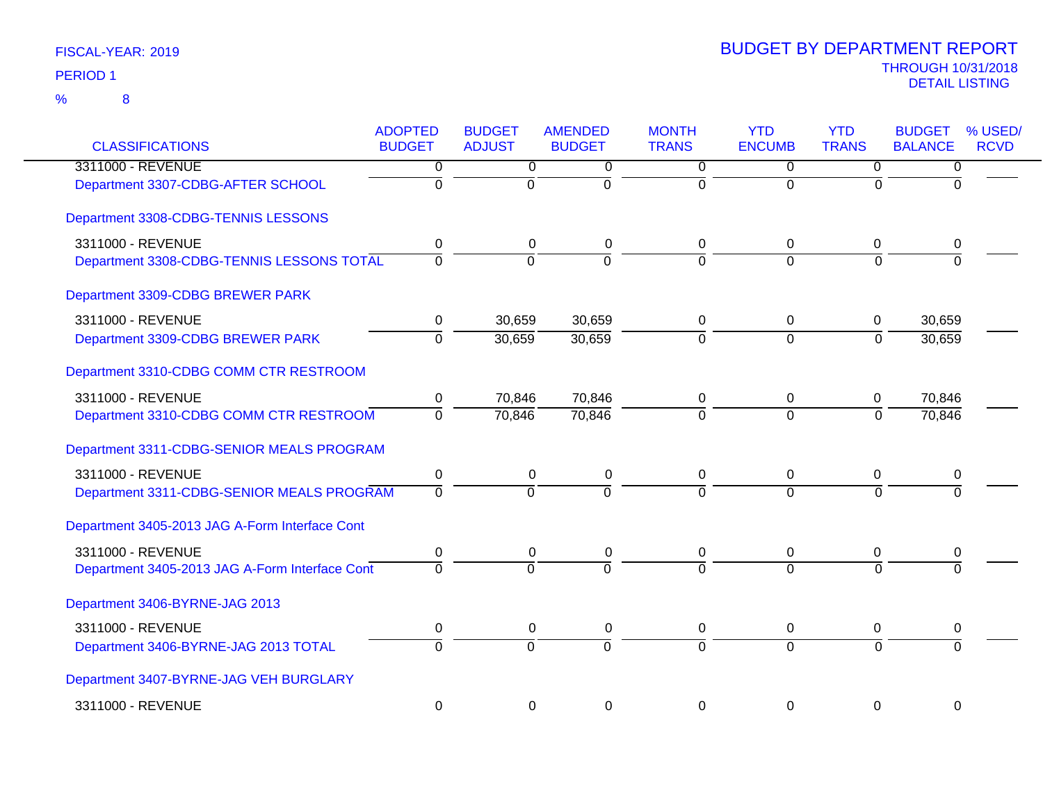| <b>CLASSIFICATIONS</b>                         | <b>ADOPTED</b><br><b>BUDGET</b> | <b>BUDGET</b><br><b>ADJUST</b> | <b>AMENDED</b><br><b>BUDGET</b> | <b>MONTH</b><br><b>TRANS</b> | <b>YTD</b><br><b>ENCUMB</b> | <b>YTD</b><br><b>TRANS</b> | <b>BUDGET</b><br>% USED/<br><b>BALANCE</b><br><b>RCVD</b> |
|------------------------------------------------|---------------------------------|--------------------------------|---------------------------------|------------------------------|-----------------------------|----------------------------|-----------------------------------------------------------|
| 3311000 - REVENUE                              | 0                               | $\overline{0}$                 | $\overline{0}$                  | $\overline{0}$               | $\overline{0}$              | 0                          | $\overline{0}$                                            |
| Department 3307-CDBG-AFTER SCHOOL              | $\overline{0}$                  | $\overline{0}$                 | $\overline{0}$                  | $\overline{0}$               | $\overline{0}$              | $\Omega$                   | $\overline{0}$                                            |
| Department 3308-CDBG-TENNIS LESSONS            |                                 |                                |                                 |                              |                             |                            |                                                           |
| 3311000 - REVENUE                              | 0                               | $\pmb{0}$                      | $\pmb{0}$                       | 0                            | 0                           | 0                          | 0                                                         |
| Department 3308-CDBG-TENNIS LESSONS TOTAL      | $\overline{0}$                  | $\overline{0}$                 | $\overline{0}$                  | $\Omega$                     | $\Omega$                    | $\Omega$                   | $\Omega$                                                  |
| Department 3309-CDBG BREWER PARK               |                                 |                                |                                 |                              |                             |                            |                                                           |
| 3311000 - REVENUE                              | 0                               | 30,659                         | 30,659                          | 0                            | 0                           | 0                          | 30,659                                                    |
| Department 3309-CDBG BREWER PARK               | $\overline{0}$                  | 30,659                         | 30,659                          | $\overline{0}$               | $\overline{0}$              | $\overline{0}$             | 30,659                                                    |
| Department 3310-CDBG COMM CTR RESTROOM         |                                 |                                |                                 |                              |                             |                            |                                                           |
| 3311000 - REVENUE                              | 0                               | 70,846                         | 70,846                          | 0                            | 0                           | 0                          | 70,846                                                    |
| Department 3310-CDBG COMM CTR RESTROOM         | $\mathbf 0$                     | 70,846                         | 70,846                          | $\Omega$                     | $\Omega$                    | $\Omega$                   | 70,846                                                    |
| Department 3311-CDBG-SENIOR MEALS PROGRAM      |                                 |                                |                                 |                              |                             |                            |                                                           |
| 3311000 - REVENUE                              | 0                               | $\boldsymbol{0}$               | $\pmb{0}$                       | 0                            | $\mathbf 0$                 | $\overline{0}$             | $\pmb{0}$                                                 |
| Department 3311-CDBG-SENIOR MEALS PROGRAM      | $\mathbf 0$                     | $\overline{0}$                 | $\Omega$                        | $\Omega$                     | $\overline{0}$              | $\Omega$                   | $\Omega$                                                  |
| Department 3405-2013 JAG A-Form Interface Cont |                                 |                                |                                 |                              |                             |                            |                                                           |
| 3311000 - REVENUE                              | 0                               | $\pmb{0}$                      | 0                               | 0                            | $\pmb{0}$                   | 0                          | 0                                                         |
| Department 3405-2013 JAG A-Form Interface Cont | $\Omega$                        | $\Omega$                       | $\overline{0}$                  | $\overline{0}$               | $\Omega$                    | $\overline{0}$             | $\Omega$                                                  |
| Department 3406-BYRNE-JAG 2013                 |                                 |                                |                                 |                              |                             |                            |                                                           |
| 3311000 - REVENUE                              | $\mathbf 0$                     | $\pmb{0}$                      | $\pmb{0}$                       | 0                            | 0                           | 0                          | 0                                                         |
| Department 3406-BYRNE-JAG 2013 TOTAL           | $\overline{0}$                  | $\overline{0}$                 | $\Omega$                        | $\Omega$                     | $\Omega$                    | $\Omega$                   | $\Omega$                                                  |
| Department 3407-BYRNE-JAG VEH BURGLARY         |                                 |                                |                                 |                              |                             |                            |                                                           |
| 3311000 - REVENUE                              | $\mathbf 0$                     | $\mathbf 0$                    | $\mathbf 0$                     | 0                            | 0                           | 0                          | $\mathbf 0$                                               |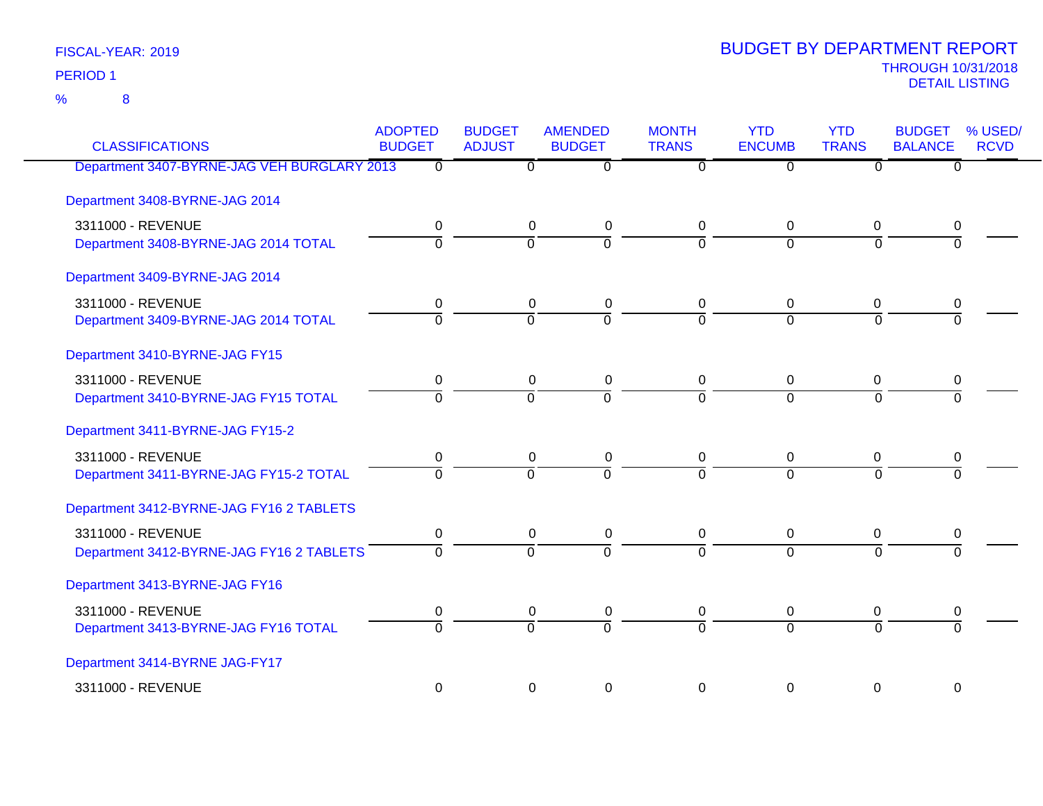8 %

| <b>CLASSIFICATIONS</b>                      | <b>ADOPTED</b><br><b>BUDGET</b> | <b>BUDGET</b><br><b>ADJUST</b> | <b>AMENDED</b><br><b>BUDGET</b> | <b>MONTH</b><br><b>TRANS</b> | <b>YTD</b><br><b>ENCUMB</b> | <b>YTD</b><br><b>TRANS</b> | <b>BUDGET</b><br><b>BALANCE</b> | % USED/<br><b>RCVD</b> |
|---------------------------------------------|---------------------------------|--------------------------------|---------------------------------|------------------------------|-----------------------------|----------------------------|---------------------------------|------------------------|
| Department 3407-BYRNE-JAG VEH BURGLARY 2013 | $\mathbf 0$                     | 0                              | $\overline{0}$                  | 0                            | $\overline{0}$              | $\overline{0}$             | $\overline{0}$                  |                        |
| Department 3408-BYRNE-JAG 2014              |                                 |                                |                                 |                              |                             |                            |                                 |                        |
| 3311000 - REVENUE                           | 0                               | 0                              | 0                               | 0                            | 0                           | 0                          | 0                               |                        |
| Department 3408-BYRNE-JAG 2014 TOTAL        | $\overline{0}$                  | $\overline{0}$                 | $\overline{0}$                  | $\overline{0}$               | $\overline{0}$              | $\mathbf 0$                | $\overline{0}$                  |                        |
| Department 3409-BYRNE-JAG 2014              |                                 |                                |                                 |                              |                             |                            |                                 |                        |
| 3311000 - REVENUE                           | 0                               | 0                              | 0                               | 0                            | 0                           | 0                          | 0                               |                        |
| Department 3409-BYRNE-JAG 2014 TOTAL        | $\overline{0}$                  | $\overline{0}$                 | $\overline{0}$                  | $\overline{0}$               | $\overline{0}$              | $\Omega$                   | $\Omega$                        |                        |
| Department 3410-BYRNE-JAG FY15              |                                 |                                |                                 |                              |                             |                            |                                 |                        |
| 3311000 - REVENUE                           | 0                               | 0                              | 0                               | 0                            | 0                           | 0                          | 0                               |                        |
| Department 3410-BYRNE-JAG FY15 TOTAL        | $\overline{0}$                  | $\overline{0}$                 | $\overline{0}$                  | $\overline{0}$               | $\overline{0}$              | $\overline{0}$             | $\Omega$                        |                        |
| Department 3411-BYRNE-JAG FY15-2            |                                 |                                |                                 |                              |                             |                            |                                 |                        |
| 3311000 - REVENUE                           | 0                               | 0                              | 0                               | 0                            | 0                           | 0                          | 0                               |                        |
| Department 3411-BYRNE-JAG FY15-2 TOTAL      | $\overline{0}$                  | ō                              | $\overline{0}$                  | 0                            | $\overline{0}$              | $\overline{0}$             | $\overline{0}$                  |                        |
| Department 3412-BYRNE-JAG FY16 2 TABLETS    |                                 |                                |                                 |                              |                             |                            |                                 |                        |
| 3311000 - REVENUE                           | 0                               | $\mathbf 0$                    | 0                               | 0                            | $\mathbf 0$                 | 0                          | 0                               |                        |
| Department 3412-BYRNE-JAG FY16 2 TABLETS    | $\overline{0}$                  | $\overline{0}$                 | $\overline{0}$                  | $\overline{0}$               | $\overline{0}$              | $\overline{0}$             | $\overline{0}$                  |                        |
| Department 3413-BYRNE-JAG FY16              |                                 |                                |                                 |                              |                             |                            |                                 |                        |
| 3311000 - REVENUE                           | 0                               | 0                              | 0                               | 0                            | 0                           | 0                          | 0                               |                        |
| Department 3413-BYRNE-JAG FY16 TOTAL        | $\overline{0}$                  | $\overline{0}$                 | $\overline{0}$                  | $\overline{0}$               | $\overline{0}$              | $\overline{0}$             | $\overline{0}$                  |                        |
| Department 3414-BYRNE JAG-FY17              |                                 |                                |                                 |                              |                             |                            |                                 |                        |
| 3311000 - REVENUE                           | $\boldsymbol{0}$                | 0                              | $\boldsymbol{0}$                | $\mathbf 0$                  | 0                           | $\mathbf 0$                | $\mathbf 0$                     |                        |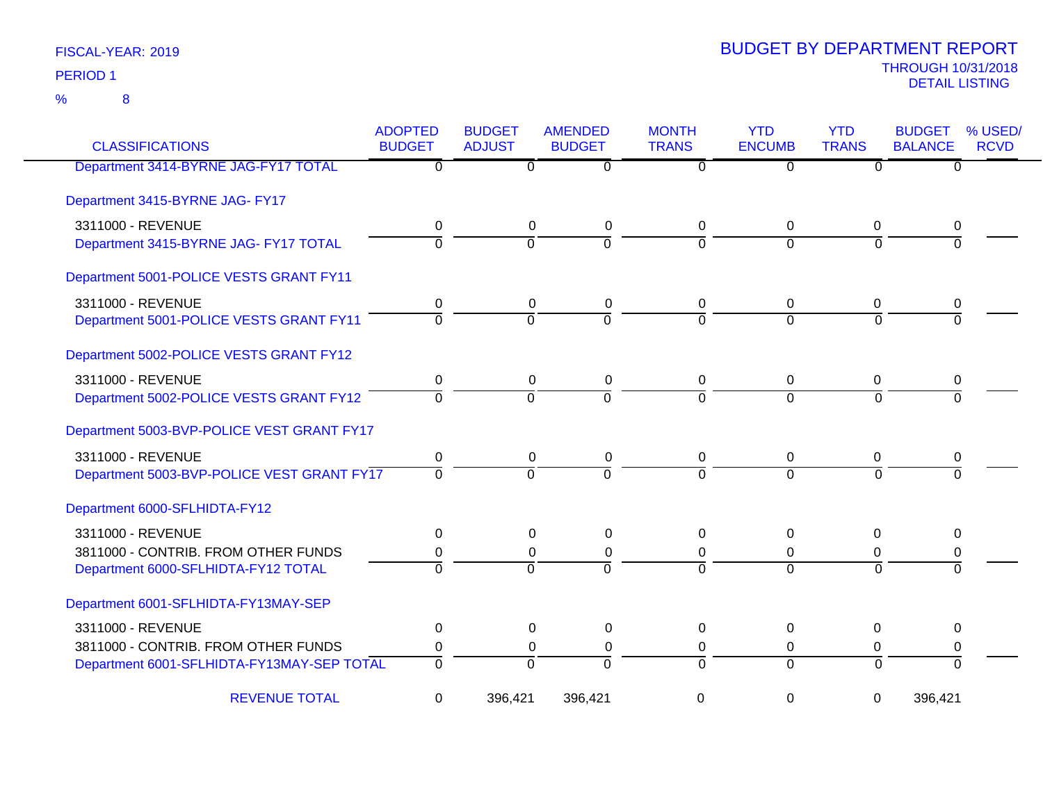| <b>CLASSIFICATIONS</b>                     | <b>ADOPTED</b><br><b>BUDGET</b> | <b>BUDGET</b><br><b>ADJUST</b> | <b>AMENDED</b><br><b>BUDGET</b> | <b>MONTH</b><br><b>TRANS</b> | <b>YTD</b><br><b>ENCUMB</b> | <b>YTD</b><br><b>TRANS</b> | <b>BUDGET</b><br><b>BALANCE</b> | % USED/<br><b>RCVD</b> |
|--------------------------------------------|---------------------------------|--------------------------------|---------------------------------|------------------------------|-----------------------------|----------------------------|---------------------------------|------------------------|
| Department 3414-BYRNE JAG-FY17 TOTAL       | $\overline{0}$                  | $\overline{0}$                 | $\overline{0}$                  | $\overline{0}$               | $\overline{0}$              | $\overline{0}$             | $\overline{0}$                  |                        |
| Department 3415-BYRNE JAG- FY17            |                                 |                                |                                 |                              |                             |                            |                                 |                        |
| 3311000 - REVENUE                          | 0                               | 0                              | 0                               | 0                            | 0                           | 0                          | 0                               |                        |
| Department 3415-BYRNE JAG- FY17 TOTAL      | $\overline{0}$                  | $\overline{0}$                 | $\overline{0}$                  | $\overline{0}$               | $\Omega$                    | $\overline{0}$             | $\Omega$                        |                        |
| Department 5001-POLICE VESTS GRANT FY11    |                                 |                                |                                 |                              |                             |                            |                                 |                        |
| 3311000 - REVENUE                          | 0                               | 0                              | 0                               | 0                            | 0                           | 0                          | 0                               |                        |
| Department 5001-POLICE VESTS GRANT FY11    | $\Omega$                        | $\Omega$                       | $\Omega$                        | $\Omega$                     | $\Omega$                    | $\Omega$                   | $\Omega$                        |                        |
| Department 5002-POLICE VESTS GRANT FY12    |                                 |                                |                                 |                              |                             |                            |                                 |                        |
| 3311000 - REVENUE                          | 0                               | 0                              | 0                               | 0                            | $\mathbf 0$                 | 0                          | 0                               |                        |
| Department 5002-POLICE VESTS GRANT FY12    | $\overline{0}$                  | $\overline{0}$                 | $\overline{0}$                  | $\overline{0}$               | $\Omega$                    | $\Omega$                   | $\Omega$                        |                        |
| Department 5003-BVP-POLICE VEST GRANT FY17 |                                 |                                |                                 |                              |                             |                            |                                 |                        |
| 3311000 - REVENUE                          | 0                               | 0                              | 0                               | 0                            | $\mathbf 0$                 | 0                          | 0                               |                        |
| Department 5003-BVP-POLICE VEST GRANT FY17 | $\Omega$                        | $\Omega$                       | $\Omega$                        | $\Omega$                     | $\Omega$                    | $\Omega$                   | $\Omega$                        |                        |
| Department 6000-SFLHIDTA-FY12              |                                 |                                |                                 |                              |                             |                            |                                 |                        |
| 3311000 - REVENUE                          | 0                               | 0                              | 0                               | 0                            | $\mathbf 0$                 | 0                          | 0                               |                        |
| 3811000 - CONTRIB. FROM OTHER FUNDS        | 0                               | $\Omega$                       | 0                               | $\Omega$                     | $\Omega$                    | $\Omega$                   | 0                               |                        |
| Department 6000-SFLHIDTA-FY12 TOTAL        | $\Omega$                        | $\Omega$                       | $\Omega$                        | $\Omega$                     | $\Omega$                    | $\Omega$                   | $\Omega$                        |                        |
| Department 6001-SFLHIDTA-FY13MAY-SEP       |                                 |                                |                                 |                              |                             |                            |                                 |                        |
| 3311000 - REVENUE                          | 0                               | 0                              | 0                               | $\Omega$                     | 0                           | $\Omega$                   | 0                               |                        |
| 3811000 - CONTRIB. FROM OTHER FUNDS        | 0                               | 0                              | 0                               | 0                            | 0                           | 0                          | 0                               |                        |
| Department 6001-SFLHIDTA-FY13MAY-SEP TOTAL | $\overline{0}$                  | $\overline{0}$                 | $\Omega$                        | $\overline{0}$               | $\Omega$                    | $\Omega$                   | $\overline{0}$                  |                        |
| <b>REVENUE TOTAL</b>                       | 0                               | 396,421                        | 396,421                         | 0                            | $\mathbf 0$                 | $\mathbf 0$                | 396,421                         |                        |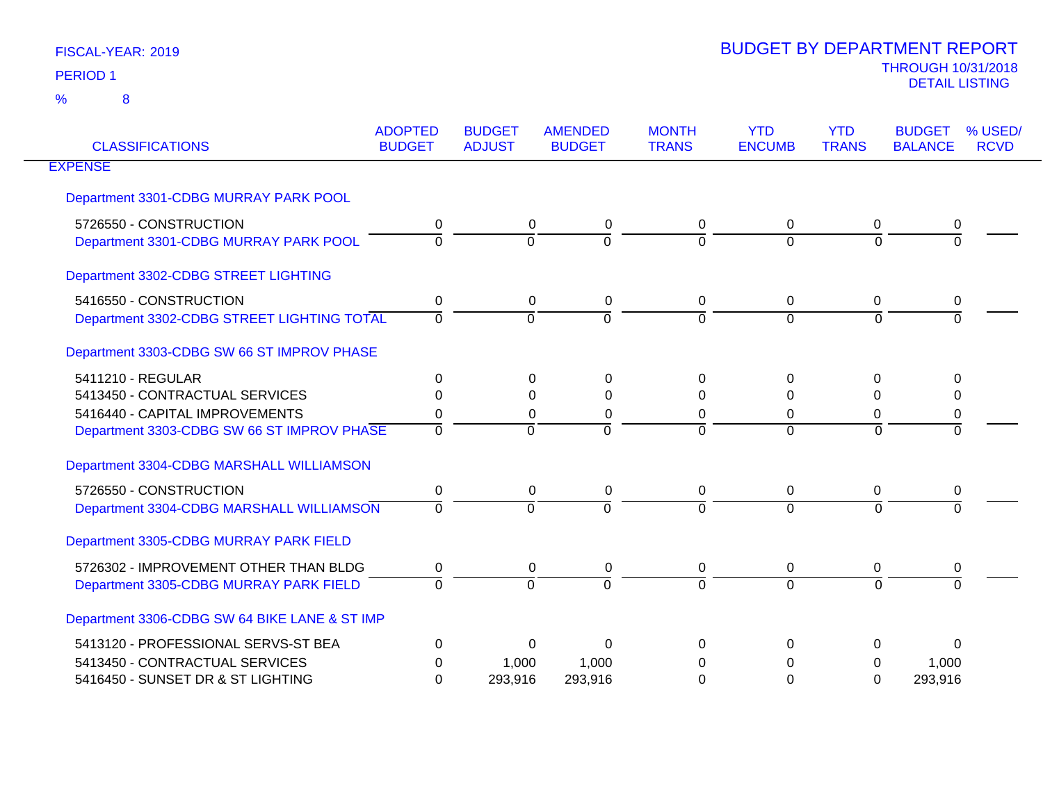| <b>CLASSIFICATIONS</b>                        | <b>ADOPTED</b><br><b>BUDGET</b> | <b>BUDGET</b><br><b>ADJUST</b> | <b>AMENDED</b><br><b>BUDGET</b> | <b>MONTH</b><br><b>TRANS</b> | <b>YTD</b><br><b>ENCUMB</b> | <b>YTD</b><br><b>TRANS</b> | <b>BUDGET</b><br><b>BALANCE</b> | % USED/<br><b>RCVD</b> |
|-----------------------------------------------|---------------------------------|--------------------------------|---------------------------------|------------------------------|-----------------------------|----------------------------|---------------------------------|------------------------|
| <b>EXPENSE</b>                                |                                 |                                |                                 |                              |                             |                            |                                 |                        |
| Department 3301-CDBG MURRAY PARK POOL         |                                 |                                |                                 |                              |                             |                            |                                 |                        |
| 5726550 - CONSTRUCTION                        | 0                               | 0                              | 0                               | 0                            | $\mathbf 0$                 | 0                          | 0                               |                        |
| Department 3301-CDBG MURRAY PARK POOL         | $\Omega$                        | $\Omega$                       | $\Omega$                        | $\overline{0}$               | 0                           | $\overline{0}$             | $\Omega$                        |                        |
| Department 3302-CDBG STREET LIGHTING          |                                 |                                |                                 |                              |                             |                            |                                 |                        |
| 5416550 - CONSTRUCTION                        | 0                               | 0                              | 0                               | 0                            | 0                           | $\Omega$                   | 0                               |                        |
| Department 3302-CDBG STREET LIGHTING TOTAL    | $\Omega$                        | $\Omega$                       | $\Omega$                        | 0                            | $\Omega$                    | $\Omega$                   | $\Omega$                        |                        |
| Department 3303-CDBG SW 66 ST IMPROV PHASE    |                                 |                                |                                 |                              |                             |                            |                                 |                        |
| 5411210 - REGULAR                             | $\Omega$                        | 0                              | $\Omega$                        | 0                            | $\Omega$                    | $\Omega$                   | 0                               |                        |
| 5413450 - CONTRACTUAL SERVICES                | ∩                               | $\Omega$                       | $\Omega$                        | 0                            | $\Omega$                    | $\Omega$                   | 0                               |                        |
| 5416440 - CAPITAL IMPROVEMENTS                | 0                               | 0                              | 0                               | 0                            | 0                           | $\mathbf 0$                | $\pmb{0}$                       |                        |
| Department 3303-CDBG SW 66 ST IMPROV PHASE    | $\Omega$                        | $\Omega$                       | $\Omega$                        | $\Omega$                     | $\Omega$                    | $\Omega$                   | $\Omega$                        |                        |
| Department 3304-CDBG MARSHALL WILLIAMSON      |                                 |                                |                                 |                              |                             |                            |                                 |                        |
| 5726550 - CONSTRUCTION                        | 0                               | 0                              | 0                               | 0                            | $\mathbf 0$                 | 0                          | 0                               |                        |
| Department 3304-CDBG MARSHALL WILLIAMSON      | $\Omega$                        | $\Omega$                       | $\Omega$                        | $\Omega$                     | $\Omega$                    | $\Omega$                   | $\Omega$                        |                        |
| Department 3305-CDBG MURRAY PARK FIELD        |                                 |                                |                                 |                              |                             |                            |                                 |                        |
| 5726302 - IMPROVEMENT OTHER THAN BLDG         | 0                               | 0                              | 0                               | 0                            | 0                           | 0                          | 0                               |                        |
| Department 3305-CDBG MURRAY PARK FIELD        | $\Omega$                        | $\Omega$                       | $\Omega$                        | $\Omega$                     | $\Omega$                    | $\Omega$                   | $\Omega$                        |                        |
| Department 3306-CDBG SW 64 BIKE LANE & ST IMP |                                 |                                |                                 |                              |                             |                            |                                 |                        |
| 5413120 - PROFESSIONAL SERVS-ST BEA           | $\Omega$                        | 0                              | 0                               | 0                            | 0                           | 0                          | 0                               |                        |
| 5413450 - CONTRACTUAL SERVICES                | 0                               | 1,000                          | 1,000                           | 0                            | 0                           | 0                          | 1,000                           |                        |
| 5416450 - SUNSET DR & ST LIGHTING             | $\Omega$                        | 293,916                        | 293,916                         | 0                            | 0                           | 0                          | 293,916                         |                        |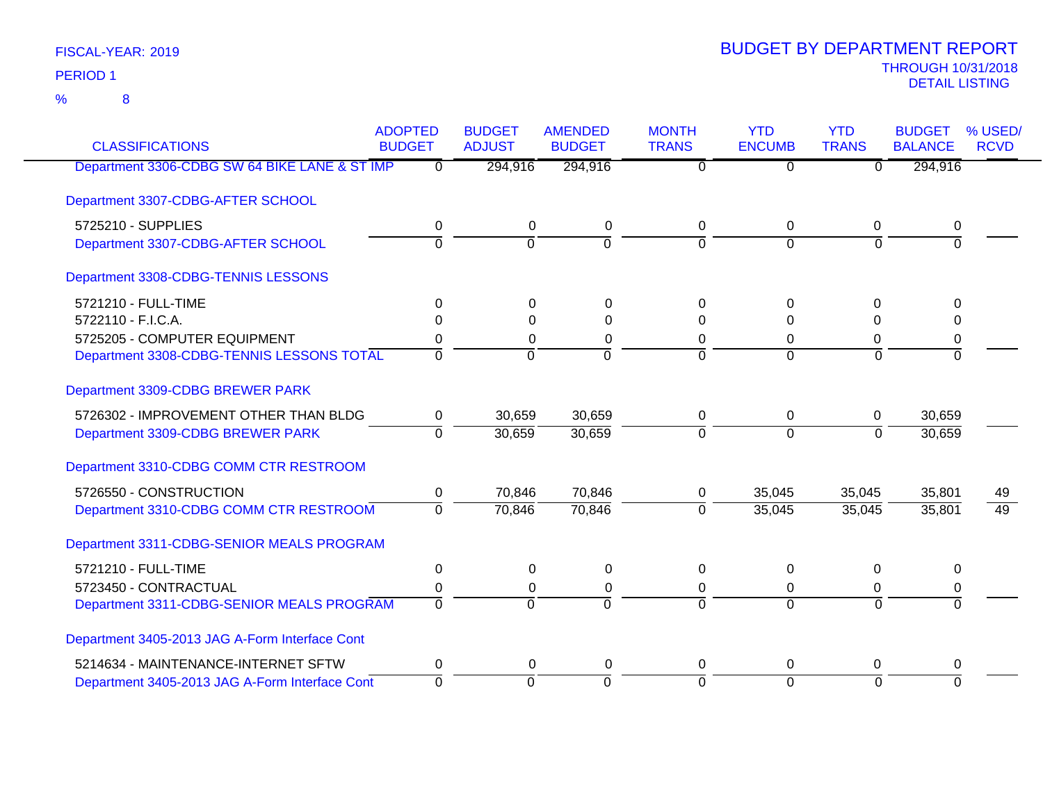8 %

| <b>CLASSIFICATIONS</b>                         | <b>ADOPTED</b><br><b>BUDGET</b> | <b>BUDGET</b><br><b>ADJUST</b> | <b>AMENDED</b> | <b>MONTH</b><br><b>TRANS</b> | <b>YTD</b><br><b>ENCUMB</b> | <b>YTD</b><br><b>TRANS</b> | <b>BUDGET</b><br><b>BALANCE</b> | % USED/         |
|------------------------------------------------|---------------------------------|--------------------------------|----------------|------------------------------|-----------------------------|----------------------------|---------------------------------|-----------------|
|                                                |                                 |                                | <b>BUDGET</b>  |                              |                             |                            |                                 | <b>RCVD</b>     |
| Department 3306-CDBG SW 64 BIKE LANE & ST IMP  | $\Omega$                        | 294,916                        | 294,916        | $\Omega$                     | $\overline{0}$              | $\overline{0}$             | 294,916                         |                 |
| Department 3307-CDBG-AFTER SCHOOL              |                                 |                                |                |                              |                             |                            |                                 |                 |
| 5725210 - SUPPLIES                             | 0                               | 0                              | 0              | $\mathbf 0$                  | 0                           | 0                          | 0                               |                 |
| Department 3307-CDBG-AFTER SCHOOL              | $\overline{0}$                  | $\overline{0}$                 | $\overline{0}$ | $\overline{0}$               | $\overline{0}$              | $\overline{0}$             | $\overline{0}$                  |                 |
| Department 3308-CDBG-TENNIS LESSONS            |                                 |                                |                |                              |                             |                            |                                 |                 |
| 5721210 - FULL-TIME                            | 0                               | $\Omega$                       | $\Omega$       | $\Omega$                     | $\Omega$                    | $\Omega$                   | $\Omega$                        |                 |
| 5722110 - F.I.C.A.                             | 0                               | 0                              | 0              | 0                            | $\Omega$                    | 0                          | $\Omega$                        |                 |
| 5725205 - COMPUTER EQUIPMENT                   | 0                               | 0                              | 0              | 0                            | $\Omega$                    | 0                          | 0                               |                 |
| Department 3308-CDBG-TENNIS LESSONS TOTAL      | $\Omega$                        | $\Omega$                       | $\mathbf 0$    | $\Omega$                     | $\Omega$                    | $\Omega$                   | $\Omega$                        |                 |
| Department 3309-CDBG BREWER PARK               |                                 |                                |                |                              |                             |                            |                                 |                 |
| 5726302 - IMPROVEMENT OTHER THAN BLDG          | 0                               | 30,659                         | 30,659         | 0                            | 0                           | 0                          | 30,659                          |                 |
| Department 3309-CDBG BREWER PARK               | $\Omega$                        | 30,659                         | 30,659         | $\Omega$                     | $\Omega$                    | $\Omega$                   | 30,659                          |                 |
| Department 3310-CDBG COMM CTR RESTROOM         |                                 |                                |                |                              |                             |                            |                                 |                 |
| 5726550 - CONSTRUCTION                         | 0                               | 70,846                         | 70,846         | 0                            | 35,045                      | 35,045                     | 35,801                          | 49              |
| Department 3310-CDBG COMM CTR RESTROOM         | $\overline{0}$                  | 70,846                         | 70,846         | $\Omega$                     | 35,045                      | 35,045                     | 35,801                          | $\overline{49}$ |
| Department 3311-CDBG-SENIOR MEALS PROGRAM      |                                 |                                |                |                              |                             |                            |                                 |                 |
| 5721210 - FULL-TIME                            | $\mathbf 0$                     | $\Omega$                       | $\mathbf 0$    | $\mathbf{0}$                 | $\Omega$                    | $\mathbf 0$                | $\Omega$                        |                 |
| 5723450 - CONTRACTUAL                          | 0                               | $\Omega$                       | 0              | 0                            | 0                           | 0                          | 0                               |                 |
| Department 3311-CDBG-SENIOR MEALS PROGRAM      | $\Omega$                        | $\Omega$                       | $\overline{0}$ | $\Omega$                     | $\overline{0}$              | $\Omega$                   | $\overline{0}$                  |                 |
| Department 3405-2013 JAG A-Form Interface Cont |                                 |                                |                |                              |                             |                            |                                 |                 |
| 5214634 - MAINTENANCE-INTERNET SFTW            | 0                               | $\Omega$                       | 0              | $\Omega$                     | $\Omega$                    | 0                          | 0                               |                 |
| Department 3405-2013 JAG A-Form Interface Cont | $\mathbf 0$                     | $\mathbf 0$                    | $\mathbf 0$    | $\Omega$                     | $\Omega$                    | $\Omega$                   | $\Omega$                        |                 |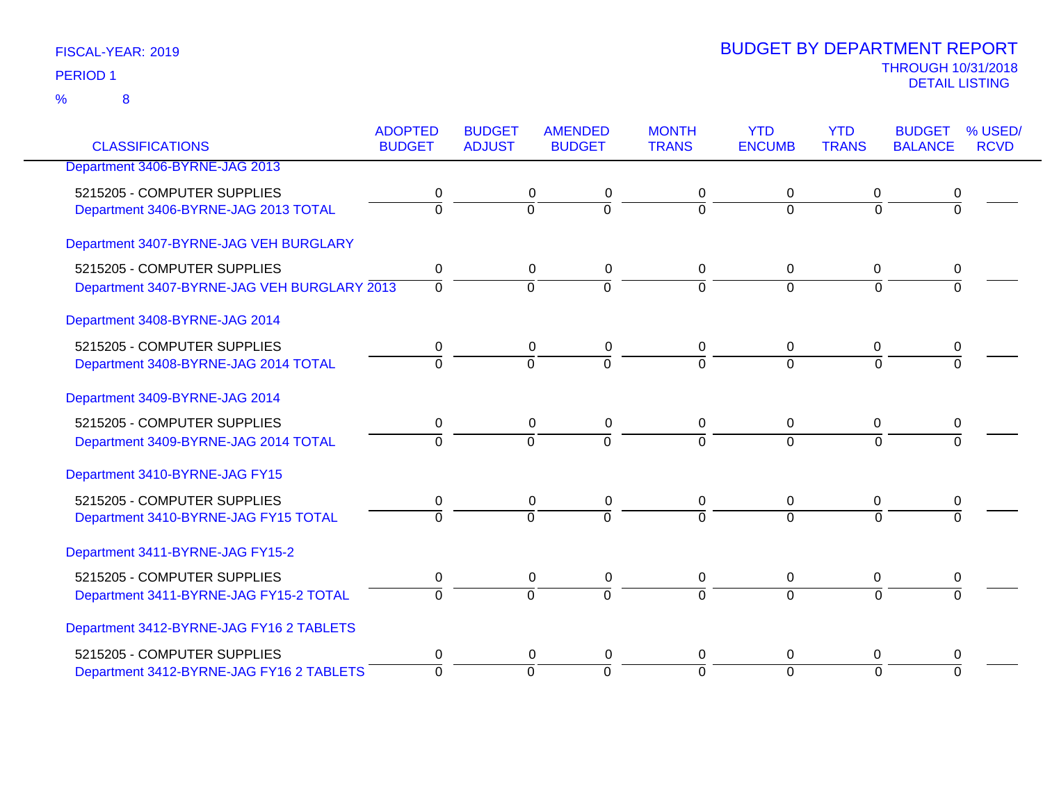| FISCAL-YEAR: 2019 |  |
|-------------------|--|
| <b>PERIOD 1</b>   |  |

| <b>CLASSIFICATIONS</b>                      | <b>ADOPTED</b><br><b>BUDGET</b> | <b>BUDGET</b><br><b>ADJUST</b> | <b>AMENDED</b><br><b>BUDGET</b> | <b>MONTH</b><br><b>TRANS</b> | <b>YTD</b><br><b>ENCUMB</b> | <b>YTD</b><br><b>TRANS</b> | <b>BUDGET</b><br><b>BALANCE</b> | % USED/<br><b>RCVD</b> |
|---------------------------------------------|---------------------------------|--------------------------------|---------------------------------|------------------------------|-----------------------------|----------------------------|---------------------------------|------------------------|
| Department 3406-BYRNE-JAG 2013              |                                 |                                |                                 |                              |                             |                            |                                 |                        |
|                                             |                                 |                                |                                 |                              |                             |                            |                                 |                        |
| 5215205 - COMPUTER SUPPLIES                 | 0                               | 0                              | 0                               | 0                            | 0                           | 0                          | 0                               |                        |
| Department 3406-BYRNE-JAG 2013 TOTAL        | $\Omega$                        | $\overline{0}$                 | $\overline{0}$                  | $\Omega$                     | $\overline{0}$              | $\Omega$                   | 0                               |                        |
| Department 3407-BYRNE-JAG VEH BURGLARY      |                                 |                                |                                 |                              |                             |                            |                                 |                        |
| 5215205 - COMPUTER SUPPLIES                 | 0                               | 0                              | 0                               | 0                            | 0                           | 0                          | 0                               |                        |
| Department 3407-BYRNE-JAG VEH BURGLARY 2013 | $\overline{0}$                  | $\overline{0}$                 | $\overline{0}$                  | $\Omega$                     | $\Omega$                    | $\Omega$                   | $\Omega$                        |                        |
| Department 3408-BYRNE-JAG 2014              |                                 |                                |                                 |                              |                             |                            |                                 |                        |
| 5215205 - COMPUTER SUPPLIES                 | 0                               | 0                              | 0                               | 0                            | 0                           | 0                          | 0                               |                        |
| Department 3408-BYRNE-JAG 2014 TOTAL        | $\overline{0}$                  | $\Omega$                       | $\overline{0}$                  | $\overline{0}$               | $\Omega$                    | $\Omega$                   | $\Omega$                        |                        |
| Department 3409-BYRNE-JAG 2014              |                                 |                                |                                 |                              |                             |                            |                                 |                        |
| 5215205 - COMPUTER SUPPLIES                 | 0                               | 0                              | 0                               | 0                            | 0                           | 0                          | 0                               |                        |
| Department 3409-BYRNE-JAG 2014 TOTAL        | $\overline{0}$                  | $\Omega$                       | $\overline{0}$                  | $\Omega$                     | $\Omega$                    | $\Omega$                   | 0                               |                        |
| Department 3410-BYRNE-JAG FY15              |                                 |                                |                                 |                              |                             |                            |                                 |                        |
| 5215205 - COMPUTER SUPPLIES                 | 0                               | $\mathbf 0$                    | $\pmb{0}$                       | 0                            | $\mathbf 0$                 | $\mathbf 0$                | 0                               |                        |
| Department 3410-BYRNE-JAG FY15 TOTAL        | $\Omega$                        | $\Omega$                       | $\overline{0}$                  | $\overline{0}$               | $\Omega$                    | $\Omega$                   |                                 |                        |
| Department 3411-BYRNE-JAG FY15-2            |                                 |                                |                                 |                              |                             |                            |                                 |                        |
| 5215205 - COMPUTER SUPPLIES                 | $\mathbf 0$                     | $\mathsf 0$                    | $\pmb{0}$                       | $\pmb{0}$                    | $\boldsymbol{0}$            | $\overline{0}$             | 0                               |                        |
| Department 3411-BYRNE-JAG FY15-2 TOTAL      | $\Omega$                        | $\mathbf 0$                    | $\Omega$                        | $\Omega$                     | $\overline{0}$              | $\Omega$                   | $\Omega$                        |                        |
| Department 3412-BYRNE-JAG FY16 2 TABLETS    |                                 |                                |                                 |                              |                             |                            |                                 |                        |
| 5215205 - COMPUTER SUPPLIES                 | 0                               | $\mathbf 0$                    | $\pmb{0}$                       | 0                            | 0                           | 0                          | 0                               |                        |
| Department 3412-BYRNE-JAG FY16 2 TABLETS    | $\overline{0}$                  | $\mathbf 0$                    | $\Omega$                        | $\Omega$                     | $\overline{0}$              | $\Omega$                   | $\Omega$                        |                        |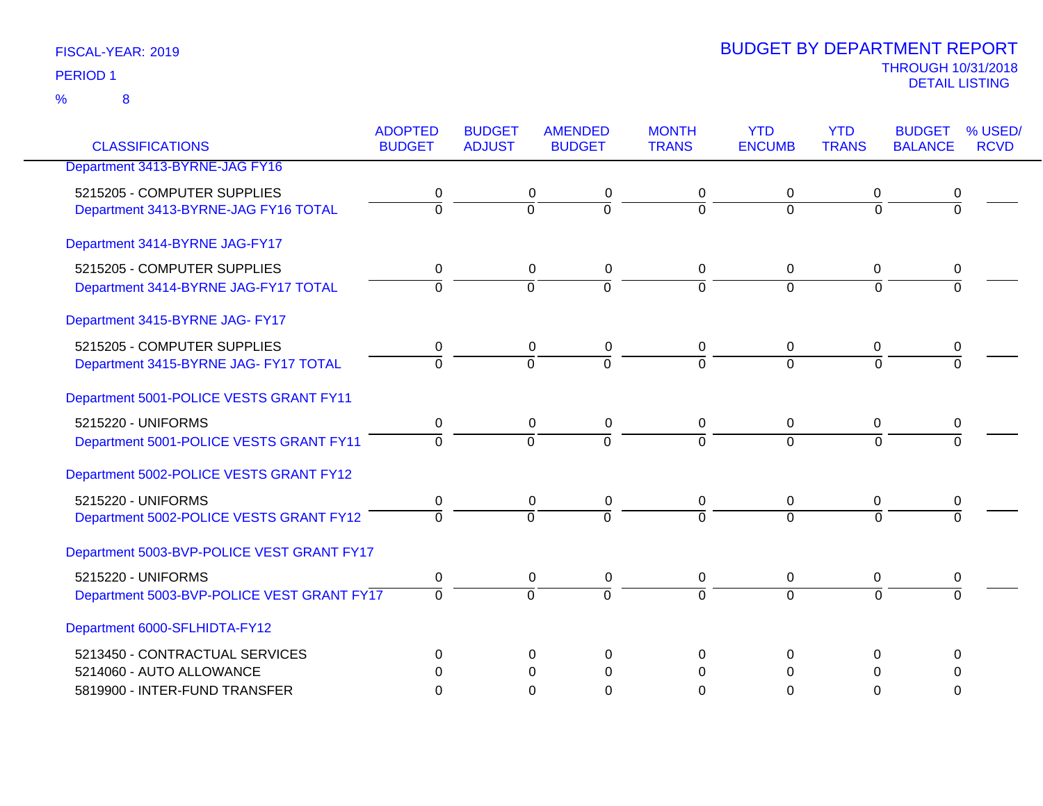| FISCAL-YEAR: 2019 |  |
|-------------------|--|
| <b>PERIOD 1</b>   |  |

| <b>CLASSIFICATIONS</b>                     | <b>ADOPTED</b> | <b>BUDGET</b>  | <b>AMENDED</b> | <b>MONTH</b>   | <b>YTD</b>     | <b>YTD</b>     | <b>BUDGET</b>  | % USED/     |
|--------------------------------------------|----------------|----------------|----------------|----------------|----------------|----------------|----------------|-------------|
|                                            | <b>BUDGET</b>  | <b>ADJUST</b>  | <b>BUDGET</b>  | <b>TRANS</b>   | <b>ENCUMB</b>  | <b>TRANS</b>   | <b>BALANCE</b> | <b>RCVD</b> |
| Department 3413-BYRNE-JAG FY16             |                |                |                |                |                |                |                |             |
| 5215205 - COMPUTER SUPPLIES                | 0              | 0              | 0              | 0              | 0              | 0              | 0              |             |
| Department 3413-BYRNE-JAG FY16 TOTAL       | $\overline{0}$ | $\overline{0}$ | $\overline{0}$ | $\overline{0}$ | $\overline{0}$ | $\overline{0}$ | $\overline{0}$ |             |
| Department 3414-BYRNE JAG-FY17             |                |                |                |                |                |                |                |             |
| 5215205 - COMPUTER SUPPLIES                | 0              | 0              | $\pmb{0}$      | 0              | $\pmb{0}$      | 0              | 0              |             |
| Department 3414-BYRNE JAG-FY17 TOTAL       | $\overline{0}$ | $\overline{0}$ | $\overline{0}$ | $\overline{0}$ | $\overline{0}$ | $\overline{0}$ | $\overline{0}$ |             |
| Department 3415-BYRNE JAG- FY17            |                |                |                |                |                |                |                |             |
| 5215205 - COMPUTER SUPPLIES                | 0              | $\mathbf 0$    | 0              | 0              | $\mathbf 0$    | 0              | 0              |             |
| Department 3415-BYRNE JAG- FY17 TOTAL      | $\overline{0}$ | $\overline{0}$ | $\overline{0}$ | $\overline{0}$ | $\overline{0}$ | $\overline{0}$ | $\overline{0}$ |             |
| Department 5001-POLICE VESTS GRANT FY11    |                |                |                |                |                |                |                |             |
| 5215220 - UNIFORMS                         | 0              | $\mathbf 0$    | $\pmb{0}$      | $\mathbf 0$    | $\mathbf 0$    | $\mathbf 0$    | 0              |             |
| Department 5001-POLICE VESTS GRANT FY11    | $\overline{0}$ | $\overline{0}$ | $\overline{0}$ | $\overline{0}$ | $\overline{0}$ | $\overline{0}$ | $\overline{0}$ |             |
| Department 5002-POLICE VESTS GRANT FY12    |                |                |                |                |                |                |                |             |
| 5215220 - UNIFORMS                         | 0              | 0              | 0              | 0              | 0              | 0              | 0              |             |
| Department 5002-POLICE VESTS GRANT FY12    | $\overline{0}$ | $\Omega$       | $\overline{0}$ | $\overline{0}$ | $\Omega$       | $\Omega$       | $\overline{0}$ |             |
| Department 5003-BVP-POLICE VEST GRANT FY17 |                |                |                |                |                |                |                |             |
| 5215220 - UNIFORMS                         | 0              | 0              | $\pmb{0}$      | 0              | 0              | 0              | 0              |             |
| Department 5003-BVP-POLICE VEST GRANT FY17 | $\overline{0}$ | $\overline{0}$ | $\overline{0}$ | $\overline{0}$ | $\overline{0}$ | $\overline{0}$ | $\overline{0}$ |             |
| Department 6000-SFLHIDTA-FY12              |                |                |                |                |                |                |                |             |
| 5213450 - CONTRACTUAL SERVICES             | $\Omega$       | $\Omega$       | 0              | $\Omega$       | 0              | $\Omega$       | 0              |             |
| 5214060 - AUTO ALLOWANCE                   | $\Omega$       | $\Omega$       | $\Omega$       | $\Omega$       | $\Omega$       | $\Omega$       | $\Omega$       |             |
| 5819900 - INTER-FUND TRANSFER              | 0              | $\Omega$       | 0              | $\Omega$       | 0              | $\Omega$       | $\Omega$       |             |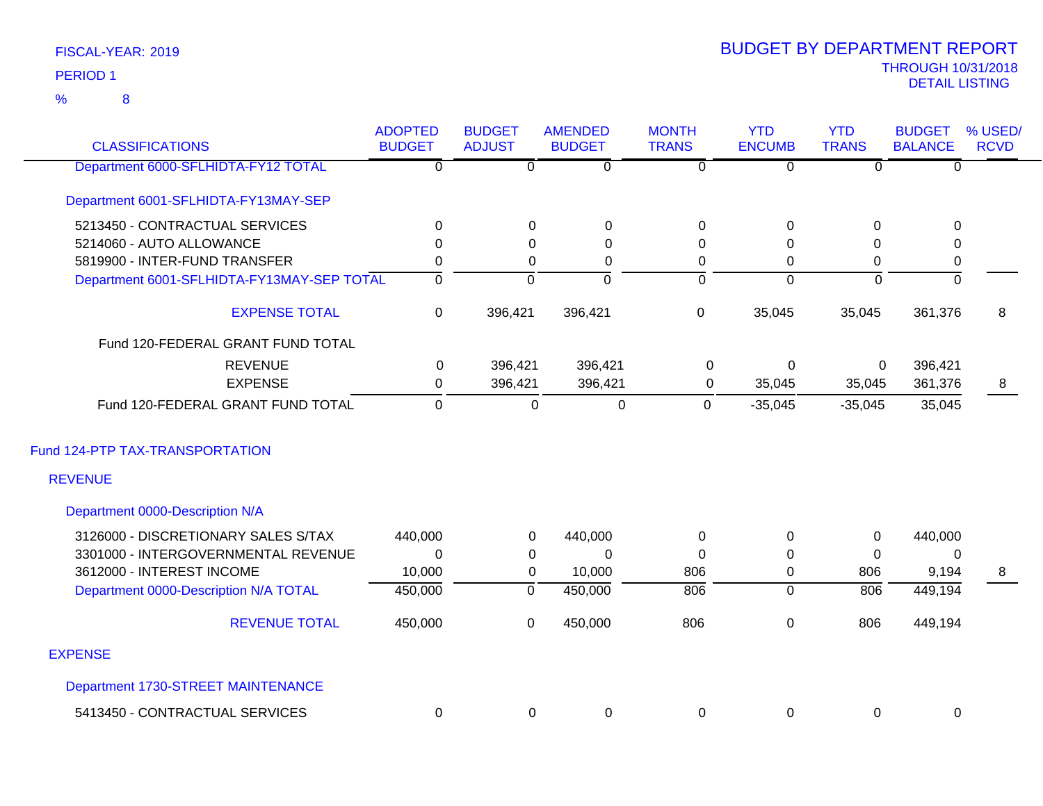### 8 %

| <b>CLASSIFICATIONS</b>                     | <b>ADOPTED</b><br><b>BUDGET</b> | <b>BUDGET</b><br><b>ADJUST</b> | <b>AMENDED</b><br><b>BUDGET</b> | <b>MONTH</b><br><b>TRANS</b> | <b>YTD</b><br><b>ENCUMB</b> | <b>YTD</b><br><b>TRANS</b> | <b>BUDGET</b><br><b>BALANCE</b> | % USED/<br><b>RCVD</b> |
|--------------------------------------------|---------------------------------|--------------------------------|---------------------------------|------------------------------|-----------------------------|----------------------------|---------------------------------|------------------------|
| Department 6000-SFLHIDTA-FY12 TOTAL        | $\overline{0}$                  | $\overline{0}$                 | $\overline{0}$                  | $\overline{0}$               | $\overline{0}$              | $\overline{0}$             | $\overline{0}$                  |                        |
| Department 6001-SFLHIDTA-FY13MAY-SEP       |                                 |                                |                                 |                              |                             |                            |                                 |                        |
| 5213450 - CONTRACTUAL SERVICES             | 0                               | 0                              | 0                               | 0                            | 0                           | $\Omega$                   | 0                               |                        |
| 5214060 - AUTO ALLOWANCE                   | $\mathbf 0$                     | 0                              | $\boldsymbol{0}$                | 0                            | 0                           | 0                          | $\pmb{0}$                       |                        |
| 5819900 - INTER-FUND TRANSFER              | 0                               | 0                              | 0                               | 0                            | 0                           | $\pmb{0}$                  | $\pmb{0}$                       |                        |
| Department 6001-SFLHIDTA-FY13MAY-SEP TOTAL | $\overline{\mathfrak{o}}$       | $\overline{0}$                 | $\overline{0}$                  | $\overline{0}$               | $\mathbf 0$                 | $\overline{0}$             | $\overline{0}$                  |                        |
| <b>EXPENSE TOTAL</b>                       | 0                               | 396,421                        | 396,421                         | $\mathbf 0$                  | 35,045                      | 35,045                     | 361,376                         | 8                      |
| Fund 120-FEDERAL GRANT FUND TOTAL          |                                 |                                |                                 |                              |                             |                            |                                 |                        |
| <b>REVENUE</b>                             | 0                               | 396,421                        | 396,421                         | 0                            | $\pmb{0}$                   | $\mathbf 0$                | 396,421                         |                        |
| <b>EXPENSE</b>                             | 0                               | 396,421                        | 396,421                         | 0                            | 35,045                      | 35,045                     | 361,376                         | 8                      |
| Fund 120-FEDERAL GRANT FUND TOTAL          | $\mathbf 0$                     | $\mathbf 0$                    | $\pmb{0}$                       | $\overline{0}$               | $-35,045$                   | $-35,045$                  | 35,045                          |                        |
| Fund 124-PTP TAX-TRANSPORTATION            |                                 |                                |                                 |                              |                             |                            |                                 |                        |
| <b>REVENUE</b>                             |                                 |                                |                                 |                              |                             |                            |                                 |                        |
| Department 0000-Description N/A            |                                 |                                |                                 |                              |                             |                            |                                 |                        |
| 3126000 - DISCRETIONARY SALES S/TAX        | 440,000                         | 0                              | 440,000                         | 0                            | 0                           | $\mathbf 0$                | 440,000                         |                        |
| 3301000 - INTERGOVERNMENTAL REVENUE        | $\Omega$                        | 0                              | $\Omega$                        | $\Omega$                     | $\Omega$                    | $\mathbf 0$                | 0                               |                        |
| 3612000 - INTEREST INCOME                  | 10,000                          | 0                              | 10,000                          | 806                          | 0                           | 806                        | 9,194                           | 8                      |
| Department 0000-Description N/A TOTAL      | 450,000                         | $\overline{0}$                 | 450,000                         | $\overline{806}$             | $\overline{0}$              | $\overline{806}$           | 449,194                         |                        |
| <b>REVENUE TOTAL</b>                       | 450,000                         | $\mathbf 0$                    | 450,000                         | 806                          | 0                           | 806                        | 449,194                         |                        |
| <b>EXPENSE</b>                             |                                 |                                |                                 |                              |                             |                            |                                 |                        |
| Department 1730-STREET MAINTENANCE         |                                 |                                |                                 |                              |                             |                            |                                 |                        |
| 5413450 - CONTRACTUAL SERVICES             | 0                               | 0                              | 0                               | $\mathbf 0$                  | 0                           | $\Omega$                   | 0                               |                        |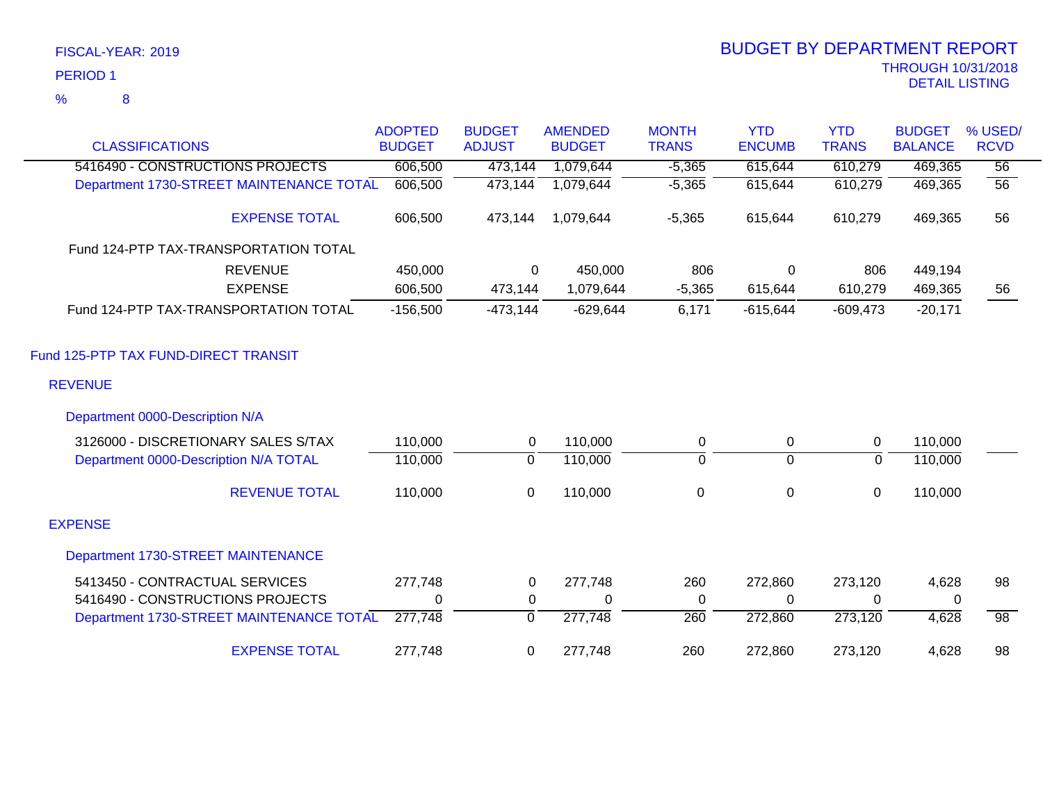8

|                                          | <b>ADOPTED</b> | <b>BUDGET</b>  | <b>AMENDED</b> | <b>MONTH</b>     | <b>YTD</b>     | <b>YTD</b>   | <b>BUDGET</b>  | % USED/         |
|------------------------------------------|----------------|----------------|----------------|------------------|----------------|--------------|----------------|-----------------|
| <b>CLASSIFICATIONS</b>                   | <b>BUDGET</b>  | <b>ADJUST</b>  | <b>BUDGET</b>  | <b>TRANS</b>     | <b>ENCUMB</b>  | <b>TRANS</b> | <b>BALANCE</b> | <b>RCVD</b>     |
| 5416490 - CONSTRUCTIONS PROJECTS         | 606,500        | 473,144        | 1,079,644      | $-5,365$         | 615,644        | 610,279      | 469,365        | $\overline{56}$ |
| Department 1730-STREET MAINTENANCE TOTAL | 606,500        | 473,144        | 1,079,644      | $-5,365$         | 615,644        | 610,279      | 469,365        | $\overline{56}$ |
| <b>EXPENSE TOTAL</b>                     | 606,500        | 473,144        | 1,079,644      | $-5,365$         | 615,644        | 610,279      | 469,365        | 56              |
| Fund 124-PTP TAX-TRANSPORTATION TOTAL    |                |                |                |                  |                |              |                |                 |
| <b>REVENUE</b>                           | 450,000        | $\Omega$       | 450,000        | 806              | 0              | 806          | 449,194        |                 |
| <b>EXPENSE</b>                           | 606,500        | 473,144        | 1,079,644      | $-5,365$         | 615,644        | 610,279      | 469,365        | 56              |
| Fund 124-PTP TAX-TRANSPORTATION TOTAL    | $-156,500$     | $-473,144$     | $-629,644$     | 6,171            | $-615,644$     | $-609,473$   | $-20,171$      |                 |
| Fund 125-PTP TAX FUND-DIRECT TRANSIT     |                |                |                |                  |                |              |                |                 |
| <b>REVENUE</b>                           |                |                |                |                  |                |              |                |                 |
| Department 0000-Description N/A          |                |                |                |                  |                |              |                |                 |
| 3126000 - DISCRETIONARY SALES S/TAX      | 110,000        | $\overline{0}$ | 110,000        | $\mathbf 0$      | $\mathbf 0$    | $\mathbf 0$  | 110,000        |                 |
| Department 0000-Description N/A TOTAL    | 110,000        | 0              | 110,000        | 0                | $\overline{0}$ | 0            | 110,000        |                 |
| <b>REVENUE TOTAL</b>                     | 110,000        | 0              | 110,000        | $\boldsymbol{0}$ | $\pmb{0}$      | $\mathbf 0$  | 110,000        |                 |
| <b>EXPENSE</b>                           |                |                |                |                  |                |              |                |                 |
| Department 1730-STREET MAINTENANCE       |                |                |                |                  |                |              |                |                 |
| 5413450 - CONTRACTUAL SERVICES           | 277,748        | $\mathbf 0$    | 277,748        | 260              | 272,860        | 273,120      | 4,628          | 98              |
| 5416490 - CONSTRUCTIONS PROJECTS         | 0              | $\mathbf 0$    | 0              | 0                | $\mathbf 0$    | 0            | $\Omega$       |                 |
| Department 1730-STREET MAINTENANCE TOTAL | 277,748        | $\overline{0}$ | 277,748        | 260              | 272,860        | 273,120      | 4,628          | $\overline{98}$ |
| <b>EXPENSE TOTAL</b>                     | 277,748        | 0              | 277,748        | 260              | 272,860        | 273,120      | 4,628          | 98              |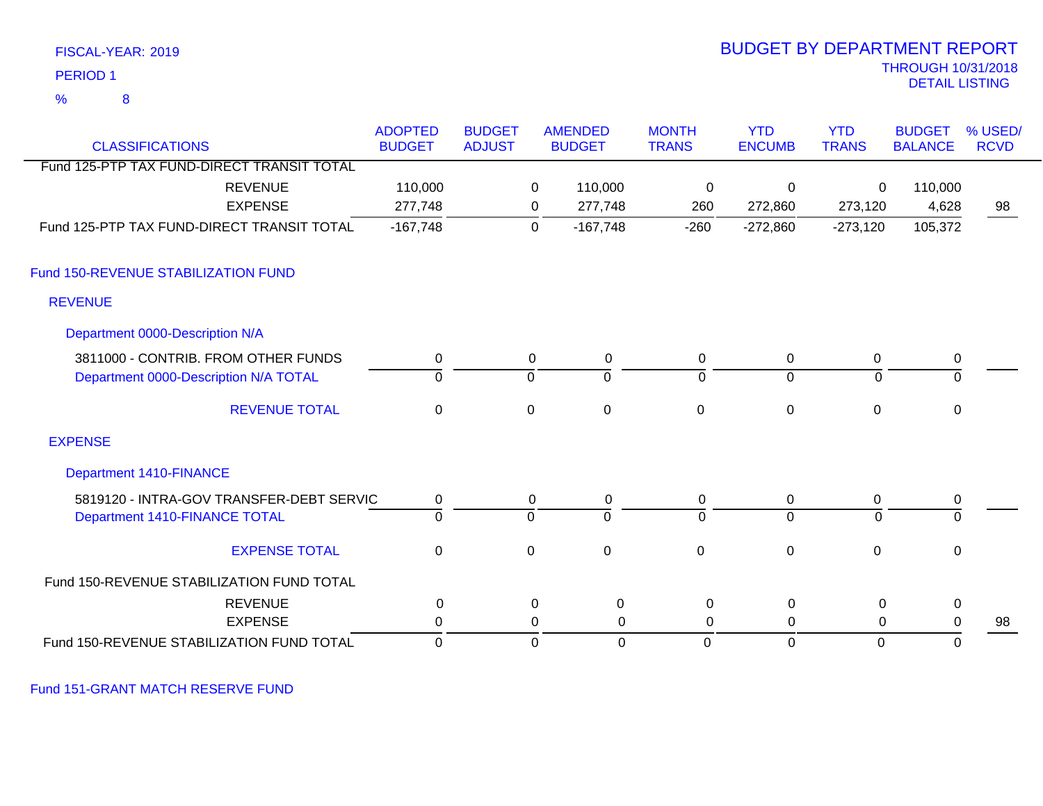| PERIOD <sub>1</sub>                        |                                 |                                |                |                                 |                              |                             |                            | <b>THROUGH 10/31/2018</b><br><b>DETAIL LISTING</b> |                        |
|--------------------------------------------|---------------------------------|--------------------------------|----------------|---------------------------------|------------------------------|-----------------------------|----------------------------|----------------------------------------------------|------------------------|
| 8<br>$\frac{9}{6}$                         |                                 |                                |                |                                 |                              |                             |                            |                                                    |                        |
| <b>CLASSIFICATIONS</b>                     | <b>ADOPTED</b><br><b>BUDGET</b> | <b>BUDGET</b><br><b>ADJUST</b> |                | <b>AMENDED</b><br><b>BUDGET</b> | <b>MONTH</b><br><b>TRANS</b> | <b>YTD</b><br><b>ENCUMB</b> | <b>YTD</b><br><b>TRANS</b> | <b>BUDGET</b><br><b>BALANCE</b>                    | % USED/<br><b>RCVD</b> |
| Fund 125-PTP TAX FUND-DIRECT TRANSIT TOTAL |                                 |                                |                |                                 |                              |                             |                            |                                                    |                        |
| <b>REVENUE</b>                             | 110,000                         |                                | $\mathbf 0$    | 110,000                         | $\mathbf 0$                  | 0                           | 0                          | 110,000                                            |                        |
| <b>EXPENSE</b>                             | 277,748                         |                                | 0              | 277,748                         | 260                          | 272,860                     | 273,120                    | 4,628                                              | 98                     |
| Fund 125-PTP TAX FUND-DIRECT TRANSIT TOTAL | $-167,748$                      |                                | $\mathbf 0$    | $-167,748$                      | $-260$                       | $-272,860$                  | $-273,120$                 | 105,372                                            |                        |
| Fund 150-REVENUE STABILIZATION FUND        |                                 |                                |                |                                 |                              |                             |                            |                                                    |                        |
| <b>REVENUE</b>                             |                                 |                                |                |                                 |                              |                             |                            |                                                    |                        |
| Department 0000-Description N/A            |                                 |                                |                |                                 |                              |                             |                            |                                                    |                        |
| 3811000 - CONTRIB. FROM OTHER FUNDS        | $\pmb{0}$                       |                                | $\mathsf 0$    | $\pmb{0}$                       | $\pmb{0}$                    | $\mathbf 0$                 | $\pmb{0}$                  | $\boldsymbol{0}$                                   |                        |
| Department 0000-Description N/A TOTAL      | 0                               |                                | <u>o</u>       | ō                               | 0                            | $\mathbf 0$                 | $\overline{0}$             | $\overline{0}$                                     |                        |
| <b>REVENUE TOTAL</b>                       | $\mathbf 0$                     |                                | $\mathbf 0$    | $\mathbf 0$                     | $\mathbf 0$                  | $\mathbf 0$                 | $\mathbf 0$                | $\mathbf 0$                                        |                        |
| <b>EXPENSE</b>                             |                                 |                                |                |                                 |                              |                             |                            |                                                    |                        |
| <b>Department 1410-FINANCE</b>             |                                 |                                |                |                                 |                              |                             |                            |                                                    |                        |
| 5819120 - INTRA-GOV TRANSFER-DEBT SERVIC   | $\pmb{0}$                       |                                | $\mathbf 0$    | $\pmb{0}$                       | $\pmb{0}$                    | $\mathbf 0$                 | 0                          | 0                                                  |                        |
| Department 1410-FINANCE TOTAL              | $\overline{0}$                  |                                | $\overline{0}$ | $\overline{0}$                  | $\overline{0}$               | $\overline{0}$              | $\overline{0}$             | $\overline{0}$                                     |                        |
| <b>EXPENSE TOTAL</b>                       | $\pmb{0}$                       |                                | $\mathbf 0$    | $\mathbf 0$                     | 0                            | $\mathbf{0}$                | $\mathbf 0$                | $\mathbf 0$                                        |                        |
| Fund 150-REVENUE STABILIZATION FUND TOTAL  |                                 |                                |                |                                 |                              |                             |                            |                                                    |                        |
| <b>REVENUE</b>                             | $\pmb{0}$                       |                                | $\mathbf 0$    | $\pmb{0}$                       | $\mathbf 0$                  | $\mathbf 0$                 | $\mathbf 0$                | $\mathbf 0$                                        |                        |
| <b>EXPENSE</b>                             | $\pmb{0}$                       |                                | 0              | $\pmb{0}$                       | $\mathbf 0$                  | 0                           | 0                          | 0                                                  | 98                     |
| Fund 150-REVENUE STABILIZATION FUND TOTAL  | $\mathbf 0$                     |                                | $\mathbf 0$    | $\mathbf 0$                     | $\mathbf 0$                  | $\mathbf 0$                 | $\mathbf 0$                | $\Omega$                                           |                        |

Fund 151-GRANT MATCH RESERVE FUND

FISCAL-YEAR: 2019

# BUDGET BY DEPARTMENT REPORT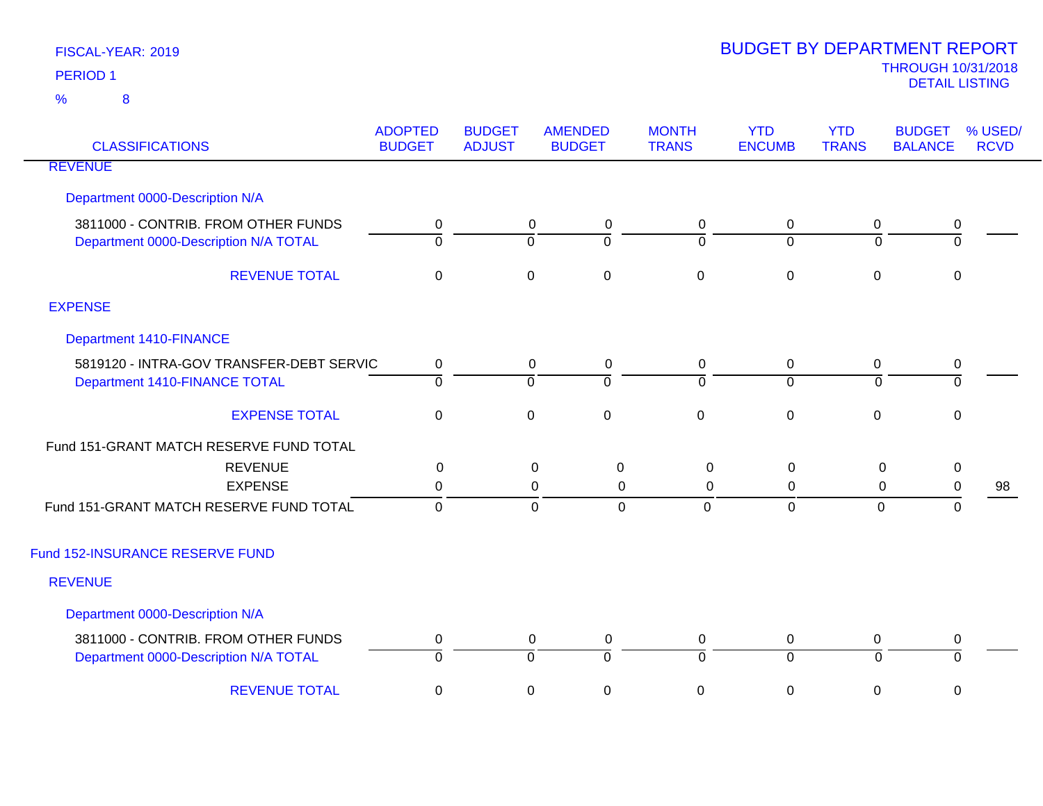| <b>CLASSIFICATIONS</b>                                                       | <b>ADOPTED</b><br><b>BUDGET</b> | <b>BUDGET</b><br><b>ADJUST</b> | <b>AMENDED</b><br><b>BUDGET</b>    | <b>MONTH</b><br><b>TRANS</b>                    | <b>YTD</b><br><b>ENCUMB</b>   | <b>YTD</b><br><b>TRANS</b> | <b>BUDGET</b><br><b>BALANCE</b> | % USED/<br><b>RCVD</b> |
|------------------------------------------------------------------------------|---------------------------------|--------------------------------|------------------------------------|-------------------------------------------------|-------------------------------|----------------------------|---------------------------------|------------------------|
| <b>REVENUE</b>                                                               |                                 |                                |                                    |                                                 |                               |                            |                                 |                        |
| Department 0000-Description N/A                                              |                                 |                                |                                    |                                                 |                               |                            |                                 |                        |
| 3811000 - CONTRIB. FROM OTHER FUNDS<br>Department 0000-Description N/A TOTAL | 0<br>$\overline{0}$             | $\overline{0}$                 | 0<br>0<br>$\mathbf 0$              | 0<br>$\overline{0}$                             | 0<br>$\overline{0}$           | $\mathbf 0$<br>$\Omega$    | 0<br>$\overline{0}$             |                        |
| <b>REVENUE TOTAL</b>                                                         | $\mathbf 0$                     | $\mathbf 0$                    | $\boldsymbol{0}$                   | $\mathbf 0$                                     | $\mathbf 0$                   | $\mathbf 0$                | 0                               |                        |
| <b>EXPENSE</b>                                                               |                                 |                                |                                    |                                                 |                               |                            |                                 |                        |
| Department 1410-FINANCE                                                      |                                 |                                |                                    |                                                 |                               |                            |                                 |                        |
| 5819120 - INTRA-GOV TRANSFER-DEBT SERVIC<br>Department 1410-FINANCE TOTAL    | $\pmb{0}$<br>$\overline{0}$     | $\overline{0}$                 | 0<br>$\pmb{0}$<br>$\overline{0}$   | 0<br>$\overline{0}$                             | 0<br>$\overline{0}$           | 0<br>$\Omega$              | $\pmb{0}$<br>$\mathbf 0$        |                        |
| <b>EXPENSE TOTAL</b>                                                         | $\pmb{0}$                       | $\mathbf 0$                    | $\pmb{0}$                          | $\mathbf 0$                                     | $\boldsymbol{0}$              | $\mathbf 0$                | $\mathbf 0$                     |                        |
| Fund 151-GRANT MATCH RESERVE FUND TOTAL                                      |                                 |                                |                                    |                                                 |                               |                            |                                 |                        |
| <b>REVENUE</b><br><b>EXPENSE</b>                                             | $\mathbf 0$<br>$\mathbf 0$      |                                | 0<br>0                             | $\boldsymbol{0}$<br>$\pmb{0}$<br>$\pmb{0}$<br>0 | 0<br>0                        | $\mathbf 0$<br>$\mathbf 0$ | $\pmb{0}$<br>$\pmb{0}$          | 98                     |
| Fund 151-GRANT MATCH RESERVE FUND TOTAL                                      | $\mathbf 0$                     |                                | $\mathbf 0$                        | $\overline{0}$<br>$\overline{0}$                | $\mathbf 0$                   | $\mathbf 0$                | $\Omega$                        |                        |
| Fund 152-INSURANCE RESERVE FUND                                              |                                 |                                |                                    |                                                 |                               |                            |                                 |                        |
| <b>REVENUE</b>                                                               |                                 |                                |                                    |                                                 |                               |                            |                                 |                        |
| Department 0000-Description N/A                                              |                                 |                                |                                    |                                                 |                               |                            |                                 |                        |
| 3811000 - CONTRIB. FROM OTHER FUNDS<br>Department 0000-Description N/A TOTAL | $\pmb{0}$<br>0                  | $\overline{0}$                 | $\mathbf 0$<br>0<br>$\overline{0}$ | $\mathbf 0$<br>70                               | $\mathbf 0$<br>$\overline{0}$ | $\mathbf 0$<br>$\mathbf 0$ | 0<br>$\Omega$                   |                        |
| <b>REVENUE TOTAL</b>                                                         | $\mathbf 0$                     | $\mathsf 0$                    | $\pmb{0}$                          | $\mathsf 0$                                     | $\boldsymbol{0}$              | 0                          | $\mathbf 0$                     |                        |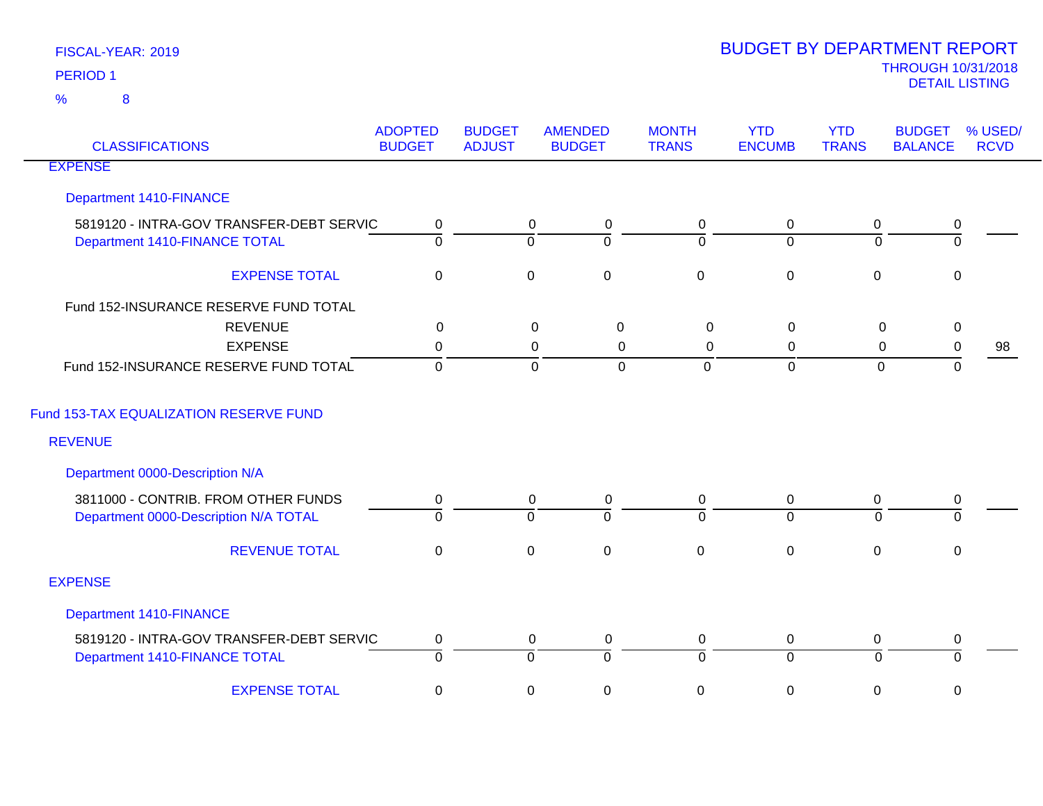| <b>CLASSIFICATIONS</b>                   | <b>ADOPTED</b><br><b>BUDGET</b> | <b>BUDGET</b><br><b>ADJUST</b> | <b>AMENDED</b><br><b>BUDGET</b>  | <b>MONTH</b><br><b>TRANS</b> | <b>YTD</b><br><b>ENCUMB</b> | <b>YTD</b><br><b>TRANS</b> | <b>BUDGET</b><br><b>BALANCE</b> | % USED/<br><b>RCVD</b> |
|------------------------------------------|---------------------------------|--------------------------------|----------------------------------|------------------------------|-----------------------------|----------------------------|---------------------------------|------------------------|
| <b>EXPENSE</b>                           |                                 |                                |                                  |                              |                             |                            |                                 |                        |
| <b>Department 1410-FINANCE</b>           |                                 |                                |                                  |                              |                             |                            |                                 |                        |
| 5819120 - INTRA-GOV TRANSFER-DEBT SERVIC | 0                               |                                | $\mathbf 0$<br>0                 | 0                            | $\mathbf 0$                 | 0                          | 0                               |                        |
| Department 1410-FINANCE TOTAL            | $\overline{0}$                  |                                | $\Omega$<br>$\Omega$             | $\overline{0}$               | $\mathbf{0}$                | $\Omega$                   | $\Omega$                        |                        |
| <b>EXPENSE TOTAL</b>                     | $\mathbf 0$                     |                                | $\pmb{0}$<br>$\pmb{0}$           | $\mathbf 0$                  | $\pmb{0}$                   | $\mathbf 0$                | $\mathbf 0$                     |                        |
| Fund 152-INSURANCE RESERVE FUND TOTAL    |                                 |                                |                                  |                              |                             |                            |                                 |                        |
| <b>REVENUE</b>                           | $\mathbf 0$                     |                                | $\mathbf 0$<br>$\boldsymbol{0}$  | $\mathbf 0$                  | $\mathsf 0$                 | $\mathbf 0$                | $\pmb{0}$                       |                        |
| <b>EXPENSE</b>                           | $\mathbf 0$                     |                                | 0<br>0                           | 0                            | 0                           | $\mathbf 0$                | $\pmb{0}$                       | 98                     |
| Fund 152-INSURANCE RESERVE FUND TOTAL    | $\mathbf 0$                     |                                | $\mathbf 0$<br>$\mathbf 0$       | $\overline{0}$               | $\mathbf 0$                 | $\mathbf 0$                | $\mathbf 0$                     |                        |
| Fund 153-TAX EQUALIZATION RESERVE FUND   |                                 |                                |                                  |                              |                             |                            |                                 |                        |
| <b>REVENUE</b>                           |                                 |                                |                                  |                              |                             |                            |                                 |                        |
| Department 0000-Description N/A          |                                 |                                |                                  |                              |                             |                            |                                 |                        |
| 3811000 - CONTRIB. FROM OTHER FUNDS      | 0                               |                                | $\mathbf 0$<br>$\mathbf 0$       | 0                            | $\mathbf 0$                 | 0                          | $\pmb{0}$                       |                        |
| Department 0000-Description N/A TOTAL    | $\Omega$                        |                                | $\overline{0}$<br>$\Omega$       | $\Omega$                     | $\overline{0}$              | $\Omega$                   | $\Omega$                        |                        |
| <b>REVENUE TOTAL</b>                     | $\mathbf 0$                     |                                | $\pmb{0}$<br>$\mathbf 0$         | $\mathbf 0$                  | $\pmb{0}$                   | $\mathbf 0$                | $\mathbf 0$                     |                        |
| <b>EXPENSE</b>                           |                                 |                                |                                  |                              |                             |                            |                                 |                        |
| <b>Department 1410-FINANCE</b>           |                                 |                                |                                  |                              |                             |                            |                                 |                        |
| 5819120 - INTRA-GOV TRANSFER-DEBT SERVIC | 0                               |                                | $\mathbf 0$<br>0                 | 0                            | $\mathbf 0$                 | 0                          | 0                               |                        |
| Department 1410-FINANCE TOTAL            | 0                               |                                | $\overline{0}$<br>$\overline{0}$ | $\overline{0}$               | $\overline{0}$              | $\Omega$                   | $\Omega$                        |                        |
| <b>EXPENSE TOTAL</b>                     | $\mathbf 0$                     |                                | $\pmb{0}$<br>$\mathsf 0$         | 0                            | $\pmb{0}$                   | 0                          | $\mathbf 0$                     |                        |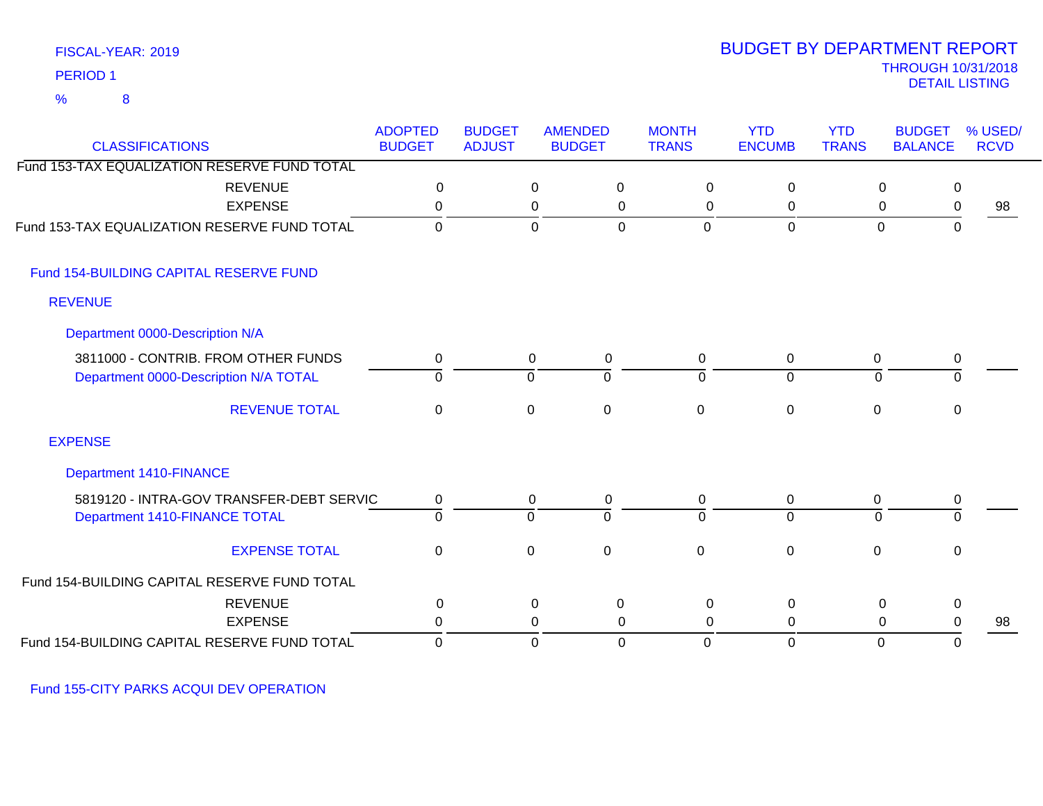### FISCAL-YEAR: 2019 8 %

### THROUGH 10/31/2018 DETAIL LISTING PERIOD <sup>1</sup> BUDGET BY DEPARTMENT REPORT

| <b>CLASSIFICATIONS</b>                       | <b>ADOPTED</b><br><b>BUDGET</b> | <b>BUDGET</b><br><b>ADJUST</b> | <b>AMENDED</b><br><b>BUDGET</b> |                | <b>MONTH</b><br><b>TRANS</b> | <b>YTD</b><br><b>ENCUMB</b> | <b>YTD</b><br><b>TRANS</b> | <b>BUDGET</b><br><b>BALANCE</b> | % USED/<br><b>RCVD</b> |
|----------------------------------------------|---------------------------------|--------------------------------|---------------------------------|----------------|------------------------------|-----------------------------|----------------------------|---------------------------------|------------------------|
| Fund 153-TAX EQUALIZATION RESERVE FUND TOTAL |                                 |                                |                                 |                |                              |                             |                            |                                 |                        |
| <b>REVENUE</b>                               | 0                               |                                | $\pmb{0}$                       | $\mathbf 0$    | $\mathbf 0$                  | $\overline{0}$              |                            | $\mathbf 0$<br>0                |                        |
| <b>EXPENSE</b>                               | 0                               |                                | 0                               | 0              | 0                            | $\mathbf 0$                 |                            | 0<br>$\mathbf 0$                | 98                     |
| Fund 153-TAX EQUALIZATION RESERVE FUND TOTAL | 0                               |                                | $\mathbf 0$                     | $\overline{0}$ | $\overline{0}$               | $\overline{0}$              |                            | $\mathbf 0$<br>$\mathbf 0$      |                        |
| Fund 154-BUILDING CAPITAL RESERVE FUND       |                                 |                                |                                 |                |                              |                             |                            |                                 |                        |
| <b>REVENUE</b>                               |                                 |                                |                                 |                |                              |                             |                            |                                 |                        |
| Department 0000-Description N/A              |                                 |                                |                                 |                |                              |                             |                            |                                 |                        |
| 3811000 - CONTRIB. FROM OTHER FUNDS          | 0                               |                                | $\mathbf 0$                     | $\mathbf 0$    | 0                            | 0                           |                            | 0<br>0                          |                        |
| Department 0000-Description N/A TOTAL        | $\overline{0}$                  |                                | $\overline{0}$                  | $\Omega$       | $\Omega$                     | $\overline{0}$              |                            | $\Omega$<br>0                   |                        |
| <b>REVENUE TOTAL</b>                         | $\pmb{0}$                       |                                | $\pmb{0}$                       | $\mathbf 0$    | $\mathbf 0$                  | $\pmb{0}$                   |                            | $\mathbf 0$<br>0                |                        |
| <b>EXPENSE</b>                               |                                 |                                |                                 |                |                              |                             |                            |                                 |                        |
| Department 1410-FINANCE                      |                                 |                                |                                 |                |                              |                             |                            |                                 |                        |
| 5819120 - INTRA-GOV TRANSFER-DEBT SERVIC     | 0                               |                                | $\mathbf 0$                     | 0              | 0                            | $\mathbf 0$                 |                            | $\mathbf 0$<br>0                |                        |
| Department 1410-FINANCE TOTAL                | $\overline{0}$                  |                                | $\overline{0}$                  | $\mathbf 0$    | $\Omega$                     | $\overline{0}$              |                            | 0<br>$\Omega$                   |                        |
| <b>EXPENSE TOTAL</b>                         | $\mathbf 0$                     |                                | $\pmb{0}$                       | $\mathbf 0$    | $\mathbf 0$                  | $\pmb{0}$                   |                            | $\mathbf 0$<br>0                |                        |
| Fund 154-BUILDING CAPITAL RESERVE FUND TOTAL |                                 |                                |                                 |                |                              |                             |                            |                                 |                        |
| <b>REVENUE</b>                               | 0                               |                                | 0                               | $\mathbf 0$    | 0                            | 0                           |                            | $\mathbf 0$<br>0                |                        |
| <b>EXPENSE</b>                               | 0                               |                                | 0                               | 0              | 0                            | 0                           |                            | 0<br>0                          | 98                     |
| Fund 154-BUILDING CAPITAL RESERVE FUND TOTAL | 0                               |                                | $\mathbf 0$                     | $\mathbf 0$    | 0                            | $\mathbf 0$                 |                            | $\mathbf 0$<br>0                |                        |

Fund 155-CITY PARKS ACQUI DEV OPERATION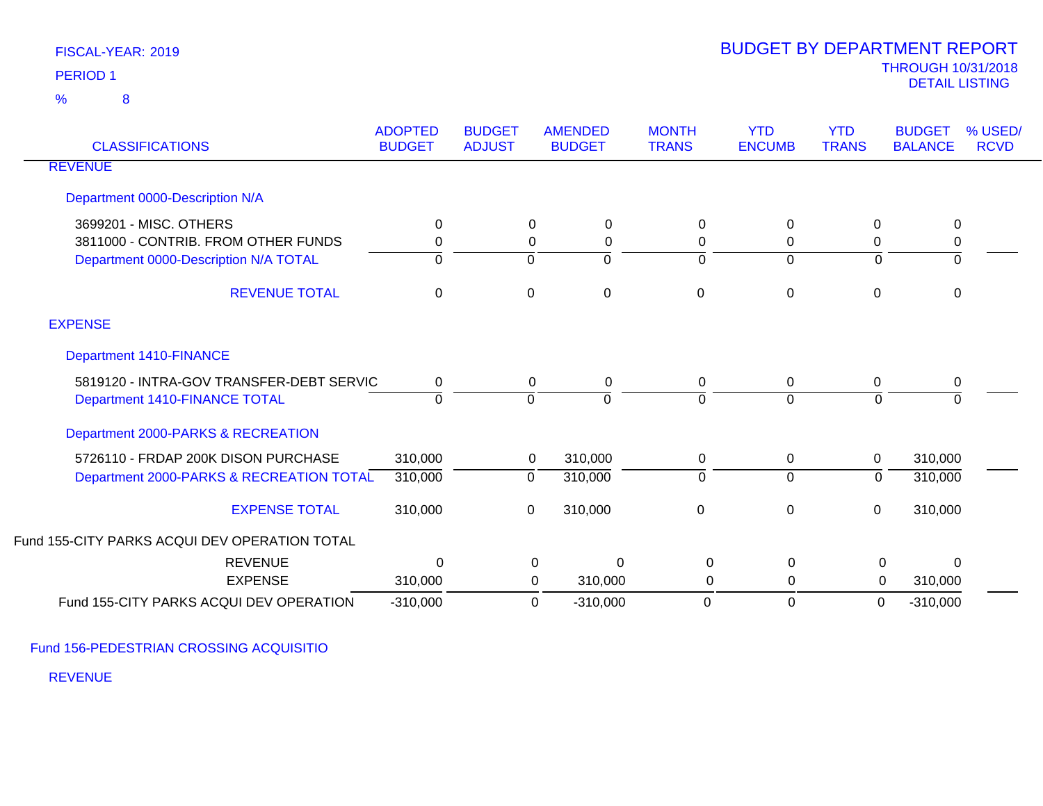| <b>CLASSIFICATIONS</b>                                                                                 | <b>ADOPTED</b><br><b>BUDGET</b> | <b>BUDGET</b><br><b>ADJUST</b>               | <b>AMENDED</b><br><b>BUDGET</b> | <b>MONTH</b><br><b>TRANS</b> | <b>YTD</b><br><b>ENCUMB</b>         | <b>YTD</b><br><b>TRANS</b> | <b>BUDGET</b><br><b>BALANCE</b> | % USED/<br><b>RCVD</b> |
|--------------------------------------------------------------------------------------------------------|---------------------------------|----------------------------------------------|---------------------------------|------------------------------|-------------------------------------|----------------------------|---------------------------------|------------------------|
| <b>REVENUE</b>                                                                                         |                                 |                                              |                                 |                              |                                     |                            |                                 |                        |
| Department 0000-Description N/A                                                                        |                                 |                                              |                                 |                              |                                     |                            |                                 |                        |
| 3699201 - MISC. OTHERS<br>3811000 - CONTRIB. FROM OTHER FUNDS<br>Department 0000-Description N/A TOTAL | 0<br>0<br>0                     | $\mathbf 0$<br>$\mathbf 0$<br>$\overline{0}$ | 0<br>0<br>$\Omega$              | 0<br>0<br>$\Omega$           | $\mathbf{0}$<br>0<br>$\overline{0}$ | 0<br>0<br>0                | 0<br>0<br>$\Omega$              |                        |
| <b>REVENUE TOTAL</b>                                                                                   | 0                               | $\mathsf 0$                                  | 0                               | $\Omega$                     | 0                                   | 0                          | 0                               |                        |
| <b>EXPENSE</b>                                                                                         |                                 |                                              |                                 |                              |                                     |                            |                                 |                        |
| <b>Department 1410-FINANCE</b>                                                                         |                                 |                                              |                                 |                              |                                     |                            |                                 |                        |
| 5819120 - INTRA-GOV TRANSFER-DEBT SERVIC<br>Department 1410-FINANCE TOTAL                              | 0<br>$\Omega$                   | $\mathbf 0$<br>$\Omega$                      | 0<br>$\Omega$                   | 0<br>$\Omega$                | 0<br>$\Omega$                       | 0<br>$\Omega$              | 0<br>$\Omega$                   |                        |
| Department 2000-PARKS & RECREATION                                                                     |                                 |                                              |                                 |                              |                                     |                            |                                 |                        |
| 5726110 - FRDAP 200K DISON PURCHASE<br>Department 2000-PARKS & RECREATION TOTAL                        | 310,000<br>310,000              | 0<br>0                                       | 310,000<br>310,000              | 0<br>$\Omega$                | $\mathbf 0$<br>$\mathbf 0$          | 0<br>0                     | 310,000<br>310,000              |                        |
| <b>EXPENSE TOTAL</b>                                                                                   | 310,000                         | 0                                            | 310,000                         | $\mathbf 0$                  | $\mathbf 0$                         | 0                          | 310,000                         |                        |
| Fund 155-CITY PARKS ACQUI DEV OPERATION TOTAL                                                          |                                 |                                              |                                 |                              |                                     |                            |                                 |                        |
| <b>REVENUE</b>                                                                                         | $\Omega$                        |                                              | $\mathbf 0$<br>$\Omega$         | 0                            | $\Omega$                            | $\mathbf 0$                | $\Omega$                        |                        |
| <b>EXPENSE</b>                                                                                         | 310,000                         |                                              | $\mathbf 0$<br>310,000          | 0                            | 0                                   | $\mathbf 0$                | 310,000                         |                        |
| Fund 155-CITY PARKS ACQUI DEV OPERATION                                                                | $-310,000$                      |                                              | 0<br>$-310,000$                 | 0                            | $\Omega$                            | 0                          | $-310,000$                      |                        |

Fund 156-PEDESTRIAN CROSSING ACQUISITIO

REVENUE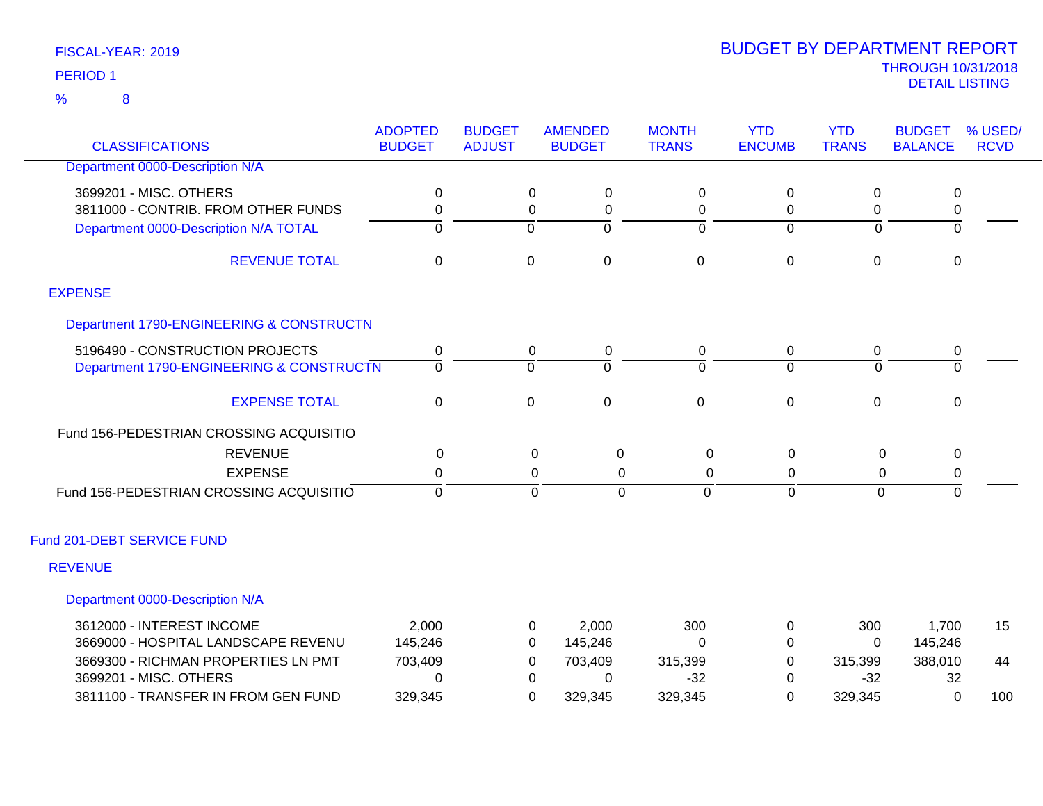8 %

| <b>CLASSIFICATIONS</b>                                        | <b>ADOPTED</b><br><b>BUDGET</b> | <b>BUDGET</b><br><b>ADJUST</b> | <b>AMENDED</b><br><b>BUDGET</b>  | <b>MONTH</b><br><b>TRANS</b> | <b>YTD</b><br><b>ENCUMB</b> | <b>YTD</b><br><b>TRANS</b> | <b>BUDGET</b><br><b>BALANCE</b> | % USED/<br><b>RCVD</b> |
|---------------------------------------------------------------|---------------------------------|--------------------------------|----------------------------------|------------------------------|-----------------------------|----------------------------|---------------------------------|------------------------|
| Department 0000-Description N/A                               |                                 |                                |                                  |                              |                             |                            |                                 |                        |
|                                                               |                                 |                                |                                  |                              |                             |                            |                                 |                        |
| 3699201 - MISC, OTHERS<br>3811000 - CONTRIB. FROM OTHER FUNDS | 0                               | 0                              | 0                                | 0                            | 0                           | 0                          | 0                               |                        |
| Department 0000-Description N/A TOTAL                         | 0<br>$\overline{0}$             | 0<br>$\overline{0}$            | 0<br>$\overline{0}$              | 0<br>$\Omega$                | 0<br>$\Omega$               | 0<br>$\Omega$              | $\pmb{0}$<br>$\overline{0}$     |                        |
|                                                               |                                 |                                |                                  |                              |                             |                            |                                 |                        |
| <b>REVENUE TOTAL</b>                                          | $\mathbf 0$                     | $\mathbf 0$                    | $\mathbf 0$                      | $\pmb{0}$                    | $\mathbf 0$                 | $\mathbf 0$                | $\mathbf 0$                     |                        |
| <b>EXPENSE</b>                                                |                                 |                                |                                  |                              |                             |                            |                                 |                        |
| Department 1790-ENGINEERING & CONSTRUCTN                      |                                 |                                |                                  |                              |                             |                            |                                 |                        |
| 5196490 - CONSTRUCTION PROJECTS                               | 0                               | 0                              | 0                                | 0                            | 0                           | 0                          | 0                               |                        |
| Department 1790-ENGINEERING & CONSTRUCTN                      | $\overline{0}$                  | $\overline{0}$                 | $\overline{0}$                   | $\Omega$                     | $\Omega$                    | $\Omega$                   | $\overline{0}$                  |                        |
|                                                               |                                 |                                |                                  |                              |                             |                            |                                 |                        |
| <b>EXPENSE TOTAL</b>                                          | $\pmb{0}$                       | $\mathbf 0$                    | $\pmb{0}$                        | $\pmb{0}$                    | $\boldsymbol{0}$            | $\mathbf 0$                | $\mathbf 0$                     |                        |
| Fund 156-PEDESTRIAN CROSSING ACQUISITIO                       |                                 |                                |                                  |                              |                             |                            |                                 |                        |
| <b>REVENUE</b>                                                | 0                               |                                | 0<br>$\mathbf 0$                 | 0                            | 0                           | 0                          | 0                               |                        |
| <b>EXPENSE</b>                                                | 0                               |                                | 0<br>0                           | 0                            | 0                           | 0                          | 0                               |                        |
| Fund 156-PEDESTRIAN CROSSING ACQUISITIO                       | $\overline{0}$                  |                                | $\overline{0}$<br>$\overline{0}$ | $\Omega$                     | $\Omega$                    | $\Omega$                   | $\overline{0}$                  |                        |
| Fund 201-DEBT SERVICE FUND                                    |                                 |                                |                                  |                              |                             |                            |                                 |                        |
| <b>REVENUE</b>                                                |                                 |                                |                                  |                              |                             |                            |                                 |                        |
| Department 0000-Description N/A                               |                                 |                                |                                  |                              |                             |                            |                                 |                        |
| 3612000 - INTEREST INCOME                                     | 2,000                           | 0                              | 2,000                            | 300                          | 0                           | 300                        | 1,700                           | 15                     |
| 3669000 - HOSPITAL LANDSCAPE REVENU                           | 145,246                         | 0                              | 145,246                          | $\Omega$                     | 0                           | $\overline{0}$             | 145,246                         |                        |
| 3669300 - RICHMAN PROPERTIES LN PMT                           | 703,409                         | 0                              | 703,409                          | 315,399                      | 0                           | 315,399                    | 388,010                         | 44                     |
| 3699201 - MISC. OTHERS                                        | 0                               | 0                              | 0                                | $-32$                        | 0                           | $-32$                      | 32                              |                        |
| 3811100 - TRANSFER IN FROM GEN FUND                           | 329,345                         | 0                              | 329,345                          | 329,345                      | 0                           | 329,345                    | 0                               | 100                    |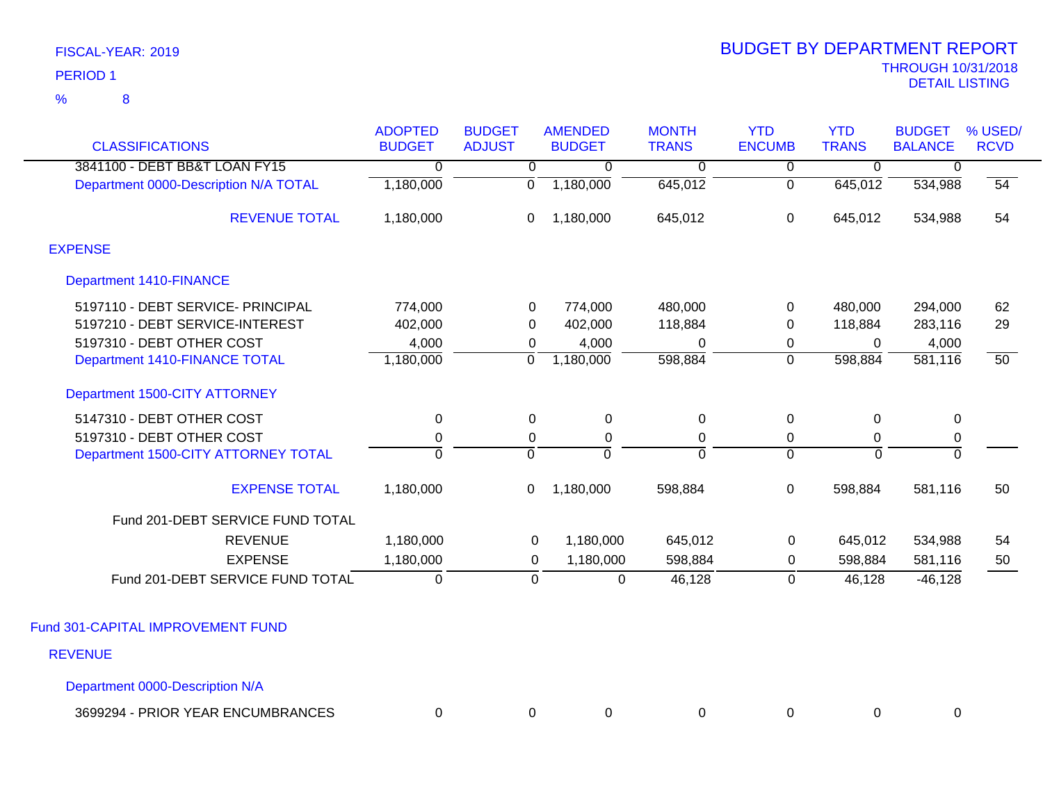|                 | FISCAL-YEAR: 2019 |
|-----------------|-------------------|
| <b>PERIOD 1</b> |                   |
| $\%$            | 8                 |

| <b>CLASSIFICATIONS</b>                | <b>ADOPTED</b><br><b>BUDGET</b> | <b>BUDGET</b><br><b>ADJUST</b> | <b>AMENDED</b><br><b>BUDGET</b> | <b>MONTH</b><br><b>TRANS</b> | <b>YTD</b><br><b>ENCUMB</b> | <b>YTD</b><br><b>TRANS</b> | <b>BUDGET</b><br><b>BALANCE</b> | % USED/<br><b>RCVD</b> |
|---------------------------------------|---------------------------------|--------------------------------|---------------------------------|------------------------------|-----------------------------|----------------------------|---------------------------------|------------------------|
| 3841100 - DEBT BB&T LOAN FY15         | $\overline{0}$                  | $\overline{0}$                 | 0                               | $\overline{0}$               | $\overline{0}$              | $\overline{0}$             | 0                               |                        |
| Department 0000-Description N/A TOTAL | 1,180,000                       | $\overline{0}$                 | 1,180,000                       | 645,012                      | $\overline{0}$              | 645,012                    | 534,988                         | 54                     |
| <b>REVENUE TOTAL</b>                  | 1,180,000                       | 0                              | 1,180,000                       | 645,012                      | $\boldsymbol{0}$            | 645,012                    | 534,988                         | 54                     |
| <b>EXPENSE</b>                        |                                 |                                |                                 |                              |                             |                            |                                 |                        |
| <b>Department 1410-FINANCE</b>        |                                 |                                |                                 |                              |                             |                            |                                 |                        |
| 5197110 - DEBT SERVICE- PRINCIPAL     | 774,000                         | 0                              | 774,000                         | 480,000                      | 0                           | 480,000                    | 294,000                         | 62                     |
| 5197210 - DEBT SERVICE-INTEREST       | 402,000                         | 0                              | 402,000                         | 118,884                      | 0                           | 118,884                    | 283,116                         | 29                     |
| 5197310 - DEBT OTHER COST             | 4,000                           | 0                              | 4,000                           | 0                            | 0                           | $\Omega$                   | 4,000                           |                        |
| Department 1410-FINANCE TOTAL         | 1,180,000                       | 0                              | 1,180,000                       | 598,884                      | $\mathbf 0$                 | 598,884                    | 581,116                         | $\overline{50}$        |
| Department 1500-CITY ATTORNEY         |                                 |                                |                                 |                              |                             |                            |                                 |                        |
| 5147310 - DEBT OTHER COST             | 0                               | $\Omega$                       | $\mathbf 0$                     | $\Omega$                     | $\mathbf 0$                 | $\Omega$                   | 0                               |                        |
| 5197310 - DEBT OTHER COST             | $\mathbf 0$                     | 0                              | 0                               | 0                            | 0                           | 0                          | $\pmb{0}$                       |                        |
| Department 1500-CITY ATTORNEY TOTAL   | $\mathbf 0$                     | $\mathbf 0$                    | $\Omega$                        | $\Omega$                     | $\overline{0}$              | $\mathbf 0$                | $\mathbf 0$                     |                        |
| <b>EXPENSE TOTAL</b>                  | 1,180,000                       | 0                              | 1,180,000                       | 598,884                      | 0                           | 598,884                    | 581,116                         | 50                     |
| Fund 201-DEBT SERVICE FUND TOTAL      |                                 |                                |                                 |                              |                             |                            |                                 |                        |
| <b>REVENUE</b>                        | 1,180,000                       | 0                              | 1,180,000                       | 645,012                      | $\mathbf 0$                 | 645,012                    | 534,988                         | 54                     |
| <b>EXPENSE</b>                        | 1,180,000                       | 0                              | 1,180,000                       | 598,884                      | 0                           | 598,884                    | 581,116                         | 50                     |
| Fund 201-DEBT SERVICE FUND TOTAL      | $\mathbf 0$                     | $\mathbf 0$                    | $\mathbf 0$                     | 46,128                       | 0                           | 46,128                     | $-46, 128$                      |                        |
|                                       |                                 |                                |                                 |                              |                             |                            |                                 |                        |
| Fund 301-CAPITAL IMPROVEMENT FUND     |                                 |                                |                                 |                              |                             |                            |                                 |                        |
| <b>REVENUE</b>                        |                                 |                                |                                 |                              |                             |                            |                                 |                        |
| Department 0000-Description N/A       |                                 |                                |                                 |                              |                             |                            |                                 |                        |

| <b>PRIOR YEAR ENCUMBRANCES</b><br>3699294 |  |  |  |  |
|-------------------------------------------|--|--|--|--|
|                                           |  |  |  |  |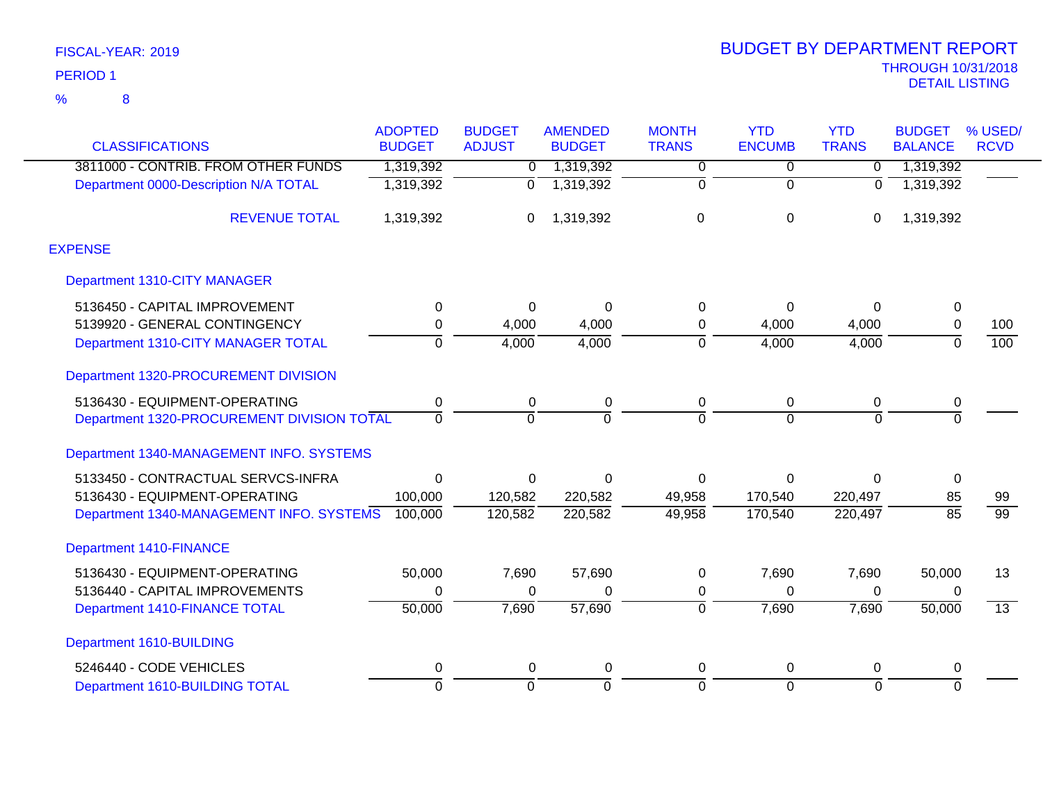| <b>CLASSIFICATIONS</b>                     | <b>ADOPTED</b><br><b>BUDGET</b> | <b>BUDGET</b><br><b>ADJUST</b> | <b>AMENDED</b><br><b>BUDGET</b> | <b>MONTH</b><br><b>TRANS</b> | <b>YTD</b><br><b>ENCUMB</b> | <b>YTD</b><br><b>TRANS</b> | <b>BUDGET</b><br><b>BALANCE</b> | % USED/<br><b>RCVD</b> |
|--------------------------------------------|---------------------------------|--------------------------------|---------------------------------|------------------------------|-----------------------------|----------------------------|---------------------------------|------------------------|
| 3811000 - CONTRIB. FROM OTHER FUNDS        |                                 |                                |                                 |                              |                             |                            | 1,319,392                       |                        |
|                                            | 1,319,392                       | $\overline{0}$                 | 1,319,392                       | $\overline{0}$               | 0                           | 0                          |                                 |                        |
| Department 0000-Description N/A TOTAL      | 1,319,392                       | $\overline{0}$                 | 1,319,392                       | $\overline{0}$               | $\overline{0}$              | 0                          | 1,319,392                       |                        |
| <b>REVENUE TOTAL</b>                       | 1,319,392                       | 0                              | 1,319,392                       | 0                            | $\mathbf 0$                 | 0                          | 1,319,392                       |                        |
| <b>EXPENSE</b>                             |                                 |                                |                                 |                              |                             |                            |                                 |                        |
| Department 1310-CITY MANAGER               |                                 |                                |                                 |                              |                             |                            |                                 |                        |
| 5136450 - CAPITAL IMPROVEMENT              | 0                               | $\Omega$                       | $\Omega$                        | 0                            | 0                           | 0                          | $\mathbf 0$                     |                        |
| 5139920 - GENERAL CONTINGENCY              | 0                               | 4,000                          | 4,000                           | 0                            | 4,000                       | 4,000                      | $\mathbf 0$                     | 100                    |
| Department 1310-CITY MANAGER TOTAL         | $\Omega$                        | 4,000                          | 4,000                           | 0                            | 4,000                       | 4,000                      | $\Omega$                        | 100                    |
| Department 1320-PROCUREMENT DIVISION       |                                 |                                |                                 |                              |                             |                            |                                 |                        |
| 5136430 - EQUIPMENT-OPERATING              | 0                               | 0                              | $\pmb{0}$                       | 0                            | 0                           | 0                          | 0                               |                        |
| Department 1320-PROCUREMENT DIVISION TOTAL | $\Omega$                        | $\Omega$                       | $\Omega$                        | $\Omega$                     | $\Omega$                    | $\Omega$                   | $\Omega$                        |                        |
| Department 1340-MANAGEMENT INFO. SYSTEMS   |                                 |                                |                                 |                              |                             |                            |                                 |                        |
| 5133450 - CONTRACTUAL SERVCS-INFRA         | 0                               | $\mathbf 0$                    | $\Omega$                        | 0                            | $\Omega$                    | $\mathbf 0$                | $\mathbf 0$                     |                        |
| 5136430 - EQUIPMENT-OPERATING              | 100,000                         | 120,582                        | 220,582                         | 49,958                       | 170,540                     | 220,497                    | 85                              | 99                     |
| Department 1340-MANAGEMENT INFO. SYSTEMS   | 100,000                         | 120,582                        | 220,582                         | 49,958                       | 170,540                     | 220,497                    | $\overline{85}$                 | $\overline{99}$        |
| <b>Department 1410-FINANCE</b>             |                                 |                                |                                 |                              |                             |                            |                                 |                        |
| 5136430 - EQUIPMENT-OPERATING              | 50,000                          | 7,690                          | 57,690                          | 0                            | 7,690                       | 7,690                      | 50,000                          | 13                     |
| 5136440 - CAPITAL IMPROVEMENTS             | 0                               | 0                              | 0                               | 0                            | 0                           | 0                          | 0                               |                        |
| Department 1410-FINANCE TOTAL              | 50,000                          | 7,690                          | 57,690                          | ō                            | 7,690                       | 7,690                      | 50,000                          | $\overline{13}$        |
| Department 1610-BUILDING                   |                                 |                                |                                 |                              |                             |                            |                                 |                        |
| 5246440 - CODE VEHICLES                    | 0                               | 0                              | 0                               | 0                            | 0                           | 0                          | 0                               |                        |
| Department 1610-BUILDING TOTAL             | $\overline{0}$                  | $\Omega$                       | $\Omega$                        | $\overline{0}$               | $\Omega$                    | $\overline{0}$             | $\Omega$                        |                        |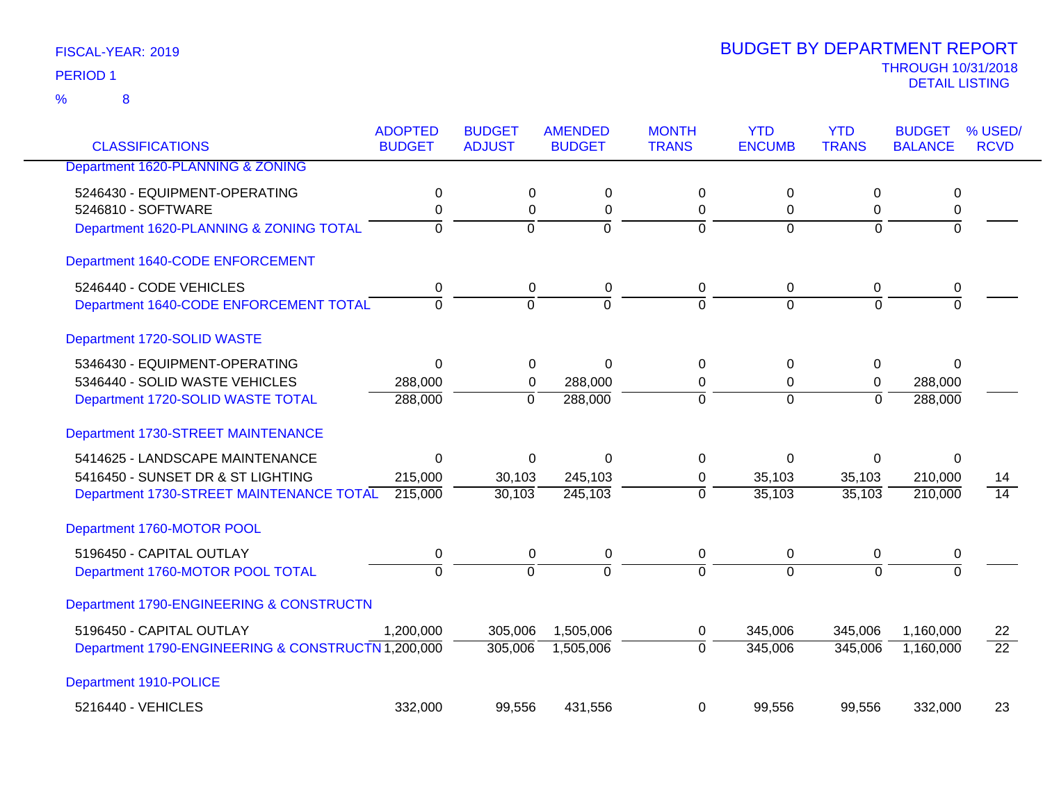| <b>CLASSIFICATIONS</b>                             | <b>ADOPTED</b><br><b>BUDGET</b> | <b>BUDGET</b><br><b>ADJUST</b> | <b>AMENDED</b><br><b>BUDGET</b> | <b>MONTH</b><br><b>TRANS</b> | <b>YTD</b><br><b>ENCUMB</b> | <b>YTD</b><br><b>TRANS</b> | <b>BUDGET</b><br><b>BALANCE</b> | % USED/<br><b>RCVD</b> |
|----------------------------------------------------|---------------------------------|--------------------------------|---------------------------------|------------------------------|-----------------------------|----------------------------|---------------------------------|------------------------|
| Department 1620-PLANNING & ZONING                  |                                 |                                |                                 |                              |                             |                            |                                 |                        |
| 5246430 - EQUIPMENT-OPERATING                      | 0                               | 0                              | 0                               | 0                            | $\mathbf 0$                 | 0                          | 0                               |                        |
| 5246810 - SOFTWARE                                 | 0                               | 0                              | 0                               | 0                            | 0                           | 0                          | 0                               |                        |
| Department 1620-PLANNING & ZONING TOTAL            | $\mathbf 0$                     | $\mathbf 0$                    | $\overline{0}$                  | $\mathbf 0$                  | $\overline{0}$              | 0                          | ō                               |                        |
| Department 1640-CODE ENFORCEMENT                   |                                 |                                |                                 |                              |                             |                            |                                 |                        |
| 5246440 - CODE VEHICLES                            | 0                               | 0                              | $\pmb{0}$                       | 0                            | $\mathbf 0$                 | $\mathbf 0$                | 0                               |                        |
| Department 1640-CODE ENFORCEMENT TOTAL             | $\Omega$                        | $\Omega$                       | $\Omega$                        | $\Omega$                     | $\Omega$                    | $\Omega$                   | $\Omega$                        |                        |
| Department 1720-SOLID WASTE                        |                                 |                                |                                 |                              |                             |                            |                                 |                        |
| 5346430 - EQUIPMENT-OPERATING                      | $\Omega$                        | 0                              | $\Omega$                        | 0                            | 0                           | 0                          | $\Omega$                        |                        |
| 5346440 - SOLID WASTE VEHICLES                     | 288,000                         | 0                              | 288,000                         | 0                            | 0                           | 0                          | 288,000                         |                        |
| Department 1720-SOLID WASTE TOTAL                  | 288,000                         | $\Omega$                       | 288,000                         | $\Omega$                     | $\Omega$                    | $\Omega$                   | 288,000                         |                        |
| Department 1730-STREET MAINTENANCE                 |                                 |                                |                                 |                              |                             |                            |                                 |                        |
| 5414625 - LANDSCAPE MAINTENANCE                    | $\Omega$                        | 0                              | $\Omega$                        | 0                            | 0                           | 0                          | $\Omega$                        |                        |
| 5416450 - SUNSET DR & ST LIGHTING                  | 215,000                         | 30,103                         | 245,103                         | 0                            | 35,103                      | 35,103                     | 210,000                         | 14                     |
| Department 1730-STREET MAINTENANCE TOTAL           | 215,000                         | 30,103                         | 245,103                         | $\Omega$                     | 35,103                      | 35,103                     | 210,000                         | $\overline{14}$        |
| Department 1760-MOTOR POOL                         |                                 |                                |                                 |                              |                             |                            |                                 |                        |
| 5196450 - CAPITAL OUTLAY                           | 0                               | 0                              | 0                               | 0                            | 0                           | 0                          | 0                               |                        |
| Department 1760-MOTOR POOL TOTAL                   | $\overline{0}$                  | $\Omega$                       | $\overline{0}$                  | $\Omega$                     | $\Omega$                    | $\Omega$                   | $\overline{0}$                  |                        |
| Department 1790-ENGINEERING & CONSTRUCTN           |                                 |                                |                                 |                              |                             |                            |                                 |                        |
| 5196450 - CAPITAL OUTLAY                           | 1,200,000                       | 305,006                        | 1,505,006                       | 0                            | 345,006                     | 345,006                    | 1,160,000                       | 22                     |
| Department 1790-ENGINEERING & CONSTRUCTN 1,200,000 |                                 | 305,006                        | 1,505,006                       | $\Omega$                     | 345,006                     | 345,006                    | 1,160,000                       | $\overline{22}$        |
| Department 1910-POLICE                             |                                 |                                |                                 |                              |                             |                            |                                 |                        |
| 5216440 - VEHICLES                                 | 332,000                         | 99.556                         | 431,556                         | $\Omega$                     | 99,556                      | 99,556                     | 332,000                         | 23                     |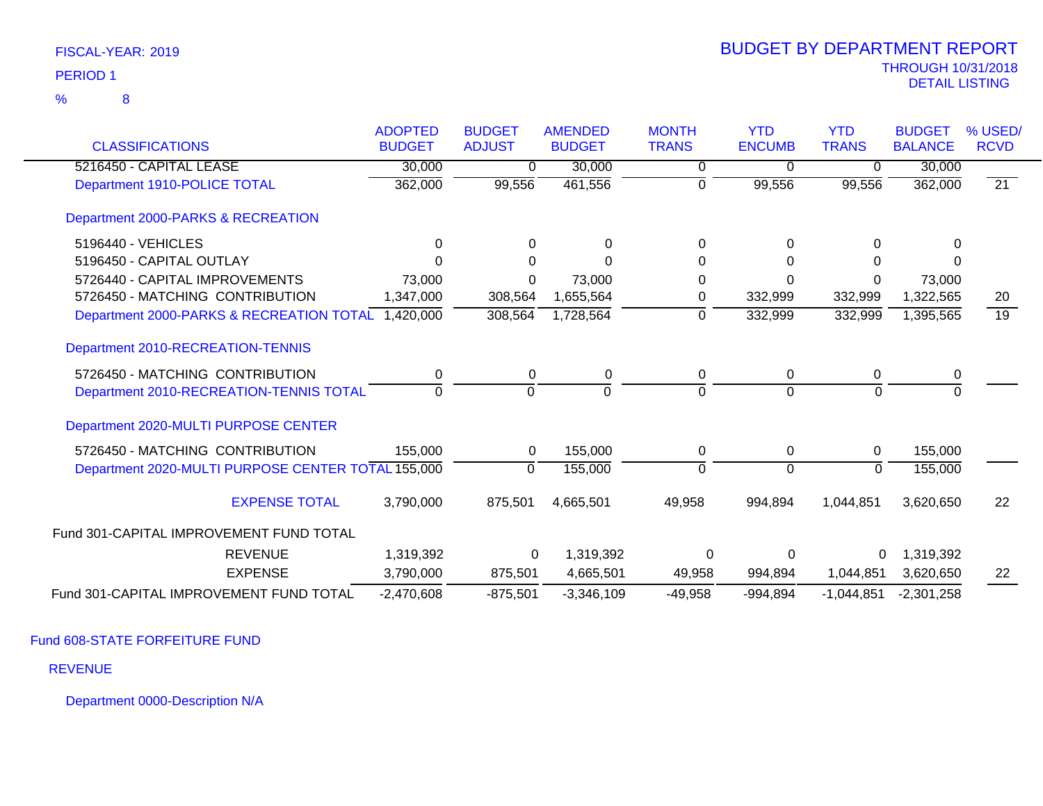|                                                    | <b>ADOPTED</b> | <b>BUDGET</b> | <b>AMENDED</b> | <b>MONTH</b> | <b>YTD</b>     | <b>YTD</b>     | <b>BUDGET</b>  | % USED/         |
|----------------------------------------------------|----------------|---------------|----------------|--------------|----------------|----------------|----------------|-----------------|
| <b>CLASSIFICATIONS</b>                             | <b>BUDGET</b>  | <b>ADJUST</b> | <b>BUDGET</b>  | <b>TRANS</b> | <b>ENCUMB</b>  | <b>TRANS</b>   | <b>BALANCE</b> | <b>RCVD</b>     |
| 5216450 - CAPITAL LEASE                            | 30,000         | 0             | 30,000         | 0            | $\Omega$       | $\Omega$       | 30,000         |                 |
| Department 1910-POLICE TOTAL                       | 362,000        | 99,556        | 461,556        | 0            | 99,556         | 99,556         | 362,000        | 21              |
| Department 2000-PARKS & RECREATION                 |                |               |                |              |                |                |                |                 |
| 5196440 - VEHICLES                                 | 0              | 0             | 0              | 0            | $\Omega$       | 0              | 0              |                 |
| 5196450 - CAPITAL OUTLAY                           | U              | $\Omega$      | U              | $\Omega$     | $\Omega$       | 0              | 0              |                 |
| 5726440 - CAPITAL IMPROVEMENTS                     | 73,000         | 0             | 73,000         | 0            | $\Omega$       | 0              | 73,000         |                 |
| 5726450 - MATCHING CONTRIBUTION                    | 1,347,000      | 308,564       | 1,655,564      | 0            | 332,999        | 332,999        | 1,322,565      | 20              |
| Department 2000-PARKS & RECREATION TOTAL 1,420,000 |                | 308,564       | 1,728,564      | $\Omega$     | 332,999        | 332,999        | 1,395,565      | $\overline{19}$ |
| Department 2010-RECREATION-TENNIS                  |                |               |                |              |                |                |                |                 |
| 5726450 - MATCHING CONTRIBUTION                    |                | 0             | 0              | 0            | 0              | 0              | 0              |                 |
| Department 2010-RECREATION-TENNIS TOTAL            | $\Omega$       | $\Omega$      | $\Omega$       | $\Omega$     | $\Omega$       | $\Omega$       | $\Omega$       |                 |
| Department 2020-MULTI PURPOSE CENTER               |                |               |                |              |                |                |                |                 |
| 5726450 - MATCHING CONTRIBUTION                    | 155,000        | 0             | 155,000        | 0            | $\overline{0}$ | 0              | 155,000        |                 |
| Department 2020-MULTI PURPOSE CENTER TOTAL 155,000 |                | $\Omega$      | 155,000        | $\Omega$     | $\Omega$       | $\overline{0}$ | 155,000        |                 |
| <b>EXPENSE TOTAL</b>                               | 3,790,000      | 875,501       | 4,665,501      | 49,958       | 994,894        | 1,044,851      | 3,620,650      | 22              |
| Fund 301-CAPITAL IMPROVEMENT FUND TOTAL            |                |               |                |              |                |                |                |                 |
| <b>REVENUE</b>                                     | 1,319,392      | 0             | 1,319,392      | 0            | 0              |                | 1,319,392      |                 |
| <b>EXPENSE</b>                                     | 3,790,000      | 875,501       | 4,665,501      | 49,958       | 994,894        | 1,044,851      | 3,620,650      | 22              |
| Fund 301-CAPITAL IMPROVEMENT FUND TOTAL            | $-2,470,608$   | $-875,501$    | $-3,346,109$   | $-49,958$    | $-994,894$     | $-1,044,851$   | $-2,301,258$   |                 |

Fund 608-STATE FORFEITURE FUND

REVENUE

Department 0000-Description N/A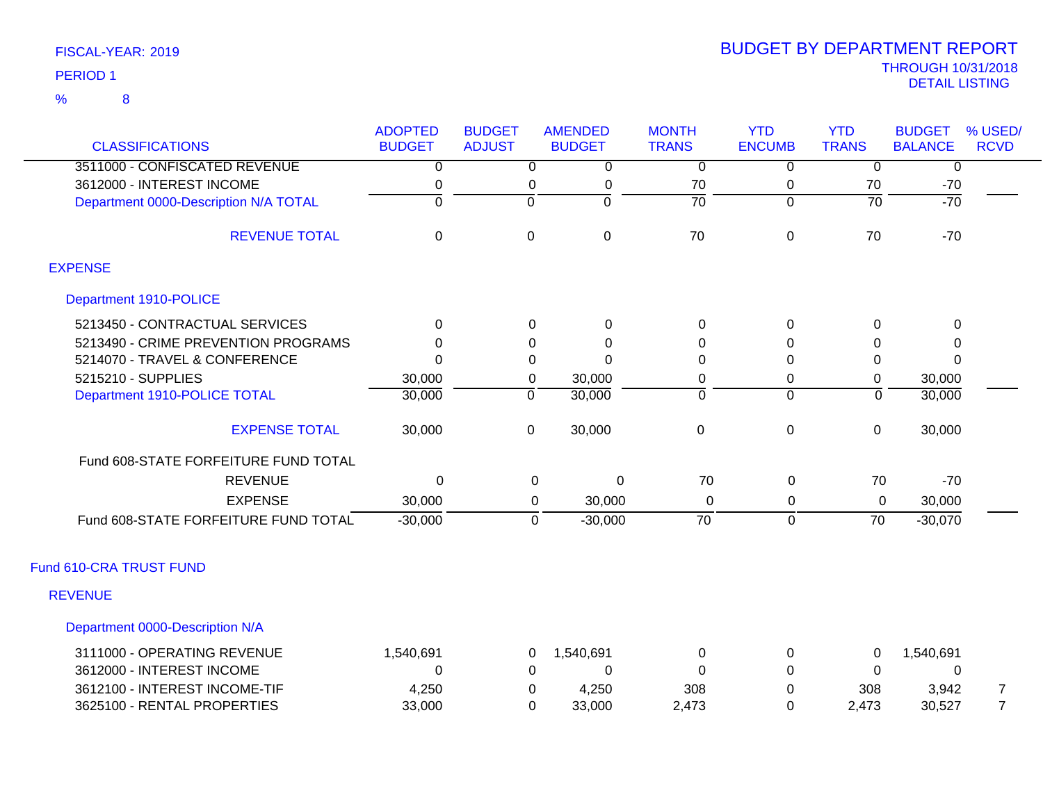| FISCAL-YEAR: 2019 |
|-------------------|
| <b>PERIOD 1</b>   |

| <b>CLASSIFICATIONS</b>                | <b>ADOPTED</b><br><b>BUDGET</b> | <b>BUDGET</b><br><b>ADJUST</b> | <b>AMENDED</b><br><b>BUDGET</b> | <b>MONTH</b><br><b>TRANS</b> | <b>YTD</b><br><b>ENCUMB</b> | <b>YTD</b><br><b>TRANS</b> | <b>BUDGET</b><br><b>BALANCE</b> | % USED/<br><b>RCVD</b> |
|---------------------------------------|---------------------------------|--------------------------------|---------------------------------|------------------------------|-----------------------------|----------------------------|---------------------------------|------------------------|
| 3511000 - CONFISCATED REVENUE         | 0                               | $\overline{0}$                 | $\overline{0}$                  | $\overline{0}$               | $\overline{0}$              | $\overline{0}$             | $\overline{0}$                  |                        |
| 3612000 - INTEREST INCOME             | 0                               | 0                              | $\pmb{0}$                       | 70                           | 0                           | 70                         | $-70$                           |                        |
| Department 0000-Description N/A TOTAL | $\overline{0}$                  | $\overline{0}$                 | 0                               | $\overline{70}$              | $\overline{0}$              | $\overline{70}$            | $-70$                           |                        |
| <b>REVENUE TOTAL</b>                  | $\mathbf 0$                     | $\pmb{0}$                      | $\mathbf 0$                     | 70                           | $\pmb{0}$                   | 70                         | $-70$                           |                        |
| <b>EXPENSE</b>                        |                                 |                                |                                 |                              |                             |                            |                                 |                        |
| Department 1910-POLICE                |                                 |                                |                                 |                              |                             |                            |                                 |                        |
| 5213450 - CONTRACTUAL SERVICES        | $\mathbf{0}$                    | 0                              | $\mathbf 0$                     | 0                            | 0                           | $\Omega$                   | 0                               |                        |
| 5213490 - CRIME PREVENTION PROGRAMS   | $\Omega$                        | $\Omega$                       | $\Omega$                        | 0                            | $\Omega$                    | $\Omega$                   | 0                               |                        |
| 5214070 - TRAVEL & CONFERENCE         | $\Omega$                        | 0                              | $\Omega$                        | 0                            | $\Omega$                    | 0                          | $\Omega$                        |                        |
| 5215210 - SUPPLIES                    | 30,000                          | $\mathbf 0$                    | 30,000                          | 0                            | 0                           | 0                          | 30,000                          |                        |
| Department 1910-POLICE TOTAL          | 30,000                          | $\mathbf 0$                    | 30,000                          | $\overline{0}$               | $\Omega$                    | $\overline{0}$             | 30,000                          |                        |
| <b>EXPENSE TOTAL</b>                  | 30,000                          | $\mathbf 0$                    | 30,000                          | $\pmb{0}$                    | 0                           | 0                          | 30,000                          |                        |
| Fund 608-STATE FORFEITURE FUND TOTAL  |                                 |                                |                                 |                              |                             |                            |                                 |                        |
| <b>REVENUE</b>                        | $\Omega$                        | 0                              | 0                               | 70                           | 0                           | 70                         | $-70$                           |                        |
| <b>EXPENSE</b>                        | 30,000                          | 0                              | 30,000                          | 0                            | 0                           | 0                          | 30,000                          |                        |
| Fund 608-STATE FORFEITURE FUND TOTAL  | $-30,000$                       | $\overline{0}$                 | $-30,000$                       | $\overline{70}$              | $\Omega$                    | $\overline{70}$            | $-30,070$                       |                        |
| Fund 610-CRA TRUST FUND               |                                 |                                |                                 |                              |                             |                            |                                 |                        |
| <b>REVENUE</b>                        |                                 |                                |                                 |                              |                             |                            |                                 |                        |
| Department 0000-Description N/A       |                                 |                                |                                 |                              |                             |                            |                                 |                        |
| 3111000 - OPERATING REVENUE           | 1,540,691                       | 0                              | 1,540,691                       | $\mathbf 0$                  | 0                           | 0                          | 1,540,691                       |                        |
| 3612000 - INTEREST INCOME             | 0                               | 0                              | $\Omega$                        | $\Omega$                     | $\Omega$                    | 0                          | 0                               |                        |
| 3612100 - INTEREST INCOME-TIF         | 4,250                           | 0                              | 4,250                           | 308                          | $\Omega$                    | 308                        | 3,942                           | $\overline{7}$         |
| 3625100 - RENTAL PROPERTIES           | 33,000                          | $\Omega$                       | 33,000                          | 2,473                        | $\Omega$                    | 2,473                      | 30,527                          | $\overline{7}$         |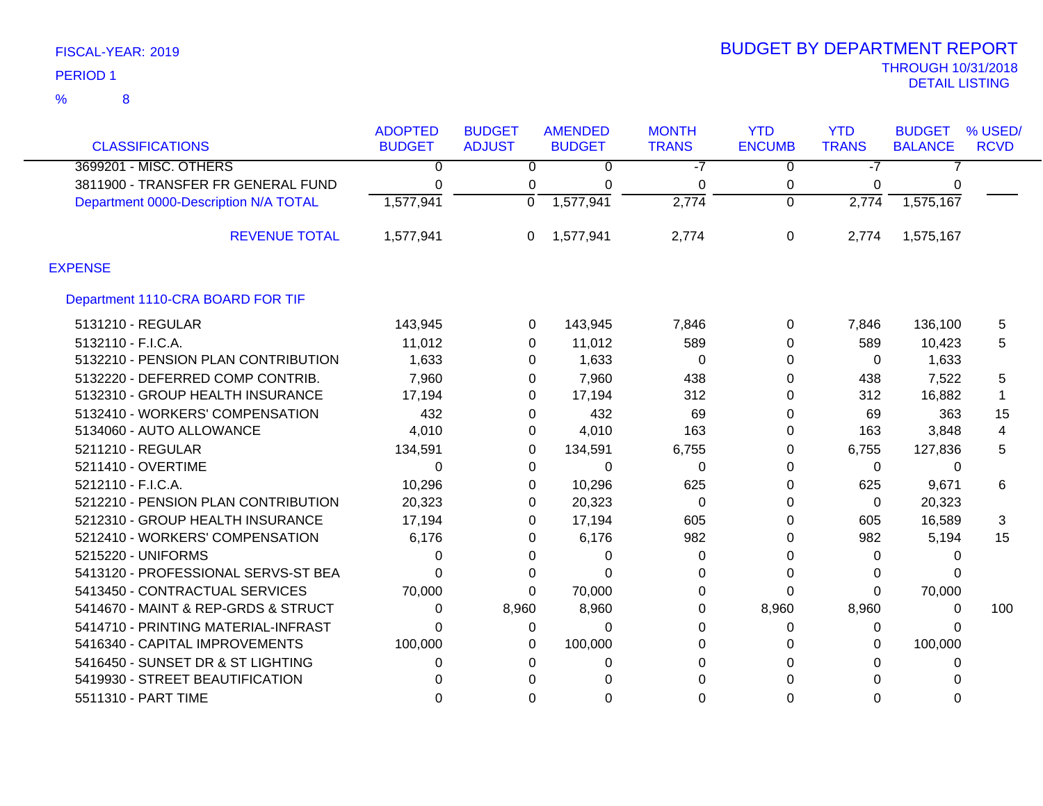| <b>CLASSIFICATIONS</b>                | <b>ADOPTED</b><br><b>BUDGET</b> | <b>BUDGET</b><br><b>ADJUST</b> | <b>AMENDED</b><br><b>BUDGET</b> | <b>MONTH</b><br><b>TRANS</b> | <b>YTD</b><br><b>ENCUMB</b> | <b>YTD</b><br><b>TRANS</b> | <b>BUDGET</b><br><b>BALANCE</b> | % USED/<br><b>RCVD</b> |
|---------------------------------------|---------------------------------|--------------------------------|---------------------------------|------------------------------|-----------------------------|----------------------------|---------------------------------|------------------------|
| 3699201 - MISC. OTHERS                | 0                               | 0                              | 0                               | -7                           | 0                           | $-7$                       |                                 |                        |
| 3811900 - TRANSFER FR GENERAL FUND    | 0                               | 0                              | $\Omega$                        | 0                            | 0                           | $\Omega$                   | 0                               |                        |
| Department 0000-Description N/A TOTAL | 1,577,941                       | $\Omega$                       | 1,577,941                       | 2,774                        | $\Omega$                    | 2,774                      | 1,575,167                       |                        |
| <b>REVENUE TOTAL</b>                  | 1,577,941                       | 0                              | 1,577,941                       | 2,774                        | 0                           | 2,774                      | 1,575,167                       |                        |
| <b>EXPENSE</b>                        |                                 |                                |                                 |                              |                             |                            |                                 |                        |
| Department 1110-CRA BOARD FOR TIF     |                                 |                                |                                 |                              |                             |                            |                                 |                        |
| 5131210 - REGULAR                     | 143,945                         | 0                              | 143,945                         | 7,846                        | $\Omega$                    | 7,846                      | 136,100                         | 5                      |
| 5132110 - F.I.C.A.                    | 11,012                          | 0                              | 11,012                          | 589                          | 0                           | 589                        | 10,423                          | 5                      |
| 5132210 - PENSION PLAN CONTRIBUTION   | 1,633                           | 0                              | 1,633                           | 0                            | 0                           | 0                          | 1,633                           |                        |
| 5132220 - DEFERRED COMP CONTRIB.      | 7,960                           | 0                              | 7,960                           | 438                          | 0                           | 438                        | 7,522                           | 5                      |
| 5132310 - GROUP HEALTH INSURANCE      | 17,194                          | 0                              | 17,194                          | 312                          | 0                           | 312                        | 16,882                          |                        |
| 5132410 - WORKERS' COMPENSATION       | 432                             | 0                              | 432                             | 69                           | 0                           | 69                         | 363                             | 15                     |
| 5134060 - AUTO ALLOWANCE              | 4,010                           | 0                              | 4,010                           | 163                          | 0                           | 163                        | 3,848                           | 4                      |
| 5211210 - REGULAR                     | 134,591                         | 0                              | 134,591                         | 6,755                        | $\Omega$                    | 6,755                      | 127,836                         | 5                      |
| 5211410 - OVERTIME                    | 0                               | 0                              | 0                               | 0                            | 0                           | 0                          | 0                               |                        |
| 5212110 - F.I.C.A.                    | 10,296                          | 0                              | 10,296                          | 625                          | 0                           | 625                        | 9,671                           | 6                      |
| 5212210 - PENSION PLAN CONTRIBUTION   | 20,323                          | 0                              | 20,323                          | 0                            | 0                           | 0                          | 20,323                          |                        |
| 5212310 - GROUP HEALTH INSURANCE      | 17,194                          | 0                              | 17,194                          | 605                          | $\Omega$                    | 605                        | 16,589                          | 3                      |
| 5212410 - WORKERS' COMPENSATION       | 6,176                           | 0                              | 6,176                           | 982                          | 0                           | 982                        | 5,194                           | 15                     |
| 5215220 - UNIFORMS                    | 0                               | 0                              | 0                               | 0                            | 0                           | 0                          | 0                               |                        |
| 5413120 - PROFESSIONAL SERVS-ST BEA   | 0                               | 0                              | 0                               | 0                            | 0                           | 0                          | 0                               |                        |
| 5413450 - CONTRACTUAL SERVICES        | 70,000                          | $\Omega$                       | 70,000                          | 0                            | 0                           | $\Omega$                   | 70,000                          |                        |
| 5414670 - MAINT & REP-GRDS & STRUCT   | 0                               | 8,960                          | 8,960                           | 0                            | 8,960                       | 8,960                      | 0                               | 100                    |
| 5414710 - PRINTING MATERIAL-INFRAST   | 0                               | 0                              | $\Omega$                        | 0                            | 0                           | 0                          | 0                               |                        |
| 5416340 - CAPITAL IMPROVEMENTS        | 100,000                         | 0                              | 100,000                         | 0                            | 0                           | $\Omega$                   | 100,000                         |                        |
| 5416450 - SUNSET DR & ST LIGHTING     | 0                               | 0                              | 0                               | 0                            | <sup>0</sup>                | 0                          | 0                               |                        |
| 5419930 - STREET BEAUTIFICATION       | ი                               | U                              | 0                               | 0                            |                             | $\Omega$                   |                                 |                        |
| 5511310 - PART TIME                   | ი                               | 0                              | 0                               | 0                            | 0                           | $\Omega$                   | 0                               |                        |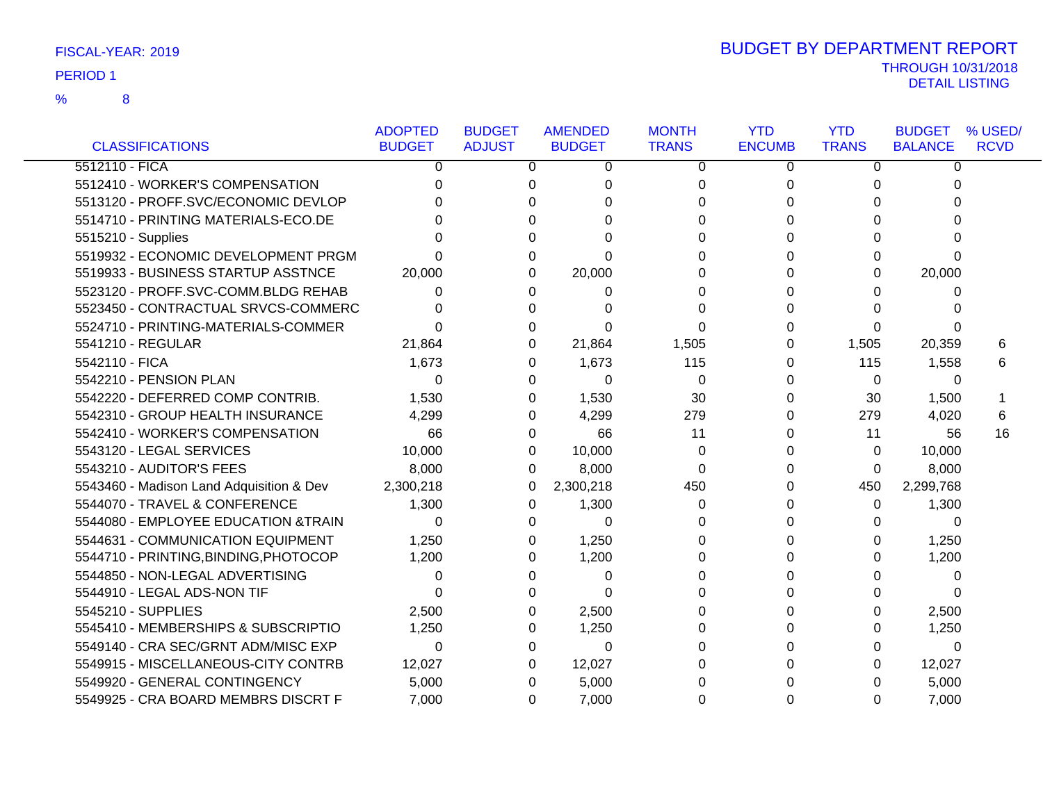|                                          | <b>ADOPTED</b> | <b>BUDGET</b> | <b>AMENDED</b> | <b>MONTH</b> | <b>YTD</b>    | <b>YTD</b>   | <b>BUDGET</b>  | % USED/     |
|------------------------------------------|----------------|---------------|----------------|--------------|---------------|--------------|----------------|-------------|
| <b>CLASSIFICATIONS</b>                   | <b>BUDGET</b>  | <b>ADJUST</b> | <b>BUDGET</b>  | <b>TRANS</b> | <b>ENCUMB</b> | <b>TRANS</b> | <b>BALANCE</b> | <b>RCVD</b> |
| 5512110 - FICA                           | 0              | 0             | 0              | 0            | 0             | 0            | $\Omega$       |             |
| 5512410 - WORKER'S COMPENSATION          | 0              | 0             | 0              | 0            | 0             | 0            | 0              |             |
| 5513120 - PROFF.SVC/ECONOMIC DEVLOP      |                | $\Omega$      | U              | $\Omega$     | 0             | 0            |                |             |
| 5514710 - PRINTING MATERIALS-ECO.DE      |                | $\Omega$      | U              | 0            | 0             | 0            | U              |             |
| 5515210 - Supplies                       |                | $\Omega$      | U              | 0            | 0             | 0            | U              |             |
| 5519932 - ECONOMIC DEVELOPMENT PRGM      |                | 0             | 0              | 0            | 0             | 0            | 0              |             |
| 5519933 - BUSINESS STARTUP ASSTNCE       | 20,000         | $\Omega$      | 20,000         | 0            | 0             | $\Omega$     | 20,000         |             |
| 5523120 - PROFF.SVC-COMM.BLDG REHAB      |                | 0             | 0              | 0            | 0             | U            | 0              |             |
| 5523450 - CONTRACTUAL SRVCS-COMMERC      | 0              | 0             | 0              | 0            | 0             | 0            |                |             |
| 5524710 - PRINTING-MATERIALS-COMMER      |                | 0             | 0              | 0            | 0             | 0            | 0              |             |
| 5541210 - REGULAR                        | 21,864         | 0             | 21,864         | 1,505        | 0             | 1,505        | 20,359         | 6           |
| 5542110 - FICA                           | 1,673          | 0             | 1,673          | 115          | 0             | 115          | 1,558          | 6           |
| 5542210 - PENSION PLAN                   | $\Omega$       | 0             | $\Omega$       | 0            | 0             | $\Omega$     | $\Omega$       |             |
| 5542220 - DEFERRED COMP CONTRIB.         | 1,530          | 0             | 1,530          | 30           | 0             | 30           | 1,500          |             |
| 5542310 - GROUP HEALTH INSURANCE         | 4,299          | 0             | 4,299          | 279          | 0             | 279          | 4,020          | 6           |
| 5542410 - WORKER'S COMPENSATION          | 66             | 0             | 66             | 11           | 0             | 11           | 56             | 16          |
| 5543120 - LEGAL SERVICES                 | 10,000         | 0             | 10,000         | 0            | 0             | 0            | 10,000         |             |
| 5543210 - AUDITOR'S FEES                 | 8,000          | 0             | 8,000          | 0            | 0             | 0            | 8,000          |             |
| 5543460 - Madison Land Adquisition & Dev | 2,300,218      | 0             | 2,300,218      | 450          | 0             | 450          | 2,299,768      |             |
| 5544070 - TRAVEL & CONFERENCE            | 1,300          | 0             | 1,300          | 0            | 0             | 0            | 1,300          |             |
| 5544080 - EMPLOYEE EDUCATION & TRAIN     | $\Omega$       | 0             | $\Omega$       | 0            | 0             | 0            | $\Omega$       |             |
| 5544631 - COMMUNICATION EQUIPMENT        | 1,250          | 0             | 1,250          | 0            | 0             | 0            | 1,250          |             |
| 5544710 - PRINTING, BINDING, PHOTOCOP    | 1,200          | 0             | 1,200          | 0            | 0             | 0            | 1,200          |             |
| 5544850 - NON-LEGAL ADVERTISING          | 0              | 0             | 0              | 0            | 0             | 0            | 0              |             |
| 5544910 - LEGAL ADS-NON TIF              | 0              |               | 0              | 0            | 0             | 0            | 0              |             |
| 5545210 - SUPPLIES                       | 2,500          | 0             | 2,500          | 0            | 0             | 0            | 2,500          |             |
| 5545410 - MEMBERSHIPS & SUBSCRIPTIO      | 1,250          | 0             | 1,250          | 0            | 0             | 0            | 1,250          |             |
| 5549140 - CRA SEC/GRNT ADM/MISC EXP      | $\Omega$       | 0             | $\Omega$       | 0            | 0             | 0            | $\Omega$       |             |
| 5549915 - MISCELLANEOUS-CITY CONTRB      | 12,027         | 0             | 12,027         | 0            | 0             | 0            | 12,027         |             |
| 5549920 - GENERAL CONTINGENCY            | 5,000          | 0             | 5,000          | 0            | 0             | 0            | 5,000          |             |
| 5549925 - CRA BOARD MEMBRS DISCRT F      | 7,000          | 0             | 7,000          | $\Omega$     | 0             | 0            | 7,000          |             |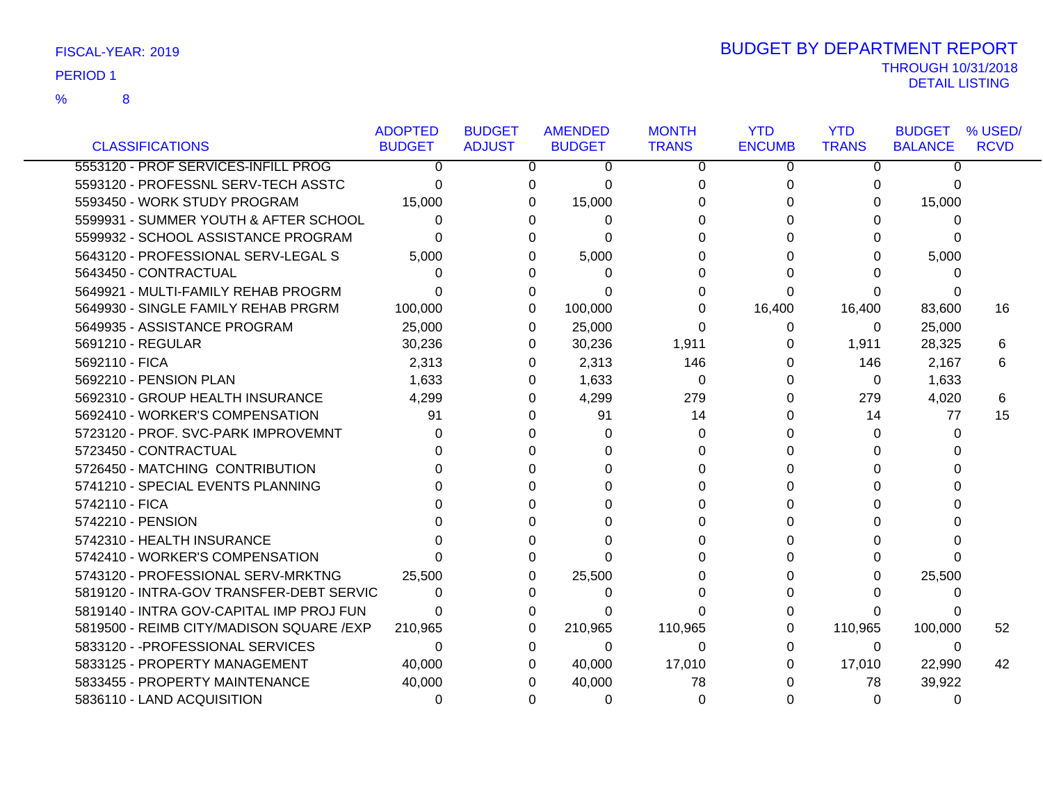8 %

|                                           | <b>ADOPTED</b> | <b>BUDGET</b> |   | <b>AMENDED</b> | <b>MONTH</b> | <b>YTD</b>    | <b>YTD</b>   | <b>BUDGET</b>  | % USED/     |
|-------------------------------------------|----------------|---------------|---|----------------|--------------|---------------|--------------|----------------|-------------|
| <b>CLASSIFICATIONS</b>                    | <b>BUDGET</b>  | <b>ADJUST</b> |   | <b>BUDGET</b>  | <b>TRANS</b> | <b>ENCUMB</b> | <b>TRANS</b> | <b>BALANCE</b> | <b>RCVD</b> |
| 5553120 - PROF SERVICES-INFILL PROG       | $\Omega$       |               | 0 | 0              | 0            | 0             | 0            | 0              |             |
| 5593120 - PROFESSNL SERV-TECH ASSTC       | 0              |               | 0 | 0              | 0            | 0             | 0            | 0              |             |
| 5593450 - WORK STUDY PROGRAM              | 15,000         |               | 0 | 15,000         | 0            | O             | 0            | 15,000         |             |
| 5599931 - SUMMER YOUTH & AFTER SCHOOL     | 0              |               | 0 | 0              | 0            |               | 0            | 0              |             |
| 5599932 - SCHOOL ASSISTANCE PROGRAM       | 0              |               | 0 | 0              | 0            |               | 0            | 0              |             |
| 5643120 - PROFESSIONAL SERV-LEGAL S       | 5,000          |               |   | 5,000          | 0            |               | 0            | 5,000          |             |
| 5643450 - CONTRACTUAL                     | 0              |               | 0 | 0              | 0            |               | 0            | 0              |             |
| 5649921 - MULTI-FAMILY REHAB PROGRM       | 0              |               | 0 | 0              | 0            | 0             | 0            |                |             |
| 5649930 - SINGLE FAMILY REHAB PRGRM       | 100,000        |               | 0 | 100,000        | 0            | 16,400        | 16,400       | 83,600         | 16          |
| 5649935 - ASSISTANCE PROGRAM              | 25,000         |               | 0 | 25,000         | $\Omega$     | 0             | 0            | 25,000         |             |
| 5691210 - REGULAR                         | 30,236         |               | 0 | 30,236         | 1,911        | 0             | 1,911        | 28,325         | 6           |
| 5692110 - FICA                            | 2,313          |               | 0 | 2,313          | 146          | 0             | 146          | 2,167          | 6           |
| 5692210 - PENSION PLAN                    | 1,633          |               | 0 | 1,633          | $\Omega$     | 0             | $\Omega$     | 1,633          |             |
| 5692310 - GROUP HEALTH INSURANCE          | 4,299          |               | 0 | 4,299          | 279          | 0             | 279          | 4,020          | 6           |
| 5692410 - WORKER'S COMPENSATION           | 91             |               | 0 | 91             | 14           | 0             | 14           | 77             | 15          |
| 5723120 - PROF. SVC-PARK IMPROVEMNT       | 0              |               | 0 | 0              | 0            |               | 0            | 0              |             |
| 5723450 - CONTRACTUAL                     |                |               |   | 0              | $\Omega$     |               | 0            | 0              |             |
| 5726450 - MATCHING CONTRIBUTION           |                |               |   | 0              | 0            |               | 0            | $\Omega$       |             |
| 5741210 - SPECIAL EVENTS PLANNING         |                |               |   | 0              | 0            | 0             | 0            |                |             |
| 5742110 - FICA                            |                |               |   | 0              | 0            | 0             | 0            |                |             |
| 5742210 - PENSION                         |                |               |   | 0              | 0            |               | 0            | U              |             |
| 5742310 - HEALTH INSURANCE                |                |               | ∩ | 0              | 0            |               | 0            | n              |             |
| 5742410 - WORKER'S COMPENSATION           |                |               | U | 0              | 0            |               | 0            | $\Omega$       |             |
| 5743120 - PROFESSIONAL SERV-MRKTNG        | 25,500         |               | 0 | 25,500         | 0            |               | 0            | 25,500         |             |
| 5819120 - INTRA-GOV TRANSFER-DEBT SERVIC  | 0              |               | 0 | 0              | 0            |               | 0            | 0              |             |
| 5819140 - INTRA GOV-CAPITAL IMP PROJ FUN  | 0              |               | 0 | 0              | 0            |               | 0            | 0              |             |
| 5819500 - REIMB CITY/MADISON SQUARE / EXP | 210,965        |               | 0 | 210,965        | 110,965      | 0             | 110,965      | 100,000        | 52          |
| 5833120 - - PROFESSIONAL SERVICES         | $\Omega$       |               | 0 | $\Omega$       | $\Omega$     | 0             | 0            | 0              |             |
| 5833125 - PROPERTY MANAGEMENT             | 40,000         |               | 0 | 40,000         | 17,010       | 0             | 17,010       | 22,990         | 42          |
| 5833455 - PROPERTY MAINTENANCE            | 40,000         |               |   | 40,000         | 78           |               | 78           | 39,922         |             |
| 5836110 - LAND ACQUISITION                | 0              |               | 0 | $\Omega$       | 0            |               | 0            | $\Omega$       |             |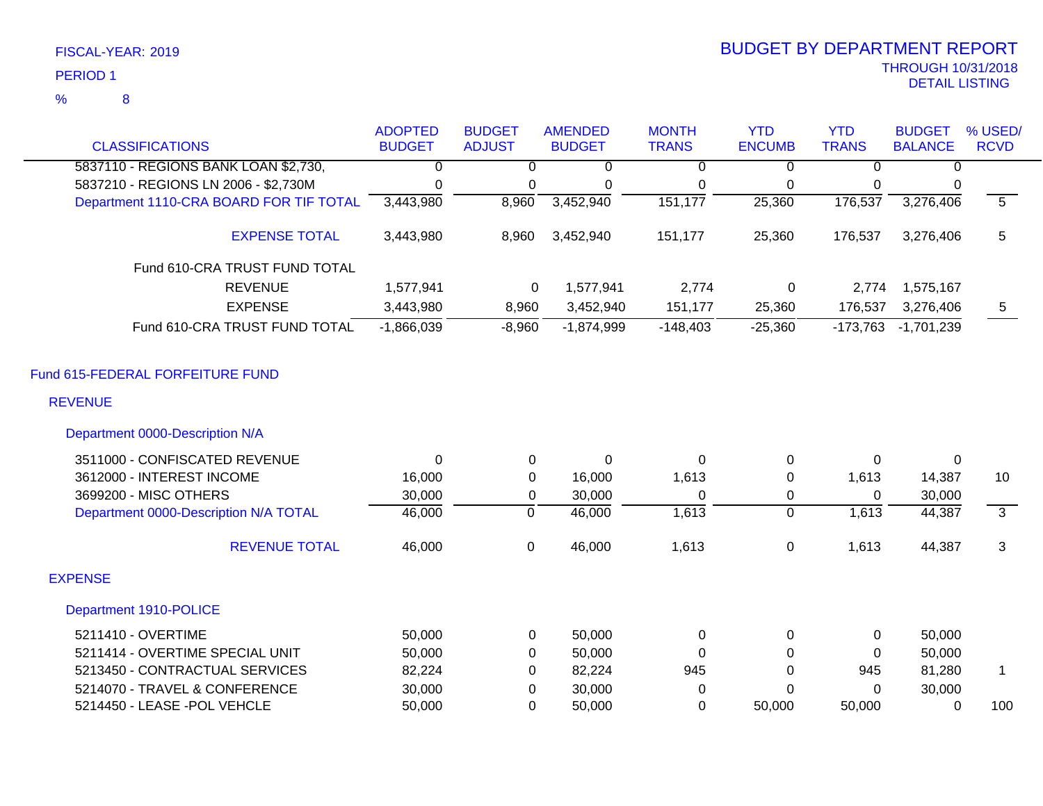8

%

|                                         | <b>ADOPTED</b> | <b>BUDGET</b> | <b>AMENDED</b> | <b>MONTH</b>   | <b>YTD</b>     | <b>YTD</b>   | <b>BUDGET</b>  | % USED/                   |
|-----------------------------------------|----------------|---------------|----------------|----------------|----------------|--------------|----------------|---------------------------|
| <b>CLASSIFICATIONS</b>                  | <b>BUDGET</b>  | <b>ADJUST</b> | <b>BUDGET</b>  | <b>TRANS</b>   | <b>ENCUMB</b>  | <b>TRANS</b> | <b>BALANCE</b> | <b>RCVD</b>               |
| 5837110 - REGIONS BANK LOAN \$2,730,    | $\overline{0}$ | $\Omega$      | $\Omega$       | $\overline{0}$ | $\Omega$       | $\Omega$     | $\mathbf{0}$   |                           |
| 5837210 - REGIONS LN 2006 - \$2,730M    | 0              | 0             | 0              | 0              | $\mathbf 0$    | 0            | 0              |                           |
| Department 1110-CRA BOARD FOR TIF TOTAL | 3,443,980      | 8,960         | 3,452,940      | 151,177        | 25,360         | 176,537      | 3,276,406      | $\overline{5}$            |
| <b>EXPENSE TOTAL</b>                    | 3,443,980      | 8,960         | 3,452,940      | 151,177        | 25,360         | 176,537      | 3,276,406      | 5                         |
| Fund 610-CRA TRUST FUND TOTAL           |                |               |                |                |                |              |                |                           |
| <b>REVENUE</b>                          | 1,577,941      | 0             | 1,577,941      | 2,774          | 0              | 2,774        | 1,575,167      |                           |
| <b>EXPENSE</b>                          | 3,443,980      | 8,960         | 3,452,940      | 151,177        | 25,360         | 176,537      | 3,276,406      | 5                         |
| Fund 610-CRA TRUST FUND TOTAL           | $-1,866,039$   | $-8,960$      | $-1,874,999$   | $-148,403$     | $-25,360$      | $-173,763$   | $-1,701,239$   |                           |
| Fund 615-FEDERAL FORFEITURE FUND        |                |               |                |                |                |              |                |                           |
| <b>REVENUE</b>                          |                |               |                |                |                |              |                |                           |
| Department 0000-Description N/A         |                |               |                |                |                |              |                |                           |
| 3511000 - CONFISCATED REVENUE           | $\mathbf{0}$   | $\mathbf 0$   | $\mathbf 0$    | $\Omega$       | $\mathbf 0$    | 0            | 0              |                           |
| 3612000 - INTEREST INCOME               | 16,000         | $\Omega$      | 16,000         | 1,613          | $\Omega$       | 1,613        | 14,387         | 10                        |
| 3699200 - MISC OTHERS                   | 30,000         | 0             | 30,000         | $\Omega$       | $\mathbf 0$    | $\Omega$     | 30,000         |                           |
| Department 0000-Description N/A TOTAL   | 46,000         | $\mathbf 0$   | 46,000         | 1,613          | $\overline{0}$ | 1,613        | 44,387         | $\overline{\overline{3}}$ |
| <b>REVENUE TOTAL</b>                    | 46,000         | $\mathbf 0$   | 46,000         | 1,613          | $\mathbf 0$    | 1,613        | 44,387         | 3                         |
| <b>EXPENSE</b>                          |                |               |                |                |                |              |                |                           |
| Department 1910-POLICE                  |                |               |                |                |                |              |                |                           |
| 5211410 - OVERTIME                      | 50,000         | $\mathbf 0$   | 50,000         | $\Omega$       | $\mathbf 0$    | 0            | 50,000         |                           |
| 5211414 - OVERTIME SPECIAL UNIT         | 50,000         | 0             | 50,000         | $\Omega$       | $\Omega$       | $\Omega$     | 50,000         |                           |
| 5213450 - CONTRACTUAL SERVICES          | 82,224         | 0             | 82,224         | 945            | 0              | 945          | 81,280         | 1                         |
| 5214070 - TRAVEL & CONFERENCE           | 30,000         | 0             | 30,000         | $\Omega$       | 0              | $\Omega$     | 30,000         |                           |

5214450 - LEASE -POL VEHCLE 50,000 0 50,000 0 50,000 50,000 0 100